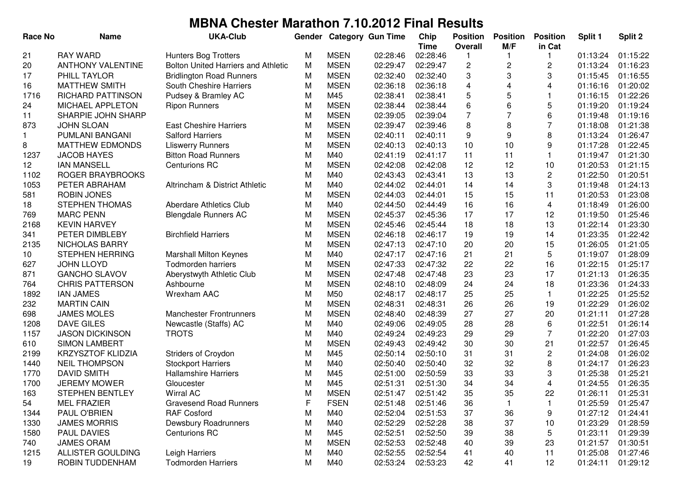| <b>Race No</b> | <b>Name</b>              | <b>UKA-Club</b>                            | Gender    |             | <b>Category Gun Time</b> | Chip                    | <b>Position</b> | <b>Position</b> | <b>Position</b>           | Split 1  | Split 2              |
|----------------|--------------------------|--------------------------------------------|-----------|-------------|--------------------------|-------------------------|-----------------|-----------------|---------------------------|----------|----------------------|
| 21             | <b>RAY WARD</b>          | <b>Hunters Bog Trotters</b>                | М         | <b>MSEN</b> | 02:28:46                 | <b>Time</b><br>02:28:46 | <b>Overall</b>  | M/F             | in Cat                    | 01:13:24 | 01:15:22             |
| 20             | <b>ANTHONY VALENTINE</b> | <b>Bolton United Harriers and Athletic</b> | M         | <b>MSEN</b> | 02:29:47                 | 02:29:47                | $\overline{c}$  | $\overline{c}$  | $\sqrt{2}$                | 01:13:24 | 01:16:23             |
| 17             | PHILL TAYLOR             | <b>Bridlington Road Runners</b>            | М         | <b>MSEN</b> | 02:32:40                 | 02:32:40                | 3               | 3               | 3                         | 01:15:45 | 01:16:55             |
| 16             | <b>MATTHEW SMITH</b>     | South Cheshire Harriers                    | M         | <b>MSEN</b> | 02:36:18                 | 02:36:18                | 4               | $\overline{4}$  | 4                         | 01:16:16 | 01:20:02             |
| 1716           | RICHARD PATTINSON        | Pudsey & Bramley AC                        | M         | M45         | 02:38:41                 | 02:38:41                | 5               | 5               | $\mathbf{1}$              | 01:16:15 | 01:22:26             |
| 24             | MICHAEL APPLETON         | <b>Ripon Runners</b>                       | M         | <b>MSEN</b> | 02:38:44                 | 02:38:44                | 6               | 6               | $\mathbf 5$               | 01:19:20 | 01:19:24             |
| 11             | SHARPIE JOHN SHARP       |                                            | M         | <b>MSEN</b> | 02:39:05                 | 02:39:04                | $\overline{7}$  |                 | 6                         | 01:19:48 | 01:19:16             |
| 873            | <b>JOHN SLOAN</b>        | <b>East Cheshire Harriers</b>              | ${\sf M}$ | <b>MSEN</b> | 02:39:47                 | 02:39:46                | 8               | 8               | $\overline{7}$            | 01:18:08 | 01:21:38             |
|                | PUMLANI BANGANI          | <b>Salford Harriers</b>                    | M         | <b>MSEN</b> | 02:40:11                 | 02:40:11                | 9               | 9               | 8                         | 01:13:24 | 01:26:47             |
| 8              | <b>MATTHEW EDMONDS</b>   | <b>Lliswerry Runners</b>                   | M         | <b>MSEN</b> | 02:40:13                 | 02:40:13                | 10              | 10              | 9                         | 01:17:28 | 01:22:45             |
| 1237           | <b>JACOB HAYES</b>       | <b>Bitton Road Runners</b>                 | M         | M40         | 02:41:19                 | 02:41:17                | 11              | 11              | $\mathbf{1}$              | 01:19:47 | 01:21:30             |
| 12             | <b>IAN MANSELL</b>       | <b>Centurions RC</b>                       | M         | <b>MSEN</b> | 02:42:08                 | 02:42:08                | 12              | 12              | 10                        | 01:20:53 | 01:21:15             |
| 1102           | ROGER BRAYBROOKS         |                                            | M         | M40         | 02:43:43                 | 02:43:41                | 13              | 13              | $\mathbf{2}$              | 01:22:50 | 01:20:51             |
| 1053           | PETER ABRAHAM            | Altrincham & District Athletic             | M         | M40         | 02:44:02                 | 02:44:01                | 14              | 14              | 3                         | 01:19:48 | 01:24:13             |
| 581            | <b>ROBIN JONES</b>       |                                            | M         | <b>MSEN</b> | 02:44:03                 | 02:44:01                | 15              | 15              | 11                        | 01:20:53 | 01:23:08             |
| 18             | <b>STEPHEN THOMAS</b>    | Aberdare Athletics Club                    | М         | M40         | 02:44:50                 | 02:44:49                | 16              | 16              | 4                         | 01:18:49 | 01:26:00             |
| 769            | <b>MARC PENN</b>         | <b>Blengdale Runners AC</b>                | M         | <b>MSEN</b> | 02:45:37                 | 02:45:36                | 17              | 17              | 12                        | 01:19:50 | 01:25:46             |
| 2168           | <b>KEVIN HARVEY</b>      |                                            | M         | <b>MSEN</b> | 02:45:46                 | 02:45:44                | 18              | 18              | 13                        | 01:22:14 | 01:23:30             |
| 341            | PETER DIMBLEBY           | <b>Birchfield Harriers</b>                 | M         | <b>MSEN</b> | 02:46:18                 | 02:46:17                | 19              | 19              | 14                        | 01:23:35 | 01:22:42             |
| 2135           | NICHOLAS BARRY           |                                            | M         | <b>MSEN</b> | 02:47:13                 | 02:47:10                | 20              | 20              | 15                        | 01:26:05 | 01:21:05             |
| 10             | <b>STEPHEN HERRING</b>   | <b>Marshall Milton Keynes</b>              | M         | M40         | 02:47:17                 | 02:47:16                | 21              | 21              | 5                         | 01:19:07 | 01:28:09             |
| 627            | <b>JOHN LLOYD</b>        | <b>Todmorden harriers</b>                  | M         | <b>MSEN</b> | 02:47:33                 | 02:47:32                | 22              | 22              | 16                        | 01:22:15 | 01:25:17             |
| 871            | <b>GANCHO SLAVOV</b>     | Aberystwyth Athletic Club                  | M         | <b>MSEN</b> | 02:47:48                 | 02:47:48                | 23              | 23              | 17                        | 01:21:13 | 01:26:35             |
| 764            | <b>CHRIS PATTERSON</b>   | Ashbourne                                  | M         | <b>MSEN</b> | 02:48:10                 | 02:48:09                | 24              | 24              | 18                        | 01:23:36 | 01:24:33             |
| 1892           | <b>IAN JAMES</b>         | Wrexham AAC                                | M         | M50         | 02:48:17                 | 02:48:17                | 25              | 25              | $\mathbf{1}$              | 01:22:25 | 01:25:52             |
|                | <b>MARTIN CAIN</b>       |                                            | M         | <b>MSEN</b> | 02:48:31                 | 02:48:31                | 26              | 26              | 19                        | 01:22:29 | 01:26:02             |
| 232            | <b>JAMES MOLES</b>       | <b>Manchester Frontrunners</b>             | M         | <b>MSEN</b> | 02:48:40                 | 02:48:39                | 27              | 27              | 20                        | 01:21:11 | 01:27:28             |
| 698            | <b>DAVE GILES</b>        |                                            |           | M40         |                          |                         | 28              |                 |                           |          |                      |
| 1208           |                          | Newcastle (Staffs) AC                      | М<br>M    | M40         | 02:49:06                 | 02:49:05                | 29              | 28<br>29        | $\,6\,$<br>$\overline{7}$ | 01:22:51 | 01:26:14<br>01:27:03 |
| 1157           | <b>JASON DICKINSON</b>   | <b>TROTS</b>                               |           |             | 02:49:24                 | 02:49:23                |                 | 30              | 21                        | 01:22:20 |                      |
| 610            | <b>SIMON LAMBERT</b>     |                                            | M         | <b>MSEN</b> | 02:49:43                 | 02:49:42                | 30              |                 |                           | 01:22:57 | 01:26:45             |
| 2199           | <b>KRZYSZTOF KLIDZIA</b> | Striders of Croydon                        | M         | M45         | 02:50:14                 | 02:50:10                | 31              | 31              | $\sqrt{2}$                | 01:24:08 | 01:26:02             |
| 1440           | <b>NEIL THOMPSON</b>     | <b>Stockport Harriers</b>                  | M         | M40         | 02:50:40                 | 02:50:40                | 32              | 32              | 8                         | 01:24:17 | 01:26:23             |
| 1770           | <b>DAVID SMITH</b>       | <b>Hallamshire Harriers</b>                | M         | M45         | 02:51:00                 | 02:50:59                | 33              | 33              | 3                         | 01:25:38 | 01:25:21             |
| 1700           | <b>JEREMY MOWER</b>      | Gloucester                                 | M         | M45         | 02:51:31                 | 02:51:30                | 34              | 34              | $\overline{4}$            | 01:24:55 | 01:26:35             |
| 163            | <b>STEPHEN BENTLEY</b>   | Wirral AC                                  | M         | <b>MSEN</b> | 02:51:47                 | 02:51:42                | 35              | 35              | 22                        | 01:26:11 | 01:25:31             |
| 54             | <b>MEL FRAZIER</b>       | <b>Gravesend Road Runners</b>              | F         | <b>FSEN</b> | 02:51:48                 | 02:51:46                | 36              |                 | $\mathbf{1}$              | 01:25:59 | 01:25:47             |
| 1344           | PAUL O'BRIEN             | <b>RAF Cosford</b>                         | M         | M40         | 02:52:04                 | 02:51:53                | 37              | 36              | 9                         | 01:27:12 | 01:24:41             |
| 1330           | <b>JAMES MORRIS</b>      | Dewsbury Roadrunners                       | M         | M40         | 02:52:29                 | 02:52:28                | 38              | 37              | 10                        | 01:23:29 | 01:28:59             |
| 1580           | <b>PAUL DAVIES</b>       | <b>Centurions RC</b>                       | M         | M45         | 02:52:51                 | 02:52:50                | 39              | 38              | 5                         | 01:23:11 | 01:29:39             |
| 740            | <b>JAMES ORAM</b>        |                                            | M         | <b>MSEN</b> | 02:52:53                 | 02:52:48                | 40              | 39              | 23                        | 01:21:57 | 01:30:51             |
| 1215           | ALLISTER GOULDING        | Leigh Harriers                             | M         | M40         | 02:52:55                 | 02:52:54                | 41              | 40              | 11                        | 01:25:08 | 01:27:46             |
| 19             | ROBIN TUDDENHAM          | <b>Todmorden Harriers</b>                  | M         | M40         | 02:53:24                 | 02:53:23                | 42              | 41              | 12                        | 01:24:11 | 01:29:12             |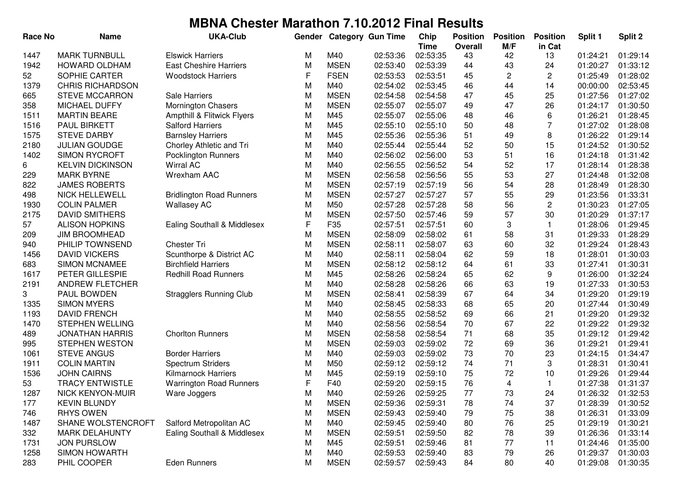| <b>Race No</b> | <b>Name</b>             | <b>UKA-Club</b>                 | Gender |             | <b>Category Gun Time</b> | Chip<br><b>Time</b> | <b>Position</b><br><b>Overall</b> | <b>Position</b><br>M/F | <b>Position</b><br>in Cat | Split 1  | Split 2  |
|----------------|-------------------------|---------------------------------|--------|-------------|--------------------------|---------------------|-----------------------------------|------------------------|---------------------------|----------|----------|
| 1447           | <b>MARK TURNBULL</b>    | <b>Elswick Harriers</b>         | М      | M40         | 02:53:36                 | 02:53:35            | 43                                | 42                     | 13                        | 01:24:21 | 01:29:14 |
| 1942           | <b>HOWARD OLDHAM</b>    | <b>East Cheshire Harriers</b>   | M      | <b>MSEN</b> | 02:53:40                 | 02:53:39            | 44                                | 43                     | 24                        | 01:20:27 | 01:33:12 |
| 52             | SOPHIE CARTER           | <b>Woodstock Harriers</b>       | F      | <b>FSEN</b> | 02:53:53                 | 02:53:51            | 45                                | 2                      | 2                         | 01:25:49 | 01:28:02 |
| 1379           | <b>CHRIS RICHARDSON</b> |                                 | M      | M40         | 02:54:02                 | 02:53:45            | 46                                | 44                     | 14                        | 00:00:00 | 02:53:45 |
| 665            | <b>STEVE MCCARRON</b>   | <b>Sale Harriers</b>            | M      | <b>MSEN</b> | 02:54:58                 | 02:54:58            | 47                                | 45                     | 25                        | 01:27:56 | 01:27:02 |
| 358            | <b>MICHAEL DUFFY</b>    | <b>Mornington Chasers</b>       | M      | <b>MSEN</b> | 02:55:07                 | 02:55:07            | 49                                | 47                     | 26                        | 01:24:17 | 01:30:50 |
| 1511           | <b>MARTIN BEARE</b>     | Ampthill & Flitwick Flyers      | M      | M45         | 02:55:07                 | 02:55:06            | 48                                | 46                     | 6                         | 01:26:21 | 01:28:45 |
| 1516           | <b>PAUL BIRKETT</b>     | <b>Salford Harriers</b>         | M      | M45         | 02:55:10                 | 02:55:10            | 50                                | 48                     | $\overline{7}$            | 01:27:02 | 01:28:08 |
| 1575           | <b>STEVE DARBY</b>      | <b>Barnsley Harriers</b>        | M      | M45         | 02:55:36                 | 02:55:36            | 51                                | 49                     | 8                         | 01:26:22 | 01:29:14 |
| 2180           | <b>JULIAN GOUDGE</b>    | Chorley Athletic and Tri        | M      | M40         | 02:55:44                 | 02:55:44            | 52                                | 50                     | 15                        | 01:24:52 | 01:30:52 |
| 1402           | <b>SIMON RYCROFT</b>    | <b>Pocklington Runners</b>      | M      | M40         | 02:56:02                 | 02:56:00            | 53                                | 51                     | 16                        | 01:24:18 | 01:31:42 |
| 6              | <b>KELVIN DICKINSON</b> | <b>Wirral AC</b>                | M      | M40         | 02:56:55                 | 02:56:52            | 54                                | 52                     | 17                        | 01:28:14 | 01:28:38 |
| 229            | <b>MARK BYRNE</b>       | Wrexham AAC                     | M      | <b>MSEN</b> | 02:56:58                 | 02:56:56            | 55                                | 53                     | 27                        | 01:24:48 | 01:32:08 |
| 822            | <b>JAMES ROBERTS</b>    |                                 | М      | <b>MSEN</b> | 02:57:19                 | 02:57:19            | 56                                | 54                     | 28                        | 01:28:49 | 01:28:30 |
| 498            | <b>NICK HELLEWELL</b>   | <b>Bridlington Road Runners</b> | М      | <b>MSEN</b> | 02:57:27                 | 02:57:27            | 57                                | 55                     | 29                        | 01:23:56 | 01:33:31 |
| 1930           | <b>COLIN PALMER</b>     | <b>Wallasey AC</b>              | M      | M50         | 02:57:28                 | 02:57:28            | 58                                | 56                     | 2                         | 01:30:23 | 01:27:05 |
| 2175           | <b>DAVID SMITHERS</b>   |                                 | M      | <b>MSEN</b> | 02:57:50                 | 02:57:46            | 59                                | 57                     | 30                        | 01:20:29 | 01:37:17 |
| 57             | <b>ALISON HOPKINS</b>   | Ealing Southall & Middlesex     | F      | F35         | 02:57:51                 | 02:57:51            | 60                                | 3                      | 1                         | 01:28:06 | 01:29:45 |
| 209            | <b>JIM BROOMHEAD</b>    |                                 | M      | <b>MSEN</b> | 02:58:09                 | 02:58:02            | 61                                | 58                     | 31                        | 01:29:33 | 01:28:29 |
| 940            | PHILIP TOWNSEND         | Chester Tri                     | M      | <b>MSEN</b> | 02:58:11                 | 02:58:07            | 63                                | 60                     | 32                        | 01:29:24 | 01:28:43 |
| 1456           | <b>DAVID VICKERS</b>    | Scunthorpe & District AC        | M      | M40         | 02:58:11                 | 02:58:04            | 62                                | 59                     | 18                        | 01:28:01 | 01:30:03 |
| 683            | <b>SIMON MCNAMEE</b>    | <b>Birchfield Harriers</b>      | M      | <b>MSEN</b> | 02:58:12                 | 02:58:12            | 64                                | 61                     | 33                        | 01:27:41 | 01:30:31 |
| 1617           | PETER GILLESPIE         | <b>Redhill Road Runners</b>     | M      | M45         | 02:58:26                 | 02:58:24            | 65                                | 62                     | 9                         | 01:26:00 | 01:32:24 |
| 2191           | ANDREW FLETCHER         |                                 | M      | M40         | 02:58:28                 | 02:58:26            | 66                                | 63                     | 19                        | 01:27:33 | 01:30:53 |
| 3              | PAUL BOWDEN             | <b>Stragglers Running Club</b>  | M      | <b>MSEN</b> | 02:58:41                 | 02:58:39            | 67                                | 64                     | 34                        | 01:29:20 | 01:29:19 |
| 1335           | <b>SIMON MYERS</b>      |                                 | M      | M40         | 02:58:45                 | 02:58:33            | 68                                | 65                     | 20                        | 01:27:44 | 01:30:49 |
| 1193           | <b>DAVID FRENCH</b>     |                                 | M      | M40         | 02:58:55                 | 02:58:52            | 69                                | 66                     | 21                        | 01:29:20 | 01:29:32 |
| 1470           | <b>STEPHEN WELLING</b>  |                                 | M      | M40         | 02:58:56                 | 02:58:54            | 70                                | 67                     | 22                        | 01:29:22 | 01:29:32 |
| 489            | <b>JONATHAN HARRIS</b>  | <b>Chorlton Runners</b>         | М      | <b>MSEN</b> | 02:58:58                 | 02:58:54            | 71                                | 68                     | 35                        | 01:29:12 | 01:29:42 |
| 995            | <b>STEPHEN WESTON</b>   |                                 | M      | <b>MSEN</b> | 02:59:03                 | 02:59:02            | 72                                | 69                     | 36                        | 01:29:21 | 01:29:41 |
| 1061           | <b>STEVE ANGUS</b>      | <b>Border Harriers</b>          | M      | M40         | 02:59:03                 | 02:59:02            | 73                                | 70                     | 23                        | 01:24:15 | 01:34:47 |
| 1911           | <b>COLIN MARTIN</b>     | Spectrum Striders               | M      | M50         | 02:59:12                 | 02:59:12            | 74                                | 71                     | 3                         | 01:28:31 | 01:30:41 |
| 1536           | <b>JOHN CAIRNS</b>      | <b>Kilmarnock Harriers</b>      | M      | M45         | 02:59:19                 | 02:59:10            | 75                                | 72                     | 10                        | 01:29:26 | 01:29:44 |
| 53             | <b>TRACY ENTWISTLE</b>  | <b>Warrington Road Runners</b>  | F      | F40         | 02:59:20                 | 02:59:15            | 76                                | 4                      | 1                         | 01:27:38 | 01:31:37 |
| 1287           | NICK KENYON-MUIR        | Ware Joggers                    | M      | M40         | 02:59:26                 | 02:59:25            | 77                                | 73                     | 24                        | 01:26:32 | 01:32:53 |
| 177            | <b>KEVIN BLUNDY</b>     |                                 | M      | <b>MSEN</b> | 02:59:36                 | 02:59:31            | 78                                | 74                     | 37                        | 01:28:39 | 01:30:52 |
| 746            | <b>RHYS OWEN</b>        |                                 | M      | <b>MSEN</b> | 02:59:43                 | 02:59:40            | 79                                | 75                     | 38                        | 01:26:31 | 01:33:09 |
| 1487           | SHANE WOLSTENCROFT      | Salford Metropolitan AC         | M      | M40         | 02:59:45                 | 02:59:40            | 80                                | 76                     | 25                        | 01:29:19 | 01:30:21 |
| 332            | <b>MARK DELAHUNTY</b>   | Ealing Southall & Middlesex     | M      | <b>MSEN</b> | 02:59:51                 | 02:59:50            | 82                                | 78                     | 39                        | 01:26:36 | 01:33:14 |
| 1731           | <b>JON PURSLOW</b>      |                                 | M      | M45         | 02:59:51                 | 02:59:46            | 81                                | 77                     | 11                        | 01:24:46 | 01:35:00 |
| 1258           | <b>SIMON HOWARTH</b>    |                                 | M      | M40         | 02:59:53                 | 02:59:40            | 83                                | 79                     | 26                        | 01:29:37 | 01:30:03 |
| 283            | PHIL COOPER             | Eden Runners                    | M      | <b>MSEN</b> | 02:59:57                 | 02:59:43            | 84                                | 80                     | 40                        | 01:29:08 | 01:30:35 |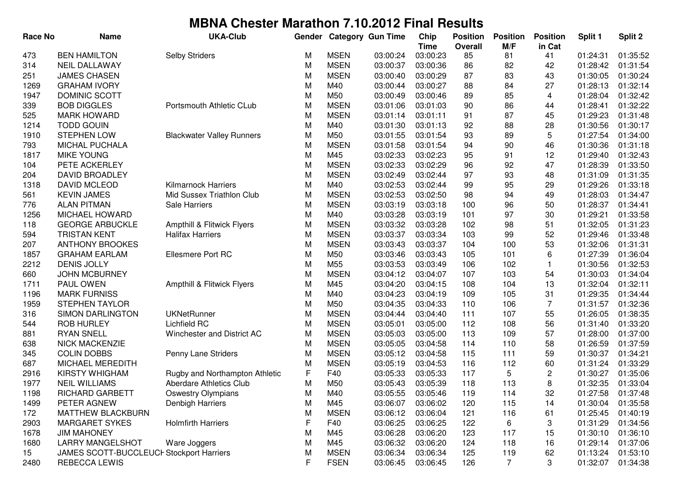| <b>Race No</b> | <b>Name</b>                              | <b>UKA-Club</b>                  | Gender |             | <b>Category Gun Time</b> | Chip<br><b>Time</b> | <b>Position</b><br><b>Overall</b> | <b>Position</b><br>M/F | <b>Position</b><br>in Cat | Split 1  | Split 2  |
|----------------|------------------------------------------|----------------------------------|--------|-------------|--------------------------|---------------------|-----------------------------------|------------------------|---------------------------|----------|----------|
| 473            | <b>BEN HAMILTON</b>                      | <b>Selby Striders</b>            | М      | <b>MSEN</b> | 03:00:24                 | 03:00:23            | 85                                | 81                     | 41                        | 01:24:31 | 01:35:52 |
| 314            | <b>NEIL DALLAWAY</b>                     |                                  | M      | <b>MSEN</b> | 03:00:37                 | 03:00:36            | 86                                | 82                     | 42                        | 01:28:42 | 01:31:54 |
| 251            | <b>JAMES CHASEN</b>                      |                                  | M      | <b>MSEN</b> | 03:00:40                 | 03:00:29            | 87                                | 83                     | 43                        | 01:30:05 | 01:30:24 |
| 1269           | <b>GRAHAM IVORY</b>                      |                                  | M      | M40         | 03:00:44                 | 03:00:27            | 88                                | 84                     | 27                        | 01:28:13 | 01:32:14 |
| 1947           | DOMINIC SCOTT                            |                                  | M      | M50         | 03:00:49                 | 03:00:46            | 89                                | 85                     | 4                         | 01:28:04 | 01:32:42 |
| 339            | <b>BOB DIGGLES</b>                       | Portsmouth Athletic CLub         | М      | <b>MSEN</b> | 03:01:06                 | 03:01:03            | 90                                | 86                     | 44                        | 01:28:41 | 01:32:22 |
| 525            | <b>MARK HOWARD</b>                       |                                  | M      | <b>MSEN</b> | 03:01:14                 | 03:01:11            | 91                                | 87                     | 45                        | 01:29:23 | 01:31:48 |
| 1214           | <b>TODD GOUIN</b>                        |                                  | M      | M40         | 03:01:30                 | 03:01:13            | 92                                | 88                     | 28                        | 01:30:56 | 01:30:17 |
| 1910           | <b>STEPHEN LOW</b>                       | <b>Blackwater Valley Runners</b> | M      | M50         | 03:01:55                 | 03:01:54            | 93                                | 89                     | $\mathbf 5$               | 01:27:54 | 01:34:00 |
| 793            | <b>MICHAL PUCHALA</b>                    |                                  | M      | <b>MSEN</b> | 03:01:58                 | 03:01:54            | 94                                | 90                     | 46                        | 01:30:36 | 01:31:18 |
| 1817           | <b>MIKE YOUNG</b>                        |                                  | M      | M45         | 03:02:33                 | 03:02:23            | 95                                | 91                     | 12                        | 01:29:40 | 01:32:43 |
| 104            | PETE ACKERLEY                            |                                  | M      | <b>MSEN</b> | 03:02:33                 | 03:02:29            | 96                                | 92                     | 47                        | 01:28:39 | 01:33:50 |
| 204            | <b>DAVID BROADLEY</b>                    |                                  | M      | <b>MSEN</b> | 03:02:49                 | 03:02:44            | 97                                | 93                     | 48                        | 01:31:09 | 01:31:35 |
| 1318           | DAVID MCLEOD                             | <b>Kilmarnock Harriers</b>       | M      | M40         | 03:02:53                 | 03:02:44            | 99                                | 95                     | 29                        | 01:29:26 | 01:33:18 |
| 561            | <b>KEVIN JAMES</b>                       | Mid Sussex Triathlon Club        | M      | <b>MSEN</b> | 03:02:53                 | 03:02:50            | 98                                | 94                     | 49                        | 01:28:03 | 01:34:47 |
| 776            | <b>ALAN PITMAN</b>                       | Sale Harriers                    | M      | <b>MSEN</b> | 03:03:19                 | 03:03:18            | 100                               | 96                     | 50                        | 01:28:37 | 01:34:41 |
| 1256           | <b>MICHAEL HOWARD</b>                    |                                  | M      | M40         | 03:03:28                 | 03:03:19            | 101                               | 97                     | 30                        | 01:29:21 | 01:33:58 |
| 118            | <b>GEORGE ARBUCKLE</b>                   | Ampthill & Flitwick Flyers       | M      | <b>MSEN</b> | 03:03:32                 | 03:03:28            | 102                               | 98                     | 51                        | 01:32:05 | 01:31:23 |
| 594            | <b>TRISTAN KENT</b>                      | <b>Halifax Harriers</b>          | M      | <b>MSEN</b> | 03:03:37                 | 03:03:34            | 103                               | 99                     | 52                        | 01:29:46 | 01:33:48 |
| 207            | <b>ANTHONY BROOKES</b>                   |                                  | M      | <b>MSEN</b> | 03:03:43                 | 03:03:37            | 104                               | 100                    | 53                        | 01:32:06 | 01:31:31 |
| 1857           | <b>GRAHAM EARLAM</b>                     | Ellesmere Port RC                | M      | M50         | 03:03:46                 | 03:03:43            | 105                               | 101                    | 6                         | 01:27:39 | 01:36:04 |
| 2212           | <b>DENIS JOLLY</b>                       |                                  | M      | M55         | 03:03:53                 | 03:03:49            | 106                               | 102                    | 1                         | 01:30:56 | 01:32:53 |
| 660            | <b>JOHN MCBURNEY</b>                     |                                  | M      | <b>MSEN</b> | 03:04:12                 | 03:04:07            | 107                               | 103                    | 54                        | 01:30:03 | 01:34:04 |
| 1711           | PAUL OWEN                                | Ampthill & Flitwick Flyers       | M      | M45         | 03:04:20                 | 03:04:15            | 108                               | 104                    | 13                        | 01:32:04 | 01:32:11 |
| 1196           | <b>MARK FURNISS</b>                      |                                  | M      | M40         | 03:04:23                 | 03:04:19            | 109                               | 105                    | 31                        | 01:29:35 | 01:34:44 |
| 1959           | <b>STEPHEN TAYLOR</b>                    |                                  | M      | M50         | 03:04:35                 | 03:04:33            | 110                               | 106                    | $\overline{7}$            | 01:31:57 | 01:32:36 |
| 316            | <b>SIMON DARLINGTON</b>                  | <b>UKNetRunner</b>               | M      | <b>MSEN</b> | 03:04:44                 | 03:04:40            | 111                               | 107                    | 55                        | 01:26:05 | 01:38:35 |
| 544            | <b>ROB HURLEY</b>                        | <b>Lichfield RC</b>              | M      | <b>MSEN</b> | 03:05:01                 | 03:05:00            | 112                               | 108                    | 56                        | 01:31:40 | 01:33:20 |
| 881            | <b>RYAN SNELL</b>                        | Winchester and District AC       | М      | <b>MSEN</b> | 03:05:03                 | 03:05:00            | 113                               | 109                    | 57                        | 01:28:00 | 01:37:00 |
| 638            | <b>NICK MACKENZIE</b>                    |                                  | M      | <b>MSEN</b> | 03:05:05                 | 03:04:58            | 114                               | 110                    | 58                        | 01:26:59 | 01:37:59 |
| 345            | <b>COLIN DOBBS</b>                       | Penny Lane Striders              | M      | <b>MSEN</b> | 03:05:12                 | 03:04:58            | 115                               | 111                    | 59                        | 01:30:37 | 01:34:21 |
| 687            | MICHAEL MEREDITH                         |                                  | M      | <b>MSEN</b> | 03:05:19                 | 03:04:53            | 116                               | 112                    | 60                        | 01:31:24 | 01:33:29 |
| 2916           | KIRSTY WHIGHAM                           | Rugby and Northampton Athletic   | F      | F40         | 03:05:33                 | 03:05:33            | 117                               | 5                      | 2                         | 01:30:27 | 01:35:06 |
| 1977           | <b>NEIL WILLIAMS</b>                     | <b>Aberdare Athletics Club</b>   | M      | M50         | 03:05:43                 | 03:05:39            | 118                               | 113                    | 8                         | 01:32:35 | 01:33:04 |
| 1198           | RICHARD GARBETT                          | <b>Oswestry Olympians</b>        | M      | M40         | 03:05:55                 | 03:05:46            | 119                               | 114                    | 32                        | 01:27:58 | 01:37:48 |
| 1499           | PETER AGNEW                              | Denbigh Harriers                 | M      | M45         | 03:06:07                 | 03:06:02            | 120                               | 115                    | 14                        | 01:30:04 | 01:35:58 |
| 172            | MATTHEW BLACKBURN                        |                                  | M      | <b>MSEN</b> | 03:06:12                 | 03:06:04            | 121                               | 116                    | 61                        | 01:25:45 | 01:40:19 |
| 2903           | <b>MARGARET SYKES</b>                    | <b>Holmfirth Harriers</b>        | F      | F40         | 03:06:25                 | 03:06:25            | 122                               | 6                      | 3                         | 01:31:29 | 01:34:56 |
| 1678           | <b>JIM MAHONEY</b>                       |                                  | М      | M45         | 03:06:28                 | 03:06:20            | 123                               | 117                    | 15                        | 01:30:10 | 01:36:10 |
| 1680           | <b>LARRY MANGELSHOT</b>                  | Ware Joggers                     | M      | M45         | 03:06:32                 | 03:06:20            | 124                               | 118                    | 16                        | 01:29:14 | 01:37:06 |
| 15             | JAMES SCOTT-BUCCLEUCI Stockport Harriers |                                  | M      | <b>MSEN</b> | 03:06:34                 | 03:06:34            | 125                               | 119                    | 62                        | 01:13:24 | 01:53:10 |
| 2480           | <b>REBECCA LEWIS</b>                     |                                  | F      | <b>FSEN</b> | 03:06:45                 | 03:06:45            | 126                               | $\overline{7}$         | 3                         | 01:32:07 | 01:34:38 |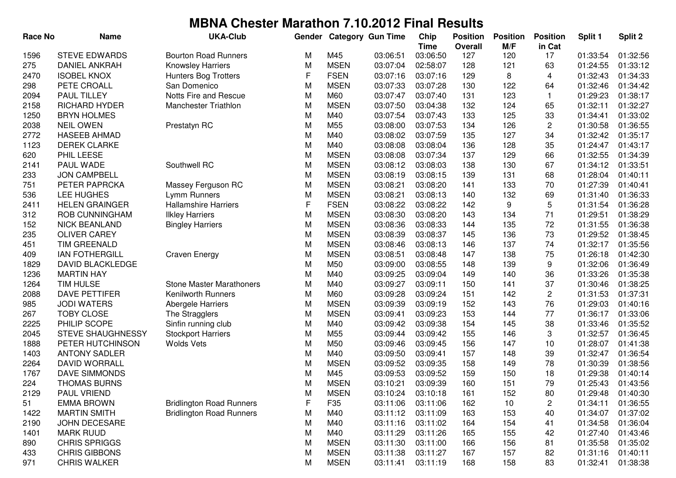| <b>Race No</b> | <b>Name</b>              | <b>UKA-Club</b>                 | Gender |             | <b>Category Gun Time</b> | Chip        | <b>Position</b> | <b>Position</b> | <b>Position</b> | Split 1  | Split 2  |
|----------------|--------------------------|---------------------------------|--------|-------------|--------------------------|-------------|-----------------|-----------------|-----------------|----------|----------|
|                |                          |                                 |        |             |                          | <b>Time</b> | Overall         | M/F             | in Cat          |          |          |
| 1596           | <b>STEVE EDWARDS</b>     | <b>Bourton Road Runners</b>     | M      | M45         | 03:06:51                 | 03:06:50    | 127             | 120             | 17              | 01:33:54 | 01:32:56 |
| 275            | <b>DANIEL ANKRAH</b>     | <b>Knowsley Harriers</b>        | M      | <b>MSEN</b> | 03:07:04                 | 02:58:07    | 128             | 121             | 63              | 01:24:55 | 01:33:12 |
| 2470           | <b>ISOBEL KNOX</b>       | <b>Hunters Bog Trotters</b>     | F      | <b>FSEN</b> | 03:07:16                 | 03:07:16    | 129             | 8               | 4               | 01:32:43 | 01:34:33 |
| 298            | PETE CROALL              | San Domenico                    | М      | <b>MSEN</b> | 03:07:33                 | 03:07:28    | 130             | 122             | 64              | 01:32:46 | 01:34:42 |
| 2094           | <b>PAUL TILLEY</b>       | Notts Fire and Rescue           | M      | M60         | 03:07:47                 | 03:07:40    | 131             | 123             | $\mathbf{1}$    | 01:29:23 | 01:38:17 |
| 2158           | RICHARD HYDER            | Manchester Triathlon            | M      | <b>MSEN</b> | 03:07:50                 | 03:04:38    | 132             | 124             | 65              | 01:32:11 | 01:32:27 |
| 1250           | <b>BRYN HOLMES</b>       |                                 | M      | M40         | 03:07:54                 | 03:07:43    | 133             | 125             | 33              | 01:34:41 | 01:33:02 |
| 2038           | <b>NEIL OWEN</b>         | Prestatyn RC                    | M      | M55         | 03:08:00                 | 03:07:53    | 134             | 126             | 2               | 01:30:58 | 01:36:55 |
| 2772           | <b>HASEEB AHMAD</b>      |                                 | M      | M40         | 03:08:02                 | 03:07:59    | 135             | 127             | 34              | 01:32:42 | 01:35:17 |
| 1123           | <b>DEREK CLARKE</b>      |                                 | M      | M40         | 03:08:08                 | 03:08:04    | 136             | 128             | 35              | 01:24:47 | 01:43:17 |
| 620            | PHIL LEESE               |                                 | M      | <b>MSEN</b> | 03:08:08                 | 03:07:34    | 137             | 129             | 66              | 01:32:55 | 01:34:39 |
| 2141           | PAUL WADE                | Southwell RC                    | M      | <b>MSEN</b> | 03:08:12                 | 03:08:03    | 138             | 130             | 67              | 01:34:12 | 01:33:51 |
| 233            | <b>JON CAMPBELL</b>      |                                 | M      | <b>MSEN</b> | 03:08:19                 | 03:08:15    | 139             | 131             | 68              | 01:28:04 | 01:40:11 |
| 751            | PETER PAPRCKA            | Massey Ferguson RC              | M      | <b>MSEN</b> | 03:08:21                 | 03:08:20    | 141             | 133             | 70              | 01:27:39 | 01:40:41 |
| 536            | LEE HUGHES               | Lymm Runners                    | M      | <b>MSEN</b> | 03:08:21                 | 03:08:13    | 140             | 132             | 69              | 01:31:40 | 01:36:33 |
| 2411           | <b>HELEN GRAINGER</b>    | <b>Hallamshire Harriers</b>     | F      | <b>FSEN</b> | 03:08:22                 | 03:08:22    | 142             | 9               | 5               | 01:31:54 | 01:36:28 |
| 312            | ROB CUNNINGHAM           | <b>Ilkley Harriers</b>          | M      | <b>MSEN</b> | 03:08:30                 | 03:08:20    | 143             | 134             | 71              | 01:29:51 | 01:38:29 |
| 152            | <b>NICK BEANLAND</b>     | <b>Bingley Harriers</b>         | M      | <b>MSEN</b> | 03:08:36                 | 03:08:33    | 144             | 135             | 72              | 01:31:55 | 01:36:38 |
| 235            | <b>OLIVER CAREY</b>      |                                 | M      | <b>MSEN</b> | 03:08:39                 | 03:08:37    | 145             | 136             | 73              | 01:29:52 | 01:38:45 |
| 451            | <b>TIM GREENALD</b>      |                                 | M      | <b>MSEN</b> | 03:08:46                 | 03:08:13    | 146             | 137             | 74              | 01:32:17 | 01:35:56 |
| 409            | <b>IAN FOTHERGILL</b>    | <b>Craven Energy</b>            | M      | <b>MSEN</b> | 03:08:51                 | 03:08:48    | 147             | 138             | 75              | 01:26:18 | 01:42:30 |
| 1829           | <b>DAVID BLACKLEDGE</b>  |                                 | M      | M50         | 03:09:00                 | 03:08:55    | 148             | 139             | 9               | 01:32:06 | 01:36:49 |
| 1236           | <b>MARTIN HAY</b>        |                                 | M      | M40         | 03:09:25                 | 03:09:04    | 149             | 140             | 36              | 01:33:26 | 01:35:38 |
| 1264           | <b>TIM HULSE</b>         | <b>Stone Master Marathoners</b> | M      | M40         | 03:09:27                 | 03:09:11    | 150             | 141             | 37              | 01:30:46 | 01:38:25 |
| 2088           | <b>DAVE PETTIFER</b>     | <b>Kenilworth Runners</b>       | M      | M60         | 03:09:28                 | 03:09:24    | 151             | 142             | 2               | 01:31:53 | 01:37:31 |
| 985            | <b>JODI WATERS</b>       | Abergele Harriers               | M      | <b>MSEN</b> | 03:09:39                 | 03:09:19    | 152             | 143             | 76              | 01:29:03 | 01:40:16 |
| 267            | <b>TOBY CLOSE</b>        | The Stragglers                  | M      | <b>MSEN</b> | 03:09:41                 | 03:09:23    | 153             | 144             | 77              | 01:36:17 | 01:33:06 |
| 2225           | PHILIP SCOPE             | Sinfin running club             | M      | M40         | 03:09:42                 | 03:09:38    | 154             | 145             | 38              | 01:33:46 | 01:35:52 |
| 2045           | <b>STEVE SHAUGHNESSY</b> | <b>Stockport Harriers</b>       | M      | M55         | 03:09:44                 | 03:09:42    | 155             | 146             | 3               | 01:32:57 | 01:36:45 |
| 1888           | PETER HUTCHINSON         | <b>Wolds Vets</b>               | M      | M50         | 03:09:46                 | 03:09:45    | 156             | 147             | 10              | 01:28:07 | 01:41:38 |
| 1403           | <b>ANTONY SADLER</b>     |                                 | M      | M40         | 03:09:50                 | 03:09:41    | 157             | 148             | 39              | 01:32:47 | 01:36:54 |
| 2264           | <b>DAVID WORRALL</b>     |                                 | M      | <b>MSEN</b> | 03:09:52                 | 03:09:35    | 158             | 149             | 78              | 01:30:39 | 01:38:56 |
| 1767           | DAVE SIMMONDS            |                                 | M      | M45         | 03:09:53                 | 03:09:52    | 159             | 150             | 18              | 01:29:38 | 01:40:14 |
| 224            | <b>THOMAS BURNS</b>      |                                 | M      | <b>MSEN</b> | 03:10:21                 | 03:09:39    | 160             | 151             | 79              | 01:25:43 | 01:43:56 |
| 2129           | PAUL VRIEND              |                                 | M      | <b>MSEN</b> | 03:10:24                 | 03:10:18    | 161             | 152             | 80              | 01:29:48 | 01:40:30 |
| 51             | <b>EMMA BROWN</b>        | <b>Bridlington Road Runners</b> | F      | F35         | 03:11:06                 | 03:11:06    | 162             | 10              | 2               | 01:34:11 | 01:36:55 |
| 1422           | <b>MARTIN SMITH</b>      | <b>Bridlington Road Runners</b> | M      | M40         | 03:11:12                 | 03:11:09    | 163             | 153             | 40              | 01:34:07 | 01:37:02 |
| 2190           | JOHN DECESARE            |                                 | M      | M40         | 03:11:16                 | 03:11:02    | 164             | 154             | 41              | 01:34:58 | 01:36:04 |
| 1401           | <b>MARK RUUD</b>         |                                 | M      | M40         | 03:11:29                 | 03:11:26    | 165             | 155             | 42              | 01:27:40 | 01:43:46 |
| 890            | <b>CHRIS SPRIGGS</b>     |                                 | M      | <b>MSEN</b> | 03:11:30                 | 03:11:00    | 166             | 156             | 81              | 01:35:58 | 01:35:02 |
| 433            | <b>CHRIS GIBBONS</b>     |                                 | M      | <b>MSEN</b> | 03:11:38                 | 03:11:27    | 167             | 157             | 82              | 01:31:16 | 01:40:11 |
| 971            | <b>CHRIS WALKER</b>      |                                 | M      | <b>MSEN</b> | 03:11:41                 | 03:11:19    | 168             | 158             | 83              | 01:32:41 | 01:38:38 |
|                |                          |                                 |        |             |                          |             |                 |                 |                 |          |          |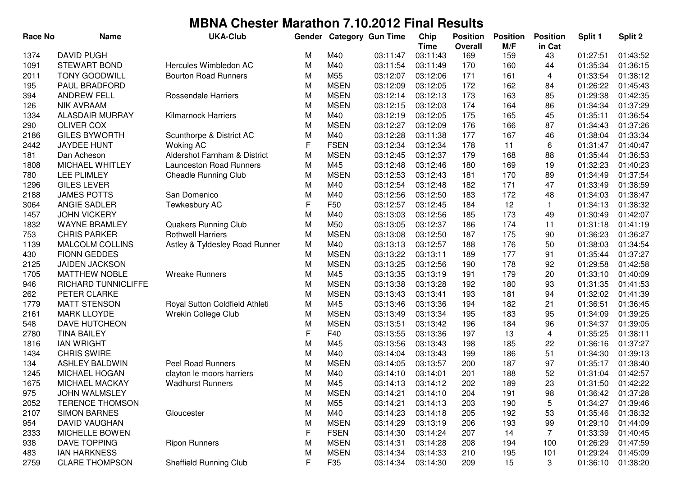| <b>Race No</b> | <b>Name</b>            | <b>UKA-Club</b>                | Gender |             | <b>Category Gun Time</b> | Chip        | <b>Position</b> | <b>Position</b> | <b>Position</b> | Split 1  | Split 2  |
|----------------|------------------------|--------------------------------|--------|-------------|--------------------------|-------------|-----------------|-----------------|-----------------|----------|----------|
|                |                        |                                |        |             |                          | <b>Time</b> | <b>Overall</b>  | M/F             | in Cat          |          |          |
| 1374           | <b>DAVID PUGH</b>      |                                | M      | M40         | 03:11:47                 | 03:11:43    | 169             | 159             | 43              | 01:27:51 | 01:43:52 |
| 1091           | <b>STEWART BOND</b>    | Hercules Wimbledon AC          | M      | M40         | 03:11:54                 | 03:11:49    | 170             | 160             | 44              | 01:35:34 | 01:36:15 |
| 2011           | <b>TONY GOODWILL</b>   | <b>Bourton Road Runners</b>    | M      | M55         | 03:12:07                 | 03:12:06    | 171             | 161             | 4               | 01:33:54 | 01:38:12 |
| 195            | PAUL BRADFORD          |                                | M      | <b>MSEN</b> | 03:12:09                 | 03:12:05    | 172             | 162             | 84              | 01:26:22 | 01:45:43 |
| 394            | <b>ANDREW FELL</b>     | <b>Rossendale Harriers</b>     | M      | <b>MSEN</b> | 03:12:14                 | 03:12:13    | 173             | 163             | 85              | 01:29:38 | 01:42:35 |
| 126            | <b>NIK AVRAAM</b>      |                                | M      | <b>MSEN</b> | 03:12:15                 | 03:12:03    | 174             | 164             | 86              | 01:34:34 | 01:37:29 |
| 1334           | <b>ALASDAIR MURRAY</b> | <b>Kilmarnock Harriers</b>     | M      | M40         | 03:12:19                 | 03:12:05    | 175             | 165             | 45              | 01:35:11 | 01:36:54 |
| 290            | <b>OLIVER COX</b>      |                                | M      | <b>MSEN</b> | 03:12:27                 | 03:12:09    | 176             | 166             | 87              | 01:34:43 | 01:37:26 |
| 2186           | <b>GILES BYWORTH</b>   | Scunthorpe & District AC       | M      | M40         | 03:12:28                 | 03:11:38    | 177             | 167             | 46              | 01:38:04 | 01:33:34 |
| 2442           | <b>JAYDEE HUNT</b>     | <b>Woking AC</b>               | F      | <b>FSEN</b> | 03:12:34                 | 03:12:34    | 178             | 11              | 6               | 01:31:47 | 01:40:47 |
| 181            | Dan Acheson            | Aldershot Farnham & District   | M      | <b>MSEN</b> | 03:12:45                 | 03:12:37    | 179             | 168             | 88              | 01:35:44 | 01:36:53 |
| 1808           | MICHAEL WHITLEY        | <b>Launceston Road Runners</b> | M      | M45         | 03:12:48                 | 03:12:46    | 180             | 169             | 19              | 01:32:23 | 01:40:23 |
| 780            | <b>LEE PLIMLEY</b>     | <b>Cheadle Running Club</b>    | M      | <b>MSEN</b> | 03:12:53                 | 03:12:43    | 181             | 170             | 89              | 01:34:49 | 01:37:54 |
| 1296           | <b>GILES LEVER</b>     |                                | М      | M40         | 03:12:54                 | 03:12:48    | 182             | 171             | 47              | 01:33:49 | 01:38:59 |
| 2188           | <b>JAMES POTTS</b>     | San Domenico                   | M      | M40         | 03:12:56                 | 03:12:50    | 183             | 172             | 48              | 01:34:03 | 01:38:47 |
| 3064           | ANGIE SADLER           | Tewkesbury AC                  | F      | F50         | 03:12:57                 | 03:12:45    | 184             | 12              | 1               | 01:34:13 | 01:38:32 |
| 1457           | <b>JOHN VICKERY</b>    |                                | M      | M40         | 03:13:03                 | 03:12:56    | 185             | 173             | 49              | 01:30:49 | 01:42:07 |
| 1832           | <b>WAYNE BRAMLEY</b>   | <b>Quakers Running Club</b>    | M      | M50         | 03:13:05                 | 03:12:37    | 186             | 174             | 11              | 01:31:18 | 01:41:19 |
| 753            | <b>CHRIS PARKER</b>    | <b>Rothwell Harriers</b>       | M      | <b>MSEN</b> | 03:13:08                 | 03:12:50    | 187             | 175             | 90              | 01:36:23 | 01:36:27 |
| 1139           | <b>MALCOLM COLLINS</b> | Astley & Tyldesley Road Runner | M      | M40         | 03:13:13                 | 03:12:57    | 188             | 176             | 50              | 01:38:03 | 01:34:54 |
| 430            | <b>FIONN GEDDES</b>    |                                | М      | <b>MSEN</b> | 03:13:22                 | 03:13:11    | 189             | 177             | 91              | 01:35:44 | 01:37:27 |
| 2125           | <b>JAIDEN JACKSON</b>  |                                | M      | <b>MSEN</b> | 03:13:25                 | 03:12:56    | 190             | 178             | 92              | 01:29:58 | 01:42:58 |
| 1705           | <b>MATTHEW NOBLE</b>   | <b>Wreake Runners</b>          | M      | M45         | 03:13:35                 | 03:13:19    | 191             | 179             | 20              | 01:33:10 | 01:40:09 |
| 946            | RICHARD TUNNICLIFFE    |                                | M      | <b>MSEN</b> | 03:13:38                 | 03:13:28    | 192             | 180             | 93              | 01:31:35 | 01:41:53 |
| 262            | PETER CLARKE           |                                | M      | <b>MSEN</b> | 03:13:43                 | 03:13:41    | 193             | 181             | 94              | 01:32:02 | 01:41:39 |
| 1779           | <b>MATT STENSON</b>    | Royal Sutton Coldfield Athleti | M      | M45         | 03:13:46                 | 03:13:36    | 194             | 182             | 21              | 01:36:51 | 01:36:45 |
| 2161           | <b>MARK LLOYDE</b>     | Wrekin College Club            | M      | <b>MSEN</b> | 03:13:49                 | 03:13:34    | 195             | 183             | 95              | 01:34:09 | 01:39:25 |
| 548            | <b>DAVE HUTCHEON</b>   |                                | M      | <b>MSEN</b> | 03:13:51                 | 03:13:42    | 196             | 184             | 96              | 01:34:37 | 01:39:05 |
| 2780           | <b>TINA BAILEY</b>     |                                | F      | F40         | 03:13:55                 | 03:13:36    | 197             | 13              | 4               | 01:35:25 | 01:38:11 |
| 1816           | <b>IAN WRIGHT</b>      |                                | М      | M45         | 03:13:56                 | 03:13:43    | 198             | 185             | 22              | 01:36:16 | 01:37:27 |
| 1434           | <b>CHRIS SWIRE</b>     |                                | М      | M40         | 03:14:04                 | 03:13:43    | 199             | 186             | 51              | 01:34:30 | 01:39:13 |
| 134            | <b>ASHLEY BALDWIN</b>  | <b>Peel Road Runners</b>       | M      | <b>MSEN</b> | 03:14:05                 | 03:13:57    | 200             | 187             | 97              | 01:35:17 | 01:38:40 |
| 1245           | <b>MICHAEL HOGAN</b>   | clayton le moors harriers      | M      | M40         | 03:14:10                 | 03:14:01    | 201             | 188             | 52              | 01:31:04 | 01:42:57 |
| 1675           | MICHAEL MACKAY         | <b>Wadhurst Runners</b>        | М      | M45         | 03:14:13                 | 03:14:12    | 202             | 189             | 23              | 01:31:50 | 01:42:22 |
| 975            | <b>JOHN WALMSLEY</b>   |                                | M      | <b>MSEN</b> | 03:14:21                 | 03:14:10    | 204             | 191             | 98              | 01:36:42 | 01:37:28 |
| 2052           | <b>TERENCE THOMSON</b> |                                | M      | M55         | 03:14:21                 | 03:14:13    | 203             | 190             | 5               | 01:34:27 | 01:39:46 |
| 2107           | <b>SIMON BARNES</b>    | Gloucester                     | M      | M40         | 03:14:23                 | 03:14:18    | 205             | 192             | 53              | 01:35:46 | 01:38:32 |
| 954            | DAVID VAUGHAN          |                                | M      | <b>MSEN</b> | 03:14:29                 | 03:13:19    | 206             | 193             | 99              | 01:29:10 | 01:44:09 |
| 2333           | MICHELLE BOWEN         |                                | F      | <b>FSEN</b> | 03:14:30                 | 03:14:24    | 207             | 14              | 7               | 01:33:39 | 01:40:45 |
| 938            | DAVE TOPPING           | <b>Ripon Runners</b>           | М      | <b>MSEN</b> | 03:14:31                 | 03:14:28    | 208             | 194             | 100             | 01:26:29 | 01:47:59 |
| 483            | <b>IAN HARKNESS</b>    |                                | M      | <b>MSEN</b> | 03:14:34                 | 03:14:33    | 210             | 195             | 101             | 01:29:24 | 01:45:09 |
| 2759           | <b>CLARE THOMPSON</b>  | Sheffield Running Club         | F      | F35         | 03:14:34                 | 03:14:30    | 209             | 15              | 3               | 01:36:10 | 01:38:20 |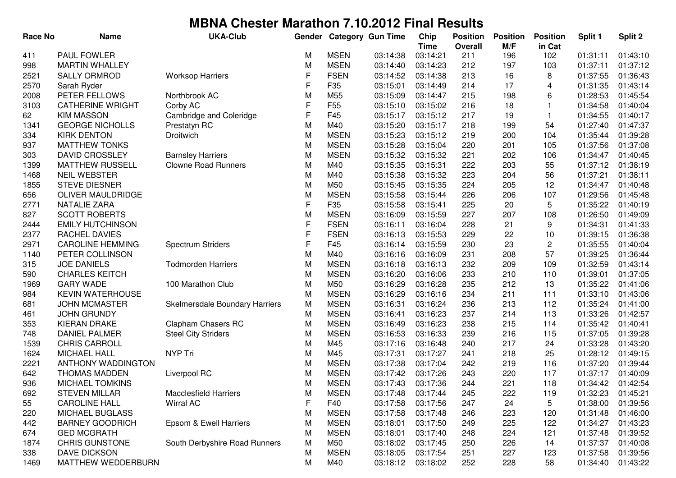| <b>Race No</b> | <b>Name</b>               | <b>UKA-Club</b>                | Gender |                 | <b>Category Gun Time</b> | Chip                    | <b>Position</b><br><b>Overall</b> | <b>Position</b><br>M/F | <b>Position</b><br>in Cat | Split 1  | Split 2  |
|----------------|---------------------------|--------------------------------|--------|-----------------|--------------------------|-------------------------|-----------------------------------|------------------------|---------------------------|----------|----------|
| 411            | PAUL FOWLER               |                                | М      | <b>MSEN</b>     | 03:14:38                 | <b>Time</b><br>03:14:21 | 211                               | 196                    | 102                       | 01:31:11 | 01:43:10 |
| 998            | <b>MARTIN WHALLEY</b>     |                                | M      | <b>MSEN</b>     | 03:14:40                 | 03:14:23                | 212                               | 197                    | 103                       | 01:37:11 | 01:37:12 |
| 2521           | <b>SALLY ORMROD</b>       | <b>Worksop Harriers</b>        | F      | <b>FSEN</b>     | 03:14:52                 | 03:14:38                | 213                               | 16                     | 8                         | 01:37:55 | 01:36:43 |
| 2570           | Sarah Ryder               |                                | F      | F35             | 03:15:01                 | 03:14:49                | 214                               | 17                     | 4                         | 01:31:35 | 01:43:14 |
| 2008           | PETER FELLOWS             | Northbrook AC                  | M      | M55             | 03:15:09                 | 03:14:47                | 215                               | 198                    | 6                         | 01:28:53 | 01:45:54 |
| 3103           | <b>CATHERINE WRIGHT</b>   | Corby AC                       | F      | F <sub>55</sub> | 03:15:10                 | 03:15:02                | 216                               | 18                     | 1                         | 01:34:58 | 01:40:04 |
| 62             | <b>KIM MASSON</b>         | Cambridge and Coleridge        | F      | F45             | 03:15:17                 | 03:15:12                | 217                               | 19                     | 1                         | 01:34:55 | 01:40:17 |
| 1341           | <b>GEORGE NICHOLLS</b>    | Prestatyn RC                   | M      | M40             | 03:15:20                 | 03:15:17                | 218                               | 199                    | 54                        | 01:27:40 | 01:47:37 |
| 334            | <b>KIRK DENTON</b>        | Droitwich                      | M      | <b>MSEN</b>     | 03:15:23                 | 03:15:12                | 219                               | 200                    | 104                       | 01:35:44 | 01:39:28 |
| 937            | <b>MATTHEW TONKS</b>      |                                | M      | <b>MSEN</b>     | 03:15:28                 | 03:15:04                | 220                               | 201                    | 105                       | 01:37:56 | 01:37:08 |
| 303            | <b>DAVID CROSSLEY</b>     | <b>Barnsley Harriers</b>       | M      | <b>MSEN</b>     | 03:15:32                 | 03:15:32                | 221                               | 202                    | 106                       | 01:34:47 | 01:40:45 |
| 1399           | <b>MATTHEW RUSSELL</b>    | <b>Clowne Road Runners</b>     | M      | M40             | 03:15:35                 | 03:15:31                | 222                               | 203                    | 55                        | 01:37:12 | 01:38:19 |
| 1468           | <b>NEIL WEBSTER</b>       |                                | M      | M40             | 03:15:38                 | 03:15:32                | 223                               | 204                    | 56                        | 01:37:21 | 01:38:11 |
| 1855           | <b>STEVE DIESNER</b>      |                                | M      | M50             | 03:15:45                 | 03:15:35                | 224                               | 205                    | 12                        | 01:34:47 | 01:40:48 |
| 656            | OLIVER MAULDRIDGE         |                                | M      | <b>MSEN</b>     | 03:15:58                 | 03:15:44                | 226                               | 206                    | 107                       | 01:29:56 | 01:45:48 |
| 2771           | <b>NATALIE ZARA</b>       |                                | F      | F35             | 03:15:58                 | 03:15:41                | 225                               | 20                     | 5                         | 01:35:22 | 01:40:19 |
| 827            | <b>SCOTT ROBERTS</b>      |                                | M      | <b>MSEN</b>     | 03:16:09                 | 03:15:59                | 227                               | 207                    | 108                       | 01:26:50 | 01:49:09 |
| 2444           | <b>EMILY HUTCHINSON</b>   |                                | F      | <b>FSEN</b>     | 03:16:11                 | 03:16:04                | 228                               | 21                     | 9                         | 01:34:31 | 01:41:33 |
| 2377           | RACHEL DAVIES             |                                | F      | <b>FSEN</b>     | 03:16:13                 | 03:15:53                | 229                               | 22                     | 10                        | 01:39:15 | 01:36:38 |
| 2971           | <b>CAROLINE HEMMING</b>   | <b>Spectrum Striders</b>       | F      | F45             | 03:16:14                 | 03:15:59                | 230                               | 23                     | $\overline{c}$            | 01:35:55 | 01:40:04 |
| 1140           | PETER COLLINSON           |                                | M      | M40             | 03:16:16                 | 03:16:09                | 231                               | 208                    | 57                        | 01:39:25 | 01:36:44 |
| 315            | <b>JOE DANIELS</b>        | <b>Todmorden Harriers</b>      | M      | <b>MSEN</b>     | 03:16:18                 | 03:16:13                | 232                               | 209                    | 109                       | 01:32:59 | 01:43:14 |
| 590            | <b>CHARLES KEITCH</b>     |                                | М      | <b>MSEN</b>     | 03:16:20                 | 03:16:06                | 233                               | 210                    | 110                       | 01:39:01 | 01:37:05 |
| 1969           | <b>GARY WADE</b>          | 100 Marathon Club              | M      | M50             | 03:16:29                 | 03:16:28                | 235                               | 212                    | 13                        | 01:35:22 | 01:41:06 |
| 984            | <b>KEVIN WATERHOUSE</b>   |                                | M      | <b>MSEN</b>     | 03:16:29                 | 03:16:16                | 234                               | 211                    | 111                       | 01:33:10 | 01:43:06 |
| 681            | <b>JOHN MCMASTER</b>      | Skelmersdale Boundary Harriers | M      | <b>MSEN</b>     | 03:16:31                 | 03:16:24                | 236                               | 213                    | 112                       | 01:35:24 | 01:41:00 |
| 461            | <b>JOHN GRUNDY</b>        |                                | M      | <b>MSEN</b>     | 03:16:41                 | 03:16:23                | 237                               | 214                    | 113                       | 01:33:26 | 01:42:57 |
| 353            | <b>KIERAN DRAKE</b>       | <b>Clapham Chasers RC</b>      | M      | <b>MSEN</b>     | 03:16:49                 | 03:16:23                | 238                               | 215                    | 114                       | 01:35:42 | 01:40:41 |
| 748            | <b>DANIEL PALMER</b>      | <b>Steel City Striders</b>     | M      | <b>MSEN</b>     | 03:16:53                 | 03:16:33                | 239                               | 216                    | 115                       | 01:37:05 | 01:39:28 |
| 1539           | <b>CHRIS CARROLL</b>      |                                | M      | M45             | 03:17:16                 | 03:16:48                | 240                               | 217                    | 24                        | 01:33:28 | 01:43:20 |
| 1624           | <b>MICHAEL HALL</b>       | NYP Tri                        | M      | M45             | 03:17:31                 | 03:17:27                | 241                               | 218                    | 25                        | 01:28:12 | 01:49:15 |
| 2221           | <b>ANTHONY WADDINGTON</b> |                                | M      | <b>MSEN</b>     | 03:17:38                 | 03:17:04                | 242                               | 219                    | 116                       | 01:37:20 | 01:39:44 |
| 642            | <b>THOMAS MADDEN</b>      | Liverpool RC                   | M      | <b>MSEN</b>     | 03:17:42                 | 03:17:26                | 243                               | 220                    | 117                       | 01:37:17 | 01:40:09 |
| 936            | <b>MICHAEL TOMKINS</b>    |                                | М      | <b>MSEN</b>     | 03:17:43                 | 03:17:36                | 244                               | 221                    | 118                       | 01:34:42 | 01:42:54 |
| 692            | <b>STEVEN MILLAR</b>      | <b>Macclesfield Harriers</b>   | M      | MSEN            | 03:17:48                 | 03:17:44                | 245                               | 222                    | 119                       | 01:32:23 | 01:45:21 |
| 55             | <b>CAROLINE HALL</b>      | Wirral AC                      | F      | F40             | 03:17:58                 | 03:17:56                | 247                               | 24                     | 5                         | 01:38:00 | 01:39:56 |
| 220            | <b>MICHAEL BUGLASS</b>    |                                | M      | <b>MSEN</b>     | 03:17:58                 | 03:17:48                | 246                               | 223                    | 120                       | 01:31:48 | 01:46:00 |
| 442            | <b>BARNEY GOODRICH</b>    | Epsom & Ewell Harriers         | M      | <b>MSEN</b>     | 03:18:01                 | 03:17:50                | 249                               | 225                    | 122                       | 01:34:27 | 01:43:23 |
| 674            | <b>GED MCGRATH</b>        |                                | M      | <b>MSEN</b>     | 03:18:01                 | 03:17:40                | 248                               | 224                    | 121                       | 01:37:48 | 01:39:52 |
| 1874           | <b>CHRIS GUNSTONE</b>     | South Derbyshire Road Runners  | M      | M50             | 03:18:02                 | 03:17:45                | 250                               | 226                    | 14                        | 01:37:37 | 01:40:08 |
| 338            | <b>DAVE DICKSON</b>       |                                | М      | <b>MSEN</b>     | 03:18:05                 | 03:17:54                | 251                               | 227                    | 123                       | 01:37:58 | 01:39:56 |
| 1469           | MATTHEW WEDDERBURN        |                                | M      | M40             | 03:18:12                 | 03:18:02                | 252                               | 228                    | 58                        | 01:34:40 | 01:43:22 |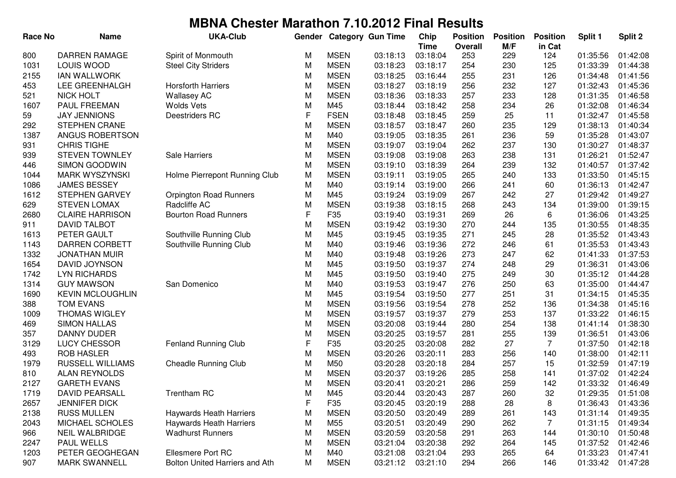| <b>Race No</b> | <b>Name</b>             | <b>UKA-Club</b>                | Gender |                 | <b>Category Gun Time</b> | Chip        | <b>Position</b> | <b>Position</b> | <b>Position</b> | Split 1  | Split 2  |
|----------------|-------------------------|--------------------------------|--------|-----------------|--------------------------|-------------|-----------------|-----------------|-----------------|----------|----------|
|                |                         |                                |        |                 |                          | <b>Time</b> | <b>Overall</b>  | M/F             | in Cat          |          |          |
| 800            | <b>DARREN RAMAGE</b>    | Spirit of Monmouth             | М      | <b>MSEN</b>     | 03:18:13                 | 03:18:04    | 253             | 229             | 124             | 01:35:56 | 01:42:08 |
| 1031           | LOUIS WOOD              | <b>Steel City Striders</b>     | M      | <b>MSEN</b>     | 03:18:23                 | 03:18:17    | 254             | 230             | 125             | 01:33:39 | 01:44:38 |
| 2155           | <b>IAN WALLWORK</b>     |                                | M      | <b>MSEN</b>     | 03:18:25                 | 03:16:44    | 255             | 231             | 126             | 01:34:48 | 01:41:56 |
| 453            | LEE GREENHALGH          | <b>Horsforth Harriers</b>      | M      | <b>MSEN</b>     | 03:18:27                 | 03:18:19    | 256             | 232             | 127             | 01:32:43 | 01:45:36 |
| 521            | <b>NICK HOLT</b>        | <b>Wallasey AC</b>             | M      | <b>MSEN</b>     | 03:18:36                 | 03:18:33    | 257             | 233             | 128             | 01:31:35 | 01:46:58 |
| 1607           | PAUL FREEMAN            | <b>Wolds Vets</b>              | M      | M45             | 03:18:44                 | 03:18:42    | 258             | 234             | 26              | 01:32:08 | 01:46:34 |
| 59             | <b>JAY JENNIONS</b>     | Deestriders RC                 | F      | <b>FSEN</b>     | 03:18:48                 | 03:18:45    | 259             | 25              | 11              | 01:32:47 | 01:45:58 |
| 292            | <b>STEPHEN CRANE</b>    |                                | M      | <b>MSEN</b>     | 03:18:57                 | 03:18:47    | 260             | 235             | 129             | 01:38:13 | 01:40:34 |
| 1387           | ANGUS ROBERTSON         |                                | M      | M40             | 03:19:05                 | 03:18:35    | 261             | 236             | 59              | 01:35:28 | 01:43:07 |
| 931            | <b>CHRIS TIGHE</b>      |                                | M      | <b>MSEN</b>     | 03:19:07                 | 03:19:04    | 262             | 237             | 130             | 01:30:27 | 01:48:37 |
| 939            | <b>STEVEN TOWNLEY</b>   | Sale Harriers                  | M      | <b>MSEN</b>     | 03:19:08                 | 03:19:08    | 263             | 238             | 131             | 01:26:21 | 01:52:47 |
| 446            | <b>SIMON GOODWIN</b>    |                                | M      | <b>MSEN</b>     | 03:19:10                 | 03:18:39    | 264             | 239             | 132             | 01:40:57 | 01:37:42 |
| 1044           | <b>MARK WYSZYNSKI</b>   | Holme Pierrepont Running Club  | M      | <b>MSEN</b>     | 03:19:11                 | 03:19:05    | 265             | 240             | 133             | 01:33:50 | 01:45:15 |
| 1086           | <b>JAMES BESSEY</b>     |                                | M      | M40             | 03:19:14                 | 03:19:00    | 266             | 241             | 60              | 01:36:13 | 01:42:47 |
| 1612           | <b>STEPHEN GARVEY</b>   | <b>Orpington Road Runners</b>  | M      | M45             | 03:19:24                 | 03:19:09    | 267             | 242             | 27              | 01:29:42 | 01:49:27 |
| 629            | <b>STEVEN LOMAX</b>     | Radcliffe AC                   | M      | <b>MSEN</b>     | 03:19:38                 | 03:18:15    | 268             | 243             | 134             | 01:39:00 | 01:39:15 |
| 2680           | <b>CLAIRE HARRISON</b>  | <b>Bourton Road Runners</b>    | F      | F35             | 03:19:40                 | 03:19:31    | 269             | 26              | 6               | 01:36:06 | 01:43:25 |
| 911            | <b>DAVID TALBOT</b>     |                                | M      | <b>MSEN</b>     | 03:19:42                 | 03:19:30    | 270             | 244             | 135             | 01:30:55 | 01:48:35 |
| 1613           | PETER GAULT             | Southville Running Club        | M      | M45             | 03:19:45                 | 03:19:35    | 271             | 245             | 28              | 01:35:52 | 01:43:43 |
| 1143           | <b>DARREN CORBETT</b>   | Southville Running Club        | M      | M40             | 03:19:46                 | 03:19:36    | 272             | 246             | 61              | 01:35:53 | 01:43:43 |
| 1332           | <b>JONATHAN MUIR</b>    |                                | M      | M40             | 03:19:48                 | 03:19:26    | 273             | 247             | 62              | 01:41:33 | 01:37:53 |
| 1654           | DAVID JOYNSON           |                                | M      | M45             | 03:19:50                 | 03:19:37    | 274             | 248             | 29              | 01:36:31 | 01:43:06 |
| 1742           | <b>LYN RICHARDS</b>     |                                | M      | M45             | 03:19:50                 | 03:19:40    | 275             | 249             | 30              | 01:35:12 | 01:44:28 |
| 1314           | <b>GUY MAWSON</b>       | San Domenico                   | M      | M40             | 03:19:53                 | 03:19:47    | 276             | 250             | 63              | 01:35:00 | 01:44:47 |
| 1690           | <b>KEVIN MCLOUGHLIN</b> |                                | M      | M45             | 03:19:54                 | 03:19:50    | 277             | 251             | 31              | 01:34:15 | 01:45:35 |
| 388            | <b>TOM EVANS</b>        |                                | M      | <b>MSEN</b>     | 03:19:56                 | 03:19:54    | 278             | 252             | 136             | 01:34:38 | 01:45:16 |
| 1009           | <b>THOMAS WIGLEY</b>    |                                | M      | <b>MSEN</b>     | 03:19:57                 | 03:19:37    | 279             | 253             | 137             | 01:33:22 | 01:46:15 |
| 469            | <b>SIMON HALLAS</b>     |                                | M      | <b>MSEN</b>     | 03:20:08                 | 03:19:44    | 280             | 254             | 138             | 01:41:14 | 01:38:30 |
| 357            | <b>DANNY DUDER</b>      |                                | M      | <b>MSEN</b>     | 03:20:25                 | 03:19:57    | 281             | 255             | 139             | 01:36:51 | 01:43:06 |
| 3129           | LUCY CHESSOR            | Fenland Running Club           | F      | F35             | 03:20:25                 | 03:20:08    | 282             | 27              | $\overline{7}$  | 01:37:50 | 01:42:18 |
| 493            | <b>ROB HASLER</b>       |                                | M      | <b>MSEN</b>     | 03:20:26                 | 03:20:11    | 283             | 256             | 140             | 01:38:00 | 01:42:11 |
| 1979           | RUSSELL WILLIAMS        | <b>Cheadle Running Club</b>    | M      | M50             | 03:20:28                 | 03:20:18    | 284             | 257             | 15              | 01:32:59 | 01:47:19 |
| 810            | <b>ALAN REYNOLDS</b>    |                                | M      | <b>MSEN</b>     | 03:20:37                 | 03:19:26    | 285             | 258             | 141             | 01:37:02 | 01:42:24 |
| 2127           | <b>GARETH EVANS</b>     |                                | M      | <b>MSEN</b>     | 03:20:41                 | 03:20:21    | 286             | 259             | 142             | 01:33:32 | 01:46:49 |
| 1719           | <b>DAVID PEARSALL</b>   | Trentham RC                    | M      | M45             | 03:20:44                 | 03:20:43    | 287             | 260             | 32              | 01:29:35 | 01:51:08 |
| 2657           | <b>JENNIFER DICK</b>    |                                | F      | F35             | 03:20:45                 | 03:20:19    | 288             | 28              | 8               | 01:36:43 | 01:43:36 |
| 2138           | <b>RUSS MULLEN</b>      | <b>Haywards Heath Harriers</b> | M      | <b>MSEN</b>     | 03:20:50                 | 03:20:49    | 289             | 261             | 143             | 01:31:14 | 01:49:35 |
| 2043           | <b>MICHAEL SCHOLES</b>  | Haywards Heath Harriers        | M      | M <sub>55</sub> | 03:20:51                 | 03:20:49    | 290             | 262             | $\overline{7}$  | 01:31:15 | 01:49:34 |
| 966            | <b>NEIL WALBRIDGE</b>   | <b>Wadhurst Runners</b>        | M      | <b>MSEN</b>     | 03:20:59                 | 03:20:58    | 291             | 263             | 144             | 01:30:10 | 01:50:48 |
| 2247           | <b>PAUL WELLS</b>       |                                | M      | <b>MSEN</b>     | 03:21:04                 | 03:20:38    | 292             | 264             | 145             | 01:37:52 | 01:42:46 |
| 1203           | PETER GEOGHEGAN         | Ellesmere Port RC              | M      | M40             | 03:21:08                 | 03:21:04    | 293             | 265             | 64              | 01:33:23 | 01:47:41 |
| 907            | <b>MARK SWANNELL</b>    | Bolton United Harriers and Ath | M      | <b>MSEN</b>     | 03:21:12                 | 03:21:10    | 294             | 266             | 146             | 01:33:42 | 01:47:28 |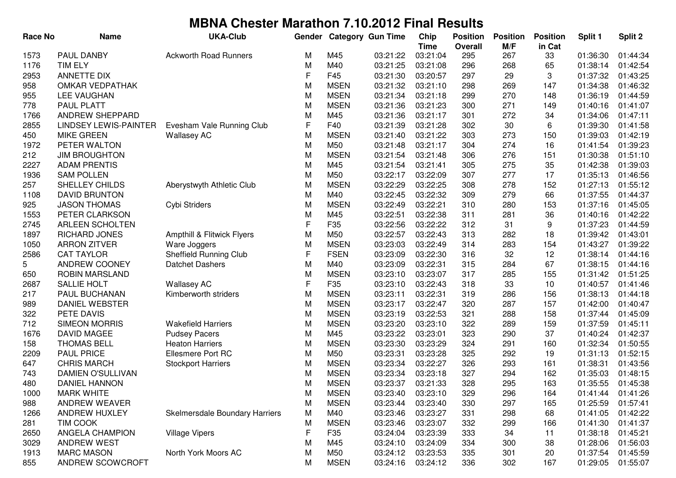| <b>Race No</b> | <b>Name</b>                  | <b>UKA-Club</b>                | Gender |             | <b>Category Gun Time</b> | Chip        | <b>Position</b> | <b>Position</b> | <b>Position</b> | Split 1  | Split 2  |
|----------------|------------------------------|--------------------------------|--------|-------------|--------------------------|-------------|-----------------|-----------------|-----------------|----------|----------|
|                |                              |                                |        |             |                          | <b>Time</b> | <b>Overall</b>  | M/F             | in Cat          |          |          |
| 1573           | <b>PAUL DANBY</b>            | <b>Ackworth Road Runners</b>   | М      | M45         | 03:21:22                 | 03:21:04    | 295             | 267             | 33              | 01:36:30 | 01:44:34 |
| 1176           | <b>TIM ELY</b>               |                                | M      | M40         | 03:21:25                 | 03:21:08    | 296             | 268             | 65              | 01:38:14 | 01:42:54 |
| 2953           | <b>ANNETTE DIX</b>           |                                | F      | F45         | 03:21:30                 | 03:20:57    | 297             | 29              | 3               | 01:37:32 | 01:43:25 |
| 958            | <b>OMKAR VEDPATHAK</b>       |                                | M      | <b>MSEN</b> | 03:21:32                 | 03:21:10    | 298             | 269             | 147             | 01:34:38 | 01:46:32 |
| 955            | LEE VAUGHAN                  |                                | M      | <b>MSEN</b> | 03:21:34                 | 03:21:18    | 299             | 270             | 148             | 01:36:19 | 01:44:59 |
| 778            | <b>PAUL PLATT</b>            |                                | M      | <b>MSEN</b> | 03:21:36                 | 03:21:23    | 300             | 271             | 149             | 01:40:16 | 01:41:07 |
| 1766           | ANDREW SHEPPARD              |                                | M      | M45         | 03:21:36                 | 03:21:17    | 301             | 272             | 34              | 01:34:06 | 01:47:11 |
| 2855           | <b>LINDSEY LEWIS-PAINTER</b> | Evesham Vale Running Club      | F      | F40         | 03:21:39                 | 03:21:28    | 302             | 30              | 6               | 01:39:30 | 01:41:58 |
| 450            | <b>MIKE GREEN</b>            | <b>Wallasey AC</b>             | M      | <b>MSEN</b> | 03:21:40                 | 03:21:22    | 303             | 273             | 150             | 01:39:03 | 01:42:19 |
| 1972           | PETER WALTON                 |                                | M      | M50         | 03:21:48                 | 03:21:17    | 304             | 274             | 16              | 01:41:54 | 01:39:23 |
| 212            | <b>JIM BROUGHTON</b>         |                                | M      | <b>MSEN</b> | 03:21:54                 | 03:21:48    | 306             | 276             | 151             | 01:30:38 | 01:51:10 |
| 2227           | <b>ADAM PRENTIS</b>          |                                | M      | M45         | 03:21:54                 | 03:21:41    | 305             | 275             | 35              | 01:42:38 | 01:39:03 |
| 1936           | <b>SAM POLLEN</b>            |                                | M      | M50         | 03:22:17                 | 03:22:09    | 307             | 277             | 17              | 01:35:13 | 01:46:56 |
| 257            | SHELLEY CHILDS               | Aberystwyth Athletic Club      | M      | <b>MSEN</b> | 03:22:29                 | 03:22:25    | 308             | 278             | 152             | 01:27:13 | 01:55:12 |
| 1108           | <b>DAVID BRUNTON</b>         |                                | M      | M40         | 03:22:45                 | 03:22:32    | 309             | 279             | 66              | 01:37:55 | 01:44:37 |
| 925            | <b>JASON THOMAS</b>          | Cybi Striders                  | M      | <b>MSEN</b> | 03:22:49                 | 03:22:21    | 310             | 280             | 153             | 01:37:16 | 01:45:05 |
| 1553           | PETER CLARKSON               |                                | M      | M45         | 03:22:51                 | 03:22:38    | 311             | 281             | 36              | 01:40:16 | 01:42:22 |
| 2745           | <b>ARLEEN SCHOLTEN</b>       |                                | F      | F35         | 03:22:56                 | 03:22:22    | 312             | 31              | 9               | 01:37:23 | 01:44:59 |
| 1897           | RICHARD JONES                | Ampthill & Flitwick Flyers     | M      | M50         | 03:22:57                 | 03:22:43    | 313             | 282             | 18              | 01:39:42 | 01:43:01 |
| 1050           | <b>ARRON ZITVER</b>          | Ware Joggers                   | M      | <b>MSEN</b> | 03:23:03                 | 03:22:49    | 314             | 283             | 154             | 01:43:27 | 01:39:22 |
| 2586           | <b>CAT TAYLOR</b>            | Sheffield Running Club         | F      | <b>FSEN</b> | 03:23:09                 | 03:22:30    | 316             | 32              | 12              | 01:38:14 | 01:44:16 |
| 5              | ANDREW COONEY                | <b>Datchet Dashers</b>         | M      | M40         | 03:23:09                 | 03:22:31    | 315             | 284             | 67              | 01:38:15 | 01:44:16 |
| 650            | <b>ROBIN MARSLAND</b>        |                                | M      | <b>MSEN</b> | 03:23:10                 | 03:23:07    | 317             | 285             | 155             | 01:31:42 | 01:51:25 |
| 2687           | SALLIE HOLT                  | <b>Wallasey AC</b>             | F      | F35         | 03:23:10                 | 03:22:43    | 318             | 33              | 10              | 01:40:57 | 01:41:46 |
| 217            | PAUL BUCHANAN                | Kimberworth striders           | M      | <b>MSEN</b> | 03:23:11                 | 03:22:31    | 319             | 286             | 156             | 01:38:13 | 01:44:18 |
| 989            | DANIEL WEBSTER               |                                | M      | <b>MSEN</b> | 03:23:17                 | 03:22:47    | 320             | 287             | 157             | 01:42:00 | 01:40:47 |
| 322            | PETE DAVIS                   |                                | M      | <b>MSEN</b> | 03:23:19                 | 03:22:53    | 321             | 288             | 158             | 01:37:44 | 01:45:09 |
| 712            | <b>SIMEON MORRIS</b>         | <b>Wakefield Harriers</b>      | M      | <b>MSEN</b> | 03:23:20                 | 03:23:10    | 322             | 289             | 159             | 01:37:59 | 01:45:11 |
| 1676           | <b>DAVID MAGEE</b>           | <b>Pudsey Pacers</b>           | M      | M45         | 03:23:22                 | 03:23:01    | 323             | 290             | 37              | 01:40:24 | 01:42:37 |
| 158            | <b>THOMAS BELL</b>           | <b>Heaton Harriers</b>         | M      | <b>MSEN</b> | 03:23:30                 | 03:23:29    | 324             | 291             | 160             | 01:32:34 | 01:50:55 |
| 2209           | <b>PAUL PRICE</b>            | Ellesmere Port RC              | M      | M50         | 03:23:31                 | 03:23:28    | 325             | 292             | 19              | 01:31:13 | 01:52:15 |
| 647            | <b>CHRIS MARCH</b>           | <b>Stockport Harriers</b>      | M      | <b>MSEN</b> | 03:23:34                 | 03:22:27    | 326             | 293             | 161             | 01:38:31 | 01:43:56 |
| 743            | DAMIEN O'SULLIVAN            |                                | M      | <b>MSEN</b> | 03:23:34                 | 03:23:18    | 327             | 294             | 162             | 01:35:03 | 01:48:15 |
| 480            | DANIEL HANNON                |                                | M      | <b>MSEN</b> | 03:23:37                 | 03:21:33    | 328             | 295             | 163             | 01:35:55 | 01:45:38 |
| 1000           | <b>MARK WHITE</b>            |                                | M      | <b>MSEN</b> | 03:23:40                 | 03:23:10    | 329             | 296             | 164             | 01:41:44 | 01:41:26 |
| 988            | ANDREW WEAVER                |                                | M      | <b>MSEN</b> | 03:23:44                 | 03:23:40    | 330             | 297             | 165             | 01:25:59 | 01:57:41 |
| 1266           | ANDREW HUXLEY                | Skelmersdale Boundary Harriers | M      | M40         | 03:23:46                 | 03:23:27    | 331             | 298             | 68              | 01:41:05 | 01:42:22 |
| 281            | TIM COOK                     |                                | M      | <b>MSEN</b> | 03:23:46                 | 03:23:07    | 332             | 299             | 166             | 01:41:30 | 01:41:37 |
| 2650           | ANGELA CHAMPION              | <b>Village Vipers</b>          | F      | F35         | 03:24:04                 | 03:23:39    | 333             | 34              | 11              | 01:38:18 | 01:45:21 |
| 3029           | <b>ANDREW WEST</b>           |                                | M      | M45         | 03:24:10                 | 03:24:09    | 334             | 300             | 38              | 01:28:06 | 01:56:03 |
| 1913           | <b>MARC MASON</b>            | North York Moors AC            | M      | M50         | 03:24:12                 | 03:23:53    | 335             | 301             | 20              | 01:37:54 | 01:45:59 |
| 855            | ANDREW SCOWCROFT             |                                | M      | <b>MSEN</b> | 03:24:16                 | 03:24:12    | 336             | 302             | 167             | 01:29:05 | 01:55:07 |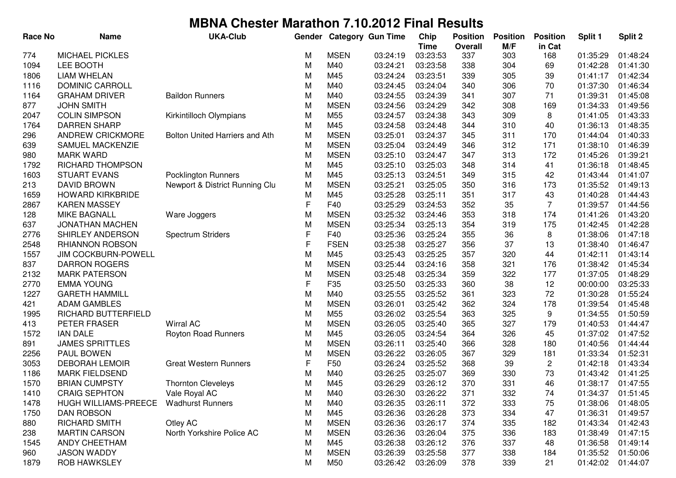| <b>Race No</b> | <b>Name</b>                 | <b>UKA-Club</b>                | Gender |             | <b>Category Gun Time</b> | Chip                    | <b>Position</b>       | <b>Position</b> | <b>Position</b> | Split 1  | Split 2  |
|----------------|-----------------------------|--------------------------------|--------|-------------|--------------------------|-------------------------|-----------------------|-----------------|-----------------|----------|----------|
| 774            | <b>MICHAEL PICKLES</b>      |                                | М      | <b>MSEN</b> | 03:24:19                 | <b>Time</b><br>03:23:53 | <b>Overall</b><br>337 | M/F<br>303      | in Cat<br>168   | 01:35:29 | 01:48:24 |
| 1094           | LEE BOOTH                   |                                | M      | M40         | 03:24:21                 | 03:23:58                | 338                   | 304             | 69              | 01:42:28 | 01:41:30 |
| 1806           | <b>LIAM WHELAN</b>          |                                |        | M45         | 03:24:24                 | 03:23:51                | 339                   | 305             | 39              | 01:41:17 | 01:42:34 |
|                | <b>DOMINIC CARROLL</b>      |                                | M<br>M | M40         | 03:24:45                 | 03:24:04                | 340                   | 306             | 70              | 01:37:30 | 01:46:34 |
| 1116<br>1164   | <b>GRAHAM DRIVER</b>        | <b>Baildon Runners</b>         | M      | M40         | 03:24:55                 | 03:24:39                | 341                   | 307             | 71              | 01:39:31 | 01:45:08 |
| 877            | <b>JOHN SMITH</b>           |                                |        | <b>MSEN</b> | 03:24:56                 | 03:24:29                | 342                   | 308             | 169             | 01:34:33 | 01:49:56 |
| 2047           | <b>COLIN SIMPSON</b>        | Kirkintilloch Olympians        | M<br>M | M55         | 03:24:57                 | 03:24:38                | 343                   | 309             | 8               | 01:41:05 | 01:43:33 |
| 1764           | <b>DARREN SHARP</b>         |                                | M      | M45         | 03:24:58                 | 03:24:48                | 344                   | 310             | 40              | 01:36:13 | 01:48:35 |
| 296            | <b>ANDREW CRICKMORE</b>     | Bolton United Harriers and Ath | M      | <b>MSEN</b> | 03:25:01                 | 03:24:37                | 345                   | 311             | 170             | 01:44:04 | 01:40:33 |
|                |                             |                                |        | <b>MSEN</b> |                          | 03:24:49                |                       |                 |                 |          |          |
| 639            | SAMUEL MACKENZIE            |                                | M      |             | 03:25:04                 |                         | 346                   | 312             | 171             | 01:38:10 | 01:46:39 |
| 980            | <b>MARK WARD</b>            |                                | M      | <b>MSEN</b> | 03:25:10                 | 03:24:47                | 347                   | 313             | 172             | 01:45:26 | 01:39:21 |
| 1792           | RICHARD THOMPSON            |                                | M      | M45         | 03:25:10                 | 03:25:03                | 348                   | 314             | 41              | 01:36:18 | 01:48:45 |
| 1603           | <b>STUART EVANS</b>         | <b>Pocklington Runners</b>     | M      | M45         | 03:25:13                 | 03:24:51                | 349                   | 315             | 42              | 01:43:44 | 01:41:07 |
| 213            | <b>DAVID BROWN</b>          | Newport & District Running Clu | M      | <b>MSEN</b> | 03:25:21                 | 03:25:05                | 350                   | 316             | 173             | 01:35:52 | 01:49:13 |
| 1659           | <b>HOWARD KIRKBRIDE</b>     |                                | M      | M45         | 03:25:28                 | 03:25:11                | 351                   | 317             | 43              | 01:40:28 | 01:44:43 |
| 2867           | <b>KAREN MASSEY</b>         |                                | F      | F40         | 03:25:29                 | 03:24:53                | 352                   | 35              | 7               | 01:39:57 | 01:44:56 |
| 128            | <b>MIKE BAGNALL</b>         | Ware Joggers                   | M      | <b>MSEN</b> | 03:25:32                 | 03:24:46                | 353                   | 318             | 174             | 01:41:26 | 01:43:20 |
| 637            | <b>JONATHAN MACHEN</b>      |                                | M      | <b>MSEN</b> | 03:25:34                 | 03:25:13                | 354                   | 319             | 175             | 01:42:45 | 01:42:28 |
| 2776           | SHIRLEY ANDERSON            | <b>Spectrum Striders</b>       | F      | F40         | 03:25:36                 | 03:25:24                | 355                   | 36              | 8               | 01:38:06 | 01:47:18 |
| 2548           | RHIANNON ROBSON             |                                | F      | <b>FSEN</b> | 03:25:38                 | 03:25:27                | 356                   | 37              | 13              | 01:38:40 | 01:46:47 |
| 1557           | <b>JIM COCKBURN-POWELL</b>  |                                | M      | M45         | 03:25:43                 | 03:25:25                | 357                   | 320             | 44              | 01:42:11 | 01:43:14 |
| 837            | <b>DARRON ROGERS</b>        |                                | M      | <b>MSEN</b> | 03:25:44                 | 03:24:16                | 358                   | 321             | 176             | 01:38:42 | 01:45:34 |
| 2132           | <b>MARK PATERSON</b>        |                                | M      | <b>MSEN</b> | 03:25:48                 | 03:25:34                | 359                   | 322             | 177             | 01:37:05 | 01:48:29 |
| 2770           | <b>EMMA YOUNG</b>           |                                | F      | F35         | 03:25:50                 | 03:25:33                | 360                   | 38              | 12              | 00:00:00 | 03:25:33 |
| 1227           | <b>GARETH HAMMILL</b>       |                                | M      | M40         | 03:25:55                 | 03:25:52                | 361                   | 323             | 72              | 01:30:28 | 01:55:24 |
| 421            | <b>ADAM GAMBLES</b>         |                                | M      | <b>MSEN</b> | 03:26:01                 | 03:25:42                | 362                   | 324             | 178             | 01:39:54 | 01:45:48 |
| 1995           | RICHARD BUTTERFIELD         |                                | M      | M55         | 03:26:02                 | 03:25:54                | 363                   | 325             | 9               | 01:34:55 | 01:50:59 |
| 413            | PETER FRASER                | <b>Wirral AC</b>               | M      | <b>MSEN</b> | 03:26:05                 | 03:25:40                | 365                   | 327             | 179             | 01:40:53 | 01:44:47 |
| 1572           | <b>IAN DALE</b>             | Royton Road Runners            | M      | M45         | 03:26:05                 | 03:24:54                | 364                   | 326             | 45              | 01:37:02 | 01:47:52 |
| 891            | <b>JAMES SPRITTLES</b>      |                                | M      | <b>MSEN</b> | 03:26:11                 | 03:25:40                | 366                   | 328             | 180             | 01:40:56 | 01:44:44 |
| 2256           | PAUL BOWEN                  |                                | M      | <b>MSEN</b> | 03:26:22                 | 03:26:05                | 367                   | 329             | 181             | 01:33:34 | 01:52:31 |
| 3053           | <b>DEBORAH LEMOIR</b>       | <b>Great Western Runners</b>   | F      | F50         | 03:26:24                 | 03:25:52                | 368                   | 39              | $\mathbf{2}$    | 01:42:18 | 01:43:34 |
| 1186           | <b>MARK FIELDSEND</b>       |                                | M      | M40         | 03:26:25                 | 03:25:07                | 369                   | 330             | 73              | 01:43:42 | 01:41:25 |
| 1570           | <b>BRIAN CUMPSTY</b>        | <b>Thornton Cleveleys</b>      | M      | M45         | 03:26:29                 | 03:26:12                | 370                   | 331             | 46              | 01:38:17 | 01:47:55 |
| 1410           | <b>CRAIG SEPHTON</b>        | Vale Royal AC                  | M      | M40         | 03:26:30                 | 03:26:22                | 371                   | 332             | 74              | 01:34:37 | 01:51:45 |
| 1478           | <b>HUGH WILLIAMS-PREECE</b> | <b>Wadhurst Runners</b>        | M      | M40         | 03:26:35                 | 03:26:11                | 372                   | 333             | 75              | 01:38:06 | 01:48:05 |
| 1750           | <b>DAN ROBSON</b>           |                                | M      | M45         | 03:26:36                 | 03:26:28                | 373                   | 334             | 47              | 01:36:31 | 01:49:57 |
| 880            | <b>RICHARD SMITH</b>        | Otley AC                       | M      | <b>MSEN</b> | 03:26:36                 | 03:26:17                | 374                   | 335             | 182             | 01:43:34 | 01:42:43 |
| 238            | <b>MARTIN CARSON</b>        | North Yorkshire Police AC      | M      | <b>MSEN</b> | 03:26:36                 | 03:26:04                | 375                   | 336             | 183             | 01:38:49 | 01:47:15 |
| 1545           | ANDY CHEETHAM               |                                | M      | M45         | 03:26:38                 | 03:26:12                | 376                   | 337             | 48              | 01:36:58 | 01:49:14 |
| 960            | <b>JASON WADDY</b>          |                                | M      | <b>MSEN</b> | 03:26:39                 | 03:25:58                | 377                   | 338             | 184             | 01:35:52 | 01:50:06 |
| 1879           | <b>ROB HAWKSLEY</b>         |                                | М      | M50         | 03:26:42                 | 03:26:09                | 378                   | 339             | 21              | 01:42:02 | 01:44:07 |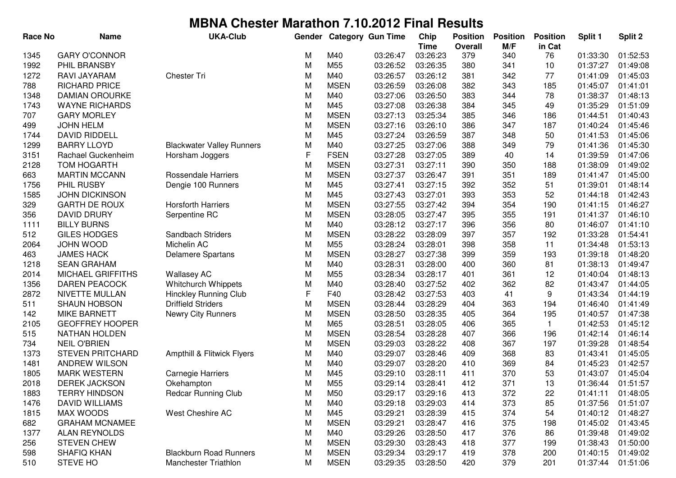| <b>Race No</b> | <b>Name</b>             | <b>UKA-Club</b>                  | Gender      |                 | <b>Category Gun Time</b> | Chip        | <b>Position</b> | <b>Position</b> | <b>Position</b> | Split 1  | Split 2  |
|----------------|-------------------------|----------------------------------|-------------|-----------------|--------------------------|-------------|-----------------|-----------------|-----------------|----------|----------|
|                |                         |                                  |             |                 |                          | <b>Time</b> | Overall         | M/F             | in Cat          |          |          |
| 1345           | <b>GARY O'CONNOR</b>    |                                  | М           | M40             | 03:26:47                 | 03:26:23    | 379             | 340             | 76              | 01:33:30 | 01:52:53 |
| 1992           | PHIL BRANSBY            |                                  | M           | M <sub>55</sub> | 03:26:52                 | 03:26:35    | 380             | 341             | 10              | 01:37:27 | 01:49:08 |
| 1272           | RAVI JAYARAM            | <b>Chester Tri</b>               | M           | M40             | 03:26:57                 | 03:26:12    | 381             | 342             | 77              | 01:41:09 | 01:45:03 |
| 788            | RICHARD PRICE           |                                  | M           | <b>MSEN</b>     | 03:26:59                 | 03:26:08    | 382             | 343             | 185             | 01:45:07 | 01:41:01 |
| 1348           | <b>DAMIAN OROURKE</b>   |                                  | M           | M40             | 03:27:06                 | 03:26:50    | 383             | 344             | 78              | 01:38:37 | 01:48:13 |
| 1743           | <b>WAYNE RICHARDS</b>   |                                  | M           | M45             | 03:27:08                 | 03:26:38    | 384             | 345             | 49              | 01:35:29 | 01:51:09 |
| 707            | <b>GARY MORLEY</b>      |                                  | M           | <b>MSEN</b>     | 03:27:13                 | 03:25:34    | 385             | 346             | 186             | 01:44:51 | 01:40:43 |
| 499            | <b>JOHN HELM</b>        |                                  | M           | <b>MSEN</b>     | 03:27:16                 | 03:26:10    | 386             | 347             | 187             | 01:40:24 | 01:45:46 |
| 1744           | <b>DAVID RIDDELL</b>    |                                  | M           | M45             | 03:27:24                 | 03:26:59    | 387             | 348             | 50              | 01:41:53 | 01:45:06 |
| 1299           | <b>BARRY LLOYD</b>      | <b>Blackwater Valley Runners</b> | M           | M40             | 03:27:25                 | 03:27:06    | 388             | 349             | 79              | 01:41:36 | 01:45:30 |
| 3151           | Rachael Guckenheim      | Horsham Joggers                  | F           | <b>FSEN</b>     | 03:27:28                 | 03:27:05    | 389             | 40              | 14              | 01:39:59 | 01:47:06 |
| 2128           | <b>TOM HOGARTH</b>      |                                  | M           | <b>MSEN</b>     | 03:27:31                 | 03:27:11    | 390             | 350             | 188             | 01:38:09 | 01:49:02 |
| 663            | <b>MARTIN MCCANN</b>    | Rossendale Harriers              | M           | <b>MSEN</b>     | 03:27:37                 | 03:26:47    | 391             | 351             | 189             | 01:41:47 | 01:45:00 |
| 1756           | PHIL RUSBY              | Dengie 100 Runners               | M           | M45             | 03:27:41                 | 03:27:15    | 392             | 352             | 51              | 01:39:01 | 01:48:14 |
| 1585           | <b>JOHN DICKINSON</b>   |                                  | M           | M45             | 03:27:43                 | 03:27:01    | 393             | 353             | 52              | 01:44:18 | 01:42:43 |
| 329            | <b>GARTH DE ROUX</b>    | <b>Horsforth Harriers</b>        | M           | <b>MSEN</b>     | 03:27:55                 | 03:27:42    | 394             | 354             | 190             | 01:41:15 | 01:46:27 |
| 356            | <b>DAVID DRURY</b>      | Serpentine RC                    | M           | <b>MSEN</b>     | 03:28:05                 | 03:27:47    | 395             | 355             | 191             | 01:41:37 | 01:46:10 |
| 1111           | <b>BILLY BURNS</b>      |                                  | M           | M40             | 03:28:12                 | 03:27:17    | 396             | 356             | 80              | 01:46:07 | 01:41:10 |
| 512            | <b>GILES HODGES</b>     | Sandbach Striders                | M           | <b>MSEN</b>     | 03:28:22                 | 03:28:09    | 397             | 357             | 192             | 01:33:28 | 01:54:41 |
| 2064           | <b>JOHN WOOD</b>        | Michelin AC                      | M           | M <sub>55</sub> | 03:28:24                 | 03:28:01    | 398             | 358             | 11              | 01:34:48 | 01:53:13 |
| 463            | <b>JAMES HACK</b>       | <b>Delamere Spartans</b>         | M           | <b>MSEN</b>     | 03:28:27                 | 03:27:38    | 399             | 359             | 193             | 01:39:18 | 01:48:20 |
| 1218           | <b>SEAN GRAHAM</b>      |                                  | M           | M40             | 03:28:31                 | 03:28:00    | 400             | 360             | 81              | 01:38:13 | 01:49:47 |
| 2014           | MICHAEL GRIFFITHS       | <b>Wallasey AC</b>               | M           | M <sub>55</sub> | 03:28:34                 | 03:28:17    | 401             | 361             | 12              | 01:40:04 | 01:48:13 |
| 1356           | <b>DAREN PEACOCK</b>    | Whitchurch Whippets              | M           | M40             | 03:28:40                 | 03:27:52    | 402             | 362             | 82              | 01:43:47 | 01:44:05 |
| 2872           | NIVETTE MULLAN          | <b>Hinckley Running Club</b>     | $\mathsf F$ | F40             | 03:28:42                 | 03:27:53    | 403             | 41              | 9               | 01:43:34 | 01:44:19 |
| 511            | <b>SHAUN HOBSON</b>     | <b>Driffield Striders</b>        | M           | <b>MSEN</b>     | 03:28:44                 | 03:28:29    | 404             | 363             | 194             | 01:46:40 | 01:41:49 |
| 142            | <b>MIKE BARNETT</b>     | <b>Newry City Runners</b>        | M           | <b>MSEN</b>     | 03:28:50                 | 03:28:35    | 405             | 364             | 195             | 01:40:57 | 01:47:38 |
| 2105           | <b>GEOFFREY HOOPER</b>  |                                  | M           | M65             | 03:28:51                 | 03:28:05    | 406             | 365             | $\mathbf{1}$    | 01:42:53 | 01:45:12 |
| 515            | <b>NATHAN HOLDEN</b>    |                                  | M           | <b>MSEN</b>     | 03:28:54                 | 03:28:28    | 407             | 366             | 196             | 01:42:14 | 01:46:14 |
| 734            | <b>NEIL O'BRIEN</b>     |                                  | M           | <b>MSEN</b>     | 03:29:03                 | 03:28:22    | 408             | 367             | 197             | 01:39:28 | 01:48:54 |
| 1373           | <b>STEVEN PRITCHARD</b> | Ampthill & Flitwick Flyers       | М           | M40             | 03:29:07                 | 03:28:46    | 409             | 368             | 83              | 01:43:41 | 01:45:05 |
| 1481           | <b>ANDREW WILSON</b>    |                                  | M           | M40             | 03:29:07                 | 03:28:20    | 410             | 369             | 84              | 01:45:23 | 01:42:57 |
| 1805           | <b>MARK WESTERN</b>     | <b>Carnegie Harriers</b>         | M           | M45             | 03:29:10                 | 03:28:11    | 411             | 370             | 53              | 01:43:07 | 01:45:04 |
| 2018           | <b>DEREK JACKSON</b>    | Okehampton                       | М           | M55             | 03:29:14                 | 03:28:41    | 412             | 371             | 13              | 01:36:44 | 01:51:57 |
| 1883           | <b>TERRY HINDSON</b>    | <b>Redcar Running Club</b>       | M           | M50             | 03:29:17                 | 03:29:16    | 413             | 372             | 22              | 01:41:11 | 01:48:05 |
| 1476           | DAVID WILLIAMS          |                                  | M           | M40             | 03:29:18                 | 03:29:03    | 414             | 373             | 85              | 01:37:56 | 01:51:07 |
| 1815           | <b>MAX WOODS</b>        | West Cheshire AC                 | M           | M45             | 03:29:21                 | 03:28:39    | 415             | 374             | 54              | 01:40:12 | 01:48:27 |
| 682            | <b>GRAHAM MCNAMEE</b>   |                                  | M           | <b>MSEN</b>     | 03:29:21                 | 03:28:47    | 416             | 375             | 198             | 01:45:02 | 01:43:45 |
| 1377           | <b>ALAN REYNOLDS</b>    |                                  | M           | M40             | 03:29:26                 | 03:28:50    | 417             | 376             | 86              | 01:39:48 | 01:49:02 |
| 256            | <b>STEVEN CHEW</b>      |                                  | M           | <b>MSEN</b>     | 03:29:30                 | 03:28:43    | 418             | 377             | 199             | 01:38:43 | 01:50:00 |
| 598            | SHAFIQ KHAN             | <b>Blackburn Road Runners</b>    | M           | <b>MSEN</b>     | 03:29:34                 | 03:29:17    | 419             | 378             | 200             | 01:40:15 | 01:49:02 |
| 510            | STEVE HO                | Manchester Triathlon             | M           | <b>MSEN</b>     | 03:29:35                 | 03:28:50    | 420             | 379             | 201             | 01:37:44 | 01:51:06 |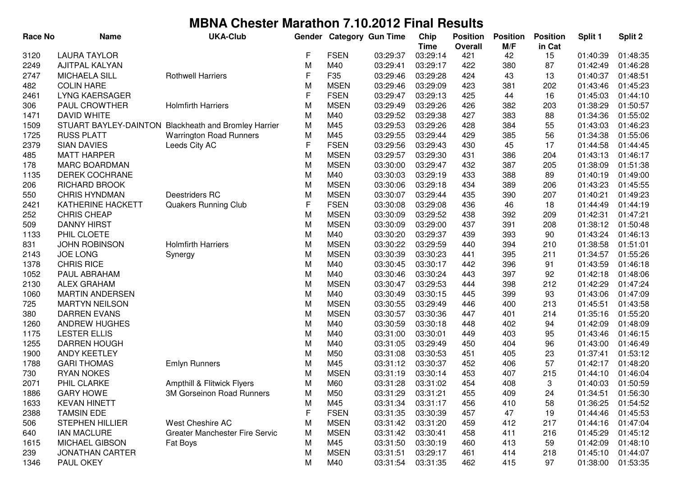| <b>Race No</b> | <b>Name</b>                             | <b>UKA-Club</b>                                                | Gender |             | <b>Category Gun Time</b> | Chip                    | <b>Position</b>       | <b>Position</b> | <b>Position</b> | Split 1              | Split 2              |
|----------------|-----------------------------------------|----------------------------------------------------------------|--------|-------------|--------------------------|-------------------------|-----------------------|-----------------|-----------------|----------------------|----------------------|
| 3120           | <b>LAURA TAYLOR</b>                     |                                                                | F      | <b>FSEN</b> | 03:29:37                 | <b>Time</b><br>03:29:14 | <b>Overall</b><br>421 | M/F<br>42       | in Cat          | 01:40:39             | 01:48:35             |
| 2249           | <b>AJITPAL KALYAN</b>                   |                                                                | M      | M40         | 03:29:41                 | 03:29:17                | 422                   | 380             | 15<br>87        | 01:42:49             | 01:46:28             |
| 2747           | <b>MICHAELA SILL</b>                    | <b>Rothwell Harriers</b>                                       | F      | F35         | 03:29:46                 | 03:29:28                | 424                   | 43              | 13              | 01:40:37             | 01:48:51             |
| 482            | <b>COLIN HARE</b>                       |                                                                | M      | <b>MSEN</b> | 03:29:46                 | 03:29:09                | 423                   | 381             | 202             | 01:43:46             | 01:45:23             |
| 2461           | <b>LYNG KAERSAGER</b>                   |                                                                | F      | <b>FSEN</b> | 03:29:47                 | 03:29:13                | 425                   | 44              | 16              | 01:45:03             | 01:44:10             |
| 306            | PAUL CROWTHER                           | <b>Holmfirth Harriers</b>                                      | M      | <b>MSEN</b> | 03:29:49                 | 03:29:26                | 426                   | 382             | 203             | 01:38:29             | 01:50:57             |
| 1471           | <b>DAVID WHITE</b>                      |                                                                | M      | M40         | 03:29:52                 | 03:29:38                | 427                   | 383             | 88              | 01:34:36             | 01:55:02             |
| 1509           |                                         | STUART BAYLEY-DAINTON Blackheath and Bromley Harrier           | M      | M45         | 03:29:53                 | 03:29:26                | 428                   | 384             | 55              | 01:43:03             | 01:46:23             |
| 1725           | <b>RUSS PLATT</b>                       | <b>Warrington Road Runners</b>                                 | M      | M45         | 03:29:55                 | 03:29:44                | 429                   | 385             | 56              | 01:34:38             | 01:55:06             |
| 2379           | <b>SIAN DAVIES</b>                      | Leeds City AC                                                  | F      | <b>FSEN</b> | 03:29:56                 | 03:29:43                | 430                   | 45              | 17              | 01:44:58             | 01:44:45             |
|                | <b>MATT HARPER</b>                      |                                                                | M      | <b>MSEN</b> | 03:29:57                 | 03:29:30                | 431                   | 386             | 204             | 01:43:13             | 01:46:17             |
| 485<br>178     | <b>MARC BOARDMAN</b>                    |                                                                | M      | <b>MSEN</b> | 03:30:00                 | 03:29:47                | 432                   | 387             | 205             | 01:38:09             | 01:51:38             |
|                | DEREK COCHRANE                          |                                                                |        | M40         | 03:30:03                 | 03:29:19                | 433                   | 388             | 89              | 01:40:19             | 01:49:00             |
| 1135           | RICHARD BROOK                           |                                                                | M      | <b>MSEN</b> | 03:30:06                 | 03:29:18                | 434                   | 389             | 206             | 01:43:23             | 01:45:55             |
| 206            | <b>CHRIS HYNDMAN</b>                    | Deestriders RC                                                 | M<br>M | <b>MSEN</b> |                          | 03:29:44                |                       | 390             | 207             |                      | 01:49:23             |
| 550            | KATHERINE HACKETT                       |                                                                | F      | <b>FSEN</b> | 03:30:07                 | 03:29:08                | 435<br>436            | 46              | 18              | 01:40:21<br>01:44:49 | 01:44:19             |
| 2421           | <b>CHRIS CHEAP</b>                      | <b>Quakers Running Club</b>                                    | M      | <b>MSEN</b> | 03:30:08                 | 03:29:52                | 438                   | 392             | 209             | 01:42:31             | 01:47:21             |
| 252            | <b>DANNY HIRST</b>                      |                                                                | M      | <b>MSEN</b> | 03:30:09                 | 03:29:00                | 437                   | 391             | 208             | 01:38:12             | 01:50:48             |
| 509<br>1133    | PHIL CLOETE                             |                                                                | M      | M40         | 03:30:09                 | 03:29:37                |                       |                 | 90              | 01:43:24             |                      |
|                |                                         | <b>Holmfirth Harriers</b>                                      | M      | <b>MSEN</b> | 03:30:20<br>03:30:22     | 03:29:59                | 439<br>440            | 393<br>394      |                 | 01:38:58             | 01:46:13<br>01:51:01 |
| 831            | <b>JOHN ROBINSON</b><br><b>JOE LONG</b> |                                                                |        | <b>MSEN</b> | 03:30:39                 | 03:30:23                |                       | 395             | 210             |                      | 01:55:26             |
| 2143<br>1378   | <b>CHRIS RICE</b>                       | Synergy                                                        | M      | M40         |                          | 03:30:17                | 441<br>442            | 396             | 211             | 01:34:57<br>01:43:59 | 01:46:18             |
| 1052           | PAUL ABRAHAM                            |                                                                | M<br>M | M40         | 03:30:45                 | 03:30:24                |                       | 397             | 91              | 01:42:18             | 01:48:06             |
| 2130           | <b>ALEX GRAHAM</b>                      |                                                                | M      | <b>MSEN</b> | 03:30:46<br>03:30:47     | 03:29:53                | 443<br>444            | 398             | 92<br>212       | 01:42:29             | 01:47:24             |
| 1060           | <b>MARTIN ANDERSEN</b>                  |                                                                | M      | M40         | 03:30:49                 | 03:30:15                | 445                   | 399             | 93              | 01:43:06             | 01:47:09             |
| 725            | <b>MARTYN NEILSON</b>                   |                                                                | M      | <b>MSEN</b> | 03:30:55                 | 03:29:49                | 446                   | 400             | 213             | 01:45:51             | 01:43:58             |
| 380            | <b>DARREN EVANS</b>                     |                                                                | M      | <b>MSEN</b> | 03:30:57                 | 03:30:36                | 447                   | 401             | 214             | 01:35:16             | 01:55:20             |
| 1260           | <b>ANDREW HUGHES</b>                    |                                                                | M      | M40         | 03:30:59                 | 03:30:18                | 448                   | 402             | 94              | 01:42:09             | 01:48:09             |
| 1175           | <b>LESTER ELLIS</b>                     |                                                                | M      | M40         | 03:31:00                 | 03:30:01                | 449                   | 403             | 95              | 01:43:46             | 01:46:15             |
|                | <b>DARREN HOUGH</b>                     |                                                                |        | M40         | 03:31:05                 | 03:29:49                | 450                   | 404             | 96              | 01:43:00             | 01:46:49             |
| 1255<br>1900   | ANDY KEETLEY                            |                                                                | M<br>M | M50         | 03:31:08                 | 03:30:53                | 451                   | 405             | 23              | 01:37:41             | 01:53:12             |
| 1788           | <b>GARI THOMAS</b>                      | <b>Emlyn Runners</b>                                           | M      | M45         | 03:31:12                 | 03:30:37                | 452                   | 406             | 57              | 01:42:17             | 01:48:20             |
|                | <b>RYAN NOKES</b>                       |                                                                | M      | <b>MSEN</b> | 03:31:19                 | 03:30:14                | 453                   | 407             | 215             | 01:44:10             | 01:46:04             |
| 730<br>2071    |                                         |                                                                |        | M60         |                          |                         | 454                   | 408             | 3               |                      | 01:50:59             |
|                | PHIL CLARKE                             | Ampthill & Flitwick Flyers<br><b>3M Gorseinon Road Runners</b> | M      |             | 03:31:28                 | 03:31:02                |                       |                 |                 | 01:40:03             | 01:56:30             |
| 1886<br>1633   | <b>GARY HOWE</b><br><b>KEVAN HINETT</b> |                                                                | M<br>M | M50<br>M45  | 03:31:29<br>03:31:34     | 03:31:21<br>03:31:17    | 455<br>456            | 409<br>410      | 24<br>58        | 01:34:51<br>01:36:25 | 01:54:52             |
| 2388           | <b>TAMSIN EDE</b>                       |                                                                | F      | <b>FSEN</b> | 03:31:35                 | 03:30:39                | 457                   | 47              | 19              | 01:44:46             | 01:45:53             |
|                | <b>STEPHEN HILLIER</b>                  | West Cheshire AC                                               |        | <b>MSEN</b> |                          | 03:31:20                |                       | 412             |                 |                      | 01:47:04             |
| 506            | <b>IAN MACLURE</b>                      | <b>Greater Manchester Fire Servic</b>                          | M      | <b>MSEN</b> | 03:31:42<br>03:31:42     |                         | 459                   | 411             | 217             | 01:44:16             | 01:45:12             |
| 640            |                                         |                                                                | M      |             |                          | 03:30:41                | 458                   |                 | 216             | 01:45:29             |                      |
| 1615           | <b>MICHAEL GIBSON</b>                   | Fat Boys                                                       | M      | M45         | 03:31:50                 | 03:30:19                | 460                   | 413             | 59              | 01:42:09<br>01:45:10 | 01:48:10             |
| 239            | <b>JONATHAN CARTER</b>                  |                                                                | M      | <b>MSEN</b> | 03:31:51                 | 03:29:17                | 461                   | 414             | 218             |                      | 01:44:07             |
| 1346           | PAUL OKEY                               |                                                                | M      | M40         | 03:31:54                 | 03:31:35                | 462                   | 415             | 97              | 01:38:00             | 01:53:35             |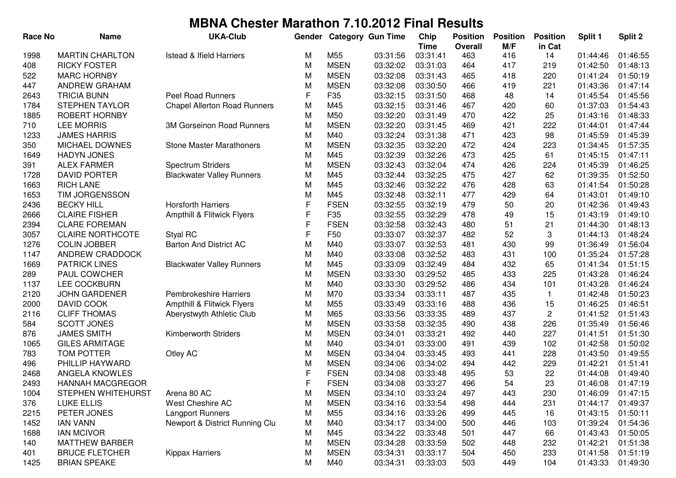| <b>Race No</b> | <b>Name</b>             | <b>UKA-Club</b>                     | Gender |             | <b>Category Gun Time</b> | Chip<br><b>Time</b> | <b>Position</b><br>Overall | <b>Position</b><br>M/F | <b>Position</b><br>in Cat | Split 1  | Split 2  |
|----------------|-------------------------|-------------------------------------|--------|-------------|--------------------------|---------------------|----------------------------|------------------------|---------------------------|----------|----------|
| 1998           | <b>MARTIN CHARLTON</b>  | <b>Istead &amp; Ifield Harriers</b> | М      | M55         | 03:31:56                 | 03:31:41            | 463                        | 416                    | 14                        | 01:44:46 | 01:46:55 |
| 408            | <b>RICKY FOSTER</b>     |                                     | M      | <b>MSEN</b> | 03:32:02                 | 03:31:03            | 464                        | 417                    | 219                       | 01:42:50 | 01:48:13 |
| 522            | <b>MARC HORNBY</b>      |                                     | M      | <b>MSEN</b> | 03:32:08                 | 03:31:43            | 465                        | 418                    | 220                       | 01:41:24 | 01:50:19 |
| 447            | ANDREW GRAHAM           |                                     | M      | <b>MSEN</b> | 03:32:08                 | 03:30:50            | 466                        | 419                    | 221                       | 01:43:36 | 01:47:14 |
| 2643           | <b>TRICIA BUNN</b>      | <b>Peel Road Runners</b>            | F      | F35         | 03:32:15                 | 03:31:50            | 468                        | 48                     | 14                        | 01:45:54 | 01:45:56 |
| 1784           | <b>STEPHEN TAYLOR</b>   | <b>Chapel Allerton Road Runners</b> | M      | M45         | 03:32:15                 | 03:31:46            | 467                        | 420                    | 60                        | 01:37:03 | 01:54:43 |
| 1885           | ROBERT HORNBY           |                                     | M      | M50         | 03:32:20                 | 03:31:49            | 470                        | 422                    | 25                        | 01:43:16 | 01:48:33 |
| 710            | <b>LEE MORRIS</b>       | 3M Gorseinon Road Runners           | M      | <b>MSEN</b> | 03:32:20                 | 03:31:45            | 469                        | 421                    | 222                       | 01:44:01 | 01:47:44 |
| 1233           | <b>JAMES HARRIS</b>     |                                     | M      | M40         | 03:32:24                 | 03:31:38            | 471                        | 423                    | 98                        | 01:45:59 | 01:45:39 |
| 350            | MICHAEL DOWNES          | <b>Stone Master Marathoners</b>     | M      | <b>MSEN</b> | 03:32:35                 | 03:32:20            | 472                        | 424                    | 223                       | 01:34:45 | 01:57:35 |
| 1649           | <b>HADYN JONES</b>      |                                     | M      | M45         | 03:32:39                 | 03:32:26            | 473                        | 425                    | 61                        | 01:45:15 | 01:47:11 |
| 391            | <b>ALEX FARMER</b>      | Spectrum Striders                   | M      | <b>MSEN</b> | 03:32:43                 | 03:32:04            | 474                        | 426                    | 224                       | 01:45:39 | 01:46:25 |
| 1728           | <b>DAVID PORTER</b>     | <b>Blackwater Valley Runners</b>    | M      | M45         | 03:32:44                 | 03:32:25            | 475                        | 427                    | 62                        | 01:39:35 | 01:52:50 |
| 1663           | <b>RICH LANE</b>        |                                     | M      | M45         | 03:32:46                 | 03:32:22            | 476                        | 428                    | 63                        | 01:41:54 | 01:50:28 |
| 1653           | TIM JORGENSSON          |                                     | M      | M45         | 03:32:48                 | 03:32:11            | 477                        | 429                    | 64                        | 01:43:01 | 01:49:10 |
| 2436           | <b>BECKY HILL</b>       | <b>Horsforth Harriers</b>           | F      | <b>FSEN</b> | 03:32:55                 | 03:32:19            | 479                        | 50                     | 20                        | 01:42:36 | 01:49:43 |
| 2666           | <b>CLAIRE FISHER</b>    | Ampthill & Flitwick Flyers          | F      | F35         | 03:32:55                 | 03:32:29            | 478                        | 49                     | 15                        | 01:43:19 | 01:49:10 |
| 2394           | <b>CLARE FOREMAN</b>    |                                     | F      | <b>FSEN</b> | 03:32:58                 | 03:32:43            | 480                        | 51                     | 21                        | 01:44:30 | 01:48:13 |
| 3057           | <b>CLAIRE NORTHCOTE</b> | Styal RC                            | F      | F50         | 03:33:07                 | 03:32:37            | 482                        | 52                     | 3                         | 01:44:13 | 01:48:24 |
| 1276           | <b>COLIN JOBBER</b>     | <b>Barton And District AC</b>       | M      | M40         | 03:33:07                 | 03:32:53            | 481                        | 430                    | 99                        | 01:36:49 | 01:56:04 |
| 1147           | ANDREW CRADDOCK         |                                     | M      | M40         | 03:33:08                 | 03:32:52            | 483                        | 431                    | 100                       | 01:35:24 | 01:57:28 |
| 1669           | <b>PATRICK LINES</b>    | <b>Blackwater Valley Runners</b>    | M      | M45         | 03:33:09                 | 03:32:49            | 484                        | 432                    | 65                        | 01:41:34 | 01:51:15 |
| 289            | PAUL COWCHER            |                                     | M      | <b>MSEN</b> | 03:33:30                 | 03:29:52            | 485                        | 433                    | 225                       | 01:43:28 | 01:46:24 |
| 1137           | LEE COCKBURN            |                                     | M      | M40         | 03:33:30                 | 03:29:52            | 486                        | 434                    | 101                       | 01:43:28 | 01:46:24 |
| 2120           | <b>JOHN GARDENER</b>    | <b>Pembrokeshire Harriers</b>       | M      | M70         | 03:33:34                 | 03:33:11            | 487                        | 435                    | 1                         | 01:42:48 | 01:50:23 |
| 2000           | DAVID COOK              | Ampthill & Flitwick Flyers          | M      | M55         | 03:33:49                 | 03:33:16            | 488                        | 436                    | 15                        | 01:46:25 | 01:46:51 |
| 2116           | <b>CLIFF THOMAS</b>     | Aberystwyth Athletic Club           | M      | M65         | 03:33:56                 | 03:33:35            | 489                        | 437                    | 2                         | 01:41:52 | 01:51:43 |
| 584            | <b>SCOTT JONES</b>      |                                     | M      | <b>MSEN</b> | 03:33:58                 | 03:32:35            | 490                        | 438                    | 226                       | 01:35:49 | 01:56:46 |
| 876            | <b>JAMES SMITH</b>      | Kimberworth Striders                | M      | <b>MSEN</b> | 03:34:01                 | 03:33:21            | 492                        | 440                    | 227                       | 01:41:51 | 01:51:30 |
| 1065           | <b>GILES ARMITAGE</b>   |                                     | M      | M40         | 03:34:01                 | 03:33:00            | 491                        | 439                    | 102                       | 01:42:58 | 01:50:02 |
| 783            | TOM POTTER              | Otley AC                            | М      | <b>MSEN</b> | 03:34:04                 | 03:33:45            | 493                        | 441                    | 228                       | 01:43:50 | 01:49:55 |
| 496            | PHILLIP HAYWARD         |                                     | M      | <b>MSEN</b> | 03:34:06                 | 03:34:02            | 494                        | 442                    | 229                       | 01:42:21 | 01:51:41 |
| 2468           | ANGELA KNOWLES          |                                     | F      | <b>FSEN</b> | 03:34:08                 | 03:33:48            | 495                        | 53                     | 22                        | 01:44:08 | 01:49:40 |
| 2493           | <b>HANNAH MACGREGOR</b> |                                     | F      | <b>FSEN</b> | 03:34:08                 | 03:33:27            | 496                        | 54                     | 23                        | 01:46:08 | 01:47:19 |
| 1004           | STEPHEN WHITEHURST      | Arena 80 AC                         | M      | MSEN        | 03:34:10                 | 03:33:24            | 497                        | 443                    | 230                       | 01:46:09 | 01:47:15 |
| 376            | LUKE ELLIS              | West Cheshire AC                    | M      | <b>MSEN</b> | 03:34:16                 | 03:33:54            | 498                        | 444                    | 231                       | 01:44:17 | 01:49:37 |
| 2215           | PETER JONES             | Langport Runners                    | M      | M55         | 03:34:16                 | 03:33:26            | 499                        | 445                    | 16                        | 01:43:15 | 01:50:11 |
| 1452           | <b>IAN VANN</b>         | Newport & District Running Clu      | M      | M40         | 03:34:17                 | 03:34:00            | 500                        | 446                    | 103                       | 01:39:24 | 01:54:36 |
| 1688           | <b>IAN MCIVOR</b>       |                                     | M      | M45         | 03:34:22                 | 03:33:48            | 501                        | 447                    | 66                        | 01:43:43 | 01:50:05 |
| 140            | <b>MATTHEW BARBER</b>   |                                     | M      | <b>MSEN</b> | 03:34:28                 | 03:33:59            | 502                        | 448                    | 232                       | 01:42:21 | 01:51:38 |
| 401            | <b>BRUCE FLETCHER</b>   | <b>Kippax Harriers</b>              | M      | <b>MSEN</b> | 03:34:31                 | 03:33:17            | 504                        | 450                    | 233                       | 01:41:58 | 01:51:19 |
| 1425           | <b>BRIAN SPEAKE</b>     |                                     | M      | M40         | 03:34:31                 | 03:33:03            | 503                        | 449                    | 104                       | 01:43:33 | 01:49:30 |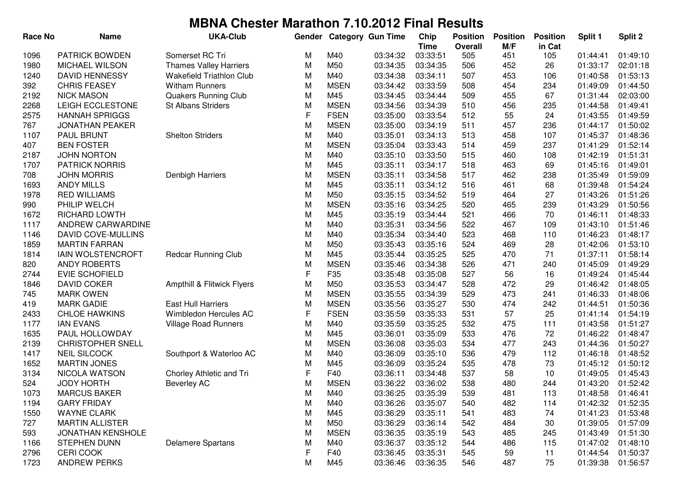| <b>Race No</b> | <b>Name</b>               | <b>UKA-Club</b>               | Gender      |             | <b>Category Gun Time</b> | Chip        | <b>Position</b> | <b>Position</b> | <b>Position</b> | Split 1  | Split 2  |
|----------------|---------------------------|-------------------------------|-------------|-------------|--------------------------|-------------|-----------------|-----------------|-----------------|----------|----------|
|                |                           |                               |             |             |                          | <b>Time</b> | <b>Overall</b>  | M/F             | in Cat          |          |          |
| 1096           | <b>PATRICK BOWDEN</b>     | Somerset RC Tri               | М           | M40         | 03:34:32                 | 03:33:51    | 505             | 451             | 105             | 01:44:41 | 01:49:10 |
| 1980           | MICHAEL WILSON            | <b>Thames Valley Harriers</b> | M           | M50         | 03:34:35                 | 03:34:35    | 506             | 452             | 26              | 01:33:17 | 02:01:18 |
| 1240           | <b>DAVID HENNESSY</b>     | Wakefield Triathlon Club      | M           | M40         | 03:34:38                 | 03:34:11    | 507             | 453             | 106             | 01:40:58 | 01:53:13 |
| 392            | <b>CHRIS FEASEY</b>       | <b>Witham Runners</b>         | M           | <b>MSEN</b> | 03:34:42                 | 03:33:59    | 508             | 454             | 234             | 01:49:09 | 01:44:50 |
| 2192           | <b>NICK MASON</b>         | <b>Quakers Running Club</b>   | M           | M45         | 03:34:45                 | 03:34:44    | 509             | 455             | 67              | 01:31:44 | 02:03:00 |
| 2268           | LEIGH ECCLESTONE          | <b>St Albans Striders</b>     | M           | <b>MSEN</b> | 03:34:56                 | 03:34:39    | 510             | 456             | 235             | 01:44:58 | 01:49:41 |
| 2575           | <b>HANNAH SPRIGGS</b>     |                               | F           | <b>FSEN</b> | 03:35:00                 | 03:33:54    | 512             | 55              | 24              | 01:43:55 | 01:49:59 |
| 767            | <b>JONATHAN PEAKER</b>    |                               | M           | <b>MSEN</b> | 03:35:00                 | 03:34:19    | 511             | 457             | 236             | 01:44:17 | 01:50:02 |
| 1107           | <b>PAUL BRUNT</b>         | <b>Shelton Striders</b>       | M           | M40         | 03:35:01                 | 03:34:13    | 513             | 458             | 107             | 01:45:37 | 01:48:36 |
| 407            | <b>BEN FOSTER</b>         |                               | M           | <b>MSEN</b> | 03:35:04                 | 03:33:43    | 514             | 459             | 237             | 01:41:29 | 01:52:14 |
| 2187           | <b>JOHN NORTON</b>        |                               | M           | M40         | 03:35:10                 | 03:33:50    | 515             | 460             | 108             | 01:42:19 | 01:51:31 |
| 1707           | <b>PATRICK NORRIS</b>     |                               | M           | M45         | 03:35:11                 | 03:34:17    | 518             | 463             | 69              | 01:45:16 | 01:49:01 |
| 708            | <b>JOHN MORRIS</b>        | Denbigh Harriers              | M           | <b>MSEN</b> | 03:35:11                 | 03:34:58    | 517             | 462             | 238             | 01:35:49 | 01:59:09 |
| 1693           | <b>ANDY MILLS</b>         |                               | M           | M45         | 03:35:11                 | 03:34:12    | 516             | 461             | 68              | 01:39:48 | 01:54:24 |
| 1978           | <b>RED WILLIAMS</b>       |                               | M           | M50         | 03:35:15                 | 03:34:52    | 519             | 464             | 27              | 01:43:26 | 01:51:26 |
| 990            | PHILIP WELCH              |                               | M           | <b>MSEN</b> | 03:35:16                 | 03:34:25    | 520             | 465             | 239             | 01:43:29 | 01:50:56 |
| 1672           | RICHARD LOWTH             |                               | M           | M45         | 03:35:19                 | 03:34:44    | 521             | 466             | 70              | 01:46:11 | 01:48:33 |
| 1117           | ANDREW CARWARDINE         |                               | M           | M40         | 03:35:31                 | 03:34:56    | 522             | 467             | 109             | 01:43:10 | 01:51:46 |
| 1146           | <b>DAVID COVE-MULLINS</b> |                               | M           | M40         | 03:35:34                 | 03:34:40    | 523             | 468             | 110             | 01:46:23 | 01:48:17 |
| 1859           | <b>MARTIN FARRAN</b>      |                               | M           | M50         | 03:35:43                 | 03:35:16    | 524             | 469             | 28              | 01:42:06 | 01:53:10 |
| 1814           | <b>IAIN WOLSTENCROFT</b>  | <b>Redcar Running Club</b>    | M           | M45         | 03:35:44                 | 03:35:25    | 525             | 470             | 71              | 01:37:11 | 01:58:14 |
| 820            | ANDY ROBERTS              |                               | M           | <b>MSEN</b> | 03:35:46                 | 03:34:38    | 526             | 471             | 240             | 01:45:09 | 01:49:29 |
| 2744           | <b>EVIE SCHOFIELD</b>     |                               | F           | F35         | 03:35:48                 | 03:35:08    | 527             | 56              | 16              | 01:49:24 | 01:45:44 |
| 1846           | <b>DAVID COKER</b>        | Ampthill & Flitwick Flyers    | M           | M50         | 03:35:53                 | 03:34:47    | 528             | 472             | 29              | 01:46:42 | 01:48:05 |
| 745            | <b>MARK OWEN</b>          |                               | M           | <b>MSEN</b> | 03:35:55                 | 03:34:39    | 529             | 473             | 241             | 01:46:33 | 01:48:06 |
| 419            | <b>MARK GADIE</b>         | <b>East Hull Harriers</b>     | M           | <b>MSEN</b> | 03:35:56                 | 03:35:27    | 530             | 474             | 242             | 01:44:51 | 01:50:36 |
| 2433           | <b>CHLOE HAWKINS</b>      | Wimbledon Hercules AC         | F           | <b>FSEN</b> | 03:35:59                 | 03:35:33    | 531             | 57              | 25              | 01:41:14 | 01:54:19 |
| 1177           | <b>IAN EVANS</b>          | <b>Village Road Runners</b>   | M           | M40         | 03:35:59                 | 03:35:25    | 532             | 475             | 111             | 01:43:58 | 01:51:27 |
| 1635           | PAUL HOLLOWDAY            |                               | M           | M45         | 03:36:01                 | 03:35:09    | 533             | 476             | 72              | 01:46:22 | 01:48:47 |
| 2139           | <b>CHRISTOPHER SNELL</b>  |                               | M           | <b>MSEN</b> | 03:36:08                 | 03:35:03    | 534             | 477             | 243             | 01:44:36 | 01:50:27 |
| 1417           | <b>NEIL SILCOCK</b>       | Southport & Waterloo AC       | М           | M40         | 03:36:09                 | 03:35:10    | 536             | 479             | 112             | 01:46:18 | 01:48:52 |
| 1652           | <b>MARTIN JONES</b>       |                               | M           | M45         | 03:36:09                 | 03:35:24    | 535             | 478             | 73              | 01:45:12 | 01:50:12 |
| 3134           | NICOLA WATSON             | Chorley Athletic and Tri      | F           | F40         | 03:36:11                 | 03:34:48    | 537             | 58              | 10              | 01:49:05 | 01:45:43 |
| 524            | <b>JODY HORTH</b>         | <b>Beverley AC</b>            | M           | <b>MSEN</b> | 03:36:22                 | 03:36:02    | 538             | 480             | 244             | 01:43:20 | 01:52:42 |
| 1073           | <b>MARCUS BAKER</b>       |                               | M           | M40         | 03:36:25                 | 03:35:39    | 539             | 481             | 113             | 01:48:58 | 01:46:41 |
| 1194           | <b>GARY FRIDAY</b>        |                               | M           | M40         | 03:36:26                 | 03:35:07    | 540             | 482             | 114             | 01:42:32 | 01:52:35 |
| 1550           | <b>WAYNE CLARK</b>        |                               | M           | M45         | 03:36:29                 | 03:35:11    | 541             | 483             | 74              | 01:41:23 | 01:53:48 |
| 727            | <b>MARTIN ALLISTER</b>    |                               | M           | M50         | 03:36:29                 | 03:36:14    | 542             | 484             | 30              | 01:39:05 | 01:57:09 |
| 593            | <b>JONATHAN KENSHOLE</b>  |                               | M           | <b>MSEN</b> | 03:36:35                 | 03:35:19    | 543             | 485             | 245             | 01:43:49 | 01:51:30 |
| 1166           | STEPHEN DUNN              | <b>Delamere Spartans</b>      | M           | M40         | 03:36:37                 | 03:35:12    | 544             | 486             | 115             | 01:47:02 | 01:48:10 |
| 2796           | <b>CERI COOK</b>          |                               | $\mathsf F$ | F40         | 03:36:45                 | 03:35:31    | 545             | 59              | 11              | 01:44:54 | 01:50:37 |
| 1723           | <b>ANDREW PERKS</b>       |                               | M           | M45         | 03:36:46                 | 03:36:35    | 546             | 487             | 75              | 01:39:38 | 01:56:57 |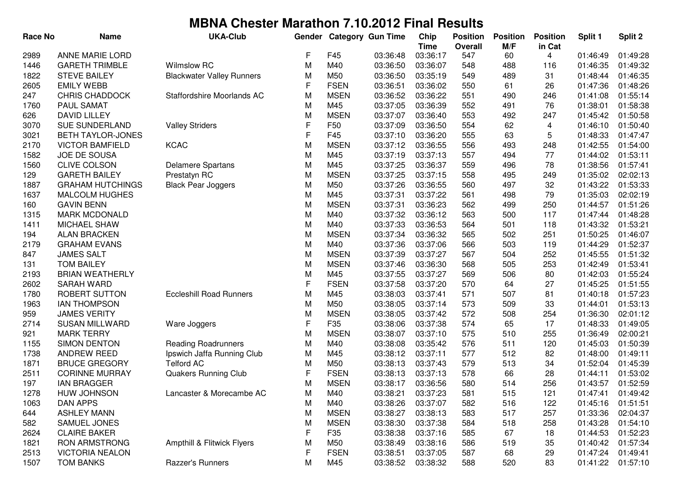| <b>Race No</b> | <b>Name</b>              | <b>UKA-Club</b>                  | Gender      |             | <b>Category Gun Time</b> | Chip<br><b>Time</b> | <b>Position</b><br>Overall | <b>Position</b><br>M/F | <b>Position</b><br>in Cat | Split 1  | Split 2  |
|----------------|--------------------------|----------------------------------|-------------|-------------|--------------------------|---------------------|----------------------------|------------------------|---------------------------|----------|----------|
| 2989           | <b>ANNE MARIE LORD</b>   |                                  | F           | F45         | 03:36:48                 | 03:36:17            | 547                        | 60                     | 4                         | 01:46:49 | 01:49:28 |
| 1446           | <b>GARETH TRIMBLE</b>    | Wilmslow RC                      | M           | M40         | 03:36:50                 | 03:36:07            | 548                        | 488                    | 116                       | 01:46:35 | 01:49:32 |
| 1822           | <b>STEVE BAILEY</b>      | <b>Blackwater Valley Runners</b> | M           | M50         | 03:36:50                 | 03:35:19            | 549                        | 489                    | 31                        | 01:48:44 | 01:46:35 |
| 2605           | <b>EMILY WEBB</b>        |                                  | F           | <b>FSEN</b> | 03:36:51                 | 03:36:02            | 550                        | 61                     | 26                        | 01:47:36 | 01:48:26 |
| 247            | <b>CHRIS CHADDOCK</b>    | Staffordshire Moorlands AC       | M           | <b>MSEN</b> | 03:36:52                 | 03:36:22            | 551                        | 490                    | 246                       | 01:41:08 | 01:55:14 |
| 1760           | PAUL SAMAT               |                                  | M           | M45         | 03:37:05                 | 03:36:39            | 552                        | 491                    | 76                        | 01:38:01 | 01:58:38 |
| 626            | <b>DAVID LILLEY</b>      |                                  | M           | <b>MSEN</b> | 03:37:07                 | 03:36:40            | 553                        | 492                    | 247                       | 01:45:42 | 01:50:58 |
| 3070           | <b>SUE SUNDERLAND</b>    | <b>Valley Striders</b>           | F           | F50         | 03:37:09                 | 03:36:50            | 554                        | 62                     | 4                         | 01:46:10 | 01:50:40 |
| 3021           | <b>BETH TAYLOR-JONES</b> |                                  | $\mathsf F$ | F45         | 03:37:10                 | 03:36:20            | 555                        | 63                     | 5                         | 01:48:33 | 01:47:47 |
| 2170           | <b>VICTOR BAMFIELD</b>   | <b>KCAC</b>                      | M           | <b>MSEN</b> | 03:37:12                 | 03:36:55            | 556                        | 493                    | 248                       | 01:42:55 | 01:54:00 |
| 1582           | JOE DE SOUSA             |                                  | M           | M45         | 03:37:19                 | 03:37:13            | 557                        | 494                    | 77                        | 01:44:02 | 01:53:11 |
| 1560           | <b>CLIVE COLSON</b>      | <b>Delamere Spartans</b>         | M           | M45         | 03:37:25                 | 03:36:37            | 559                        | 496                    | 78                        | 01:38:56 | 01:57:41 |
| 129            | <b>GARETH BAILEY</b>     | Prestatyn RC                     | M           | <b>MSEN</b> | 03:37:25                 | 03:37:15            | 558                        | 495                    | 249                       | 01:35:02 | 02:02:13 |
| 1887           | <b>GRAHAM HUTCHINGS</b>  | <b>Black Pear Joggers</b>        | M           | M50         | 03:37:26                 | 03:36:55            | 560                        | 497                    | 32                        | 01:43:22 | 01:53:33 |
| 1637           | <b>MALCOLM HUGHES</b>    |                                  | M           | M45         | 03:37:31                 | 03:37:22            | 561                        | 498                    | 79                        | 01:35:03 | 02:02:19 |
| 160            | <b>GAVIN BENN</b>        |                                  | M           | <b>MSEN</b> | 03:37:31                 | 03:36:23            | 562                        | 499                    | 250                       | 01:44:57 | 01:51:26 |
| 1315           | <b>MARK MCDONALD</b>     |                                  | M           | M40         | 03:37:32                 | 03:36:12            | 563                        | 500                    | 117                       | 01:47:44 | 01:48:28 |
| 1411           | MICHAEL SHAW             |                                  | M           | M40         | 03:37:33                 | 03:36:53            | 564                        | 501                    | 118                       | 01:43:32 | 01:53:21 |
| 194            | <b>ALAN BRACKEN</b>      |                                  | M           | <b>MSEN</b> | 03:37:34                 | 03:36:32            | 565                        | 502                    | 251                       | 01:50:25 | 01:46:07 |
| 2179           | <b>GRAHAM EVANS</b>      |                                  | M           | M40         | 03:37:36                 | 03:37:06            | 566                        | 503                    | 119                       | 01:44:29 | 01:52:37 |
| 847            | <b>JAMES SALT</b>        |                                  | M           | <b>MSEN</b> | 03:37:39                 | 03:37:27            | 567                        | 504                    | 252                       | 01:45:55 | 01:51:32 |
| 131            | <b>TOM BAILEY</b>        |                                  | M           | <b>MSEN</b> | 03:37:46                 | 03:36:30            | 568                        | 505                    | 253                       | 01:42:49 | 01:53:41 |
| 2193           | <b>BRIAN WEATHERLY</b>   |                                  | M           | M45         | 03:37:55                 | 03:37:27            | 569                        | 506                    | 80                        | 01:42:03 | 01:55:24 |
| 2602           | <b>SARAH WARD</b>        |                                  | F           | <b>FSEN</b> | 03:37:58                 | 03:37:20            | 570                        | 64                     | 27                        | 01:45:25 | 01:51:55 |
| 1780           | ROBERT SUTTON            | <b>Eccleshill Road Runners</b>   | M           | M45         | 03:38:03                 | 03:37:41            | 571                        | 507                    | 81                        | 01:40:18 | 01:57:23 |
| 1963           | <b>IAN THOMPSON</b>      |                                  | M           | M50         | 03:38:05                 | 03:37:14            | 573                        | 509                    | 33                        | 01:44:01 | 01:53:13 |
| 959            | <b>JAMES VERITY</b>      |                                  | M           | <b>MSEN</b> | 03:38:05                 | 03:37:42            | 572                        | 508                    | 254                       | 01:36:30 | 02:01:12 |
| 2714           | <b>SUSAN MILLWARD</b>    | Ware Joggers                     | F           | F35         | 03:38:06                 | 03:37:38            | 574                        | 65                     | 17                        | 01:48:33 | 01:49:05 |
| 921            | <b>MARK TERRY</b>        |                                  | M           | <b>MSEN</b> | 03:38:07                 | 03:37:10            | 575                        | 510                    | 255                       | 01:36:49 | 02:00:21 |
| 1155           | <b>SIMON DENTON</b>      | <b>Reading Roadrunners</b>       | M           | M40         | 03:38:08                 | 03:35:42            | 576                        | 511                    | 120                       | 01:45:03 | 01:50:39 |
| 1738           | ANDREW REED              | Ipswich Jaffa Running Club       | M           | M45         | 03:38:12                 | 03:37:11            | 577                        | 512                    | 82                        | 01:48:00 | 01:49:11 |
| 1871           | <b>BRUCE GREGORY</b>     | <b>Telford AC</b>                | M           | M50         | 03:38:13                 | 03:37:43            | 579                        | 513                    | 34                        | 01:52:04 | 01:45:39 |
| 2511           | <b>CORINNE MURRAY</b>    | <b>Quakers Running Club</b>      | F           | <b>FSEN</b> | 03:38:13                 | 03:37:13            | 578                        | 66                     | 28                        | 01:44:11 | 01:53:02 |
| 197            | <b>IAN BRAGGER</b>       |                                  | М           | <b>MSEN</b> | 03:38:17                 | 03:36:56            | 580                        | 514                    | 256                       | 01:43:57 | 01:52:59 |
| 1278           | HUW JOHNSON              | Lancaster & Morecambe AC         | M           | M40         | 03:38:21                 | 03:37:23            | 581                        | 515                    | 121                       | 01:47:41 | 01:49:42 |
| 1063           | DAN APPS                 |                                  | M           | M40         | 03:38:26                 | 03:37:07            | 582                        | 516                    | 122                       | 01:45:16 | 01:51:51 |
| 644            | <b>ASHLEY MANN</b>       |                                  | M           | <b>MSEN</b> | 03:38:27                 | 03:38:13            | 583                        | 517                    | 257                       | 01:33:36 | 02:04:37 |
| 582            | SAMUEL JONES             |                                  | M           | <b>MSEN</b> | 03:38:30                 | 03:37:38            | 584                        | 518                    | 258                       | 01:43:28 | 01:54:10 |
| 2624           | <b>CLAIRE BAKER</b>      |                                  | F           | F35         | 03:38:38                 | 03:37:16            | 585                        | 67                     | 18                        | 01:44:53 | 01:52:23 |
| 1821           | <b>RON ARMSTRONG</b>     | Ampthill & Flitwick Flyers       | M           | M50         | 03:38:49                 | 03:38:16            | 586                        | 519                    | 35                        | 01:40:42 | 01:57:34 |
| 2513           | <b>VICTORIA NEALON</b>   |                                  | F           | <b>FSEN</b> | 03:38:51                 | 03:37:05            | 587                        | 68                     | 29                        | 01:47:24 | 01:49:41 |
| 1507           | <b>TOM BANKS</b>         | Razzer's Runners                 | M           | M45         | 03:38:52                 | 03:38:32            | 588                        | 520                    | 83                        | 01:41:22 | 01:57:10 |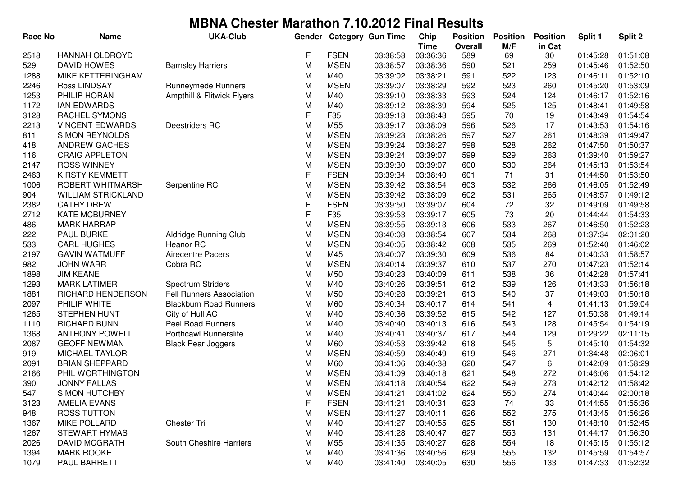| <b>Race No</b> | <b>Name</b>               | <b>UKA-Club</b>                 | Gender |                 | <b>Category Gun Time</b> | Chip        | <b>Position</b> | <b>Position</b> | <b>Position</b> | Split 1  | Split 2  |
|----------------|---------------------------|---------------------------------|--------|-----------------|--------------------------|-------------|-----------------|-----------------|-----------------|----------|----------|
|                |                           |                                 |        |                 |                          | <b>Time</b> | <b>Overall</b>  | M/F             | in Cat          |          |          |
| 2518           | <b>HANNAH OLDROYD</b>     |                                 | F      | <b>FSEN</b>     | 03:38:53                 | 03:36:36    | 589             | 69              | 30              | 01:45:28 | 01:51:08 |
| 529            | <b>DAVID HOWES</b>        | <b>Barnsley Harriers</b>        | M      | <b>MSEN</b>     | 03:38:57                 | 03:38:36    | 590             | 521             | 259             | 01:45:46 | 01:52:50 |
| 1288           | <b>MIKE KETTERINGHAM</b>  |                                 | M      | M40             | 03:39:02                 | 03:38:21    | 591             | 522             | 123             | 01:46:11 | 01:52:10 |
| 2246           | Ross LINDSAY              | Runneymede Runners              | M      | <b>MSEN</b>     | 03:39:07                 | 03:38:29    | 592             | 523             | 260             | 01:45:20 | 01:53:09 |
| 1253           | PHILIP HORAN              | Ampthill & Flitwick Flyers      | M      | M40             | 03:39:10                 | 03:38:33    | 593             | 524             | 124             | 01:46:17 | 01:52:16 |
| 1172           | <b>IAN EDWARDS</b>        |                                 | M      | M40             | 03:39:12                 | 03:38:39    | 594             | 525             | 125             | 01:48:41 | 01:49:58 |
| 3128           | <b>RACHEL SYMONS</b>      |                                 | F      | F35             | 03:39:13                 | 03:38:43    | 595             | 70              | 19              | 01:43:49 | 01:54:54 |
| 2213           | <b>VINCENT EDWARDS</b>    | Deestriders RC                  | M      | M55             | 03:39:17                 | 03:38:09    | 596             | 526             | 17              | 01:43:53 | 01:54:16 |
| 811            | <b>SIMON REYNOLDS</b>     |                                 | M      | <b>MSEN</b>     | 03:39:23                 | 03:38:26    | 597             | 527             | 261             | 01:48:39 | 01:49:47 |
| 418            | <b>ANDREW GACHES</b>      |                                 | M      | <b>MSEN</b>     | 03:39:24                 | 03:38:27    | 598             | 528             | 262             | 01:47:50 | 01:50:37 |
| 116            | <b>CRAIG APPLETON</b>     |                                 | M      | <b>MSEN</b>     | 03:39:24                 | 03:39:07    | 599             | 529             | 263             | 01:39:40 | 01:59:27 |
| 2147           | <b>ROSS WINNEY</b>        |                                 | M      | <b>MSEN</b>     | 03:39:30                 | 03:39:07    | 600             | 530             | 264             | 01:45:13 | 01:53:54 |
| 2463           | <b>KIRSTY KEMMETT</b>     |                                 | F      | <b>FSEN</b>     | 03:39:34                 | 03:38:40    | 601             | 71              | 31              | 01:44:50 | 01:53:50 |
| 1006           | ROBERT WHITMARSH          | Serpentine RC                   | M      | <b>MSEN</b>     | 03:39:42                 | 03:38:54    | 603             | 532             | 266             | 01:46:05 | 01:52:49 |
| 904            | <b>WILLIAM STRICKLAND</b> |                                 | M      | <b>MSEN</b>     | 03:39:42                 | 03:38:09    | 602             | 531             | 265             | 01:48:57 | 01:49:12 |
| 2382           | <b>CATHY DREW</b>         |                                 | F      | <b>FSEN</b>     | 03:39:50                 | 03:39:07    | 604             | 72              | 32              | 01:49:09 | 01:49:58 |
| 2712           | <b>KATE MCBURNEY</b>      |                                 | F      | F <sub>35</sub> | 03:39:53                 | 03:39:17    | 605             | 73              | 20              | 01:44:44 | 01:54:33 |
| 486            | <b>MARK HARRAP</b>        |                                 | M      | <b>MSEN</b>     | 03:39:55                 | 03:39:13    | 606             | 533             | 267             | 01:46:50 | 01:52:23 |
| 222            | PAUL BURKE                | <b>Aldridge Running Club</b>    | M      | <b>MSEN</b>     | 03:40:03                 | 03:38:54    | 607             | 534             | 268             | 01:37:34 | 02:01:20 |
| 533            | <b>CARL HUGHES</b>        | Heanor RC                       | M      | <b>MSEN</b>     | 03:40:05                 | 03:38:42    | 608             | 535             | 269             | 01:52:40 | 01:46:02 |
| 2197           | <b>GAVIN WATMUFF</b>      | <b>Airecentre Pacers</b>        | M      | M45             | 03:40:07                 | 03:39:30    | 609             | 536             | 84              | 01:40:33 | 01:58:57 |
| 982            | <b>JOHN WARR</b>          | Cobra RC                        | M      | <b>MSEN</b>     | 03:40:14                 | 03:39:37    | 610             | 537             | 270             | 01:47:23 | 01:52:14 |
| 1898           | <b>JIM KEANE</b>          |                                 | M      | M50             | 03:40:23                 | 03:40:09    | 611             | 538             | 36              | 01:42:28 | 01:57:41 |
| 1293           | <b>MARK LATIMER</b>       | Spectrum Striders               | M      | M40             | 03:40:26                 | 03:39:51    | 612             | 539             | 126             | 01:43:33 | 01:56:18 |
| 1881           | RICHARD HENDERSON         | <b>Fell Runners Association</b> | M      | M50             | 03:40:28                 | 03:39:21    | 613             | 540             | 37              | 01:49:03 | 01:50:18 |
| 2097           | PHILIP WHITE              | <b>Blackburn Road Runners</b>   | M      | M60             | 03:40:34                 | 03:40:17    | 614             | 541             | 4               | 01:41:13 | 01:59:04 |
| 1265           | <b>STEPHEN HUNT</b>       | City of Hull AC                 | M      | M40             | 03:40:36                 | 03:39:52    | 615             | 542             | 127             | 01:50:38 | 01:49:14 |
| 1110           | <b>RICHARD BUNN</b>       | <b>Peel Road Runners</b>        | M      | M40             | 03:40:40                 | 03:40:13    | 616             | 543             | 128             | 01:45:54 | 01:54:19 |
| 1368           | <b>ANTHONY POWELL</b>     | Porthcawl Runnerslife           | М      | M40             | 03:40:41                 | 03:40:37    | 617             | 544             | 129             | 01:29:22 | 02:11:15 |
| 2087           | <b>GEOFF NEWMAN</b>       | <b>Black Pear Joggers</b>       | М      | M60             | 03:40:53                 | 03:39:42    | 618             | 545             | 5               | 01:45:10 | 01:54:32 |
| 919            | <b>MICHAEL TAYLOR</b>     |                                 | М      | <b>MSEN</b>     | 03:40:59                 | 03:40:49    | 619             | 546             | 271             | 01:34:48 | 02:06:01 |
| 2091           | <b>BRIAN SHEPPARD</b>     |                                 | M      | M60             | 03:41:06                 | 03:40:38    | 620             | 547             | 6               | 01:42:09 | 01:58:29 |
| 2166           | PHIL WORTHINGTON          |                                 | M      | <b>MSEN</b>     | 03:41:09                 | 03:40:18    | 621             | 548             | 272             | 01:46:06 | 01:54:12 |
| 390            | <b>JONNY FALLAS</b>       |                                 | М      | <b>MSEN</b>     | 03:41:18                 | 03:40:54    | 622             | 549             | 273             | 01:42:12 | 01:58:42 |
| 547            | <b>SIMON HUTCHBY</b>      |                                 | M      | <b>MSEN</b>     | 03:41:21                 | 03:41:02    | 624             | 550             | 274             | 01:40:44 | 02:00:18 |
| 3123           | <b>AMELIA EVANS</b>       |                                 | F      | <b>FSEN</b>     | 03:41:21                 | 03:40:31    | 623             | 74              | 33              | 01:44:55 | 01:55:36 |
| 948            | <b>ROSS TUTTON</b>        |                                 | M      | <b>MSEN</b>     | 03:41:27                 | 03:40:11    | 626             | 552             | 275             | 01:43:45 | 01:56:26 |
| 1367           | <b>MIKE POLLARD</b>       | Chester Tri                     | M      | M40             | 03:41:27                 | 03:40:55    | 625             | 551             | 130             | 01:48:10 | 01:52:45 |
| 1267           | <b>STEWART HYMAS</b>      |                                 | M      | M40             | 03:41:28                 | 03:40:47    | 627             | 553             | 131             | 01:44:17 | 01:56:30 |
| 2026           | DAVID MCGRATH             | South Cheshire Harriers         | M      | M55             | 03:41:35                 | 03:40:27    | 628             | 554             | 18              | 01:45:15 | 01:55:12 |
| 1394           | <b>MARK ROOKE</b>         |                                 | M      | M40             | 03:41:36                 | 03:40:56    | 629             | 555             | 132             | 01:45:59 | 01:54:57 |
| 1079           | PAUL BARRETT              |                                 | M      | M40             | 03:41:40                 | 03:40:05    | 630             | 556             | 133             | 01:47:33 | 01:52:32 |
|                |                           |                                 |        |                 |                          |             |                 |                 |                 |          |          |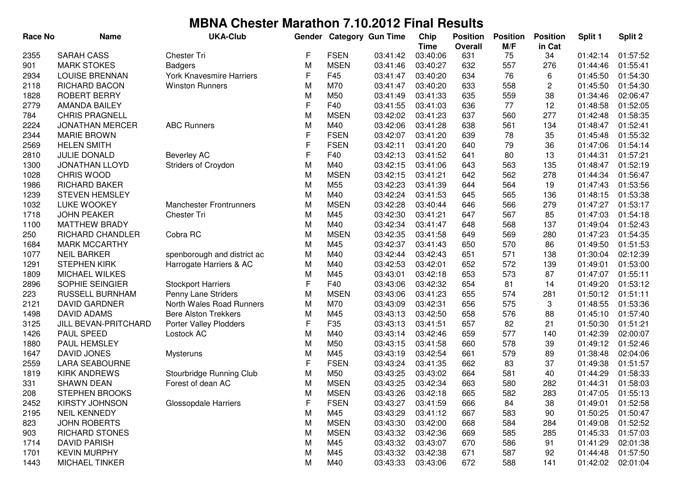| <b>Race No</b> | <b>Name</b>             | <b>UKA-Club</b>                 | Gender      |             | <b>Category Gun Time</b> | Chip                    | <b>Position</b> | <b>Position</b> | <b>Position</b> | Split 1  | Split 2  |
|----------------|-------------------------|---------------------------------|-------------|-------------|--------------------------|-------------------------|-----------------|-----------------|-----------------|----------|----------|
| 2355           | <b>SARAH CASS</b>       | <b>Chester Tri</b>              | F           | <b>FSEN</b> | 03:41:42                 | <b>Time</b><br>03:40:06 | Overall<br>631  | M/F<br>75       | in Cat<br>34    | 01:42:14 | 01:57:52 |
| 901            | <b>MARK STOKES</b>      | <b>Badgers</b>                  | M           | <b>MSEN</b> | 03:41:46                 | 03:40:27                | 632             | 557             | 276             | 01:44:46 | 01:55:41 |
| 2934           | <b>LOUISE BRENNAN</b>   | <b>York Knavesmire Harriers</b> | F           | F45         | 03:41:47                 | 03:40:20                | 634             | 76              | 6               | 01:45:50 | 01:54:30 |
| 2118           | <b>RICHARD BACON</b>    | <b>Winston Runners</b>          | M           | M70         | 03:41:47                 | 03:40:20                | 633             | 558             | 2               | 01:45:50 | 01:54:30 |
| 1828           | <b>ROBERT BERRY</b>     |                                 | M           | M50         | 03:41:49                 | 03:41:33                | 635             | 559             | 38              | 01:34:46 | 02:06:47 |
| 2779           | <b>AMANDA BAILEY</b>    |                                 | F           | F40         | 03:41:55                 | 03:41:03                | 636             | 77              | 12              | 01:48:58 | 01:52:05 |
| 784            | <b>CHRIS PRAGNELL</b>   |                                 | M           | <b>MSEN</b> | 03:42:02                 | 03:41:23                | 637             | 560             | 277             | 01:42:48 | 01:58:35 |
| 2224           | <b>JONATHAN MERCER</b>  | <b>ABC Runners</b>              | M           | M40         | 03:42:06                 | 03:41:28                | 638             | 561             | 134             | 01:48:47 | 01:52:41 |
| 2344           | <b>MARIE BROWN</b>      |                                 | $\mathsf F$ | <b>FSEN</b> | 03:42:07                 | 03:41:20                | 639             | 78              | 35              | 01:45:48 | 01:55:32 |
| 2569           | <b>HELEN SMITH</b>      |                                 | F           | <b>FSEN</b> | 03:42:11                 | 03:41:20                | 640             | 79              | 36              | 01:47:06 | 01:54:14 |
| 2810           | JULIE DONALD            | <b>Beverley AC</b>              | F           | F40         | 03:42:13                 | 03:41:52                | 641             | 80              | 13              | 01:44:31 | 01:57:21 |
| 1300           | <b>JONATHAN LLOYD</b>   | Striders of Croydon             | M           | M40         | 03:42:15                 | 03:41:06                | 643             | 563             | 135             | 01:48:47 | 01:52:19 |
| 1028           | CHRIS WOOD              |                                 | M           | <b>MSEN</b> | 03:42:15                 | 03:41:21                | 642             | 562             | 278             | 01:44:34 | 01:56:47 |
| 1986           | RICHARD BAKER           |                                 | M           | M55         | 03:42:23                 | 03:41:39                | 644             | 564             | 19              | 01:47:43 | 01:53:56 |
| 1239           | <b>STEVEN HEMSLEY</b>   |                                 | M           | M40         | 03:42:24                 | 03:41:53                | 645             | 565             | 136             | 01:48:15 | 01:53:38 |
| 1032           | <b>LUKE WOOKEY</b>      | <b>Manchester Frontrunners</b>  | M           | <b>MSEN</b> | 03:42:28                 | 03:40:44                | 646             | 566             | 279             | 01:47:27 | 01:53:17 |
| 1718           | <b>JOHN PEAKER</b>      | <b>Chester Tri</b>              | M           | M45         | 03:42:30                 | 03:41:21                | 647             | 567             | 85              | 01:47:03 | 01:54:18 |
| 1100           | <b>MATTHEW BRADY</b>    |                                 | M           | M40         | 03:42:34                 | 03:41:47                | 648             | 568             | 137             | 01:49:04 | 01:52:43 |
| 250            | <b>RICHARD CHANDLER</b> | Cobra RC                        | M           | <b>MSEN</b> | 03:42:35                 | 03:41:58                | 649             | 569             | 280             | 01:47:23 | 01:54:35 |
| 1684           | <b>MARK MCCARTHY</b>    |                                 | M           | M45         | 03:42:37                 | 03:41:43                | 650             | 570             | 86              | 01:49:50 | 01:51:53 |
| 1077           | <b>NEIL BARKER</b>      | spenborough and district ac     | M           | M40         | 03:42:44                 | 03:42:43                | 651             | 571             | 138             | 01:30:04 | 02:12:39 |
| 1291           | <b>STEPHEN KIRK</b>     | Harrogate Harriers & AC         | M           | M40         | 03:42:53                 | 03:42:01                | 652             | 572             | 139             | 01:49:01 | 01:53:00 |
| 1809           | <b>MICHAEL WILKES</b>   |                                 | M           | M45         | 03:43:01                 | 03:42:18                | 653             | 573             | 87              | 01:47:07 | 01:55:11 |
| 2896           | SOPHIE SEINGIER         | <b>Stockport Harriers</b>       | $\mathsf F$ | F40         | 03:43:06                 | 03:42:32                | 654             | 81              | 14              | 01:49:20 | 01:53:12 |
| 223            | RUSSELL BURNHAM         | Penny Lane Striders             | M           | <b>MSEN</b> | 03:43:06                 | 03:41:23                | 655             | 574             | 281             | 01:50:12 | 01:51:11 |
| 2121           | <b>DAVID GARDNER</b>    | North Wales Road Runners        | M           | M70         | 03:43:09                 | 03:42:31                | 656             | 575             | 3               | 01:48:55 | 01:53:36 |
| 1498           | <b>DAVID ADAMS</b>      | <b>Bere Alston Trekkers</b>     | M           | M45         | 03:43:13                 | 03:42:50                | 658             | 576             | 88              | 01:45:10 | 01:57:40 |
| 3125           | JILL BEVAN-PRITCHARD    | Porter Valley Plodders          | F           | F35         | 03:43:13                 | 03:41:51                | 657             | 82              | 21              | 01:50:30 | 01:51:21 |
| 1426           | PAUL SPEED              | Lostock AC                      | M           | M40         | 03:43:14                 | 03:42:46                | 659             | 577             | 140             | 01:42:39 | 02:00:07 |
| 1880           | PAUL HEMSLEY            |                                 | M           | M50         | 03:43:15                 | 03:41:58                | 660             | 578             | 39              | 01:49:12 | 01:52:46 |
| 1647           | <b>DAVID JONES</b>      | <b>Mysteruns</b>                | M           | M45         | 03:43:19                 | 03:42:54                | 661             | 579             | 89              | 01:38:48 | 02:04:06 |
| 2559           | <b>LARA SEABOURNE</b>   |                                 | F           | <b>FSEN</b> | 03:43:24                 | 03:41:35                | 662             | 83              | 37              | 01:49:38 | 01:51:57 |
| 1819           | <b>KIRK ANDREWS</b>     | Stourbridge Running Club        | M           | M50         | 03:43:25                 | 03:43:02                | 664             | 581             | 40              | 01:44:29 | 01:58:33 |
| 331            | <b>SHAWN DEAN</b>       | Forest of dean AC               | M           | <b>MSEN</b> | 03:43:25                 | 03:42:34                | 663             | 580             | 282             | 01:44:31 | 01:58:03 |
| 208            | <b>STEPHEN BROOKS</b>   |                                 | M           | <b>MSEN</b> | 03:43:26                 | 03:42:18                | 665             | 582             | 283             | 01:47:05 | 01:55:13 |
| 2452           | <b>KIRSTY JOHNSON</b>   | Glossopdale Harriers            | F           | <b>FSEN</b> | 03:43:27                 | 03:41:59                | 666             | 84              | 38              | 01:49:01 | 01:52:58 |
| 2195           | <b>NEIL KENNEDY</b>     |                                 | M           | M45         | 03:43:29                 | 03:41:12                | 667             | 583             | 90              | 01:50:25 | 01:50:47 |
| 823            | <b>JOHN ROBERTS</b>     |                                 | M           | <b>MSEN</b> | 03:43:30                 | 03:42:00                | 668             | 584             | 284             | 01:49:08 | 01:52:52 |
| 903            | <b>RICHARD STONES</b>   |                                 | M           | <b>MSEN</b> | 03:43:32                 | 03:42:36                | 669             | 585             | 285             | 01:45:33 | 01:57:03 |
| 1714           | <b>DAVID PARISH</b>     |                                 | M           | M45         | 03:43:32                 | 03:43:07                | 670             | 586             | 91              | 01:41:29 | 02:01:38 |
| 1701           | <b>KEVIN MURPHY</b>     |                                 | M           | M45         | 03:43:32                 | 03:42:38                | 671             | 587             | 92              | 01:44:48 | 01:57:50 |
| 1443           | <b>MICHAEL TINKER</b>   |                                 | M           | M40         | 03:43:33                 | 03:43:06                | 672             | 588             | 141             | 01:42:02 | 02:01:04 |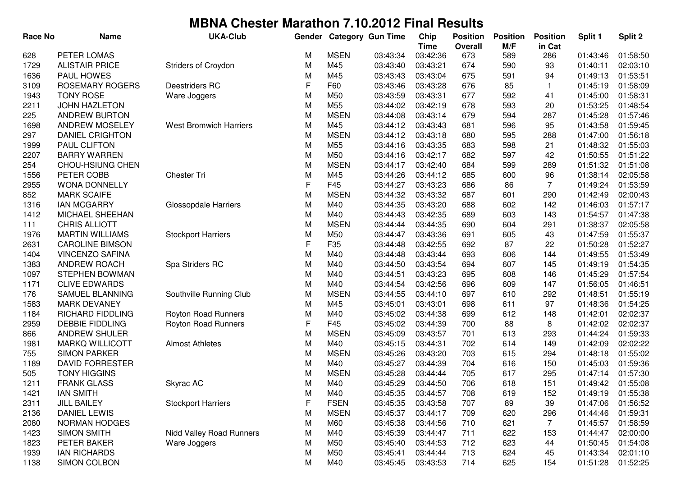| <b>Race No</b> | <b>Name</b>             | <b>UKA-Club</b>               | Gender |             | <b>Category Gun Time</b> | Chip                    | <b>Position</b>       | <b>Position</b> | <b>Position</b> | Split 1  | Split 2  |
|----------------|-------------------------|-------------------------------|--------|-------------|--------------------------|-------------------------|-----------------------|-----------------|-----------------|----------|----------|
| 628            | PETER LOMAS             |                               | M      | <b>MSEN</b> | 03:43:34                 | <b>Time</b><br>03:42:36 | <b>Overall</b><br>673 | M/F<br>589      | in Cat<br>286   | 01:43:46 | 01:58:50 |
| 1729           | <b>ALISTAIR PRICE</b>   | Striders of Croydon           | M      | M45         | 03:43:40                 | 03:43:21                | 674                   | 590             | 93              | 01:40:11 | 02:03:10 |
| 1636           | PAUL HOWES              |                               | M      | M45         | 03:43:43                 | 03:43:04                | 675                   | 591             | 94              | 01:49:13 | 01:53:51 |
| 3109           | <b>ROSEMARY ROGERS</b>  | Deestriders RC                | F      | F60         | 03:43:46                 | 03:43:28                | 676                   | 85              | $\mathbf{1}$    | 01:45:19 | 01:58:09 |
| 1943           | <b>TONY ROSE</b>        | Ware Joggers                  | M      | M50         | 03:43:59                 | 03:43:31                | 677                   | 592             | 41              | 01:45:00 | 01:58:31 |
| 2211           | JOHN HAZLETON           |                               | M      | M55         | 03:44:02                 | 03:42:19                | 678                   | 593             | 20              | 01:53:25 | 01:48:54 |
| 225            | <b>ANDREW BURTON</b>    |                               | M      | <b>MSEN</b> | 03:44:08                 | 03:43:14                | 679                   | 594             | 287             | 01:45:28 | 01:57:46 |
| 1698           | <b>ANDREW MOSELEY</b>   | <b>West Bromwich Harriers</b> | M      | M45         | 03:44:12                 | 03:43:43                | 681                   | 596             | 95              | 01:43:58 | 01:59:45 |
| 297            | <b>DANIEL CRIGHTON</b>  |                               | M      | <b>MSEN</b> | 03:44:12                 | 03:43:18                | 680                   | 595             | 288             | 01:47:00 | 01:56:18 |
| 1999           | PAUL CLIFTON            |                               | M      | M55         | 03:44:16                 | 03:43:35                | 683                   | 598             | 21              | 01:48:32 | 01:55:03 |
| 2207           | <b>BARRY WARREN</b>     |                               | M      | M50         | 03:44:16                 | 03:42:17                | 682                   | 597             | 42              | 01:50:55 | 01:51:22 |
| 254            | <b>CHOU-HSIUNG CHEN</b> |                               | M      | <b>MSEN</b> | 03:44:17                 | 03:42:40                | 684                   | 599             | 289             | 01:51:32 | 01:51:08 |
| 1556           | PETER COBB              | <b>Chester Tri</b>            | M      | M45         | 03:44:26                 | 03:44:12                | 685                   | 600             | 96              | 01:38:14 | 02:05:58 |
| 2955           | <b>WONA DONNELLY</b>    |                               | F      | F45         | 03:44:27                 | 03:43:23                | 686                   | 86              | $\overline{7}$  | 01:49:24 | 01:53:59 |
| 852            | <b>MARK SCAIFE</b>      |                               | M      | <b>MSEN</b> | 03:44:32                 | 03:43:32                | 687                   | 601             | 290             | 01:42:49 | 02:00:43 |
| 1316           | <b>IAN MCGARRY</b>      | <b>Glossopdale Harriers</b>   | M      | M40         | 03:44:35                 | 03:43:20                | 688                   | 602             | 142             | 01:46:03 | 01:57:17 |
| 1412           | MICHAEL SHEEHAN         |                               | M      | M40         | 03:44:43                 | 03:42:35                | 689                   | 603             | 143             | 01:54:57 | 01:47:38 |
| 111            | <b>CHRIS ALLIOTT</b>    |                               | M      | <b>MSEN</b> | 03:44:44                 | 03:44:35                | 690                   | 604             | 291             | 01:38:37 | 02:05:58 |
| 1976           | <b>MARTIN WILLIAMS</b>  | <b>Stockport Harriers</b>     | M      | M50         | 03:44:47                 | 03:43:36                | 691                   | 605             | 43              | 01:47:59 | 01:55:37 |
| 2631           | <b>CAROLINE BIMSON</b>  |                               | F      | F35         | 03:44:48                 | 03:42:55                | 692                   | 87              | 22              | 01:50:28 | 01:52:27 |
| 1404           | <b>VINCENZO SAFINA</b>  |                               | M      | M40         | 03:44:48                 | 03:43:44                | 693                   | 606             | 144             | 01:49:55 | 01:53:49 |
| 1383           | ANDREW ROACH            | Spa Striders RC               | M      | M40         | 03:44:50                 | 03:43:54                | 694                   | 607             | 145             | 01:49:19 | 01:54:35 |
| 1097           | <b>STEPHEN BOWMAN</b>   |                               | M      | M40         | 03:44:51                 | 03:43:23                | 695                   | 608             | 146             | 01:45:29 | 01:57:54 |
| 1171           | <b>CLIVE EDWARDS</b>    |                               | M      | M40         | 03:44:54                 | 03:42:56                | 696                   | 609             | 147             | 01:56:05 | 01:46:51 |
| 176            | SAMUEL BLANNING         | Southville Running Club       | M      | <b>MSEN</b> | 03:44:55                 | 03:44:10                | 697                   | 610             | 292             | 01:48:51 | 01:55:19 |
| 1583           | <b>MARK DEVANEY</b>     |                               | M      | M45         | 03:45:01                 | 03:43:01                | 698                   | 611             | 97              | 01:48:36 | 01:54:25 |
| 1184           | <b>RICHARD FIDDLING</b> | Royton Road Runners           | M      | M40         | 03:45:02                 | 03:44:38                | 699                   | 612             | 148             | 01:42:01 | 02:02:37 |
| 2959           | <b>DEBBIE FIDDLING</b>  | Royton Road Runners           | F      | F45         | 03:45:02                 | 03:44:39                | 700                   | 88              | 8               | 01:42:02 | 02:02:37 |
| 866            | <b>ANDREW SHULER</b>    |                               | M      | <b>MSEN</b> | 03:45:09                 | 03:43:57                | 701                   | 613             | 293             | 01:44:24 | 01:59:33 |
| 1981           | <b>MARKQ WILLICOTT</b>  | <b>Almost Athletes</b>        | M      | M40         | 03:45:15                 | 03:44:31                | 702                   | 614             | 149             | 01:42:09 | 02:02:22 |
| 755            | <b>SIMON PARKER</b>     |                               | M      | <b>MSEN</b> | 03:45:26                 | 03:43:20                | 703                   | 615             | 294             | 01:48:18 | 01:55:02 |
| 1189           | <b>DAVID FORRESTER</b>  |                               | M      | M40         | 03:45:27                 | 03:44:39                | 704                   | 616             | 150             | 01:45:03 | 01:59:36 |
| 505            | <b>TONY HIGGINS</b>     |                               | M      | <b>MSEN</b> | 03:45:28                 | 03:44:44                | 705                   | 617             | 295             | 01:47:14 | 01:57:30 |
| 1211           | <b>FRANK GLASS</b>      | Skyrac AC                     | M      | M40         | 03:45:29                 | 03:44:50                | 706                   | 618             | 151             | 01:49:42 | 01:55:08 |
| 1421           | IAN SMITH               |                               | M      | M40         | 03:45:35                 | 03:44:57                | 708                   | 619             | 152             | 01:49:19 | 01:55:38 |
| 2311           | <b>JILL BAILEY</b>      | <b>Stockport Harriers</b>     | F      | <b>FSEN</b> | 03:45:35                 | 03:43:58                | 707                   | 89              | 39              | 01:47:06 | 01:56:52 |
| 2136           | <b>DANIEL LEWIS</b>     |                               | M      | <b>MSEN</b> | 03:45:37                 | 03:44:17                | 709                   | 620             | 296             | 01:44:46 | 01:59:31 |
| 2080           | <b>NORMAN HODGES</b>    |                               | M      | M60         | 03:45:38                 | 03:44:56                | 710                   | 621             | $\overline{7}$  | 01:45:57 | 01:58:59 |
| 1423           | <b>SIMON SMITH</b>      | Nidd Valley Road Runners      | M      | M40         | 03:45:39                 | 03:44:47                | 711                   | 622             | 153             | 01:44:47 | 02:00:00 |
| 1823           | PETER BAKER             | Ware Joggers                  | M      | M50         | 03:45:40                 | 03:44:53                | 712                   | 623             | 44              | 01:50:45 | 01:54:08 |
| 1939           | <b>IAN RICHARDS</b>     |                               | M      | M50         | 03:45:41                 | 03:44:44                | 713                   | 624             | 45              | 01:43:34 | 02:01:10 |
| 1138           | SIMON COLBON            |                               | М      | M40         | 03:45:45                 |                         | 714                   | 625             | 154             | 01:51:28 | 01:52:25 |
|                |                         |                               |        |             |                          | 03:43:53                |                       |                 |                 |          |          |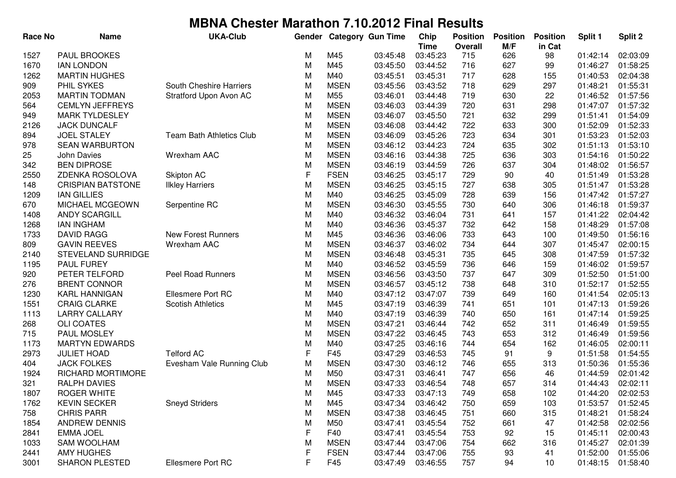| <b>Race No</b> | <b>Name</b>              | <b>UKA-Club</b>           | Gender |             | <b>Category Gun Time</b> | Chip<br><b>Time</b> | <b>Position</b><br><b>Overall</b> | <b>Position</b><br>M/F | <b>Position</b><br>in Cat | Split 1  | Split 2  |
|----------------|--------------------------|---------------------------|--------|-------------|--------------------------|---------------------|-----------------------------------|------------------------|---------------------------|----------|----------|
| 1527           | <b>PAUL BROOKES</b>      |                           | М      | M45         | 03:45:48                 | 03:45:23            | 715                               | 626                    | 98                        | 01:42:14 | 02:03:09 |
| 1670           | <b>IAN LONDON</b>        |                           | M      | M45         | 03:45:50                 | 03:44:52            | 716                               | 627                    | 99                        | 01:46:27 | 01:58:25 |
| 1262           | <b>MARTIN HUGHES</b>     |                           | M      | M40         | 03:45:51                 | 03:45:31            | 717                               | 628                    | 155                       | 01:40:53 | 02:04:38 |
| 909            | PHIL SYKES               | South Cheshire Harriers   | M      | <b>MSEN</b> | 03:45:56                 | 03:43:52            | 718                               | 629                    | 297                       | 01:48:21 | 01:55:31 |
| 2053           | <b>MARTIN TODMAN</b>     | Stratford Upon Avon AC    | M      | M55         | 03:46:01                 | 03:44:48            | 719                               | 630                    | 22                        | 01:46:52 | 01:57:56 |
| 564            | <b>CEMLYN JEFFREYS</b>   |                           | M      | <b>MSEN</b> | 03:46:03                 | 03:44:39            | 720                               | 631                    | 298                       | 01:47:07 | 01:57:32 |
| 949            | <b>MARK TYLDESLEY</b>    |                           | M      | <b>MSEN</b> | 03:46:07                 | 03:45:50            | 721                               | 632                    | 299                       | 01:51:41 | 01:54:09 |
| 2126           | <b>JACK DUNCALF</b>      |                           | M      | <b>MSEN</b> | 03:46:08                 | 03:44:42            | 722                               | 633                    | 300                       | 01:52:09 | 01:52:33 |
| 894            | <b>JOEL STALEY</b>       | Team Bath Athletics Club  | M      | <b>MSEN</b> | 03:46:09                 | 03:45:26            | 723                               | 634                    | 301                       | 01:53:23 | 01:52:03 |
| 978            | <b>SEAN WARBURTON</b>    |                           | M      | <b>MSEN</b> | 03:46:12                 | 03:44:23            | 724                               | 635                    | 302                       | 01:51:13 | 01:53:10 |
| 25             | John Davies              | Wrexham AAC               | M      | <b>MSEN</b> | 03:46:16                 | 03:44:38            | 725                               | 636                    | 303                       | 01:54:16 | 01:50:22 |
| 342            | <b>BEN DIPROSE</b>       |                           | M      | <b>MSEN</b> | 03:46:19                 | 03:44:59            | 726                               | 637                    | 304                       | 01:48:02 | 01:56:57 |
| 2550           | ZDENKA ROSOLOVA          | Skipton AC                | F      | <b>FSEN</b> | 03:46:25                 | 03:45:17            | 729                               | 90                     | 40                        | 01:51:49 | 01:53:28 |
| 148            | <b>CRISPIAN BATSTONE</b> | <b>Ilkley Harriers</b>    | M      | <b>MSEN</b> | 03:46:25                 | 03:45:15            | 727                               | 638                    | 305                       | 01:51:47 | 01:53:28 |
| 1209           | <b>IAN GILLIES</b>       |                           | M      | M40         | 03:46:25                 | 03:45:09            | 728                               | 639                    | 156                       | 01:47:42 | 01:57:27 |
| 670            | MICHAEL MCGEOWN          | Serpentine RC             | M      | <b>MSEN</b> | 03:46:30                 | 03:45:55            | 730                               | 640                    | 306                       | 01:46:18 | 01:59:37 |
| 1408           | <b>ANDY SCARGILL</b>     |                           | M      | M40         | 03:46:32                 | 03:46:04            | 731                               | 641                    | 157                       | 01:41:22 | 02:04:42 |
| 1268           | <b>IAN INGHAM</b>        |                           | M      | M40         | 03:46:36                 | 03:45:37            | 732                               | 642                    | 158                       | 01:48:29 | 01:57:08 |
| 1733           | <b>DAVID RAGG</b>        | <b>New Forest Runners</b> | M      | M45         | 03:46:36                 | 03:46:06            | 733                               | 643                    | 100                       | 01:49:50 | 01:56:16 |
| 809            | <b>GAVIN REEVES</b>      | Wrexham AAC               | M      | <b>MSEN</b> | 03:46:37                 | 03:46:02            | 734                               | 644                    | 307                       | 01:45:47 | 02:00:15 |
| 2140           | STEVELAND SURRIDGE       |                           | M      | <b>MSEN</b> | 03:46:48                 | 03:45:31            | 735                               | 645                    | 308                       | 01:47:59 | 01:57:32 |
| 1195           | <b>PAUL FUREY</b>        |                           | M      | M40         | 03:46:52                 | 03:45:59            | 736                               | 646                    | 159                       | 01:46:02 | 01:59:57 |
| 920            | PETER TELFORD            | <b>Peel Road Runners</b>  | M      | <b>MSEN</b> | 03:46:56                 | 03:43:50            | 737                               | 647                    | 309                       | 01:52:50 | 01:51:00 |
| 276            | <b>BRENT CONNOR</b>      |                           | M      | <b>MSEN</b> | 03:46:57                 | 03:45:12            | 738                               | 648                    | 310                       | 01:52:17 | 01:52:55 |
| 1230           | <b>KARL HANNIGAN</b>     | Ellesmere Port RC         | M      | M40         | 03:47:12                 | 03:47:07            | 739                               | 649                    | 160                       | 01:41:54 | 02:05:13 |
| 1551           | <b>CRAIG CLARKE</b>      | <b>Scotish Athletics</b>  | M      | M45         | 03:47:19                 | 03:46:39            | 741                               | 651                    | 101                       | 01:47:13 | 01:59:26 |
| 1113           | <b>LARRY CALLARY</b>     |                           | M      | M40         | 03:47:19                 | 03:46:39            | 740                               | 650                    | 161                       | 01:47:14 | 01:59:25 |
| 268            | <b>OLI COATES</b>        |                           | M      | <b>MSEN</b> | 03:47:21                 | 03:46:44            | 742                               | 652                    | 311                       | 01:46:49 | 01:59:55 |
| 715            | PAUL MOSLEY              |                           | M      | <b>MSEN</b> | 03:47:22                 | 03:46:45            | 743                               | 653                    | 312                       | 01:46:49 | 01:59:56 |
| 1173           | <b>MARTYN EDWARDS</b>    |                           | M      | M40         | 03:47:25                 | 03:46:16            | 744                               | 654                    | 162                       | 01:46:05 | 02:00:11 |
| 2973           | <b>JULIET HOAD</b>       | <b>Telford AC</b>         | F      | F45         | 03:47:29                 | 03:46:53            | 745                               | 91                     | 9                         | 01:51:58 | 01:54:55 |
| 404            | <b>JACK FOLKES</b>       | Evesham Vale Running Club | M      | <b>MSEN</b> | 03:47:30                 | 03:46:12            | 746                               | 655                    | 313                       | 01:50:36 | 01:55:36 |
| 1924           | RICHARD MORTIMORE        |                           | М      | M50         | 03:47:31                 | 03:46:41            | 747                               | 656                    | 46                        | 01:44:59 | 02:01:42 |
| 321            | <b>RALPH DAVIES</b>      |                           | М      | <b>MSEN</b> | 03:47:33                 | 03:46:54            | 748                               | 657                    | 314                       | 01:44:43 | 02:02:11 |
| 1807           | ROGER WHITE              |                           | M      | M45         | 03:47:33                 | 03:47:13            | 749                               | 658                    | 102                       | 01:44:20 | 02:02:53 |
| 1762           | <b>KEVIN SECKER</b>      | <b>Sneyd Striders</b>     | M      | M45         | 03:47:34                 | 03:46:42            | 750                               | 659                    | 103                       | 01:53:57 | 01:52:45 |
| 758            | <b>CHRIS PARR</b>        |                           | M      | <b>MSEN</b> | 03:47:38                 | 03:46:45            | 751                               | 660                    | 315                       | 01:48:21 | 01:58:24 |
| 1854           | <b>ANDREW DENNIS</b>     |                           | M      | M50         | 03:47:41                 | 03:45:54            | 752                               | 661                    | 47                        | 01:42:58 | 02:02:56 |
| 2841           | <b>EMMA JOEL</b>         |                           | F      | F40         | 03:47:41                 | 03:45:54            | 753                               | 92                     | 15                        | 01:45:11 | 02:00:43 |
| 1033           | <b>SAM WOOLHAM</b>       |                           | M      | <b>MSEN</b> | 03:47:44                 | 03:47:06            | 754                               | 662                    | 316                       | 01:45:27 | 02:01:39 |
| 2441           | <b>AMY HUGHES</b>        |                           | F      | <b>FSEN</b> | 03:47:44                 | 03:47:06            | 755                               | 93                     | 41                        | 01:52:00 | 01:55:06 |
| 3001           | <b>SHARON PLESTED</b>    | Ellesmere Port RC         | F      | F45         | 03:47:49                 | 03:46:55            | 757                               | 94                     | 10                        | 01:48:15 | 01:58:40 |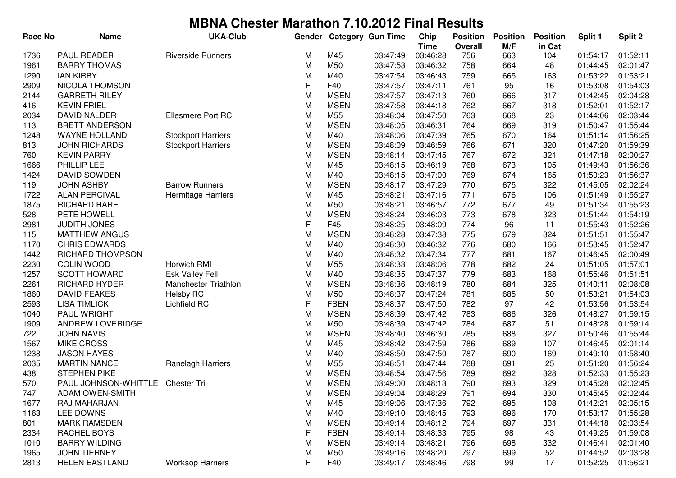| <b>Race No</b> | <b>Name</b>                      | <b>UKA-Club</b>           | Gender |             | <b>Category Gun Time</b> | Chip        | <b>Position</b> | <b>Position</b> | <b>Position</b> | Split 1  | Split 2  |
|----------------|----------------------------------|---------------------------|--------|-------------|--------------------------|-------------|-----------------|-----------------|-----------------|----------|----------|
|                |                                  |                           |        |             |                          | <b>Time</b> | <b>Overall</b>  | M/F             | in Cat          |          |          |
| 1736           | <b>PAUL READER</b>               | <b>Riverside Runners</b>  | M      | M45         | 03:47:49                 | 03:46:28    | 756             | 663             | 104             | 01:54:17 | 01:52:11 |
| 1961           | <b>BARRY THOMAS</b>              |                           | M      | M50         | 03:47:53                 | 03:46:32    | 758             | 664             | 48              | 01:44:45 | 02:01:47 |
| 1290           | <b>IAN KIRBY</b>                 |                           | M      | M40         | 03:47:54                 | 03:46:43    | 759             | 665             | 163             | 01:53:22 | 01:53:21 |
| 2909           | <b>NICOLA THOMSON</b>            |                           | F      | F40         | 03:47:57                 | 03:47:11    | 761             | 95              | 16              | 01:53:08 | 01:54:03 |
| 2144           | <b>GARRETH RILEY</b>             |                           | M      | <b>MSEN</b> | 03:47:57                 | 03:47:13    | 760             | 666             | 317             | 01:42:45 | 02:04:28 |
| 416            | <b>KEVIN FRIEL</b>               |                           | M      | <b>MSEN</b> | 03:47:58                 | 03:44:18    | 762             | 667             | 318             | 01:52:01 | 01:52:17 |
| 2034           | <b>DAVID NALDER</b>              | <b>Ellesmere Port RC</b>  | M      | M55         | 03:48:04                 | 03:47:50    | 763             | 668             | 23              | 01:44:06 | 02:03:44 |
| 113            | <b>BRETT ANDERSON</b>            |                           | M      | <b>MSEN</b> | 03:48:05                 | 03:46:31    | 764             | 669             | 319             | 01:50:47 | 01:55:44 |
| 1248           | <b>WAYNE HOLLAND</b>             | <b>Stockport Harriers</b> | M      | M40         | 03:48:06                 | 03:47:39    | 765             | 670             | 164             | 01:51:14 | 01:56:25 |
| 813            | <b>JOHN RICHARDS</b>             | <b>Stockport Harriers</b> | M      | <b>MSEN</b> | 03:48:09                 | 03:46:59    | 766             | 671             | 320             | 01:47:20 | 01:59:39 |
| 760            | <b>KEVIN PARRY</b>               |                           | M      | <b>MSEN</b> | 03:48:14                 | 03:47:45    | 767             | 672             | 321             | 01:47:18 | 02:00:27 |
| 1666           | PHILLIP LEE                      |                           | M      | M45         | 03:48:15                 | 03:46:19    | 768             | 673             | 105             | 01:49:43 | 01:56:36 |
| 1424           | <b>DAVID SOWDEN</b>              |                           | M      | M40         | 03:48:15                 | 03:47:00    | 769             | 674             | 165             | 01:50:23 | 01:56:37 |
| 119            | <b>JOHN ASHBY</b>                | <b>Barrow Runners</b>     | M      | <b>MSEN</b> | 03:48:17                 | 03:47:29    | 770             | 675             | 322             | 01:45:05 | 02:02:24 |
| 1722           | <b>ALAN PERCIVAL</b>             | Hermitage Harriers        | M      | M45         | 03:48:21                 | 03:47:16    | 771             | 676             | 106             | 01:51:49 | 01:55:27 |
| 1875           | <b>RICHARD HARE</b>              |                           | M      | M50         | 03:48:21                 | 03:46:57    | 772             | 677             | 49              | 01:51:34 | 01:55:23 |
| 528            | PETE HOWELL                      |                           | M      | <b>MSEN</b> | 03:48:24                 | 03:46:03    | 773             | 678             | 323             | 01:51:44 | 01:54:19 |
| 2981           | <b>JUDITH JONES</b>              |                           | F      | F45         | 03:48:25                 | 03:48:09    | 774             | 96              | 11              | 01:55:43 | 01:52:26 |
| 115            | <b>MATTHEW ANGUS</b>             |                           | M      | <b>MSEN</b> | 03:48:28                 | 03:47:38    | 775             | 679             | 324             | 01:51:51 | 01:55:47 |
| 1170           | <b>CHRIS EDWARDS</b>             |                           | M      | M40         | 03:48:30                 | 03:46:32    | 776             | 680             | 166             | 01:53:45 | 01:52:47 |
| 1442           | RICHARD THOMPSON                 |                           | M      | M40         | 03:48:32                 | 03:47:34    | 777             | 681             | 167             | 01:46:45 | 02:00:49 |
| 2230           | <b>COLIN WOOD</b>                | Horwich RMI               | M      | M55         | 03:48:33                 | 03:48:06    | 778             | 682             | 24              | 01:51:05 | 01:57:01 |
| 1257           | <b>SCOTT HOWARD</b>              | Esk Valley Fell           | M      | M40         | 03:48:35                 | 03:47:37    | 779             | 683             | 168             | 01:55:46 | 01:51:51 |
| 2261           | RICHARD HYDER                    | Manchester Triathlon      | M      | <b>MSEN</b> | 03:48:36                 | 03:48:19    | 780             | 684             | 325             | 01:40:11 | 02:08:08 |
| 1860           | <b>DAVID FEAKES</b>              | <b>Helsby RC</b>          | M      | M50         | 03:48:37                 | 03:47:24    | 781             | 685             | 50              | 01:53:21 | 01:54:03 |
| 2593           | <b>LISA TIMLICK</b>              | Lichfield RC              | F      | <b>FSEN</b> | 03:48:37                 | 03:47:50    | 782             | 97              | 42              | 01:53:56 | 01:53:54 |
| 1040           | <b>PAUL WRIGHT</b>               |                           | M      | <b>MSEN</b> | 03:48:39                 | 03:47:42    | 783             | 686             | 326             | 01:48:27 | 01:59:15 |
| 1909           | ANDREW LOVERIDGE                 |                           | M      | M50         | 03:48:39                 | 03:47:42    | 784             | 687             | 51              | 01:48:28 | 01:59:14 |
| 722            | <b>JOHN NAVIS</b>                |                           | M      | <b>MSEN</b> | 03:48:40                 | 03:46:30    | 785             | 688             | 327             | 01:50:46 | 01:55:44 |
| 1567           | <b>MIKE CROSS</b>                |                           | M      | M45         | 03:48:42                 | 03:47:59    | 786             | 689             | 107             | 01:46:45 | 02:01:14 |
| 1238           | <b>JASON HAYES</b>               |                           | M      | M40         | 03:48:50                 | 03:47:50    | 787             | 690             | 169             | 01:49:10 | 01:58:40 |
| 2035           | <b>MARTIN NANCE</b>              | Ranelagh Harriers         | M      | M55         | 03:48:51                 | 03:47:44    | 788             | 691             | 25              | 01:51:20 | 01:56:24 |
| 438            | <b>STEPHEN PIKE</b>              |                           | M      | <b>MSEN</b> | 03:48:54                 | 03:47:56    | 789             | 692             | 328             | 01:52:33 | 01:55:23 |
| 570            | PAUL JOHNSON-WHITTLE Chester Tri |                           | M      | <b>MSEN</b> | 03:49:00                 | 03:48:13    | 790             | 693             | 329             | 01:45:28 | 02:02:45 |
| 747            | <b>ADAM OWEN-SMITH</b>           |                           | M      | <b>MSEN</b> | 03:49:04                 | 03:48:29    | 791             | 694             | 330             | 01:45:45 | 02:02:44 |
| 1677           | RAJ MAHARJAN                     |                           | M      | M45         | 03:49:06                 | 03:47:36    | 792             | 695             | 108             | 01:42:21 | 02:05:15 |
| 1163           | LEE DOWNS                        |                           | M      | M40         | 03:49:10                 | 03:48:45    | 793             | 696             | 170             | 01:53:17 | 01:55:28 |
| 801            | <b>MARK RAMSDEN</b>              |                           | M      | <b>MSEN</b> | 03:49:14                 | 03:48:12    | 794             | 697             | 331             | 01:44:18 | 02:03:54 |
| 2334           | RACHEL BOYS                      |                           | F      | <b>FSEN</b> | 03:49:14                 | 03:48:33    | 795             | 98              | 43              | 01:49:25 | 01:59:08 |
| 1010           | <b>BARRY WILDING</b>             |                           | M      | <b>MSEN</b> | 03:49:14                 | 03:48:21    | 796             | 698             | 332             | 01:46:41 | 02:01:40 |
| 1965           | <b>JOHN TIERNEY</b>              |                           | M      | M50         | 03:49:16                 | 03:48:20    | 797             | 699             | 52              | 01:44:52 | 02:03:28 |
| 2813           | <b>HELEN EASTLAND</b>            | <b>Worksop Harriers</b>   | F      | F40         | 03:49:17                 | 03:48:46    | 798             | 99              | 17              | 01:52:25 | 01:56:21 |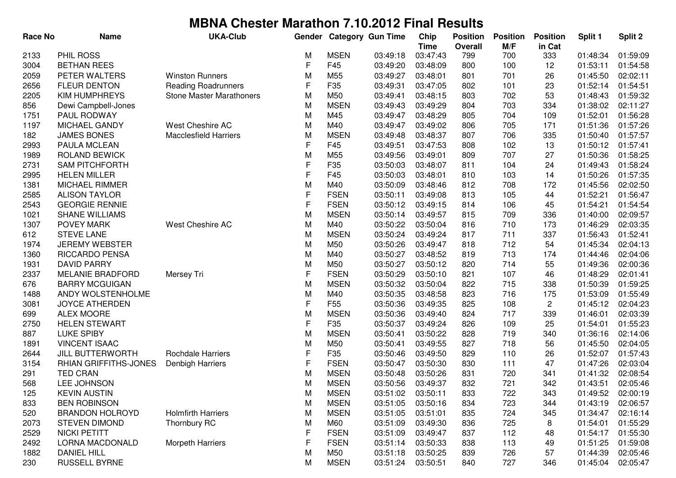| <b>Race No</b> | <b>Name</b>             | <b>UKA-Club</b>                 | Gender |                 | <b>Category Gun Time</b> | Chip                    | <b>Position</b>       | <b>Position</b> | <b>Position</b> | Split 1  | Split 2  |
|----------------|-------------------------|---------------------------------|--------|-----------------|--------------------------|-------------------------|-----------------------|-----------------|-----------------|----------|----------|
| 2133           | PHIL ROSS               |                                 | м      | <b>MSEN</b>     | 03:49:18                 | <b>Time</b><br>03:47:43 | <b>Overall</b><br>799 | M/F<br>700      | in Cat<br>333   | 01:48:34 | 01:59:09 |
| 3004           | <b>BETHAN REES</b>      |                                 | F      | F45             | 03:49:20                 | 03:48:09                | 800                   | 100             | 12              | 01:53:11 | 01:54:58 |
| 2059           | PETER WALTERS           | <b>Winston Runners</b>          | M      | M <sub>55</sub> | 03:49:27                 | 03:48:01                | 801                   | 701             | 26              | 01:45:50 | 02:02:11 |
| 2656           | <b>FLEUR DENTON</b>     | <b>Reading Roadrunners</b>      | F      | F35             | 03:49:31                 | 03:47:05                | 802                   | 101             | 23              | 01:52:14 | 01:54:51 |
| 2205           | <b>KIM HUMPHREYS</b>    | <b>Stone Master Marathoners</b> | M      | M50             | 03:49:41                 | 03:48:15                | 803                   | 702             | 53              | 01:48:43 | 01:59:32 |
| 856            | Dewi Campbell-Jones     |                                 | M      | <b>MSEN</b>     | 03:49:43                 | 03:49:29                | 804                   | 703             | 334             | 01:38:02 | 02:11:27 |
| 1751           | PAUL RODWAY             |                                 | M      | M45             | 03:49:47                 | 03:48:29                | 805                   | 704             | 109             | 01:52:01 | 01:56:28 |
| 1197           | MICHAEL GANDY           | West Cheshire AC                | M      | M40             | 03:49:47                 | 03:49:02                | 806                   | 705             | 171             | 01:51:36 | 01:57:26 |
| 182            | <b>JAMES BONES</b>      | <b>Macclesfield Harriers</b>    | M      | <b>MSEN</b>     | 03:49:48                 | 03:48:37                | 807                   | 706             | 335             | 01:50:40 | 01:57:57 |
| 2993           | PAULA MCLEAN            |                                 | F      | F45             | 03:49:51                 | 03:47:53                | 808                   | 102             | 13              | 01:50:12 | 01:57:41 |
| 1989           | ROLAND BEWICK           |                                 | M      | M55             | 03:49:56                 | 03:49:01                | 809                   | 707             | 27              | 01:50:36 | 01:58:25 |
| 2731           | <b>SAM PITCHFORTH</b>   |                                 | F      | F35             | 03:50:03                 | 03:48:07                | 811                   | 104             | 24              | 01:49:43 | 01:58:24 |
| 2995           | <b>HELEN MILLER</b>     |                                 | F      | F45             | 03:50:03                 | 03:48:01                | 810                   | 103             | 14              | 01:50:26 | 01:57:35 |
| 1381           | <b>MICHAEL RIMMER</b>   |                                 | M      | M40             | 03:50:09                 | 03:48:46                | 812                   | 708             | 172             | 01:45:56 | 02:02:50 |
| 2585           | <b>ALISON TAYLOR</b>    |                                 | F      | <b>FSEN</b>     | 03:50:11                 | 03:49:08                | 813                   | 105             | 44              | 01:52:21 | 01:56:47 |
| 2543           | <b>GEORGIE RENNIE</b>   |                                 | F      | <b>FSEN</b>     | 03:50:12                 | 03:49:15                | 814                   | 106             | 45              | 01:54:21 | 01:54:54 |
| 1021           | <b>SHANE WILLIAMS</b>   |                                 | M      | <b>MSEN</b>     | 03:50:14                 | 03:49:57                | 815                   | 709             | 336             | 01:40:00 | 02:09:57 |
| 1307           | POVEY MARK              | West Cheshire AC                | M      | M40             | 03:50:22                 | 03:50:04                | 816                   | 710             | 173             | 01:46:29 | 02:03:35 |
| 612            | <b>STEVE LANE</b>       |                                 | M      | <b>MSEN</b>     | 03:50:24                 | 03:49:24                | 817                   | 711             | 337             | 01:56:43 | 01:52:41 |
| 1974           | <b>JEREMY WEBSTER</b>   |                                 | M      | M50             | 03:50:26                 | 03:49:47                | 818                   | 712             | 54              | 01:45:34 | 02:04:13 |
| 1360           | <b>RICCARDO PENSA</b>   |                                 | M      | M40             | 03:50:27                 | 03:48:52                | 819                   | 713             | 174             | 01:44:46 | 02:04:06 |
| 1931           | <b>DAVID PARRY</b>      |                                 | M      | M50             | 03:50:27                 | 03:50:12                | 820                   | 714             | 55              | 01:49:36 | 02:00:36 |
| 2337           | MELANIE BRADFORD        | Mersey Tri                      | F      | <b>FSEN</b>     | 03:50:29                 | 03:50:10                | 821                   | 107             | 46              | 01:48:29 | 02:01:41 |
| 676            | <b>BARRY MCGUIGAN</b>   |                                 | М      | <b>MSEN</b>     | 03:50:32                 | 03:50:04                | 822                   | 715             | 338             | 01:50:39 | 01:59:25 |
| 1488           | ANDY WOLSTENHOLME       |                                 | M      | M40             | 03:50:35                 | 03:48:58                | 823                   | 716             | 175             | 01:53:09 | 01:55:49 |
| 3081           | <b>JOYCE ATHERDEN</b>   |                                 | F      | F <sub>55</sub> | 03:50:36                 | 03:49:35                | 825                   | 108             | 2               | 01:45:12 | 02:04:23 |
| 699            | <b>ALEX MOORE</b>       |                                 | M      | <b>MSEN</b>     | 03:50:36                 | 03:49:40                | 824                   | 717             | 339             | 01:46:01 | 02:03:39 |
| 2750           | <b>HELEN STEWART</b>    |                                 | F      | F <sub>35</sub> | 03:50:37                 | 03:49:24                | 826                   | 109             | 25              | 01:54:01 | 01:55:23 |
| 887            | <b>LUKE SPIBY</b>       |                                 | M      | <b>MSEN</b>     | 03:50:41                 | 03:50:22                | 828                   | 719             | 340             | 01:36:16 | 02:14:06 |
| 1891           | <b>VINCENT ISAAC</b>    |                                 | M      | M50             | 03:50:41                 | 03:49:55                | 827                   | 718             | 56              | 01:45:50 | 02:04:05 |
| 2644           | <b>JILL BUTTERWORTH</b> | Rochdale Harriers               | F      | F35             | 03:50:46                 | 03:49:50                | 829                   | 110             | 26              | 01:52:07 | 01:57:43 |
| 3154           | RHIAN GRIFFITHS-JONES   | Denbigh Harriers                | F      | <b>FSEN</b>     | 03:50:47                 | 03:50:30                | 830                   | 111             | 47              | 01:47:26 | 02:03:04 |
| 291            | <b>TED CRAN</b>         |                                 | М      | <b>MSEN</b>     | 03:50:48                 | 03:50:26                | 831                   | 720             | 341             | 01:41:32 | 02:08:54 |
| 568            | LEE JOHNSON             |                                 | М      | <b>MSEN</b>     | 03:50:56                 | 03:49:37                | 832                   | 721             | 342             | 01:43:51 | 02:05:46 |
| 125            | KEVIN AUSTIN            |                                 | M      | <b>MSEN</b>     | 03:51:02                 | 03:50:11                | 833                   | 722             | 343             | 01:49:52 | 02:00:19 |
| 833            | <b>BEN ROBINSON</b>     |                                 | M      | <b>MSEN</b>     | 03:51:05                 | 03:50:16                | 834                   | 723             | 344             | 01:43:19 | 02:06:57 |
| 520            | <b>BRANDON HOLROYD</b>  | <b>Holmfirth Harriers</b>       | M      | <b>MSEN</b>     | 03:51:05                 | 03:51:01                | 835                   | 724             | 345             | 01:34:47 | 02:16:14 |
| 2073           | <b>STEVEN DIMOND</b>    | Thornbury RC                    | M      | M60             | 03:51:09                 | 03:49:30                | 836                   | 725             | 8               | 01:54:01 | 01:55:29 |
| 2529           | <b>NICKI PETITT</b>     |                                 | F      | <b>FSEN</b>     | 03:51:09                 | 03:49:47                | 837                   | 112             | 48              | 01:54:17 | 01:55:30 |
| 2492           | <b>LORNA MACDONALD</b>  | Morpeth Harriers                | F      | <b>FSEN</b>     | 03:51:14                 | 03:50:33                | 838                   | 113             | 49              | 01:51:25 | 01:59:08 |
| 1882           | <b>DANIEL HILL</b>      |                                 | M      | M50             | 03:51:18                 | 03:50:25                | 839                   | 726             | 57              | 01:44:39 | 02:05:46 |
| 230            | <b>RUSSELL BYRNE</b>    |                                 | M      | <b>MSEN</b>     | 03:51:24                 | 03:50:51                | 840                   | 727             | 346             | 01:45:04 | 02:05:47 |
|                |                         |                                 |        |                 |                          |                         |                       |                 |                 |          |          |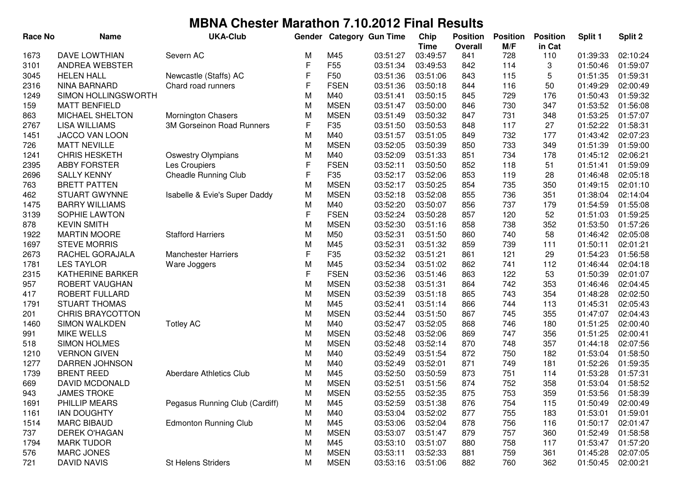| <b>Race No</b> | <b>Name</b>             | <b>UKA-Club</b>                  | Gender       |                 | <b>Category Gun Time</b> | Chip        | <b>Position</b> | <b>Position</b> | <b>Position</b> | Split 1  | Split 2  |
|----------------|-------------------------|----------------------------------|--------------|-----------------|--------------------------|-------------|-----------------|-----------------|-----------------|----------|----------|
|                |                         |                                  |              |                 |                          | <b>Time</b> | <b>Overall</b>  | M/F             | in Cat          |          |          |
| 1673           | <b>DAVE LOWTHIAN</b>    | Severn AC                        | M            | M45             | 03:51:27                 | 03:49:57    | 841             | 728             | 110             | 01:39:33 | 02:10:24 |
| 3101           | ANDREA WEBSTER          |                                  | F            | F <sub>55</sub> | 03:51:34                 | 03:49:53    | 842             | 114             | 3               | 01:50:46 | 01:59:07 |
| 3045           | <b>HELEN HALL</b>       | Newcastle (Staffs) AC            | F            | F <sub>50</sub> | 03:51:36                 | 03:51:06    | 843             | 115             | 5               | 01:51:35 | 01:59:31 |
| 2316           | <b>NINA BARNARD</b>     | Chard road runners               | F            | <b>FSEN</b>     | 03:51:36                 | 03:50:18    | 844             | 116             | 50              | 01:49:29 | 02:00:49 |
| 1249           | SIMON HOLLINGSWORTH     |                                  | M            | M40             | 03:51:41                 | 03:50:15    | 845             | 729             | 176             | 01:50:43 | 01:59:32 |
| 159            | <b>MATT BENFIELD</b>    |                                  | M            | <b>MSEN</b>     | 03:51:47                 | 03:50:00    | 846             | 730             | 347             | 01:53:52 | 01:56:08 |
| 863            | <b>MICHAEL SHELTON</b>  | <b>Mornington Chasers</b>        | M            | <b>MSEN</b>     | 03:51:49                 | 03:50:32    | 847             | 731             | 348             | 01:53:25 | 01:57:07 |
| 2767           | <b>LISA WILLIAMS</b>    | <b>3M Gorseinon Road Runners</b> | $\mathsf F$  | F35             | 03:51:50                 | 03:50:53    | 848             | 117             | 27              | 01:52:22 | 01:58:31 |
| 1451           | JACCO VAN LOON          |                                  | M            | M40             | 03:51:57                 | 03:51:05    | 849             | 732             | 177             | 01:43:42 | 02:07:23 |
| 726            | <b>MATT NEVILLE</b>     |                                  | M            | <b>MSEN</b>     | 03:52:05                 | 03:50:39    | 850             | 733             | 349             | 01:51:39 | 01:59:00 |
| 1241           | <b>CHRIS HESKETH</b>    | <b>Oswestry Olympians</b>        | M            | M40             | 03:52:09                 | 03:51:33    | 851             | 734             | 178             | 01:45:12 | 02:06:21 |
| 2395           | <b>ABBY FORSTER</b>     | Les Croupiers                    | F            | <b>FSEN</b>     | 03:52:11                 | 03:50:50    | 852             | 118             | 51              | 01:51:41 | 01:59:09 |
| 2696           | <b>SALLY KENNY</b>      | <b>Cheadle Running Club</b>      | F            | F35             | 03:52:17                 | 03:52:06    | 853             | 119             | 28              | 01:46:48 | 02:05:18 |
| 763            | <b>BRETT PATTEN</b>     |                                  | M            | <b>MSEN</b>     | 03:52:17                 | 03:50:25    | 854             | 735             | 350             | 01:49:15 | 02:01:10 |
| 462            | <b>STUART GWYNNE</b>    | Isabelle & Evie's Super Daddy    | M            | <b>MSEN</b>     | 03:52:18                 | 03:52:08    | 855             | 736             | 351             | 01:38:04 | 02:14:04 |
| 1475           | <b>BARRY WILLIAMS</b>   |                                  | M            | M40             | 03:52:20                 | 03:50:07    | 856             | 737             | 179             | 01:54:59 | 01:55:08 |
| 3139           | SOPHIE LAWTON           |                                  | $\mathsf{F}$ | <b>FSEN</b>     | 03:52:24                 | 03:50:28    | 857             | 120             | 52              | 01:51:03 | 01:59:25 |
| 878            | <b>KEVIN SMITH</b>      |                                  | M            | <b>MSEN</b>     | 03:52:30                 | 03:51:16    | 858             | 738             | 352             | 01:53:50 | 01:57:26 |
| 1922           | <b>MARTIN MOORE</b>     | <b>Stafford Harriers</b>         | M            | M50             | 03:52:31                 | 03:51:50    | 860             | 740             | 58              | 01:46:42 | 02:05:08 |
| 1697           | <b>STEVE MORRIS</b>     |                                  | M            | M45             | 03:52:31                 | 03:51:32    | 859             | 739             | 111             | 01:50:11 | 02:01:21 |
| 2673           | RACHEL GORAJALA         | <b>Manchester Harriers</b>       | F            | F35             | 03:52:32                 | 03:51:21    | 861             | 121             | 29              | 01:54:23 | 01:56:58 |
| 1781           | <b>LES TAYLOR</b>       | Ware Joggers                     | M            | M45             | 03:52:34                 | 03:51:02    | 862             | 741             | 112             | 01:46:44 | 02:04:18 |
| 2315           | <b>KATHERINE BARKER</b> |                                  | F            | <b>FSEN</b>     | 03:52:36                 | 03:51:46    | 863             | 122             | 53              | 01:50:39 | 02:01:07 |
| 957            | ROBERT VAUGHAN          |                                  | M            | <b>MSEN</b>     | 03:52:38                 | 03:51:31    | 864             | 742             | 353             | 01:46:46 | 02:04:45 |
| 417            | ROBERT FULLARD          |                                  | M            | <b>MSEN</b>     | 03:52:39                 | 03:51:18    | 865             | 743             | 354             | 01:48:28 | 02:02:50 |
| 1791           | <b>STUART THOMAS</b>    |                                  | M            | M45             | 03:52:41                 | 03:51:14    | 866             | 744             | 113             | 01:45:31 | 02:05:43 |
| 201            | <b>CHRIS BRAYCOTTON</b> |                                  | M            | <b>MSEN</b>     | 03:52:44                 | 03:51:50    | 867             | 745             | 355             | 01:47:07 | 02:04:43 |
| 1460           | <b>SIMON WALKDEN</b>    | <b>Totley AC</b>                 | M            | M40             | 03:52:47                 | 03:52:05    | 868             | 746             | 180             | 01:51:25 | 02:00:40 |
| 991            | <b>MIKE WELLS</b>       |                                  | M            | <b>MSEN</b>     | 03:52:48                 | 03:52:06    | 869             | 747             | 356             | 01:51:25 | 02:00:41 |
| 518            | <b>SIMON HOLMES</b>     |                                  | M            | <b>MSEN</b>     | 03:52:48                 | 03:52:14    | 870             | 748             | 357             | 01:44:18 | 02:07:56 |
| 1210           | <b>VERNON GIVEN</b>     |                                  | M            | M40             | 03:52:49                 | 03:51:54    | 872             | 750             | 182             | 01:53:04 | 01:58:50 |
| 1277           | DARREN JOHNSON          |                                  | M            | M40             | 03:52:49                 | 03:52:01    | 871             | 749             | 181             | 01:52:26 | 01:59:35 |
| 1739           | <b>BRENT REED</b>       | Aberdare Athletics Club          | M            | M45             | 03:52:50                 | 03:50:59    | 873             | 751             | 114             | 01:53:28 | 01:57:31 |
| 669            | <b>DAVID MCDONALD</b>   |                                  | M            | <b>MSEN</b>     | 03:52:51                 | 03:51:56    | 874             | 752             | 358             | 01:53:04 | 01:58:52 |
| 943            | <b>JAMES TROKE</b>      |                                  | M            | <b>MSEN</b>     | 03:52:55                 | 03:52:35    | 875             | 753             | 359             | 01:53:56 | 01:58:39 |
| 1691           | PHILLIP MEARS           | Pegasus Running Club (Cardiff)   | M            | M45             | 03:52:59                 | 03:51:38    | 876             | 754             | 115             | 01:50:49 | 02:00:49 |
| 1161           | <b>IAN DOUGHTY</b>      |                                  | M            | M40             | 03:53:04                 | 03:52:02    | 877             | 755             | 183             | 01:53:01 | 01:59:01 |
| 1514           | <b>MARC BIBAUD</b>      | <b>Edmonton Running Club</b>     | M            | M45             | 03:53:06                 | 03:52:04    | 878             | 756             | 116             | 01:50:17 | 02:01:47 |
| 737            | <b>DEREK O'HAGAN</b>    |                                  | M            | <b>MSEN</b>     | 03:53:07                 | 03:51:47    | 879             | 757             | 360             | 01:52:49 | 01:58:58 |
| 1794           | <b>MARK TUDOR</b>       |                                  | M            | M45             | 03:53:10                 | 03:51:07    | 880             | 758             | 117             | 01:53:47 | 01:57:20 |
| 576            | <b>MARC JONES</b>       |                                  | M            | <b>MSEN</b>     | 03:53:11                 | 03:52:33    | 881             | 759             | 361             | 01:45:28 | 02:07:05 |
| 721            | <b>DAVID NAVIS</b>      | St Helens Striders               | M            | <b>MSEN</b>     | 03:53:16                 | 03:51:06    | 882             | 760             | 362             | 01:50:45 | 02:00:21 |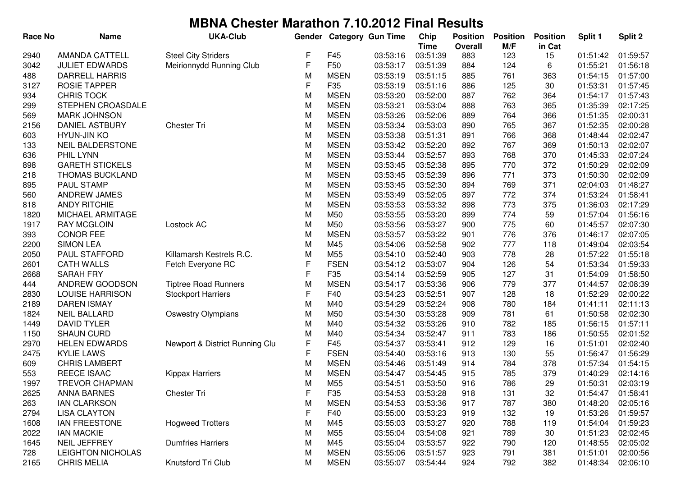| <b>Race No</b> | <b>Name</b>              | <b>UKA-Club</b>                | Gender |                 | <b>Category Gun Time</b> | Chip        | <b>Position</b> | <b>Position</b> | <b>Position</b> | Split 1  | Split 2  |
|----------------|--------------------------|--------------------------------|--------|-----------------|--------------------------|-------------|-----------------|-----------------|-----------------|----------|----------|
|                |                          |                                |        |                 |                          | <b>Time</b> | <b>Overall</b>  | M/F             | in Cat          |          |          |
| 2940           | <b>AMANDA CATTELL</b>    | <b>Steel City Striders</b>     | F      | F45             | 03:53:16                 | 03:51:39    | 883             | 123             | 15              | 01:51:42 | 01:59:57 |
| 3042           | <b>JULIET EDWARDS</b>    | Meirionnydd Running Club       | F      | F50             | 03:53:17                 | 03:51:39    | 884             | 124             | 6               | 01:55:21 | 01:56:18 |
| 488            | <b>DARRELL HARRIS</b>    |                                | M      | <b>MSEN</b>     | 03:53:19                 | 03:51:15    | 885             | 761             | 363             | 01:54:15 | 01:57:00 |
| 3127           | <b>ROSIE TAPPER</b>      |                                | F      | F35             | 03:53:19                 | 03:51:16    | 886             | 125             | 30              | 01:53:31 | 01:57:45 |
| 934            | <b>CHRIS TOCK</b>        |                                | M      | <b>MSEN</b>     | 03:53:20                 | 03:52:00    | 887             | 762             | 364             | 01:54:17 | 01:57:43 |
| 299            | STEPHEN CROASDALE        |                                | M      | <b>MSEN</b>     | 03:53:21                 | 03:53:04    | 888             | 763             | 365             | 01:35:39 | 02:17:25 |
| 569            | <b>MARK JOHNSON</b>      |                                | M      | <b>MSEN</b>     | 03:53:26                 | 03:52:06    | 889             | 764             | 366             | 01:51:35 | 02:00:31 |
| 2156           | <b>DANIEL ASTBURY</b>    | <b>Chester Tri</b>             | M      | <b>MSEN</b>     | 03:53:34                 | 03:53:03    | 890             | 765             | 367             | 01:52:35 | 02:00:28 |
| 603            | <b>HYUN-JIN KO</b>       |                                | M      | <b>MSEN</b>     | 03:53:38                 | 03:51:31    | 891             | 766             | 368             | 01:48:44 | 02:02:47 |
| 133            | <b>NEIL BALDERSTONE</b>  |                                | M      | <b>MSEN</b>     | 03:53:42                 | 03:52:20    | 892             | 767             | 369             | 01:50:13 | 02:02:07 |
| 636            | PHIL LYNN                |                                | M      | <b>MSEN</b>     | 03:53:44                 | 03:52:57    | 893             | 768             | 370             | 01:45:33 | 02:07:24 |
| 898            | <b>GARETH STICKELS</b>   |                                | M      | <b>MSEN</b>     | 03:53:45                 | 03:52:38    | 895             | 770             | 372             | 01:50:29 | 02:02:09 |
| 218            | THOMAS BUCKLAND          |                                | M      | <b>MSEN</b>     | 03:53:45                 | 03:52:39    | 896             | 771             | 373             | 01:50:30 | 02:02:09 |
| 895            | PAUL STAMP               |                                | M      | <b>MSEN</b>     | 03:53:45                 | 03:52:30    | 894             | 769             | 371             | 02:04:03 | 01:48:27 |
| 560            | ANDREW JAMES             |                                | M      | <b>MSEN</b>     | 03:53:49                 | 03:52:05    | 897             | 772             | 374             | 01:53:24 | 01:58:41 |
| 818            | <b>ANDY RITCHIE</b>      |                                | M      | <b>MSEN</b>     | 03:53:53                 | 03:53:32    | 898             | 773             | 375             | 01:36:03 | 02:17:29 |
| 1820           | MICHAEL ARMITAGE         |                                | M      | M50             | 03:53:55                 | 03:53:20    | 899             | 774             | 59              | 01:57:04 | 01:56:16 |
| 1917           | <b>RAY MCGLOIN</b>       | Lostock AC                     | M      | M50             | 03:53:56                 | 03:53:27    | 900             | 775             | 60              | 01:45:57 | 02:07:30 |
| 393            | <b>CONOR FEE</b>         |                                | M      | <b>MSEN</b>     | 03:53:57                 | 03:53:22    | 901             | 776             | 376             | 01:46:17 | 02:07:05 |
| 2200           | <b>SIMON LEA</b>         |                                | M      | M45             | 03:54:06                 | 03:52:58    | 902             | 777             | 118             | 01:49:04 | 02:03:54 |
| 2050           | PAUL STAFFORD            | Killamarsh Kestrels R.C.       | M      | M55             | 03:54:10                 | 03:52:40    | 903             | 778             | 28              | 01:57:22 | 01:55:18 |
| 2601           | <b>CATH WALLS</b>        | Fetch Everyone RC              | F      | <b>FSEN</b>     | 03:54:12                 | 03:53:07    | 904             | 126             | 54              | 01:53:34 | 01:59:33 |
| 2668           | <b>SARAH FRY</b>         |                                | F      | F35             | 03:54:14                 | 03:52:59    | 905             | 127             | 31              | 01:54:09 | 01:58:50 |
| 444            | ANDREW GOODSON           | <b>Tiptree Road Runners</b>    | M      | <b>MSEN</b>     | 03:54:17                 | 03:53:36    | 906             | 779             | 377             | 01:44:57 | 02:08:39 |
| 2830           | <b>LOUISE HARRISON</b>   | <b>Stockport Harriers</b>      | F      | F40             | 03:54:23                 | 03:52:51    | 907             | 128             | 18              | 01:52:29 | 02:00:22 |
| 2189           | <b>DAREN ISMAY</b>       |                                | M      | M40             | 03:54:29                 | 03:52:24    | 908             | 780             | 184             | 01:41:11 | 02:11:13 |
| 1824           | <b>NEIL BALLARD</b>      | <b>Oswestry Olympians</b>      | M      | M50             | 03:54:30                 | 03:53:28    | 909             | 781             | 61              | 01:50:58 | 02:02:30 |
| 1449           | <b>DAVID TYLER</b>       |                                | M      | M40             | 03:54:32                 | 03:53:26    | 910             | 782             | 185             | 01:56:15 | 01:57:11 |
| 1150           | <b>SHAUN CURD</b>        |                                | M      | M40             | 03:54:34                 | 03:52:47    | 911             | 783             | 186             | 01:50:55 | 02:01:52 |
| 2970           | <b>HELEN EDWARDS</b>     | Newport & District Running Clu | F      | F45             | 03:54:37                 | 03:53:41    | 912             | 129             | 16              | 01:51:01 | 02:02:40 |
| 2475           | <b>KYLIE LAWS</b>        |                                | F      | <b>FSEN</b>     | 03:54:40                 | 03:53:16    | 913             | 130             | 55              | 01:56:47 | 01:56:29 |
| 609            | <b>CHRIS LAMBERT</b>     |                                | M      | <b>MSEN</b>     | 03:54:46                 | 03:51:49    | 914             | 784             | 378             | 01:57:34 | 01:54:15 |
| 553            | <b>REECE ISAAC</b>       | <b>Kippax Harriers</b>         | M      | <b>MSEN</b>     | 03:54:47                 | 03:54:45    | 915             | 785             | 379             | 01:40:29 | 02:14:16 |
| 1997           | <b>TREVOR CHAPMAN</b>    |                                | М      | M <sub>55</sub> | 03:54:51                 | 03:53:50    | 916             | 786             | 29              | 01:50:31 | 02:03:19 |
| 2625           | <b>ANNA BARNES</b>       | Chester Tri                    | F      | F <sub>35</sub> | 03:54:53                 | 03:53:28    | 918             | 131             | 32              | 01:54:47 | 01:58:41 |
| 263            | <b>IAN CLARKSON</b>      |                                | M      | <b>MSEN</b>     | 03:54:53                 | 03:53:36    | 917             | 787             | 380             | 01:48:20 | 02:05:16 |
| 2794           | <b>LISA CLAYTON</b>      |                                | F      | F40             | 03:55:00                 | 03:53:23    | 919             | 132             | 19              | 01:53:26 | 01:59:57 |
| 1608           | <b>IAN FREESTONE</b>     | <b>Hogweed Trotters</b>        | M      | M45             | 03:55:03                 | 03:53:27    | 920             | 788             | 119             | 01:54:04 | 01:59:23 |
| 2022           | <b>IAN MACKIE</b>        |                                | M      | M55             | 03:55:04                 | 03:54:08    | 921             | 789             | 30              | 01:51:23 | 02:02:45 |
| 1645           | NEIL JEFFREY             | <b>Dumfries Harriers</b>       | M      | M45             | 03:55:04                 | 03:53:57    | 922             | 790             | 120             | 01:48:55 | 02:05:02 |
| 728            | <b>LEIGHTON NICHOLAS</b> |                                | M      | <b>MSEN</b>     | 03:55:06                 | 03:51:57    | 923             | 791             | 381             | 01:51:01 | 02:00:56 |
| 2165           | <b>CHRIS MELIA</b>       | Knutsford Tri Club             | M      | <b>MSEN</b>     | 03:55:07                 | 03:54:44    | 924             | 792             | 382             | 01:48:34 | 02:06:10 |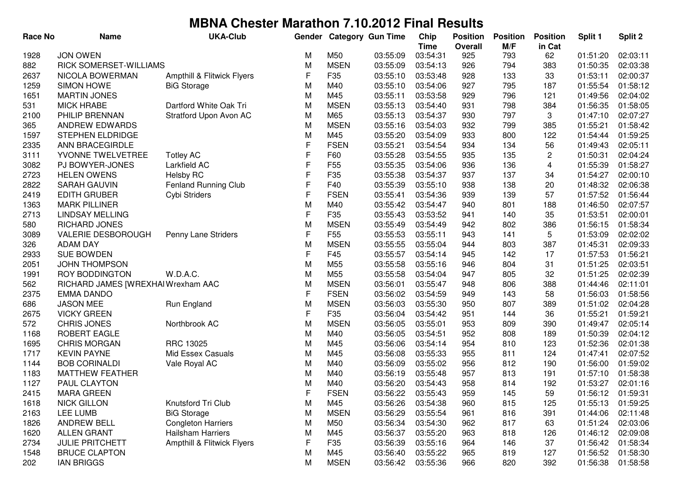| <b>Race No</b> | <b>Name</b>                       | <b>UKA-Club</b>             | Gender      |                 | <b>Category Gun Time</b> | Chip<br><b>Time</b> | <b>Position</b><br><b>Overall</b> | <b>Position</b><br>M/F | <b>Position</b><br>in Cat | Split 1  | Split 2  |
|----------------|-----------------------------------|-----------------------------|-------------|-----------------|--------------------------|---------------------|-----------------------------------|------------------------|---------------------------|----------|----------|
| 1928           | <b>JON OWEN</b>                   |                             | M           | M50             | 03:55:09                 | 03:54:31            | 925                               | 793                    | 62                        | 01:51:20 | 02:03:11 |
| 882            | RICK SOMERSET-WILLIAMS            |                             | M           | <b>MSEN</b>     | 03:55:09                 | 03:54:13            | 926                               | 794                    | 383                       | 01:50:35 | 02:03:38 |
| 2637           | NICOLA BOWERMAN                   | Ampthill & Flitwick Flyers  | F           | F35             | 03:55:10                 | 03:53:48            | 928                               | 133                    | 33                        | 01:53:11 | 02:00:37 |
| 1259           | <b>SIMON HOWE</b>                 | <b>BiG Storage</b>          | M           | M40             | 03:55:10                 | 03:54:06            | 927                               | 795                    | 187                       | 01:55:54 | 01:58:12 |
| 1651           | <b>MARTIN JONES</b>               |                             | M           | M45             | 03:55:11                 | 03:53:58            | 929                               | 796                    | 121                       | 01:49:56 | 02:04:02 |
| 531            | <b>MICK HRABE</b>                 | Dartford White Oak Tri      | M           | <b>MSEN</b>     | 03:55:13                 | 03:54:40            | 931                               | 798                    | 384                       | 01:56:35 | 01:58:05 |
| 2100           | PHILIP BRENNAN                    | Stratford Upon Avon AC      | M           | M65             | 03:55:13                 | 03:54:37            | 930                               | 797                    | 3                         | 01:47:10 | 02:07:27 |
| 365            | <b>ANDREW EDWARDS</b>             |                             | M           | <b>MSEN</b>     | 03:55:16                 | 03:54:03            | 932                               | 799                    | 385                       | 01:55:21 | 01:58:42 |
| 1597           | STEPHEN ELDRIDGE                  |                             | M           | M45             | 03:55:20                 | 03:54:09            | 933                               | 800                    | 122                       | 01:54:44 | 01:59:25 |
| 2335           | ANN BRACEGIRDLE                   |                             | F           | <b>FSEN</b>     | 03:55:21                 | 03:54:54            | 934                               | 134                    | 56                        | 01:49:43 | 02:05:11 |
| 3111           | YVONNE TWELVETREE                 | <b>Totley AC</b>            | $\mathsf F$ | F60             | 03:55:28                 | 03:54:55            | 935                               | 135                    | $\overline{\mathbf{c}}$   | 01:50:31 | 02:04:24 |
| 3082           | PJ BOWYER-JONES                   | Larkfield AC                | F           | F <sub>55</sub> | 03:55:35                 | 03:54:06            | 936                               | 136                    | $\overline{\mathbf{4}}$   | 01:55:39 | 01:58:27 |
| 2723           | <b>HELEN OWENS</b>                | <b>Helsby RC</b>            | F           | F35             | 03:55:38                 | 03:54:37            | 937                               | 137                    | 34                        | 01:54:27 | 02:00:10 |
| 2822           | SARAH GAUVIN                      | <b>Fenland Running Club</b> | $\mathsf F$ | F40             | 03:55:39                 | 03:55:10            | 938                               | 138                    | 20                        | 01:48:32 | 02:06:38 |
| 2419           | <b>EDITH GRUBER</b>               | Cybi Striders               | F           | <b>FSEN</b>     | 03:55:41                 | 03:54:36            | 939                               | 139                    | 57                        | 01:57:52 | 01:56:44 |
| 1363           | <b>MARK PILLINER</b>              |                             | M           | M40             | 03:55:42                 | 03:54:47            | 940                               | 801                    | 188                       | 01:46:50 | 02:07:57 |
| 2713           | <b>LINDSAY MELLING</b>            |                             | F           | F35             | 03:55:43                 | 03:53:52            | 941                               | 140                    | 35                        | 01:53:51 | 02:00:01 |
| 580            | RICHARD JONES                     |                             | M           | <b>MSEN</b>     | 03:55:49                 | 03:54:49            | 942                               | 802                    | 386                       | 01:56:15 | 01:58:34 |
| 3089           | <b>VALERIE DESBOROUGH</b>         | Penny Lane Striders         | F           | F <sub>55</sub> | 03:55:53                 | 03:55:11            | 943                               | 141                    | 5                         | 01:53:09 | 02:02:02 |
| 326            | <b>ADAM DAY</b>                   |                             | M           | <b>MSEN</b>     | 03:55:55                 | 03:55:04            | 944                               | 803                    | 387                       | 01:45:31 | 02:09:33 |
| 2933           | <b>SUE BOWDEN</b>                 |                             | F           | F45             | 03:55:57                 | 03:54:14            | 945                               | 142                    | 17                        | 01:57:53 | 01:56:21 |
| 2051           | <b>JOHN THOMPSON</b>              |                             | M           | M55             | 03:55:58                 | 03:55:16            | 946                               | 804                    | 31                        | 01:51:25 | 02:03:51 |
| 1991           | ROY BODDINGTON                    | W.D.A.C.                    | M           | M55             | 03:55:58                 | 03:54:04            | 947                               | 805                    | 32                        | 01:51:25 | 02:02:39 |
| 562            | RICHARD JAMES [WREXHAIWrexham AAC |                             | M           | <b>MSEN</b>     | 03:56:01                 | 03:55:47            | 948                               | 806                    | 388                       | 01:44:46 | 02:11:01 |
| 2375           | <b>EMMA DANDO</b>                 |                             | $\mathsf F$ | <b>FSEN</b>     | 03:56:02                 | 03:54:59            | 949                               | 143                    | 58                        | 01:56:03 | 01:58:56 |
| 686            | <b>JASON MEE</b>                  | Run England                 | M           | <b>MSEN</b>     | 03:56:03                 | 03:55:30            | 950                               | 807                    | 389                       | 01:51:02 | 02:04:28 |
| 2675           | <b>VICKY GREEN</b>                |                             | $\mathsf F$ | F35             | 03:56:04                 | 03:54:42            | 951                               | 144                    | 36                        | 01:55:21 | 01:59:21 |
| 572            | <b>CHRIS JONES</b>                | Northbrook AC               | M           | <b>MSEN</b>     | 03:56:05                 | 03:55:01            | 953                               | 809                    | 390                       | 01:49:47 | 02:05:14 |
| 1168           | ROBERT EAGLE                      |                             | M           | M40             | 03:56:05                 | 03:54:51            | 952                               | 808                    | 189                       | 01:50:39 | 02:04:12 |
| 1695           | <b>CHRIS MORGAN</b>               | RRC 13025                   | M           | M45             | 03:56:06                 | 03:54:14            | 954                               | 810                    | 123                       | 01:52:36 | 02:01:38 |
| 1717           | <b>KEVIN PAYNE</b>                | Mid Essex Casuals           | M           | M45             | 03:56:08                 | 03:55:33            | 955                               | 811                    | 124                       | 01:47:41 | 02:07:52 |
| 1144           | <b>BOB CORINALDI</b>              | Vale Royal AC               | M           | M40             | 03:56:09                 | 03:55:02            | 956                               | 812                    | 190                       | 01:56:00 | 01:59:02 |
| 1183           | <b>MATTHEW FEATHER</b>            |                             | M           | M40             | 03:56:19                 | 03:55:48            | 957                               | 813                    | 191                       | 01:57:10 | 01:58:38 |
| 1127           | PAUL CLAYTON                      |                             | M           | M40             | 03:56:20                 | 03:54:43            | 958                               | 814                    | 192                       | 01:53:27 | 02:01:16 |
| 2415           | <b>MARA GREEN</b>                 |                             | F.          | <b>FSEN</b>     | 03:56:22                 | 03:55:43            | 959                               | 145                    | 59                        | 01:56:12 | 01:59:31 |
| 1618           | <b>NICK GILLON</b>                | Knutsford Tri Club          | M           | M45             | 03:56:26                 | 03:54:38            | 960                               | 815                    | 125                       | 01:55:13 | 01:59:25 |
| 2163           | LEE LUMB                          | <b>BiG Storage</b>          | M           | <b>MSEN</b>     | 03:56:29                 | 03:55:54            | 961                               | 816                    | 391                       | 01:44:06 | 02:11:48 |
| 1826           | <b>ANDREW BELL</b>                | <b>Congleton Harriers</b>   | M           | M50             | 03:56:34                 | 03:54:30            | 962                               | 817                    | 63                        | 01:51:24 | 02:03:06 |
| 1620           | <b>ALLEN GRANT</b>                | Hailsham Harriers           | M           | M45             | 03:56:37                 | 03:55:20            | 963                               | 818                    | 126                       | 01:46:12 | 02:09:08 |
| 2734           | <b>JULIE PRITCHETT</b>            | Ampthill & Flitwick Flyers  | F           | F35             | 03:56:39                 | 03:55:16            | 964                               | 146                    | 37                        | 01:56:42 | 01:58:34 |
| 1548           | <b>BRUCE CLAPTON</b>              |                             | M           | M45             | 03:56:40                 | 03:55:22            | 965                               | 819                    | 127                       | 01:56:52 | 01:58:30 |
| 202            | <b>IAN BRIGGS</b>                 |                             | M           | <b>MSEN</b>     | 03:56:42                 | 03:55:36            | 966                               | 820                    | 392                       | 01:56:38 | 01:58:58 |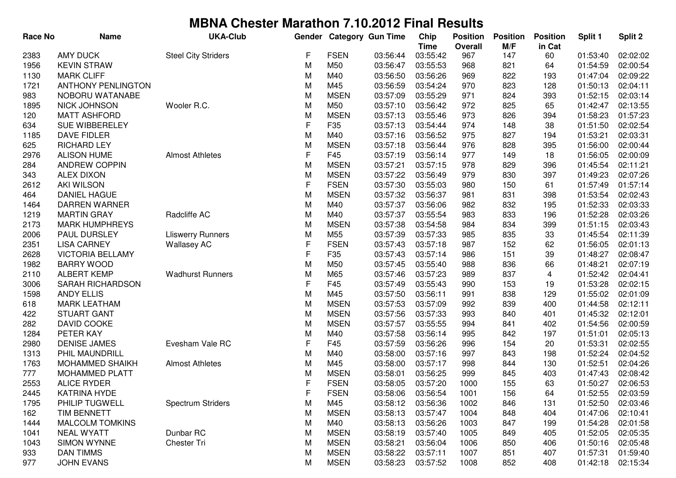| <b>Race No</b> | <b>Name</b>               | <b>UKA-Club</b>            | Gender      |             | <b>Category Gun Time</b> | Chip        | <b>Position</b> | <b>Position</b> | <b>Position</b> | Split 1  | Split 2  |
|----------------|---------------------------|----------------------------|-------------|-------------|--------------------------|-------------|-----------------|-----------------|-----------------|----------|----------|
|                |                           |                            |             |             |                          | <b>Time</b> | <b>Overall</b>  | M/F             | in Cat          |          |          |
| 2383           | <b>AMY DUCK</b>           | <b>Steel City Striders</b> | F           | <b>FSEN</b> | 03:56:44                 | 03:55:42    | 967             | 147             | 60              | 01:53:40 | 02:02:02 |
| 1956           | <b>KEVIN STRAW</b>        |                            | M           | M50         | 03:56:47                 | 03:55:53    | 968             | 821             | 64              | 01:54:59 | 02:00:54 |
| 1130           | <b>MARK CLIFF</b>         |                            | M           | M40         | 03:56:50                 | 03:56:26    | 969             | 822             | 193             | 01:47:04 | 02:09:22 |
| 1721           | <b>ANTHONY PENLINGTON</b> |                            | M           | M45         | 03:56:59                 | 03:54:24    | 970             | 823             | 128             | 01:50:13 | 02:04:11 |
| 983            | NOBORU WATANABE           |                            | M           | <b>MSEN</b> | 03:57:09                 | 03:55:29    | 971             | 824             | 393             | 01:52:15 | 02:03:14 |
| 1895           | <b>NICK JOHNSON</b>       | Wooler R.C.                | M           | M50         | 03:57:10                 | 03:56:42    | 972             | 825             | 65              | 01:42:47 | 02:13:55 |
| 120            | <b>MATT ASHFORD</b>       |                            | M           | <b>MSEN</b> | 03:57:13                 | 03:55:46    | 973             | 826             | 394             | 01:58:23 | 01:57:23 |
| 634            | SUE WIBBERELEY            |                            | F           | F35         | 03:57:13                 | 03:54:44    | 974             | 148             | 38              | 01:51:50 | 02:02:54 |
| 1185           | DAVE FIDLER               |                            | M           | M40         | 03:57:16                 | 03:56:52    | 975             | 827             | 194             | 01:53:21 | 02:03:31 |
| 625            | <b>RICHARD LEY</b>        |                            | M           | <b>MSEN</b> | 03:57:18                 | 03:56:44    | 976             | 828             | 395             | 01:56:00 | 02:00:44 |
| 2976           | <b>ALISON HUME</b>        | <b>Almost Athletes</b>     | $\mathsf F$ | F45         | 03:57:19                 | 03:56:14    | 977             | 149             | 18              | 01:56:05 | 02:00:09 |
| 284            | <b>ANDREW COPPIN</b>      |                            | M           | <b>MSEN</b> | 03:57:21                 | 03:57:15    | 978             | 829             | 396             | 01:45:54 | 02:11:21 |
| 343            | <b>ALEX DIXON</b>         |                            | M           | <b>MSEN</b> | 03:57:22                 | 03:56:49    | 979             | 830             | 397             | 01:49:23 | 02:07:26 |
| 2612           | <b>AKI WILSON</b>         |                            | $\mathsf F$ | <b>FSEN</b> | 03:57:30                 | 03:55:03    | 980             | 150             | 61              | 01:57:49 | 01:57:14 |
| 464            | <b>DANIEL HAGUE</b>       |                            | M           | <b>MSEN</b> | 03:57:32                 | 03:56:37    | 981             | 831             | 398             | 01:53:54 | 02:02:43 |
| 1464           | DARREN WARNER             |                            | M           | M40         | 03:57:37                 | 03:56:06    | 982             | 832             | 195             | 01:52:33 | 02:03:33 |
| 1219           | <b>MARTIN GRAY</b>        | Radcliffe AC               | M           | M40         | 03:57:37                 | 03:55:54    | 983             | 833             | 196             | 01:52:28 | 02:03:26 |
| 2173           | <b>MARK HUMPHREYS</b>     |                            | M           | <b>MSEN</b> | 03:57:38                 | 03:54:58    | 984             | 834             | 399             | 01:51:15 | 02:03:43 |
| 2006           | PAUL DURSLEY              | <b>Lliswerry Runners</b>   | M           | M55         | 03:57:39                 | 03:57:33    | 985             | 835             | 33              | 01:45:54 | 02:11:39 |
| 2351           | <b>LISA CARNEY</b>        | <b>Wallasey AC</b>         | F           | <b>FSEN</b> | 03:57:43                 | 03:57:18    | 987             | 152             | 62              | 01:56:05 | 02:01:13 |
| 2628           | <b>VICTORIA BELLAMY</b>   |                            | F           | F35         | 03:57:43                 | 03:57:14    | 986             | 151             | 39              | 01:48:27 | 02:08:47 |
| 1982           | <b>BARRY WOOD</b>         |                            | M           | M50         | 03:57:45                 | 03:55:40    | 988             | 836             | 66              | 01:48:21 | 02:07:19 |
| 2110           | <b>ALBERT KEMP</b>        | <b>Wadhurst Runners</b>    | M           | M65         | 03:57:46                 | 03:57:23    | 989             | 837             | 4               | 01:52:42 | 02:04:41 |
| 3006           | SARAH RICHARDSON          |                            | F           | F45         | 03:57:49                 | 03:55:43    | 990             | 153             | 19              | 01:53:28 | 02:02:15 |
| 1598           | <b>ANDY ELLIS</b>         |                            | M           | M45         | 03:57:50                 | 03:56:11    | 991             | 838             | 129             | 01:55:02 | 02:01:09 |
| 618            | <b>MARK LEATHAM</b>       |                            | M           | <b>MSEN</b> | 03:57:53                 | 03:57:09    | 992             | 839             | 400             | 01:44:58 | 02:12:11 |
| 422            | <b>STUART GANT</b>        |                            | M           | <b>MSEN</b> | 03:57:56                 | 03:57:33    | 993             | 840             | 401             | 01:45:32 | 02:12:01 |
| 282            | DAVID COOKE               |                            | M           | <b>MSEN</b> | 03:57:57                 | 03:55:55    | 994             | 841             | 402             | 01:54:56 | 02:00:59 |
| 1284           | PETER KAY                 |                            | M           | M40         | 03:57:58                 | 03:56:14    | 995             | 842             | 197             | 01:51:01 | 02:05:13 |
| 2980           | <b>DENISE JAMES</b>       | Evesham Vale RC            | $\mathsf F$ | F45         | 03:57:59                 | 03:56:26    | 996             | 154             | 20              | 01:53:31 | 02:02:55 |
| 1313           | PHIL MAUNDRILL            |                            | M           | M40         | 03:58:00                 | 03:57:16    | 997             | 843             | 198             | 01:52:24 | 02:04:52 |
| 1763           | MOHAMMED SHAIKH           | <b>Almost Athletes</b>     | M           | M45         | 03:58:00                 | 03:57:17    | 998             | 844             | 130             | 01:52:51 | 02:04:26 |
| 777            | <b>MOHAMMED PLATT</b>     |                            | M           | <b>MSEN</b> | 03:58:01                 | 03:56:25    | 999             | 845             | 403             | 01:47:43 | 02:08:42 |
| 2553           | <b>ALICE RYDER</b>        |                            | F           | <b>FSEN</b> | 03:58:05                 | 03:57:20    | 1000            | 155             | 63              | 01:50:27 | 02:06:53 |
| 2445           | <b>KATRINA HYDE</b>       |                            | F           | <b>FSEN</b> | 03:58:06                 | 03:56:54    | 1001            | 156             | 64              | 01:52:55 | 02:03:59 |
| 1795           | PHILIP TUGWELL            | <b>Spectrum Striders</b>   | M           | M45         | 03:58:12                 | 03:56:36    | 1002            | 846             | 131             | 01:52:50 | 02:03:46 |
| 162            | TIM BENNETT               |                            | M           | <b>MSEN</b> | 03:58:13                 | 03:57:47    | 1004            | 848             | 404             | 01:47:06 | 02:10:41 |
| 1444           | <b>MALCOLM TOMKINS</b>    |                            | M           | M40         | 03:58:13                 | 03:56:26    | 1003            | 847             | 199             | 01:54:28 | 02:01:58 |
| 1041           | <b>NEAL WYATT</b>         | Dunbar RC                  | M           | <b>MSEN</b> | 03:58:19                 | 03:57:40    | 1005            | 849             | 405             | 01:52:05 | 02:05:35 |
| 1043           | <b>SIMON WYNNE</b>        | Chester Tri                | M           | <b>MSEN</b> | 03:58:21                 | 03:56:04    | 1006            | 850             | 406             | 01:50:16 | 02:05:48 |
| 933            | <b>DAN TIMMS</b>          |                            | M           | <b>MSEN</b> | 03:58:22                 | 03:57:11    | 1007            | 851             | 407             | 01:57:31 | 01:59:40 |
| 977            | <b>JOHN EVANS</b>         |                            | М           | <b>MSEN</b> | 03:58:23                 | 03:57:52    | 1008            | 852             | 408             | 01:42:18 | 02:15:34 |
|                |                           |                            |             |             |                          |             |                 |                 |                 |          |          |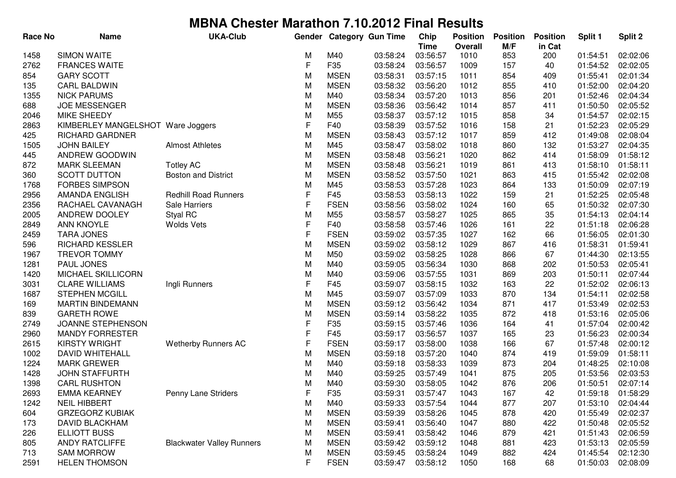| <b>Race No</b> | <b>Name</b>                       | <b>UKA-Club</b>                  | Gender |             | <b>Category Gun Time</b> | Chip                    | <b>Position</b>        | <b>Position</b> | <b>Position</b> | Split 1  | Split 2  |
|----------------|-----------------------------------|----------------------------------|--------|-------------|--------------------------|-------------------------|------------------------|-----------------|-----------------|----------|----------|
|                | <b>SIMON WAITE</b>                |                                  |        | M40         | 03:58:24                 | <b>Time</b><br>03:56:57 | <b>Overall</b><br>1010 | M/F<br>853      | in Cat          | 01:54:51 | 02:02:06 |
| 1458<br>2762   | <b>FRANCES WAITE</b>              |                                  | M<br>F | F35         | 03:58:24                 | 03:56:57                | 1009                   | 157             | 200<br>40       | 01:54:52 | 02:02:05 |
| 854            | <b>GARY SCOTT</b>                 |                                  | M      | <b>MSEN</b> | 03:58:31                 | 03:57:15                | 1011                   | 854             | 409             | 01:55:41 | 02:01:34 |
| 135            | <b>CARL BALDWIN</b>               |                                  | M      | <b>MSEN</b> | 03:58:32                 | 03:56:20                | 1012                   | 855             | 410             | 01:52:00 | 02:04:20 |
| 1355           | <b>NICK PARUMS</b>                |                                  | M      | M40         | 03:58:34                 | 03:57:20                | 1013                   | 856             | 201             | 01:52:46 | 02:04:34 |
| 688            | <b>JOE MESSENGER</b>              |                                  | M      | <b>MSEN</b> | 03:58:36                 | 03:56:42                | 1014                   | 857             | 411             | 01:50:50 | 02:05:52 |
| 2046           | MIKE SHEEDY                       |                                  | M      | M55         | 03:58:37                 | 03:57:12                | 1015                   | 858             | 34              | 01:54:57 | 02:02:15 |
| 2863           | KIMBERLEY MANGELSHOT Ware Joggers |                                  | F      | F40         | 03:58:39                 | 03:57:52                | 1016                   | 158             | 21              | 01:52:23 | 02:05:29 |
| 425            | <b>RICHARD GARDNER</b>            |                                  | M      | <b>MSEN</b> | 03:58:43                 | 03:57:12                | 1017                   | 859             | 412             | 01:49:08 | 02:08:04 |
| 1505           | <b>JOHN BAILEY</b>                | <b>Almost Athletes</b>           | M      | M45         | 03:58:47                 | 03:58:02                | 1018                   | 860             | 132             | 01:53:27 | 02:04:35 |
| 445            | ANDREW GOODWIN                    |                                  | M      | <b>MSEN</b> | 03:58:48                 | 03:56:21                | 1020                   | 862             | 414             | 01:58:09 | 01:58:12 |
| 872            | <b>MARK SLEEMAN</b>               | <b>Totley AC</b>                 | M      | <b>MSEN</b> | 03:58:48                 | 03:56:21                | 1019                   | 861             | 413             | 01:58:10 | 01:58:11 |
| 360            | <b>SCOTT DUTTON</b>               | <b>Boston and District</b>       | M      | <b>MSEN</b> | 03:58:52                 | 03:57:50                | 1021                   | 863             | 415             | 01:55:42 | 02:02:08 |
| 1768           | <b>FORBES SIMPSON</b>             |                                  | M      | M45         | 03:58:53                 | 03:57:28                | 1023                   | 864             | 133             | 01:50:09 | 02:07:19 |
| 2956           | AMANDA ENGLISH                    | <b>Redhill Road Runners</b>      | F      | F45         | 03:58:53                 | 03:58:13                | 1022                   | 159             | 21              | 01:52:25 | 02:05:48 |
| 2356           | RACHAEL CAVANAGH                  | <b>Sale Harriers</b>             | F      | <b>FSEN</b> | 03:58:56                 | 03:58:02                | 1024                   | 160             | 65              | 01:50:32 | 02:07:30 |
| 2005           | ANDREW DOOLEY                     | Styal RC                         | M      | M55         | 03:58:57                 | 03:58:27                | 1025                   | 865             | 35              | 01:54:13 | 02:04:14 |
| 2849           | <b>ANN KNOYLE</b>                 | <b>Wolds Vets</b>                | F      | F40         | 03:58:58                 | 03:57:46                | 1026                   | 161             | 22              | 01:51:18 | 02:06:28 |
| 2459           | <b>TARA JONES</b>                 |                                  | F      | <b>FSEN</b> | 03:59:02                 | 03:57:35                | 1027                   | 162             | 66              | 01:56:05 | 02:01:30 |
| 596            | <b>RICHARD KESSLER</b>            |                                  | M      | <b>MSEN</b> | 03:59:02                 | 03:58:12                | 1029                   | 867             | 416             | 01:58:31 | 01:59:41 |
| 1967           | <b>TREVOR TOMMY</b>               |                                  | M      | M50         | 03:59:02                 | 03:58:25                | 1028                   | 866             | 67              | 01:44:30 | 02:13:55 |
| 1281           | <b>PAUL JONES</b>                 |                                  | M      | M40         | 03:59:05                 | 03:56:34                | 1030                   | 868             | 202             | 01:50:53 | 02:05:41 |
| 1420           | MICHAEL SKILLICORN                |                                  | M      | M40         | 03:59:06                 | 03:57:55                | 1031                   | 869             | 203             | 01:50:11 | 02:07:44 |
| 3031           | <b>CLARE WILLIAMS</b>             | Ingli Runners                    | F      | F45         | 03:59:07                 | 03:58:15                | 1032                   | 163             | 22              | 01:52:02 | 02:06:13 |
| 1687           | <b>STEPHEN MCGILL</b>             |                                  | M      | M45         | 03:59:07                 | 03:57:09                | 1033                   | 870             | 134             | 01:54:11 | 02:02:58 |
| 169            | <b>MARTIN BINDEMANN</b>           |                                  | M      | <b>MSEN</b> | 03:59:12                 | 03:56:42                | 1034                   | 871             | 417             | 01:53:49 | 02:02:53 |
| 839            | <b>GARETH ROWE</b>                |                                  | M      | <b>MSEN</b> | 03:59:14                 | 03:58:22                | 1035                   | 872             | 418             | 01:53:16 | 02:05:06 |
| 2749           | JOANNE STEPHENSON                 |                                  | F      | F35         | 03:59:15                 | 03:57:46                | 1036                   | 164             | 41              | 01:57:04 | 02:00:42 |
| 2960           | <b>MANDY FORRESTER</b>            |                                  | F      | F45         | 03:59:17                 | 03:56:57                | 1037                   | 165             | 23              | 01:56:23 | 02:00:34 |
| 2615           | <b>KIRSTY WRIGHT</b>              | <b>Wetherby Runners AC</b>       | F      | <b>FSEN</b> | 03:59:17                 | 03:58:00                | 1038                   | 166             | 67              | 01:57:48 | 02:00:12 |
| 1002           | DAVID WHITEHALL                   |                                  | M      | <b>MSEN</b> | 03:59:18                 | 03:57:20                | 1040                   | 874             | 419             | 01:59:09 | 01:58:11 |
| 1224           | <b>MARK GREWER</b>                |                                  | M      | M40         | 03:59:18                 | 03:58:33                | 1039                   | 873             | 204             | 01:48:25 | 02:10:08 |
| 1428           | <b>JOHN STAFFURTH</b>             |                                  | M      | M40         | 03:59:25                 | 03:57:49                | 1041                   | 875             | 205             | 01:53:56 | 02:03:53 |
| 1398           | <b>CARL RUSHTON</b>               |                                  | M      | M40         | 03:59:30                 | 03:58:05                | 1042                   | 876             | 206             | 01:50:51 | 02:07:14 |
| 2693           | <b>EMMA KEARNEY</b>               | Penny Lane Striders              | F      | F35         | 03:59:31                 | 03:57:47                | 1043                   | 167             | 42              | 01:59:18 | 01:58:29 |
| 1242           | <b>NEIL HIBBERT</b>               |                                  | M      | M40         | 03:59:33                 | 03:57:54                | 1044                   | 877             | 207             | 01:53:10 | 02:04:44 |
| 604            | <b>GRZEGORZ KUBIAK</b>            |                                  | M      | <b>MSEN</b> | 03:59:39                 | 03:58:26                | 1045                   | 878             | 420             | 01:55:49 | 02:02:37 |
| 173            | DAVID BLACKHAM                    |                                  | M      | <b>MSEN</b> | 03:59:41                 | 03:56:40                | 1047                   | 880             | 422             | 01:50:48 | 02:05:52 |
| 226            | <b>ELLIOTT BUSS</b>               |                                  | M      | <b>MSEN</b> | 03:59:41                 | 03:58:42                | 1046                   | 879             | 421             | 01:51:43 | 02:06:59 |
| 805            | <b>ANDY RATCLIFFE</b>             | <b>Blackwater Valley Runners</b> | M      | <b>MSEN</b> | 03:59:42                 | 03:59:12                | 1048                   | 881             | 423             | 01:53:13 | 02:05:59 |
| 713            | <b>SAM MORROW</b>                 |                                  | M      | <b>MSEN</b> | 03:59:45                 | 03:58:24                | 1049                   | 882             | 424             | 01:45:54 | 02:12:30 |
| 2591           | <b>HELEN THOMSON</b>              |                                  | F      | <b>FSEN</b> | 03:59:47                 | 03:58:12                | 1050                   | 168             | 68              | 01:50:03 | 02:08:09 |
|                |                                   |                                  |        |             |                          |                         |                        |                 |                 |          |          |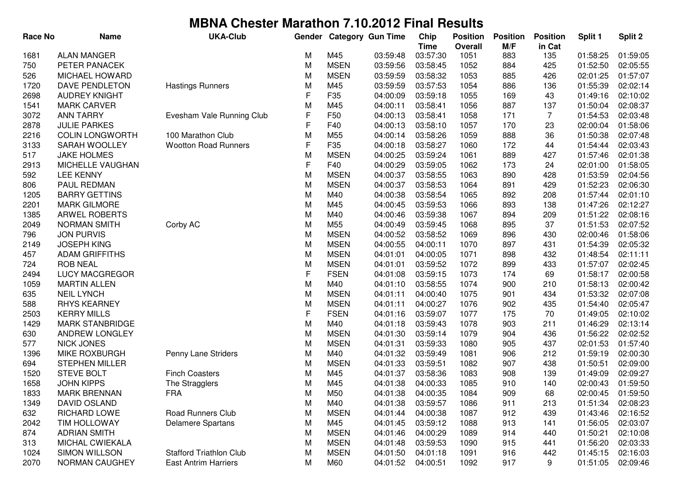| <b>Race No</b> | <b>Name</b>            | <b>UKA-Club</b>                | Gender      |                 | <b>Category Gun Time</b> | Chip        | <b>Position</b> | <b>Position</b> | <b>Position</b> | Split 1  | Split 2  |
|----------------|------------------------|--------------------------------|-------------|-----------------|--------------------------|-------------|-----------------|-----------------|-----------------|----------|----------|
|                |                        |                                |             |                 |                          | <b>Time</b> | Overall         | M/F             | in Cat          |          |          |
| 1681           | <b>ALAN MANGER</b>     |                                | м           | M45             | 03:59:48                 | 03:57:30    | 1051            | 883             | 135             | 01:58:25 | 01:59:05 |
| 750            | PETER PANACEK          |                                | M           | <b>MSEN</b>     | 03:59:56                 | 03:58:45    | 1052            | 884             | 425             | 01:52:50 | 02:05:55 |
| 526            | <b>MICHAEL HOWARD</b>  |                                | M           | <b>MSEN</b>     | 03:59:59                 | 03:58:32    | 1053            | 885             | 426             | 02:01:25 | 01:57:07 |
| 1720           | DAVE PENDLETON         | <b>Hastings Runners</b>        | M           | M45             | 03:59:59                 | 03:57:53    | 1054            | 886             | 136             | 01:55:39 | 02:02:14 |
| 2698           | <b>AUDREY KNIGHT</b>   |                                | F           | F35             | 04:00:09                 | 03:59:18    | 1055            | 169             | 43              | 01:49:16 | 02:10:02 |
| 1541           | <b>MARK CARVER</b>     |                                | M           | M45             | 04:00:11                 | 03:58:41    | 1056            | 887             | 137             | 01:50:04 | 02:08:37 |
| 3072           | <b>ANN TARRY</b>       | Evesham Vale Running Club      | F           | F50             | 04:00:13                 | 03:58:41    | 1058            | 171             | $\overline{7}$  | 01:54:53 | 02:03:48 |
| 2878           | <b>JULIE PARKES</b>    |                                | F           | F40             | 04:00:13                 | 03:58:10    | 1057            | 170             | 23              | 02:00:04 | 01:58:06 |
| 2216           | <b>COLIN LONGWORTH</b> | 100 Marathon Club              | M           | M <sub>55</sub> | 04:00:14                 | 03:58:26    | 1059            | 888             | 36              | 01:50:38 | 02:07:48 |
| 3133           | SARAH WOOLLEY          | <b>Wootton Road Runners</b>    | $\mathsf F$ | F35             | 04:00:18                 | 03:58:27    | 1060            | 172             | 44              | 01:54:44 | 02:03:43 |
| 517            | <b>JAKE HOLMES</b>     |                                | M           | <b>MSEN</b>     | 04:00:25                 | 03:59:24    | 1061            | 889             | 427             | 01:57:46 | 02:01:38 |
| 2913           | MICHELLE VAUGHAN       |                                | F           | F40             | 04:00:29                 | 03:59:05    | 1062            | 173             | 24              | 02:01:00 | 01:58:05 |
| 592            | <b>LEE KENNY</b>       |                                | M           | <b>MSEN</b>     | 04:00:37                 | 03:58:55    | 1063            | 890             | 428             | 01:53:59 | 02:04:56 |
| 806            | PAUL REDMAN            |                                | M           | <b>MSEN</b>     | 04:00:37                 | 03:58:53    | 1064            | 891             | 429             | 01:52:23 | 02:06:30 |
| 1205           | <b>BARRY GETTINS</b>   |                                | M           | M40             | 04:00:38                 | 03:58:54    | 1065            | 892             | 208             | 01:57:44 | 02:01:10 |
| 2201           | <b>MARK GILMORE</b>    |                                | M           | M45             | 04:00:45                 | 03:59:53    | 1066            | 893             | 138             | 01:47:26 | 02:12:27 |
| 1385           | <b>ARWEL ROBERTS</b>   |                                | M           | M40             | 04:00:46                 | 03:59:38    | 1067            | 894             | 209             | 01:51:22 | 02:08:16 |
| 2049           | <b>NORMAN SMITH</b>    | Corby AC                       | M           | M55             | 04:00:49                 | 03:59:45    | 1068            | 895             | 37              | 01:51:53 | 02:07:52 |
| 796            | <b>JON PURVIS</b>      |                                | M           | <b>MSEN</b>     | 04:00:52                 | 03:58:52    | 1069            | 896             | 430             | 02:00:46 | 01:58:06 |
| 2149           | <b>JOSEPH KING</b>     |                                | M           | <b>MSEN</b>     | 04:00:55                 | 04:00:11    | 1070            | 897             | 431             | 01:54:39 | 02:05:32 |
| 457            | <b>ADAM GRIFFITHS</b>  |                                | M           | <b>MSEN</b>     | 04:01:01                 | 04:00:05    | 1071            | 898             | 432             | 01:48:54 | 02:11:11 |
| 724            | <b>ROB NEAL</b>        |                                | M           | <b>MSEN</b>     | 04:01:01                 | 03:59:52    | 1072            | 899             | 433             | 01:57:07 | 02:02:45 |
| 2494           | <b>LUCY MACGREGOR</b>  |                                | F           | <b>FSEN</b>     | 04:01:08                 | 03:59:15    | 1073            | 174             | 69              | 01:58:17 | 02:00:58 |
| 1059           | <b>MARTIN ALLEN</b>    |                                | M           | M40             | 04:01:10                 | 03:58:55    | 1074            | 900             | 210             | 01:58:13 | 02:00:42 |
| 635            | <b>NEIL LYNCH</b>      |                                | M           | <b>MSEN</b>     | 04:01:11                 | 04:00:40    | 1075            | 901             | 434             | 01:53:32 | 02:07:08 |
| 588            | <b>RHYS KEARNEY</b>    |                                | M           | <b>MSEN</b>     | 04:01:11                 | 04:00:27    | 1076            | 902             | 435             | 01:54:40 | 02:05:47 |
| 2503           | <b>KERRY MILLS</b>     |                                | F           | <b>FSEN</b>     | 04:01:16                 | 03:59:07    | 1077            | 175             | 70              | 01:49:05 | 02:10:02 |
| 1429           | <b>MARK STANBRIDGE</b> |                                | M           | M40             | 04:01:18                 | 03:59:43    | 1078            | 903             | 211             | 01:46:29 | 02:13:14 |
| 630            | ANDREW LONGLEY         |                                | M           | <b>MSEN</b>     | 04:01:30                 | 03:59:14    | 1079            | 904             | 436             | 01:56:22 | 02:02:52 |
| 577            | <b>NICK JONES</b>      |                                | M           | <b>MSEN</b>     | 04:01:31                 | 03:59:33    | 1080            | 905             | 437             | 02:01:53 | 01:57:40 |
| 1396           | <b>MIKE ROXBURGH</b>   | Penny Lane Striders            | M           | M40             | 04:01:32                 | 03:59:49    | 1081            | 906             | 212             | 01:59:19 | 02:00:30 |
| 694            | <b>STEPHEN MILLER</b>  |                                | M           | <b>MSEN</b>     | 04:01:33                 | 03:59:51    | 1082            | 907             | 438             | 01:50:51 | 02:09:00 |
| 1520           | <b>STEVE BOLT</b>      | <b>Finch Coasters</b>          | М           | M45             | 04:01:37                 | 03:58:36    | 1083            | 908             | 139             | 01:49:09 | 02:09:27 |
| 1658           | <b>JOHN KIPPS</b>      | The Stragglers                 | М           | M45             | 04:01:38                 | 04:00:33    | 1085            | 910             | 140             | 02:00:43 | 01:59:50 |
| 1833           | <b>MARK BRENNAN</b>    | <b>FRA</b>                     | M           | M50             | 04:01:38                 | 04:00:35    | 1084            | 909             | 68              | 02:00:45 | 01:59:50 |
| 1349           | DAVID OSLAND           |                                | M           | M40             | 04:01:38                 | 03:59:57    | 1086            | 911             | 213             | 01:51:34 | 02:08:23 |
| 632            | RICHARD LOWE           | <b>Road Runners Club</b>       | M           | <b>MSEN</b>     | 04:01:44                 | 04:00:38    | 1087            | 912             | 439             | 01:43:46 | 02:16:52 |
| 2042           | <b>TIM HOLLOWAY</b>    | <b>Delamere Spartans</b>       | M           | M45             | 04:01:45                 | 03:59:12    | 1088            | 913             | 141             | 01:56:05 | 02:03:07 |
| 874            | <b>ADRIAN SMITH</b>    |                                | M           | <b>MSEN</b>     | 04:01:46                 | 04:00:29    | 1089            | 914             | 440             | 01:50:21 | 02:10:08 |
| 313            | MICHAL CWIEKALA        |                                | M           | <b>MSEN</b>     | 04:01:48                 | 03:59:53    | 1090            | 915             | 441             | 01:56:20 | 02:03:33 |
| 1024           | <b>SIMON WILLSON</b>   | <b>Stafford Triathlon Club</b> | M           | <b>MSEN</b>     | 04:01:50                 | 04:01:18    | 1091            | 916             | 442             | 01:45:15 | 02:16:03 |
| 2070           | NORMAN CAUGHEY         | <b>East Antrim Harriers</b>    | M           | M60             | 04:01:52                 | 04:00:51    | 1092            | 917             | 9               | 01:51:05 | 02:09:46 |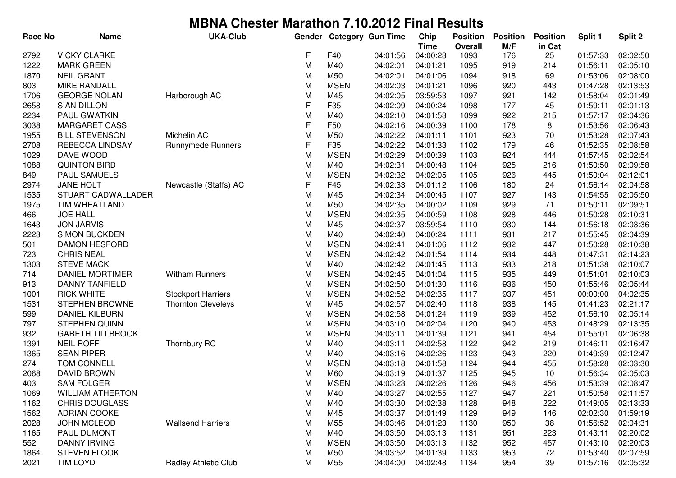| <b>Race No</b> | <b>Name</b>             | <b>UKA-Club</b>             | Gender      |                 | <b>Category Gun Time</b> | Chip                    | <b>Position</b>        | <b>Position</b> | <b>Position</b> | Split 1  | Split 2  |
|----------------|-------------------------|-----------------------------|-------------|-----------------|--------------------------|-------------------------|------------------------|-----------------|-----------------|----------|----------|
| 2792           | <b>VICKY CLARKE</b>     |                             | F           | F40             | 04:01:56                 | <b>Time</b><br>04:00:23 | <b>Overall</b><br>1093 | M/F<br>176      | in Cat<br>25    | 01:57:33 | 02:02:50 |
| 1222           | <b>MARK GREEN</b>       |                             | M           | M40             | 04:02:01                 | 04:01:21                | 1095                   | 919             | 214             | 01:56:11 | 02:05:10 |
| 1870           | <b>NEIL GRANT</b>       |                             | M           | M50             | 04:02:01                 | 04:01:06                | 1094                   | 918             | 69              | 01:53:06 | 02:08:00 |
| 803            | <b>MIKE RANDALL</b>     |                             | M           | <b>MSEN</b>     | 04:02:03                 | 04:01:21                | 1096                   | 920             | 443             | 01:47:28 | 02:13:53 |
| 1706           | <b>GEORGE NOLAN</b>     | Harborough AC               | M           | M45             | 04:02:05                 | 03:59:53                | 1097                   | 921             | 142             | 01:58:04 | 02:01:49 |
| 2658           | <b>SIAN DILLON</b>      |                             | F           | F35             | 04:02:09                 | 04:00:24                | 1098                   | 177             | 45              | 01:59:11 | 02:01:13 |
| 2234           | PAUL GWATKIN            |                             | M           | M40             | 04:02:10                 | 04:01:53                | 1099                   | 922             | 215             | 01:57:17 | 02:04:36 |
| 3038           | <b>MARGARET CASS</b>    |                             | F           | F50             | 04:02:16                 | 04:00:39                | 1100                   | 178             | 8               | 01:53:56 | 02:06:43 |
| 1955           | <b>BILL STEVENSON</b>   | Michelin AC                 | M           | M50             | 04:02:22                 | 04:01:11                | 1101                   | 923             | 70              | 01:53:28 | 02:07:43 |
| 2708           | REBECCA LINDSAY         | <b>Runnymede Runners</b>    | $\mathsf F$ | F35             | 04:02:22                 | 04:01:33                | 1102                   | 179             | 46              | 01:52:35 | 02:08:58 |
| 1029           | DAVE WOOD               |                             | M           | <b>MSEN</b>     | 04:02:29                 | 04:00:39                | 1103                   | 924             | 444             | 01:57:45 | 02:02:54 |
| 1088           | <b>QUINTON BIRD</b>     |                             | M           | M40             | 04:02:31                 | 04:00:48                | 1104                   | 925             | 216             | 01:50:50 | 02:09:58 |
| 849            | <b>PAUL SAMUELS</b>     |                             | M           | <b>MSEN</b>     | 04:02:32                 | 04:02:05                | 1105                   | 926             | 445             | 01:50:04 | 02:12:01 |
| 2974           | <b>JANE HOLT</b>        | Newcastle (Staffs) AC       | F           | F45             | 04:02:33                 | 04:01:12                | 1106                   | 180             | 24              | 01:56:14 | 02:04:58 |
| 1535           | STUART CADWALLADER      |                             | M           | M45             | 04:02:34                 | 04:00:45                | 1107                   | 927             | 143             | 01:54:55 | 02:05:50 |
| 1975           | TIM WHEATLAND           |                             | M           | M50             | 04:02:35                 | 04:00:02                | 1109                   | 929             | 71              | 01:50:11 | 02:09:51 |
| 466            | <b>JOE HALL</b>         |                             | M           | <b>MSEN</b>     | 04:02:35                 | 04:00:59                | 1108                   | 928             | 446             | 01:50:28 | 02:10:31 |
| 1643           | <b>JON JARVIS</b>       |                             | M           | M45             | 04:02:37                 | 03:59:54                | 1110                   | 930             | 144             | 01:56:18 | 02:03:36 |
| 2223           | <b>SIMON BUCKDEN</b>    |                             | M           | M40             | 04:02:40                 | 04:00:24                | 1111                   | 931             | 217             | 01:55:45 | 02:04:39 |
| 501            | <b>DAMON HESFORD</b>    |                             | M           | <b>MSEN</b>     | 04:02:41                 | 04:01:06                | 1112                   | 932             | 447             | 01:50:28 | 02:10:38 |
| 723            | <b>CHRIS NEAL</b>       |                             | M           | <b>MSEN</b>     | 04:02:42                 | 04:01:54                | 1114                   | 934             | 448             | 01:47:31 | 02:14:23 |
| 1303           | <b>STEVE MACK</b>       |                             | M           | M40             | 04:02:42                 | 04:01:45                | 1113                   | 933             | 218             | 01:51:38 | 02:10:07 |
| 714            | <b>DANIEL MORTIMER</b>  | <b>Witham Runners</b>       | M           | <b>MSEN</b>     | 04:02:45                 | 04:01:04                | 1115                   | 935             | 449             | 01:51:01 | 02:10:03 |
| 913            | <b>DANNY TANFIELD</b>   |                             | M           | <b>MSEN</b>     | 04:02:50                 | 04:01:30                | 1116                   | 936             | 450             | 01:55:46 | 02:05:44 |
| 1001           | <b>RICK WHITE</b>       | <b>Stockport Harriers</b>   | M           | <b>MSEN</b>     | 04:02:52                 | 04:02:35                | 1117                   | 937             | 451             | 00:00:00 | 04:02:35 |
| 1531           | <b>STEPHEN BROWNE</b>   | <b>Thornton Cleveleys</b>   | M           | M45             | 04:02:57                 | 04:02:40                | 1118                   | 938             | 145             | 01:41:23 | 02:21:17 |
| 599            | DANIEL KILBURN          |                             | M           | <b>MSEN</b>     | 04:02:58                 | 04:01:24                | 1119                   | 939             | 452             | 01:56:10 | 02:05:14 |
| 797            | STEPHEN QUINN           |                             | M           | <b>MSEN</b>     | 04:03:10                 | 04:02:04                | 1120                   | 940             | 453             | 01:48:29 | 02:13:35 |
| 932            | <b>GARETH TILLBROOK</b> |                             | M           | <b>MSEN</b>     | 04:03:11                 | 04:01:39                | 1121                   | 941             | 454             | 01:55:01 | 02:06:38 |
| 1391           | <b>NEIL ROFF</b>        | Thornbury RC                | M           | M40             | 04:03:11                 | 04:02:58                | 1122                   | 942             | 219             | 01:46:11 | 02:16:47 |
| 1365           | <b>SEAN PIPER</b>       |                             | M           | M40             | 04:03:16                 | 04:02:26                | 1123                   | 943             | 220             | 01:49:39 | 02:12:47 |
| 274            | <b>TOM CONNELL</b>      |                             | M           | <b>MSEN</b>     | 04:03:18                 | 04:01:58                | 1124                   | 944             | 455             | 01:58:28 | 02:03:30 |
| 2068           | DAVID BROWN             |                             | М           | M60             | 04:03:19                 | 04:01:37                | 1125                   | 945             | 10              | 01:56:34 | 02:05:03 |
| 403            | <b>SAM FOLGER</b>       |                             | М           | <b>MSEN</b>     | 04:03:23                 | 04:02:26                | 1126                   | 946             | 456             | 01:53:39 | 02:08:47 |
| 1069           | <b>WILLIAM ATHERTON</b> |                             | M           | M40             | 04:03:27                 | 04:02:55                | 1127                   | 947             | 221             | 01:50:58 | 02:11:57 |
| 1162           | <b>CHRIS DOUGLASS</b>   |                             | M           | M40             | 04:03:30                 | 04:02:38                | 1128                   | 948             | 222             | 01:49:05 | 02:13:33 |
| 1562           | <b>ADRIAN COOKE</b>     |                             | M           | M45             | 04:03:37                 | 04:01:49                | 1129                   | 949             | 146             | 02:02:30 | 01:59:19 |
| 2028           | <b>JOHN MCLEOD</b>      | <b>Wallsend Harriers</b>    | M           | M55             | 04:03:46                 | 04:01:23                | 1130                   | 950             | 38              | 01:56:52 | 02:04:31 |
| 1165           | PAUL DUMONT             |                             | M           | M40             | 04:03:50                 | 04:03:13                | 1131                   | 951             | 223             | 01:43:11 | 02:20:02 |
| 552            | <b>DANNY IRVING</b>     |                             | M           | <b>MSEN</b>     | 04:03:50                 | 04:03:13                | 1132                   | 952             | 457             | 01:43:10 | 02:20:03 |
| 1864           | <b>STEVEN FLOOK</b>     |                             | M           | M50             | 04:03:52                 | 04:01:39                | 1133                   | 953             | 72              | 01:53:40 | 02:07:59 |
| 2021           | <b>TIM LOYD</b>         | <b>Radley Athletic Club</b> | M           | M <sub>55</sub> | 04:04:00                 | 04:02:48                | 1134                   | 954             | 39              | 01:57:16 | 02:05:32 |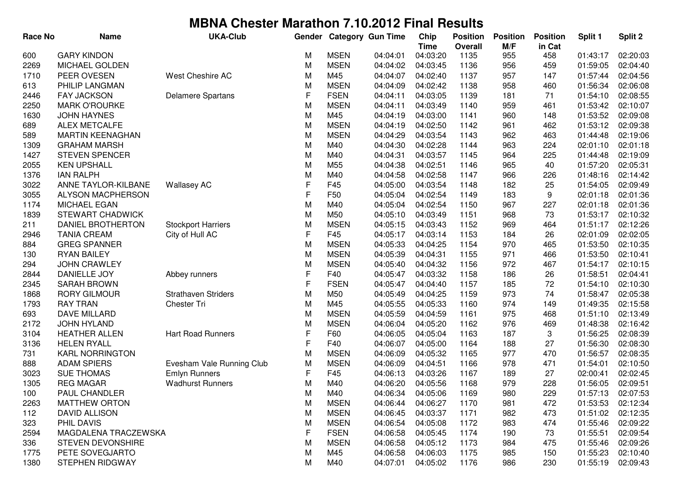| <b>Race No</b> | <b>Name</b>             | <b>UKA-Club</b>            | Gender |             | <b>Category Gun Time</b> | Chip        | <b>Position</b> | <b>Position</b> | <b>Position</b> | Split 1  | Split 2  |
|----------------|-------------------------|----------------------------|--------|-------------|--------------------------|-------------|-----------------|-----------------|-----------------|----------|----------|
|                |                         |                            |        |             |                          | <b>Time</b> | <b>Overall</b>  | M/F             | in Cat          |          |          |
| 600            | <b>GARY KINDON</b>      |                            | М      | <b>MSEN</b> | 04:04:01                 | 04:03:20    | 1135            | 955             | 458             | 01:43:17 | 02:20:03 |
| 2269           | <b>MICHAEL GOLDEN</b>   |                            | M      | <b>MSEN</b> | 04:04:02                 | 04:03:45    | 1136            | 956             | 459             | 01:59:05 | 02:04:40 |
| 1710           | PEER OVESEN             | West Cheshire AC           | M      | M45         | 04:04:07                 | 04:02:40    | 1137            | 957             | 147             | 01:57:44 | 02:04:56 |
| 613            | PHILIP LANGMAN          |                            | M      | <b>MSEN</b> | 04:04:09                 | 04:02:42    | 1138            | 958             | 460             | 01:56:34 | 02:06:08 |
| 2446           | <b>FAY JACKSON</b>      | <b>Delamere Spartans</b>   | F      | <b>FSEN</b> | 04:04:11                 | 04:03:05    | 1139            | 181             | 71              | 01:54:10 | 02:08:55 |
| 2250           | <b>MARK O'ROURKE</b>    |                            | M      | <b>MSEN</b> | 04:04:11                 | 04:03:49    | 1140            | 959             | 461             | 01:53:42 | 02:10:07 |
| 1630           | <b>JOHN HAYNES</b>      |                            | M      | M45         | 04:04:19                 | 04:03:00    | 1141            | 960             | 148             | 01:53:52 | 02:09:08 |
| 689            | ALEX METCALFE           |                            | M      | <b>MSEN</b> | 04:04:19                 | 04:02:50    | 1142            | 961             | 462             | 01:53:12 | 02:09:38 |
| 589            | <b>MARTIN KEENAGHAN</b> |                            | M      | <b>MSEN</b> | 04:04:29                 | 04:03:54    | 1143            | 962             | 463             | 01:44:48 | 02:19:06 |
| 1309           | <b>GRAHAM MARSH</b>     |                            | M      | M40         | 04:04:30                 | 04:02:28    | 1144            | 963             | 224             | 02:01:10 | 02:01:18 |
| 1427           | <b>STEVEN SPENCER</b>   |                            | M      | M40         | 04:04:31                 | 04:03:57    | 1145            | 964             | 225             | 01:44:48 | 02:19:09 |
| 2055           | <b>KEN UPSHALL</b>      |                            | M      | M55         | 04:04:38                 | 04:02:51    | 1146            | 965             | 40              | 01:57:20 | 02:05:31 |
| 1376           | <b>IAN RALPH</b>        |                            | M      | M40         | 04:04:58                 | 04:02:58    | 1147            | 966             | 226             | 01:48:16 | 02:14:42 |
| 3022           | ANNE TAYLOR-KILBANE     | <b>Wallasey AC</b>         | F      | F45         | 04:05:00                 | 04:03:54    | 1148            | 182             | 25              | 01:54:05 | 02:09:49 |
| 3055           | ALYSON MACPHERSON       |                            | F      | F50         | 04:05:04                 | 04:02:54    | 1149            | 183             | 9               | 02:01:18 | 02:01:36 |
| 1174           | MICHAEL EGAN            |                            | M      | M40         | 04:05:04                 | 04:02:54    | 1150            | 967             | 227             | 02:01:18 | 02:01:36 |
| 1839           | <b>STEWART CHADWICK</b> |                            | M      | M50         | 04:05:10                 | 04:03:49    | 1151            | 968             | 73              | 01:53:17 | 02:10:32 |
| 211            | DANIEL BROTHERTON       | <b>Stockport Harriers</b>  | M      | <b>MSEN</b> | 04:05:15                 | 04:03:43    | 1152            | 969             | 464             | 01:51:17 | 02:12:26 |
| 2946           | <b>TANIA CREAM</b>      | City of Hull AC            | F      | F45         | 04:05:17                 | 04:03:14    | 1153            | 184             | 26              | 02:01:09 | 02:02:05 |
| 884            | <b>GREG SPANNER</b>     |                            | M      | <b>MSEN</b> | 04:05:33                 | 04:04:25    | 1154            | 970             | 465             | 01:53:50 | 02:10:35 |
| 130            | <b>RYAN BAILEY</b>      |                            | M      | <b>MSEN</b> | 04:05:39                 | 04:04:31    | 1155            | 971             | 466             | 01:53:50 | 02:10:41 |
| 294            | <b>JOHN CRAWLEY</b>     |                            | M      | <b>MSEN</b> | 04:05:40                 | 04:04:32    | 1156            | 972             | 467             | 01:54:17 | 02:10:15 |
| 2844           | <b>DANIELLE JOY</b>     | Abbey runners              | F      | F40         | 04:05:47                 | 04:03:32    | 1158            | 186             | 26              | 01:58:51 | 02:04:41 |
| 2345           | <b>SARAH BROWN</b>      |                            | F      | <b>FSEN</b> | 04:05:47                 | 04:04:40    | 1157            | 185             | 72              | 01:54:10 | 02:10:30 |
| 1868           | <b>RORY GILMOUR</b>     | <b>Strathaven Striders</b> | M      | M50         | 04:05:49                 | 04:04:25    | 1159            | 973             | 74              | 01:58:47 | 02:05:38 |
| 1793           | <b>RAY TRAN</b>         | Chester Tri                | M      | M45         | 04:05:55                 | 04:05:33    | 1160            | 974             | 149             | 01:49:35 | 02:15:58 |
| 693            | DAVE MILLARD            |                            | M      | <b>MSEN</b> | 04:05:59                 | 04:04:59    | 1161            | 975             | 468             | 01:51:10 | 02:13:49 |
| 2172           | JOHN HYLAND             |                            | M      | <b>MSEN</b> | 04:06:04                 | 04:05:20    | 1162            | 976             | 469             | 01:48:38 | 02:16:42 |
| 3104           | <b>HEATHER ALLEN</b>    | Hart Road Runners          | F      | F60         | 04:06:05                 | 04:05:04    | 1163            | 187             | 3               | 01:56:25 | 02:08:39 |
| 3136           | <b>HELEN RYALL</b>      |                            | F      | F40         | 04:06:07                 | 04:05:00    | 1164            | 188             | 27              | 01:56:30 | 02:08:30 |
| 731            | <b>KARL NORRINGTON</b>  |                            | M      | <b>MSEN</b> | 04:06:09                 | 04:05:32    | 1165            | 977             | 470             | 01:56:57 | 02:08:35 |
| 888            | <b>ADAM SPIERS</b>      | Evesham Vale Running Club  | M      | <b>MSEN</b> | 04:06:09                 | 04:04:51    | 1166            | 978             | 471             | 01:54:01 | 02:10:50 |
| 3023           | <b>SUE THOMAS</b>       | <b>Emlyn Runners</b>       | F      | F45         | 04:06:13                 | 04:03:26    | 1167            | 189             | 27              | 02:00:41 | 02:02:45 |
| 1305           | <b>REG MAGAR</b>        | <b>Wadhurst Runners</b>    | M      | M40         | 04:06:20                 | 04:05:56    | 1168            | 979             | 228             | 01:56:05 | 02:09:51 |
| 100            | PAUL CHANDLER           |                            | M      | M40         | 04:06:34                 | 04:05:06    | 1169            | 980             | 229             | 01:57:13 | 02:07:53 |
| 2263           | <b>MATTHEW ORTON</b>    |                            | M      | <b>MSEN</b> | 04:06:44                 | 04:06:27    | 1170            | 981             | 472             | 01:53:53 | 02:12:34 |
| 112            | <b>DAVID ALLISON</b>    |                            | M      | <b>MSEN</b> | 04:06:45                 | 04:03:37    | 1171            | 982             | 473             | 01:51:02 | 02:12:35 |
| 323            | PHIL DAVIS              |                            | M      | <b>MSEN</b> | 04:06:54                 | 04:05:08    | 1172            | 983             | 474             | 01:55:46 | 02:09:22 |
| 2594           | MAGDALENA TRACZEWSKA    |                            | F      | <b>FSEN</b> | 04:06:58                 | 04:05:45    | 1174            | 190             | 73              | 01:55:51 | 02:09:54 |
| 336            | STEVEN DEVONSHIRE       |                            | M      | <b>MSEN</b> | 04:06:58                 | 04:05:12    | 1173            | 984             | 475             | 01:55:46 | 02:09:26 |
| 1775           | PETE SOVEGJARTO         |                            | M      | M45         | 04:06:58                 | 04:06:03    | 1175            | 985             | 150             | 01:55:23 | 02:10:40 |
| 1380           | <b>STEPHEN RIDGWAY</b>  |                            | M      | M40         | 04:07:01                 | 04:05:02    | 1176            | 986             | 230             | 01:55:19 | 02:09:43 |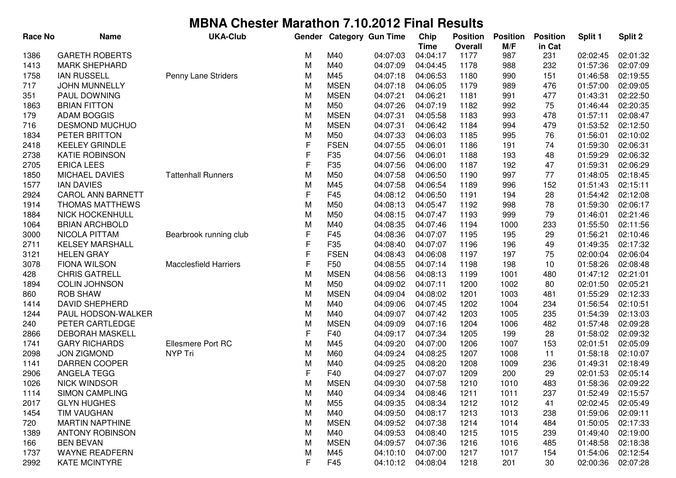| <b>Race No</b> | <b>Name</b>              | <b>UKA-Club</b>              | Gender       |                 | Category Gun Time | Chip        | <b>Position</b> | <b>Position</b> | <b>Position</b> | Split 1  | Split 2  |
|----------------|--------------------------|------------------------------|--------------|-----------------|-------------------|-------------|-----------------|-----------------|-----------------|----------|----------|
|                |                          |                              |              |                 |                   | <b>Time</b> | <b>Overall</b>  | M/F             | in Cat          |          |          |
| 1386           | <b>GARETH ROBERTS</b>    |                              | м            | M40             | 04:07:03          | 04:04:17    | 1177            | 987             | 231             | 02:02:45 | 02:01:32 |
| 1413           | <b>MARK SHEPHARD</b>     |                              | M            | M40             | 04:07:09          | 04:04:45    | 1178            | 988             | 232             | 01:57:36 | 02:07:09 |
| 1758           | <b>IAN RUSSELL</b>       | Penny Lane Striders          | M            | M45             | 04:07:18          | 04:06:53    | 1180            | 990             | 151             | 01:46:58 | 02:19:55 |
| 717            | <b>JOHN MUNNELLY</b>     |                              | M            | <b>MSEN</b>     | 04:07:18          | 04:06:05    | 1179            | 989             | 476             | 01:57:00 | 02:09:05 |
| 351            | PAUL DOWNING             |                              | M            | <b>MSEN</b>     | 04:07:21          | 04:06:21    | 1181            | 991             | 477             | 01:43:31 | 02:22:50 |
| 1863           | <b>BRIAN FITTON</b>      |                              | M            | M50             | 04:07:26          | 04:07:19    | 1182            | 992             | 75              | 01:46:44 | 02:20:35 |
| 179            | <b>ADAM BOGGIS</b>       |                              | M            | <b>MSEN</b>     | 04:07:31          | 04:05:58    | 1183            | 993             | 478             | 01:57:11 | 02:08:47 |
| 716            | <b>DESMOND MUCHUO</b>    |                              | M            | <b>MSEN</b>     | 04:07:31          | 04:06:42    | 1184            | 994             | 479             | 01:53:52 | 02:12:50 |
| 1834           | PETER BRITTON            |                              | M            | M50             | 04:07:33          | 04:06:03    | 1185            | 995             | 76              | 01:56:01 | 02:10:02 |
| 2418           | <b>KEELEY GRINDLE</b>    |                              | $\mathsf F$  | <b>FSEN</b>     | 04:07:55          | 04:06:01    | 1186            | 191             | 74              | 01:59:30 | 02:06:31 |
| 2738           | <b>KATIE ROBINSON</b>    |                              | $\mathsf F$  | F35             | 04:07:56          | 04:06:01    | 1188            | 193             | 48              | 01:59:29 | 02:06:32 |
| 2705           | <b>ERICA LEES</b>        |                              | $\mathsf F$  | F35             | 04:07:56          | 04:06:00    | 1187            | 192             | 47              | 01:59:31 | 02:06:29 |
| 1850           | <b>MICHAEL DAVIES</b>    | <b>Tattenhall Runners</b>    | M            | M50             | 04:07:58          | 04:06:50    | 1190            | 997             | 77              | 01:48:05 | 02:18:45 |
| 1577           | <b>IAN DAVIES</b>        |                              | M            | M45             | 04:07:58          | 04:06:54    | 1189            | 996             | 152             | 01:51:43 | 02:15:11 |
| 2924           | <b>CAROL ANN BARNETT</b> |                              | $\mathsf F$  | F45             | 04:08:12          | 04:06:50    | 1191            | 194             | 28              | 01:54:42 | 02:12:08 |
| 1914           | THOMAS MATTHEWS          |                              | M            | M50             | 04:08:13          | 04:05:47    | 1192            | 998             | 78              | 01:59:30 | 02:06:17 |
| 1884           | <b>NICK HOCKENHULL</b>   |                              | M            | M50             | 04:08:15          | 04:07:47    | 1193            | 999             | 79              | 01:46:01 | 02:21:46 |
| 1064           | <b>BRIAN ARCHBOLD</b>    |                              | M            | M40             | 04:08:35          | 04:07:46    | 1194            | 1000            | 233             | 01:55:50 | 02:11:56 |
| 3000           | NICOLA PITTAM            | Bearbrook running club       | $\mathsf{F}$ | F45             | 04:08:36          | 04:07:07    | 1195            | 195             | 29              | 01:56:21 | 02:10:46 |
| 2711           | <b>KELSEY MARSHALL</b>   |                              | $\mathsf{F}$ | F35             | 04:08:40          | 04:07:07    | 1196            | 196             | 49              | 01:49:35 | 02:17:32 |
| 3121           | <b>HELEN GRAY</b>        |                              | F            | <b>FSEN</b>     | 04:08:43          | 04:06:08    | 1197            | 197             | 75              | 02:00:04 | 02:06:04 |
| 3078           | <b>FIONA WILSON</b>      | <b>Macclesfield Harriers</b> | $\mathsf{F}$ | F <sub>50</sub> | 04:08:55          | 04:07:14    | 1198            | 198             | 10              | 01:58:26 | 02:08:48 |
| 428            | <b>CHRIS GATRELL</b>     |                              | M            | <b>MSEN</b>     | 04:08:56          | 04:08:13    | 1199            | 1001            | 480             | 01:47:12 | 02:21:01 |
| 1894           | <b>COLIN JOHNSON</b>     |                              | M            | M50             | 04:09:02          | 04:07:11    | 1200            | 1002            | 80              | 02:01:50 | 02:05:21 |
| 860            | <b>ROB SHAW</b>          |                              | M            | <b>MSEN</b>     | 04:09:04          | 04:08:02    | 1201            | 1003            | 481             | 01:55:29 | 02:12:33 |
| 1414           | <b>DAVID SHEPHERD</b>    |                              | M            | M40             | 04:09:06          | 04:07:45    | 1202            | 1004            | 234             | 01:56:54 | 02:10:51 |
| 1244           | PAUL HODSON-WALKER       |                              | M            | M40             | 04:09:07          | 04:07:42    | 1203            | 1005            | 235             | 01:54:39 | 02:13:03 |
| 240            | PETER CARTLEDGE          |                              | M            | <b>MSEN</b>     | 04:09:09          | 04:07:16    | 1204            | 1006            | 482             | 01:57:48 | 02:09:28 |
| 2866           | <b>DEBORAH MASKELL</b>   |                              | F            | F40             | 04:09:17          | 04:07:34    | 1205            | 199             | 28              | 01:58:02 | 02:09:32 |
| 1741           | <b>GARY RICHARDS</b>     | Ellesmere Port RC            | M            | M45             | 04:09:20          | 04:07:00    | 1206            | 1007            | 153             | 02:01:51 | 02:05:09 |
| 2098           | <b>JON ZIGMOND</b>       | NYP Tri                      | M            | M60             | 04:09:24          | 04:08:25    | 1207            | 1008            | 11              | 01:58:18 | 02:10:07 |
| 1141           | DARREN COOPER            |                              | M            | M40             | 04:09:25          | 04:08:20    | 1208            | 1009            | 236             | 01:49:31 | 02:18:49 |
| 2906           | ANGELA TEGG              |                              | F            | F40             | 04:09:27          | 04:07:07    | 1209            | 200             | 29              | 02:01:53 | 02:05:14 |
| 1026           | <b>NICK WINDSOR</b>      |                              | M            | <b>MSEN</b>     | 04:09:30          | 04:07:58    | 1210            | 1010            | 483             | 01:58:36 | 02:09:22 |
| 1114           | <b>SIMON CAMPLING</b>    |                              | M            | M40             | 04:09:34          | 04:08:46    | 1211            | 1011            | 237             | 01:52:49 | 02:15:57 |
| 2017           | <b>GLYN HUGHES</b>       |                              | M            | M <sub>55</sub> | 04:09:35          | 04:08:34    | 1212            | 1012            | 41              | 02:02:45 | 02:05:49 |
| 1454           | <b>TIM VAUGHAN</b>       |                              | M            | M40             | 04:09:50          | 04:08:17    | 1213            | 1013            | 238             | 01:59:06 | 02:09:11 |
| 720            | <b>MARTIN NAPTHINE</b>   |                              | M            | <b>MSEN</b>     | 04:09:52          | 04:07:38    | 1214            | 1014            | 484             | 01:50:05 | 02:17:33 |
| 1389           | <b>ANTONY ROBINSON</b>   |                              | M            | M40             | 04:09:53          | 04:08:40    | 1215            | 1015            | 239             | 01:49:40 | 02:19:00 |
| 166            | <b>BEN BEVAN</b>         |                              | M            | <b>MSEN</b>     | 04:09:57          | 04:07:36    | 1216            | 1016            | 485             | 01:48:58 | 02:18:38 |
| 1737           | <b>WAYNE READFERN</b>    |                              | M            | M45             | 04:10:10          | 04:07:00    | 1217            | 1017            | 154             | 01:54:06 | 02:12:54 |
| 2992           | <b>KATE MCINTYRE</b>     |                              | F            | F45             | 04:10:12          | 04:08:04    | 1218            | 201             | 30              | 02:00:36 | 02:07:28 |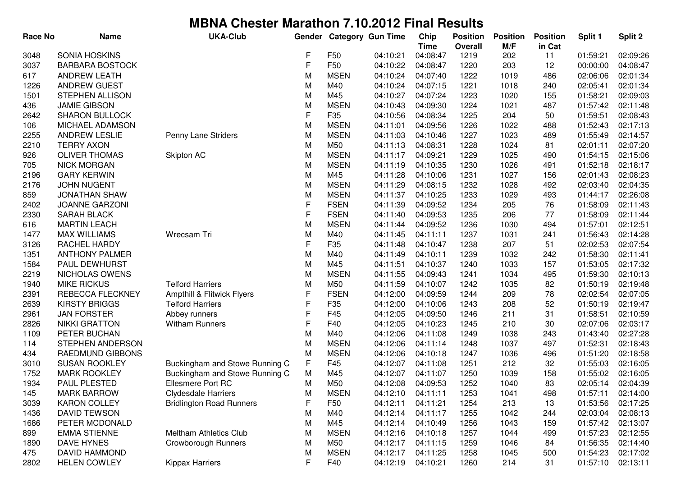| <b>Race No</b> | <b>Name</b>            | <b>UKA-Club</b>                 | Gender      |                 | <b>Category Gun Time</b> | Chip                    | <b>Position</b> | <b>Position</b> | <b>Position</b> | Split 1  | Split 2  |
|----------------|------------------------|---------------------------------|-------------|-----------------|--------------------------|-------------------------|-----------------|-----------------|-----------------|----------|----------|
| 3048           | <b>SONIA HOSKINS</b>   |                                 | F           | F50             | 04:10:21                 | <b>Time</b><br>04:08:47 | Overall<br>1219 | M/F<br>202      | in Cat<br>11    | 01:59:21 | 02:09:26 |
| 3037           | <b>BARBARA BOSTOCK</b> |                                 | F           | F50             | 04:10:22                 | 04:08:47                | 1220            | 203             | 12              | 00:00:00 | 04:08:47 |
| 617            | <b>ANDREW LEATH</b>    |                                 | M           | <b>MSEN</b>     | 04:10:24                 | 04:07:40                | 1222            | 1019            | 486             | 02:06:06 | 02:01:34 |
| 1226           | <b>ANDREW GUEST</b>    |                                 | M           | M40             | 04:10:24                 | 04:07:15                | 1221            | 1018            | 240             | 02:05:41 | 02:01:34 |
| 1501           | <b>STEPHEN ALLISON</b> |                                 | M           | M45             | 04:10:27                 | 04:07:24                | 1223            | 1020            | 155             | 01:58:21 | 02:09:03 |
| 436            | <b>JAMIE GIBSON</b>    |                                 | M           | <b>MSEN</b>     | 04:10:43                 | 04:09:30                | 1224            | 1021            | 487             | 01:57:42 | 02:11:48 |
| 2642           | <b>SHARON BULLOCK</b>  |                                 | F           | F35             | 04:10:56                 | 04:08:34                | 1225            | 204             | 50              | 01:59:51 | 02:08:43 |
| 106            | MICHAEL ADAMSON        |                                 | M           | <b>MSEN</b>     | 04:11:01                 | 04:09:56                | 1226            | 1022            | 488             | 01:52:43 | 02:17:13 |
| 2255           | <b>ANDREW LESLIE</b>   | Penny Lane Striders             | M           | <b>MSEN</b>     | 04:11:03                 | 04:10:46                | 1227            | 1023            | 489             | 01:55:49 | 02:14:57 |
| 2210           | <b>TERRY AXON</b>      |                                 | M           | M50             | 04:11:13                 | 04:08:31                | 1228            | 1024            | 81              | 02:01:11 | 02:07:20 |
| 926            | <b>OLIVER THOMAS</b>   | <b>Skipton AC</b>               | M           | <b>MSEN</b>     | 04:11:17                 | 04:09:21                | 1229            | 1025            | 490             | 01:54:15 | 02:15:06 |
| 705            | <b>NICK MORGAN</b>     |                                 | M           | <b>MSEN</b>     | 04:11:19                 | 04:10:35                | 1230            | 1026            | 491             | 01:52:18 | 02:18:17 |
| 2196           | <b>GARY KERWIN</b>     |                                 | M           | M45             | 04:11:28                 | 04:10:06                | 1231            | 1027            | 156             | 02:01:43 | 02:08:23 |
| 2176           | <b>JOHN NUGENT</b>     |                                 | M           | <b>MSEN</b>     | 04:11:29                 | 04:08:15                | 1232            | 1028            | 492             | 02:03:40 | 02:04:35 |
| 859            | <b>JONATHAN SHAW</b>   |                                 | M           | <b>MSEN</b>     | 04:11:37                 | 04:10:25                | 1233            | 1029            | 493             | 01:44:17 | 02:26:08 |
| 2402           | <b>JOANNE GARZONI</b>  |                                 | F           | <b>FSEN</b>     | 04:11:39                 | 04:09:52                | 1234            | 205             | 76              | 01:58:09 | 02:11:43 |
| 2330           | <b>SARAH BLACK</b>     |                                 | F           | <b>FSEN</b>     | 04:11:40                 | 04:09:53                | 1235            | 206             | 77              | 01:58:09 | 02:11:44 |
| 616            | <b>MARTIN LEACH</b>    |                                 | M           | <b>MSEN</b>     | 04:11:44                 | 04:09:52                | 1236            | 1030            | 494             | 01:57:01 | 02:12:51 |
| 1477           | <b>MAX WILLIAMS</b>    | Wrecsam Tri                     | M           | M40             | 04:11:45                 | 04:11:11                | 1237            | 1031            | 241             | 01:56:43 | 02:14:28 |
| 3126           | RACHEL HARDY           |                                 | F           | F35             | 04:11:48                 | 04:10:47                | 1238            | 207             | 51              | 02:02:53 | 02:07:54 |
| 1351           | <b>ANTHONY PALMER</b>  |                                 | M           | M40             | 04:11:49                 | 04:10:11                | 1239            | 1032            | 242             | 01:58:30 | 02:11:41 |
| 1584           | PAUL DEWHURST          |                                 | M           | M45             | 04:11:51                 | 04:10:37                | 1240            | 1033            | 157             | 01:53:05 | 02:17:32 |
| 2219           | NICHOLAS OWENS         |                                 | M           | <b>MSEN</b>     | 04:11:55                 | 04:09:43                | 1241            | 1034            | 495             | 01:59:30 | 02:10:13 |
| 1940           | <b>MIKE RICKUS</b>     | <b>Telford Harriers</b>         | M           | M50             | 04:11:59                 | 04:10:07                | 1242            | 1035            | 82              | 01:50:19 | 02:19:48 |
| 2391           | REBECCA FLECKNEY       | Ampthill & Flitwick Flyers      | F           | <b>FSEN</b>     | 04:12:00                 | 04:09:59                | 1244            | 209             | 78              | 02:02:54 | 02:07:05 |
| 2639           | <b>KIRSTY BRIGGS</b>   | <b>Telford Harriers</b>         | F           | F35             | 04:12:00                 | 04:10:06                | 1243            | 208             | 52              | 01:50:19 | 02:19:47 |
| 2961           | <b>JAN FORSTER</b>     | Abbey runners                   | F           | F45             | 04:12:05                 | 04:09:50                | 1246            | 211             | 31              | 01:58:51 | 02:10:59 |
| 2826           | <b>NIKKI GRATTON</b>   | <b>Witham Runners</b>           | F           | F40             | 04:12:05                 | 04:10:23                | 1245            | 210             | 30              | 02:07:06 | 02:03:17 |
| 1109           | PETER BUCHAN           |                                 | M           | M40             | 04:12:06                 | 04:11:08                | 1249            | 1038            | 243             | 01:43:40 | 02:27:28 |
| 114            | STEPHEN ANDERSON       |                                 | M           | <b>MSEN</b>     | 04:12:06                 | 04:11:14                | 1248            | 1037            | 497             | 01:52:31 | 02:18:43 |
| 434            | RAEDMUND GIBBONS       |                                 | M           | <b>MSEN</b>     | 04:12:06                 | 04:10:18                | 1247            | 1036            | 496             | 01:51:20 | 02:18:58 |
| 3010           | <b>SUSAN ROOKLEY</b>   | Buckingham and Stowe Running C  | $\mathsf F$ | F45             | 04:12:07                 | 04:11:08                | 1251            | 212             | 32              | 01:55:03 | 02:16:05 |
| 1752           | <b>MARK ROOKLEY</b>    | Buckingham and Stowe Running C  | M           | M45             | 04:12:07                 | 04:11:07                | 1250            | 1039            | 158             | 01:55:02 | 02:16:05 |
| 1934           | PAUL PLESTED           | <b>Ellesmere Port RC</b>        | M           | M50             | 04:12:08                 | 04:09:53                | 1252            | 1040            | 83              | 02:05:14 | 02:04:39 |
| 145            | <b>MARK BARROW</b>     | <b>Clydesdale Harriers</b>      | M           | <b>MSEN</b>     | 04:12:10                 | 04:11:11                | 1253            | 1041            | 498             | 01:57:11 | 02:14:00 |
| 3039           | <b>KARON COLLEY</b>    | <b>Bridlington Road Runners</b> | F           | F <sub>50</sub> | 04:12:11                 | 04:11:21                | 1254            | 213             | 13              | 01:53:56 | 02:17:25 |
| 1436           | <b>DAVID TEWSON</b>    |                                 | M           | M40             | 04:12:14                 | 04:11:17                | 1255            | 1042            | 244             | 02:03:04 | 02:08:13 |
| 1686           | PETER MCDONALD         |                                 | M           | M45             | 04:12:14                 | 04:10:49                | 1256            | 1043            | 159             | 01:57:42 | 02:13:07 |
| 899            | <b>EMMA STIENNE</b>    | <b>Meltham Athletics Club</b>   | M           | <b>MSEN</b>     | 04:12:16                 | 04:10:18                | 1257            | 1044            | 499             | 01:57:23 | 02:12:55 |
| 1890           | <b>DAVE HYNES</b>      | Crowborough Runners             | M           | M50             | 04:12:17                 | 04:11:15                | 1259            | 1046            | 84              | 01:56:35 | 02:14:40 |
| 475            | <b>DAVID HAMMOND</b>   |                                 | M           | <b>MSEN</b>     | 04:12:17                 | 04:11:25                | 1258            | 1045            | 500             | 01:54:23 | 02:17:02 |
| 2802           | <b>HELEN COWLEY</b>    | Kippax Harriers                 | F           | F40             | 04:12:19                 | 04:10:21                | 1260            | 214             | 31              | 01:57:10 | 02:13:11 |
|                |                        |                                 |             |                 |                          |                         |                 |                 |                 |          |          |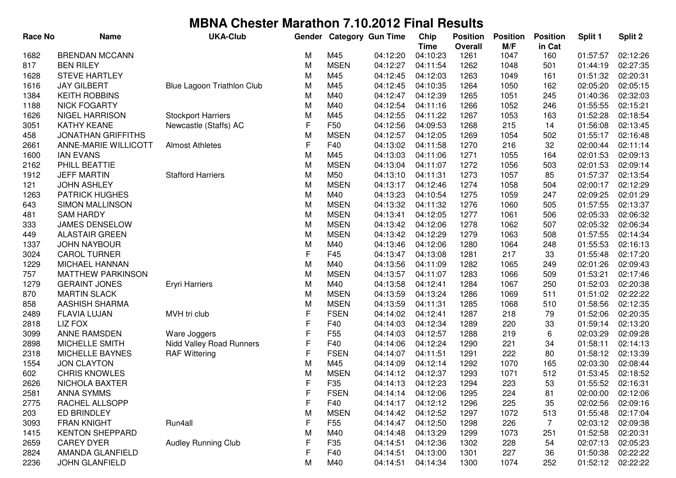| <b>Race No</b> | <b>Name</b>               | <b>UKA-Club</b>            | Gender |                 | <b>Category Gun Time</b> | Chip<br><b>Time</b> | <b>Position</b><br><b>Overall</b> | <b>Position</b><br>M/F | <b>Position</b><br>in Cat | Split 1  | Split 2  |
|----------------|---------------------------|----------------------------|--------|-----------------|--------------------------|---------------------|-----------------------------------|------------------------|---------------------------|----------|----------|
| 1682           | <b>BRENDAN MCCANN</b>     |                            | М      | M45             | 04:12:20                 | 04:10:23            | 1261                              | 1047                   | 160                       | 01:57:57 | 02:12:26 |
| 817            | <b>BEN RILEY</b>          |                            | M      | <b>MSEN</b>     | 04:12:27                 | 04:11:54            | 1262                              | 1048                   | 501                       | 01:44:19 | 02:27:35 |
| 1628           | <b>STEVE HARTLEY</b>      |                            | M      | M45             | 04:12:45                 | 04:12:03            | 1263                              | 1049                   | 161                       | 01:51:32 | 02:20:31 |
| 1616           | <b>JAY GILBERT</b>        | Blue Lagoon Triathlon Club | M      | M45             | 04:12:45                 | 04:10:35            | 1264                              | 1050                   | 162                       | 02:05:20 | 02:05:15 |
| 1384           | <b>KEITH ROBBINS</b>      |                            | M      | M40             | 04:12:47                 | 04:12:39            | 1265                              | 1051                   | 245                       | 01:40:36 | 02:32:03 |
| 1188           | <b>NICK FOGARTY</b>       |                            | M      | M40             | 04:12:54                 | 04:11:16            | 1266                              | 1052                   | 246                       | 01:55:55 | 02:15:21 |
| 1626           | <b>NIGEL HARRISON</b>     | <b>Stockport Harriers</b>  | M      | M45             | 04:12:55                 | 04:11:22            | 1267                              | 1053                   | 163                       | 01:52:28 | 02:18:54 |
| 3051           | <b>KATHY KEANE</b>        | Newcastle (Staffs) AC      | F      | F50             | 04:12:56                 | 04:09:53            | 1268                              | 215                    | 14                        | 01:56:08 | 02:13:45 |
| 458            | <b>JONATHAN GRIFFITHS</b> |                            | M      | <b>MSEN</b>     | 04:12:57                 | 04:12:05            | 1269                              | 1054                   | 502                       | 01:55:17 | 02:16:48 |
| 2661           | ANNE-MARIE WILLICOTT      | <b>Almost Athletes</b>     | F      | F40             | 04:13:02                 | 04:11:58            | 1270                              | 216                    | 32                        | 02:00:44 | 02:11:14 |
| 1600           | <b>IAN EVANS</b>          |                            | M      | M45             | 04:13:03                 | 04:11:06            | 1271                              | 1055                   | 164                       | 02:01:53 | 02:09:13 |
| 2162           | PHILL BEATTIE             |                            | M      | <b>MSEN</b>     | 04:13:04                 | 04:11:07            | 1272                              | 1056                   | 503                       | 02:01:53 | 02:09:14 |
| 1912           | <b>JEFF MARTIN</b>        | <b>Stafford Harriers</b>   | M      | M50             | 04:13:10                 | 04:11:31            | 1273                              | 1057                   | 85                        | 01:57:37 | 02:13:54 |
| 121            | <b>JOHN ASHLEY</b>        |                            | M      | <b>MSEN</b>     | 04:13:17                 | 04:12:46            | 1274                              | 1058                   | 504                       | 02:00:17 | 02:12:29 |
| 1263           | <b>PATRICK HUGHES</b>     |                            | M      | M40             | 04:13:23                 | 04:10:54            | 1275                              | 1059                   | 247                       | 02:09:25 | 02:01:29 |
| 643            | <b>SIMON MALLINSON</b>    |                            | M      | <b>MSEN</b>     | 04:13:32                 | 04:11:32            | 1276                              | 1060                   | 505                       | 01:57:55 | 02:13:37 |
| 481            | <b>SAM HARDY</b>          |                            | M      | <b>MSEN</b>     | 04:13:41                 | 04:12:05            | 1277                              | 1061                   | 506                       | 02:05:33 | 02:06:32 |
| 333            | JAMES DENSELOW            |                            | M      | <b>MSEN</b>     | 04:13:42                 | 04:12:06            | 1278                              | 1062                   | 507                       | 02:05:32 | 02:06:34 |
| 449            | <b>ALASTAIR GREEN</b>     |                            | M      | <b>MSEN</b>     | 04:13:42                 | 04:12:29            | 1279                              | 1063                   | 508                       | 01:57:55 | 02:14:34 |
| 1337           | <b>JOHN NAYBOUR</b>       |                            | M      | M40             | 04:13:46                 | 04:12:06            | 1280                              | 1064                   | 248                       | 01:55:53 | 02:16:13 |
| 3024           | <b>CAROL TURNER</b>       |                            | F      | F45             | 04:13:47                 | 04:13:08            | 1281                              | 217                    | 33                        | 01:55:48 | 02:17:20 |
| 1229           | MICHAEL HANNAN            |                            | M      | M40             | 04:13:56                 | 04:11:09            | 1282                              | 1065                   | 249                       | 02:01:26 | 02:09:43 |
| 757            | <b>MATTHEW PARKINSON</b>  |                            | M      | <b>MSEN</b>     | 04:13:57                 | 04:11:07            | 1283                              | 1066                   | 509                       | 01:53:21 | 02:17:46 |
| 1279           | <b>GERAINT JONES</b>      | <b>Eryri Harriers</b>      | M      | M40             | 04:13:58                 | 04:12:41            | 1284                              | 1067                   | 250                       | 01:52:03 | 02:20:38 |
| 870            | <b>MARTIN SLACK</b>       |                            | M      | <b>MSEN</b>     | 04:13:59                 | 04:13:24            | 1286                              | 1069                   | 511                       | 01:51:02 | 02:22:22 |
| 858            | AASHISH SHARMA            |                            | M      | <b>MSEN</b>     | 04:13:59                 | 04:11:31            | 1285                              | 1068                   | 510                       | 01:58:56 | 02:12:35 |
| 2489           | <b>FLAVIA LUJAN</b>       | MVH tri club               | F      | <b>FSEN</b>     | 04:14:02                 | 04:12:41            | 1287                              | 218                    | 79                        | 01:52:06 | 02:20:35 |
| 2818           | <b>LIZ FOX</b>            |                            | F      | F40             | 04:14:03                 | 04:12:34            | 1289                              | 220                    | 33                        | 01:59:14 | 02:13:20 |
| 3099           | ANNE RAMSDEN              | Ware Joggers               | F      | F <sub>55</sub> | 04:14:03                 | 04:12:57            | 1288                              | 219                    | 6                         | 02:03:29 | 02:09:28 |
| 2898           | MICHELLE SMITH            | Nidd Valley Road Runners   | F      | F40             | 04:14:06                 | 04:12:24            | 1290                              | 221                    | 34                        | 01:58:11 | 02:14:13 |
| 2318           | <b>MICHELLE BAYNES</b>    | <b>RAF Wittering</b>       | F      | <b>FSEN</b>     | 04:14:07                 | 04:11:51            | 1291                              | 222                    | 80                        | 01:58:12 | 02:13:39 |
| 1554           | <b>JON CLAYTON</b>        |                            | M      | M45             | 04:14:09                 | 04:12:14            | 1292                              | 1070                   | 165                       | 02:03:30 | 02:08:44 |
| 602            | <b>CHRIS KNOWLES</b>      |                            | М      | <b>MSEN</b>     | 04:14:12                 | 04:12:37            | 1293                              | 1071                   | 512                       | 01:53:45 | 02:18:52 |
| 2626           | NICHOLA BAXTER            |                            | F      | F35             | 04:14:13                 | 04:12:23            | 1294                              | 223                    | 53                        | 01:55:52 | 02:16:31 |
| 2581           | ANNA SYMMS                |                            | F.     | <b>FSEN</b>     | 04:14:14                 | 04:12:06            | 1295                              | 224                    | 81                        | 02:00:00 | 02:12:06 |
| 2775           | RACHEL ALLSOPP            |                            | F      | F40             | 04:14:17                 | 04:12:12            | 1296                              | 225                    | 35                        | 02:02:56 | 02:09:16 |
| 203            | ED BRINDLEY               |                            | M      | <b>MSEN</b>     | 04:14:42                 | 04:12:52            | 1297                              | 1072                   | 513                       | 01:55:48 | 02:17:04 |
| 3093           | <b>FRAN KNIGHT</b>        | Run4all                    | F      | F <sub>55</sub> | 04:14:47                 | 04:12:50            | 1298                              | 226                    | $\overline{7}$            | 02:03:12 | 02:09:38 |
| 1415           | <b>KENTON SHEPPARD</b>    |                            | M      | M40             | 04:14:48                 | 04:13:29            | 1299                              | 1073                   | 251                       | 01:52:58 | 02:20:31 |
| 2659           | <b>CAREY DYER</b>         | <b>Audley Running Club</b> | F      | F35             | 04:14:51                 | 04:12:36            | 1302                              | 228                    | 54                        | 02:07:13 | 02:05:23 |
| 2824           | AMANDA GLANFIELD          |                            | F      | F40             | 04:14:51                 | 04:13:00            | 1301                              | 227                    | 36                        | 01:50:38 | 02:22:22 |
| 2236           | <b>JOHN GLANFIELD</b>     |                            | M      | M40             | 04:14:51                 | 04:14:34            | 1300                              | 1074                   | 252                       | 01:52:12 | 02:22:22 |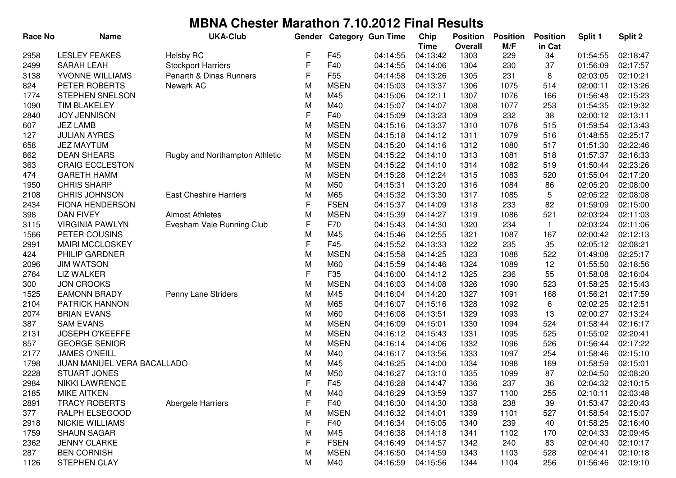| <b>Race No</b> | <b>Name</b>                | <b>UKA-Club</b>                | Gender |                 | <b>Category Gun Time</b> | Chip<br><b>Time</b> | <b>Position</b><br><b>Overall</b> | <b>Position</b><br>M/F | <b>Position</b><br>in Cat | Split 1  | Split 2  |
|----------------|----------------------------|--------------------------------|--------|-----------------|--------------------------|---------------------|-----------------------------------|------------------------|---------------------------|----------|----------|
| 2958           | <b>LESLEY FEAKES</b>       | <b>Helsby RC</b>               | F      | F45             | 04:14:55                 | 04:13:42            | 1303                              | 229                    | 34                        | 01:54:55 | 02:18:47 |
| 2499           | <b>SARAH LEAH</b>          | <b>Stockport Harriers</b>      | F      | F40             | 04:14:55                 | 04:14:06            | 1304                              | 230                    | 37                        | 01:56:09 | 02:17:57 |
| 3138           | YVONNE WILLIAMS            | Penarth & Dinas Runners        | F      | F <sub>55</sub> | 04:14:58                 | 04:13:26            | 1305                              | 231                    | 8                         | 02:03:05 | 02:10:21 |
| 824            | PETER ROBERTS              | Newark AC                      | M      | <b>MSEN</b>     | 04:15:03                 | 04:13:37            | 1306                              | 1075                   | 514                       | 02:00:11 | 02:13:26 |
| 1774           | STEPHEN SNELSON            |                                | M      | M45             | 04:15:06                 | 04:12:11            | 1307                              | 1076                   | 166                       | 01:56:48 | 02:15:23 |
| 1090           | <b>TIM BLAKELEY</b>        |                                | M      | M40             | 04:15:07                 | 04:14:07            | 1308                              | 1077                   | 253                       | 01:54:35 | 02:19:32 |
| 2840           | <b>JOY JENNISON</b>        |                                | F      | F40             | 04:15:09                 | 04:13:23            | 1309                              | 232                    | 38                        | 02:00:12 | 02:13:11 |
| 607            | <b>JEZ LAMB</b>            |                                | M      | <b>MSEN</b>     | 04:15:16                 | 04:13:37            | 1310                              | 1078                   | 515                       | 01:59:54 | 02:13:43 |
| 127            | <b>JULIAN AYRES</b>        |                                | M      | <b>MSEN</b>     | 04:15:18                 | 04:14:12            | 1311                              | 1079                   | 516                       | 01:48:55 | 02:25:17 |
| 658            | <b>JEZ MAYTUM</b>          |                                | M      | <b>MSEN</b>     | 04:15:20                 | 04:14:16            | 1312                              | 1080                   | 517                       | 01:51:30 | 02:22:46 |
| 862            | <b>DEAN SHEARS</b>         | Rugby and Northampton Athletic | M      | <b>MSEN</b>     | 04:15:22                 | 04:14:10            | 1313                              | 1081                   | 518                       | 01:57:37 | 02:16:33 |
| 363            | <b>CRAIG ECCLESTON</b>     |                                | M      | <b>MSEN</b>     | 04:15:22                 | 04:14:10            | 1314                              | 1082                   | 519                       | 01:50:44 | 02:23:26 |
| 474            | <b>GARETH HAMM</b>         |                                | M      | <b>MSEN</b>     | 04:15:28                 | 04:12:24            | 1315                              | 1083                   | 520                       | 01:55:04 | 02:17:20 |
| 1950           | <b>CHRIS SHARP</b>         |                                | M      | M50             | 04:15:31                 | 04:13:20            | 1316                              | 1084                   | 86                        | 02:05:20 | 02:08:00 |
| 2108           | <b>CHRIS JOHNSON</b>       | <b>East Cheshire Harriers</b>  | M      | M65             | 04:15:32                 | 04:13:30            | 1317                              | 1085                   | 5                         | 02:05:22 | 02:08:08 |
| 2434           | <b>FIONA HENDERSON</b>     |                                | F      | <b>FSEN</b>     | 04:15:37                 | 04:14:09            | 1318                              | 233                    | 82                        | 01:59:09 | 02:15:00 |
| 398            | <b>DAN FIVEY</b>           | <b>Almost Athletes</b>         | M      | <b>MSEN</b>     | 04:15:39                 | 04:14:27            | 1319                              | 1086                   | 521                       | 02:03:24 | 02:11:03 |
| 3115           | <b>VIRGINIA PAWLYN</b>     | Evesham Vale Running Club      | F      | F70             | 04:15:43                 | 04:14:30            | 1320                              | 234                    | $\mathbf{1}$              | 02:03:24 | 02:11:06 |
| 1566           | PETER COUSINS              |                                | M      | M45             | 04:15:46                 | 04:12:55            | 1321                              | 1087                   | 167                       | 02:00:42 | 02:12:13 |
| 2991           | <b>MAIRI MCCLOSKEY</b>     |                                | F      | F45             | 04:15:52                 | 04:13:33            | 1322                              | 235                    | 35                        | 02:05:12 | 02:08:21 |
| 424            | PHILIP GARDNER             |                                | M      | <b>MSEN</b>     | 04:15:58                 | 04:14:25            | 1323                              | 1088                   | 522                       | 01:49:08 | 02:25:17 |
| 2096           | <b>JIM WATSON</b>          |                                | M      | M60             | 04:15:59                 | 04:14:46            | 1324                              | 1089                   | 12                        | 01:55:50 | 02:18:56 |
| 2764           | <b>LIZ WALKER</b>          |                                | F      | F35             | 04:16:00                 | 04:14:12            | 1325                              | 236                    | 55                        | 01:58:08 | 02:16:04 |
| 300            | <b>JON CROOKS</b>          |                                | M      | <b>MSEN</b>     | 04:16:03                 | 04:14:08            | 1326                              | 1090                   | 523                       | 01:58:25 | 02:15:43 |
| 1525           | <b>EAMONN BRADY</b>        | Penny Lane Striders            | M      | M45             | 04:16:04                 | 04:14:20            | 1327                              | 1091                   | 168                       | 01:56:21 | 02:17:59 |
| 2104           | PATRICK HANNON             |                                | M      | M65             | 04:16:07                 | 04:15:16            | 1328                              | 1092                   | 6                         | 02:02:25 | 02:12:51 |
| 2074           | <b>BRIAN EVANS</b>         |                                | M      | M60             | 04:16:08                 | 04:13:51            | 1329                              | 1093                   | 13                        | 02:00:27 | 02:13:24 |
| 387            | <b>SAM EVANS</b>           |                                | M      | <b>MSEN</b>     | 04:16:09                 | 04:15:01            | 1330                              | 1094                   | 524                       | 01:58:44 | 02:16:17 |
| 2131           | <b>JOSEPH O'KEEFFE</b>     |                                | M      | <b>MSEN</b>     | 04:16:12                 | 04:15:43            | 1331                              | 1095                   | 525                       | 01:55:02 | 02:20:41 |
| 857            | <b>GEORGE SENIOR</b>       |                                | M      | <b>MSEN</b>     | 04:16:14                 | 04:14:06            | 1332                              | 1096                   | 526                       | 01:56:44 | 02:17:22 |
| 2177           | <b>JAMES O'NEILL</b>       |                                | M      | M40             | 04:16:17                 | 04:13:56            | 1333                              | 1097                   | 254                       | 01:58:46 | 02:15:10 |
| 1798           | JUAN MANUEL VERA BACALLADO |                                | M      | M45             | 04:16:25                 | 04:14:00            | 1334                              | 1098                   | 169                       | 01:58:59 | 02:15:01 |
| 2228           | <b>STUART JONES</b>        |                                | М      | M50             | 04:16:27                 | 04:13:10            | 1335                              | 1099                   | 87                        | 02:04:50 | 02:08:20 |
| 2984           | <b>NIKKI LAWRENCE</b>      |                                | F      | F45             | 04:16:28                 | 04:14:47            | 1336                              | 237                    | 36                        | 02:04:32 | 02:10:15 |
| 2185           | MIKE AITKEN                |                                | M      | M40             | 04:16:29                 | 04:13:59            | 1337                              | 1100                   | 255                       | 02:10:11 | 02:03:48 |
| 2891           | <b>TRACY ROBERTS</b>       | Abergele Harriers              | F      | F40             | 04:16:30                 | 04:14:30            | 1338                              | 238                    | 39                        | 01:53:47 | 02:20:43 |
| 377            | RALPH ELSEGOOD             |                                | M      | <b>MSEN</b>     | 04:16:32                 | 04:14:01            | 1339                              | 1101                   | 527                       | 01:58:54 | 02:15:07 |
| 2918           | <b>NICKIE WILLIAMS</b>     |                                | F      | F40             | 04:16:34                 | 04:15:05            | 1340                              | 239                    | 40                        | 01:58:25 | 02:16:40 |
| 1759           | <b>SHAUN SAGAR</b>         |                                | M      | M45             | 04:16:38                 | 04:14:18            | 1341                              | 1102                   | 170                       | 02:04:33 | 02:09:45 |
| 2362           | <b>JENNY CLARKE</b>        |                                | F      | <b>FSEN</b>     | 04:16:49                 | 04:14:57            | 1342                              | 240                    | 83                        | 02:04:40 | 02:10:17 |
| 287            | <b>BEN CORNISH</b>         |                                | M      | <b>MSEN</b>     | 04:16:50                 | 04:14:59            | 1343                              | 1103                   | 528                       | 02:04:41 | 02:10:18 |
| 1126           | STEPHEN CLAY               |                                | M      | M40             | 04:16:59                 | 04:15:56            | 1344                              | 1104                   | 256                       | 01:56:46 | 02:19:10 |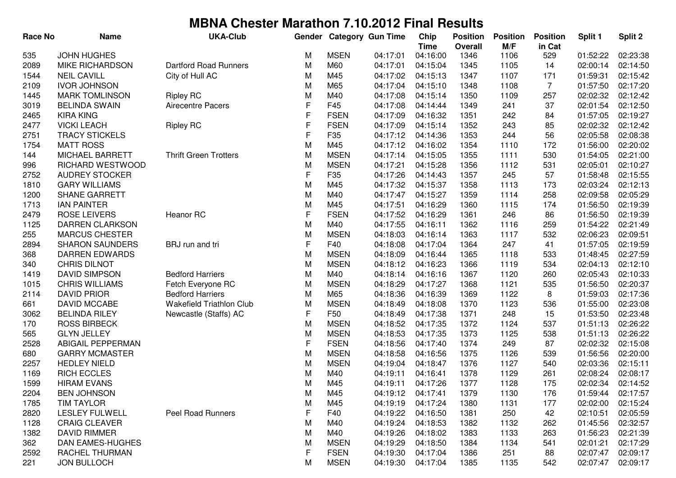| <b>Race No</b> | <b>Name</b>            | <b>UKA-Club</b>              | Gender      |                 | <b>Category Gun Time</b> | Chip<br><b>Time</b> | <b>Position</b><br><b>Overall</b> | <b>Position</b><br>M/F | <b>Position</b><br>in Cat | Split 1  | Split 2  |
|----------------|------------------------|------------------------------|-------------|-----------------|--------------------------|---------------------|-----------------------------------|------------------------|---------------------------|----------|----------|
| 535            | <b>JOHN HUGHES</b>     |                              | М           | <b>MSEN</b>     | 04:17:01                 | 04:16:00            | 1346                              | 1106                   | 529                       | 01:52:22 | 02:23:38 |
| 2089           | MIKE RICHARDSON        | <b>Dartford Road Runners</b> | M           | M60             | 04:17:01                 | 04:15:04            | 1345                              | 1105                   | 14                        | 02:00:14 | 02:14:50 |
| 1544           | <b>NEIL CAVILL</b>     | City of Hull AC              | M           | M45             | 04:17:02                 | 04:15:13            | 1347                              | 1107                   | 171                       | 01:59:31 | 02:15:42 |
| 2109           | <b>IVOR JOHNSON</b>    |                              | M           | M65             | 04:17:04                 | 04:15:10            | 1348                              | 1108                   | $\overline{7}$            | 01:57:50 | 02:17:20 |
| 1445           | <b>MARK TOMLINSON</b>  | <b>Ripley RC</b>             | M           | M40             | 04:17:08                 | 04:15:14            | 1350                              | 1109                   | 257                       | 02:02:32 | 02:12:42 |
| 3019           | <b>BELINDA SWAIN</b>   | Airecentre Pacers            | F           | F45             | 04:17:08                 | 04:14:44            | 1349                              | 241                    | 37                        | 02:01:54 | 02:12:50 |
| 2465           | <b>KIRA KING</b>       |                              | F           | <b>FSEN</b>     | 04:17:09                 | 04:16:32            | 1351                              | 242                    | 84                        | 01:57:05 | 02:19:27 |
| 2477           | <b>VICKI LEACH</b>     | <b>Ripley RC</b>             | F           | <b>FSEN</b>     | 04:17:09                 | 04:15:14            | 1352                              | 243                    | 85                        | 02:02:32 | 02:12:42 |
| 2751           | <b>TRACY STICKELS</b>  |                              | F           | F35             | 04:17:12                 | 04:14:36            | 1353                              | 244                    | 56                        | 02:05:58 | 02:08:38 |
| 1754           | <b>MATT ROSS</b>       |                              | M           | M45             | 04:17:12                 | 04:16:02            | 1354                              | 1110                   | 172                       | 01:56:00 | 02:20:02 |
| 144            | <b>MICHAEL BARRETT</b> | <b>Thrift Green Trotters</b> | M           | <b>MSEN</b>     | 04:17:14                 | 04:15:05            | 1355                              | 1111                   | 530                       | 01:54:05 | 02:21:00 |
| 996            | RICHARD WESTWOOD       |                              | M           | <b>MSEN</b>     | 04:17:21                 | 04:15:28            | 1356                              | 1112                   | 531                       | 02:05:01 | 02:10:27 |
| 2752           | <b>AUDREY STOCKER</b>  |                              | $\mathsf F$ | F35             | 04:17:26                 | 04:14:43            | 1357                              | 245                    | 57                        | 01:58:48 | 02:15:55 |
| 1810           | <b>GARY WILLIAMS</b>   |                              | M           | M45             | 04:17:32                 | 04:15:37            | 1358                              | 1113                   | 173                       | 02:03:24 | 02:12:13 |
| 1200           | <b>SHANE GARRETT</b>   |                              | M           | M40             | 04:17:47                 | 04:15:27            | 1359                              | 1114                   | 258                       | 02:09:58 | 02:05:29 |
| 1713           | <b>IAN PAINTER</b>     |                              | M           | M45             | 04:17:51                 | 04:16:29            | 1360                              | 1115                   | 174                       | 01:56:50 | 02:19:39 |
| 2479           | <b>ROSE LEIVERS</b>    | Heanor RC                    | $\mathsf F$ | <b>FSEN</b>     | 04:17:52                 | 04:16:29            | 1361                              | 246                    | 86                        | 01:56:50 | 02:19:39 |
| 1125           | DARREN CLARKSON        |                              | M           | M40             | 04:17:55                 | 04:16:11            | 1362                              | 1116                   | 259                       | 01:54:22 | 02:21:49 |
| 255            | <b>MARCUS CHESTER</b>  |                              | M           | <b>MSEN</b>     | 04:18:03                 | 04:16:14            | 1363                              | 1117                   | 532                       | 02:06:23 | 02:09:51 |
| 2894           | <b>SHARON SAUNDERS</b> | BRJ run and tri              | F           | F40             | 04:18:08                 | 04:17:04            | 1364                              | 247                    | 41                        | 01:57:05 | 02:19:59 |
| 368            | <b>DARREN EDWARDS</b>  |                              | M           | <b>MSEN</b>     | 04:18:09                 | 04:16:44            | 1365                              | 1118                   | 533                       | 01:48:45 | 02:27:59 |
| 340            | <b>CHRIS DILNOT</b>    |                              | M           | <b>MSEN</b>     | 04:18:12                 | 04:16:23            | 1366                              | 1119                   | 534                       | 02:04:13 | 02:12:10 |
| 1419           | <b>DAVID SIMPSON</b>   | <b>Bedford Harriers</b>      | M           | M40             | 04:18:14                 | 04:16:16            | 1367                              | 1120                   | 260                       | 02:05:43 | 02:10:33 |
| 1015           | <b>CHRIS WILLIAMS</b>  | Fetch Everyone RC            | M           | <b>MSEN</b>     | 04:18:29                 | 04:17:27            | 1368                              | 1121                   | 535                       | 01:56:50 | 02:20:37 |
| 2114           | <b>DAVID PRIOR</b>     | <b>Bedford Harriers</b>      | M           | M65             | 04:18:36                 | 04:16:39            | 1369                              | 1122                   | 8                         | 01:59:03 | 02:17:36 |
| 661            | DAVID MCCABE           | Wakefield Triathlon Club     | M           | <b>MSEN</b>     | 04:18:49                 | 04:18:08            | 1370                              | 1123                   | 536                       | 01:55:00 | 02:23:08 |
| 3062           | <b>BELINDA RILEY</b>   | Newcastle (Staffs) AC        | $\mathsf F$ | F <sub>50</sub> | 04:18:49                 | 04:17:38            | 1371                              | 248                    | 15                        | 01:53:50 | 02:23:48 |
| 170            | <b>ROSS BIRBECK</b>    |                              | M           | <b>MSEN</b>     | 04:18:52                 | 04:17:35            | 1372                              | 1124                   | 537                       | 01:51:13 | 02:26:22 |
| 565            | <b>GLYN JELLEY</b>     |                              | M           | <b>MSEN</b>     | 04:18:53                 | 04:17:35            | 1373                              | 1125                   | 538                       | 01:51:13 | 02:26:22 |
| 2528           | ABIGAIL PEPPERMAN      |                              | F           | <b>FSEN</b>     | 04:18:56                 | 04:17:40            | 1374                              | 249                    | 87                        | 02:02:32 | 02:15:08 |
| 680            | <b>GARRY MCMASTER</b>  |                              | M           | <b>MSEN</b>     | 04:18:58                 | 04:16:56            | 1375                              | 1126                   | 539                       | 01:56:56 | 02:20:00 |
| 2257           | <b>HEDLEY NIELD</b>    |                              | M           | <b>MSEN</b>     | 04:19:04                 | 04:18:47            | 1376                              | 1127                   | 540                       | 02:03:36 | 02:15:11 |
| 1169           | <b>RICH ECCLES</b>     |                              | M           | M40             | 04:19:11                 | 04:16:41            | 1378                              | 1129                   | 261                       | 02:08:24 | 02:08:17 |
| 1599           | <b>HIRAM EVANS</b>     |                              | M           | M45             | 04:19:11                 | 04:17:26            | 1377                              | 1128                   | 175                       | 02:02:34 | 02:14:52 |
| 2204           | <b>BEN JOHNSON</b>     |                              | M           | M45             | 04:19:12                 | 04:17:41            | 1379                              | 1130                   | 176                       | 01:59:44 | 02:17:57 |
| 1785           | <b>TIM TAYLOR</b>      |                              | M           | M45             | 04:19:19                 | 04:17:24            | 1380                              | 1131                   | 177                       | 02:02:00 | 02:15:24 |
| 2820           | <b>LESLEY FULWELL</b>  | <b>Peel Road Runners</b>     | F           | F40             | 04:19:22                 | 04:16:50            | 1381                              | 250                    | 42                        | 02:10:51 | 02:05:59 |
| 1128           | <b>CRAIG CLEAVER</b>   |                              | M           | M40             | 04:19:24                 | 04:18:53            | 1382                              | 1132                   | 262                       | 01:45:56 | 02:32:57 |
| 1382           | <b>DAVID RIMMER</b>    |                              | M           | M40             | 04:19:26                 | 04:18:02            | 1383                              | 1133                   | 263                       | 01:56:23 | 02:21:39 |
| 362            | DAN EAMES-HUGHES       |                              | M           | <b>MSEN</b>     | 04:19:29                 | 04:18:50            | 1384                              | 1134                   | 541                       | 02:01:21 | 02:17:29 |
| 2592           | <b>RACHEL THURMAN</b>  |                              | F           | <b>FSEN</b>     | 04:19:30                 | 04:17:04            | 1386                              | 251                    | 88                        | 02:07:47 | 02:09:17 |
| 221            | <b>JON BULLOCH</b>     |                              | M           | <b>MSEN</b>     | 04:19:30                 | 04:17:04            | 1385                              | 1135                   | 542                       | 02:07:47 | 02:09:17 |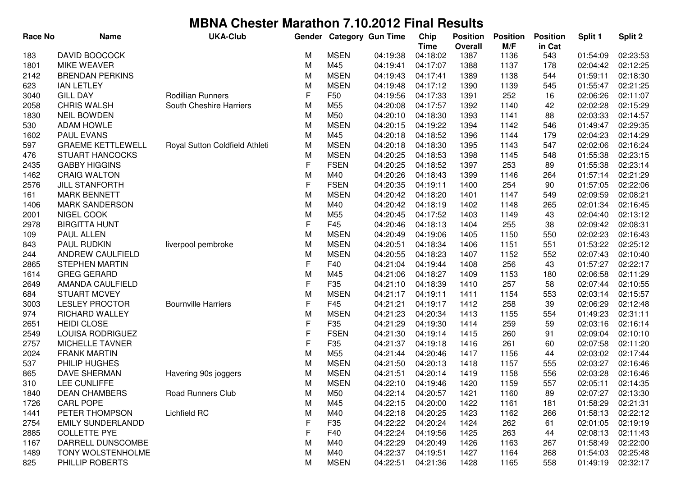| Race No | <b>Name</b>              | <b>UKA-Club</b>                | Gender      |                 | <b>Category Gun Time</b> | Chip<br><b>Time</b> | <b>Position</b><br><b>Overall</b> | <b>Position</b><br>M/F | <b>Position</b><br>in Cat | Split 1  | Split 2  |
|---------|--------------------------|--------------------------------|-------------|-----------------|--------------------------|---------------------|-----------------------------------|------------------------|---------------------------|----------|----------|
| 183     | DAVID BOOCOCK            |                                | М           | <b>MSEN</b>     | 04:19:38                 | 04:18:02            | 1387                              | 1136                   | 543                       | 01:54:09 | 02:23:53 |
| 1801    | <b>MIKE WEAVER</b>       |                                | M           | M45             | 04:19:41                 | 04:17:07            | 1388                              | 1137                   | 178                       | 02:04:42 | 02:12:25 |
| 2142    | <b>BRENDAN PERKINS</b>   |                                | M           | <b>MSEN</b>     | 04:19:43                 | 04:17:41            | 1389                              | 1138                   | 544                       | 01:59:11 | 02:18:30 |
| 623     | <b>IAN LETLEY</b>        |                                | M           | <b>MSEN</b>     | 04:19:48                 | 04:17:12            | 1390                              | 1139                   | 545                       | 01:55:47 | 02:21:25 |
| 3040    | <b>GILL DAY</b>          | Rodillian Runners              | F           | F50             | 04:19:56                 | 04:17:33            | 1391                              | 252                    | 16                        | 02:06:26 | 02:11:07 |
| 2058    | <b>CHRIS WALSH</b>       | South Cheshire Harriers        | M           | M55             | 04:20:08                 | 04:17:57            | 1392                              | 1140                   | 42                        | 02:02:28 | 02:15:29 |
| 1830    | <b>NEIL BOWDEN</b>       |                                | M           | M50             | 04:20:10                 | 04:18:30            | 1393                              | 1141                   | 88                        | 02:03:33 | 02:14:57 |
| 530     | <b>ADAM HOWLE</b>        |                                | M           | <b>MSEN</b>     | 04:20:15                 | 04:19:22            | 1394                              | 1142                   | 546                       | 01:49:47 | 02:29:35 |
| 1602    | <b>PAUL EVANS</b>        |                                | M           | M45             | 04:20:18                 | 04:18:52            | 1396                              | 1144                   | 179                       | 02:04:23 | 02:14:29 |
| 597     | <b>GRAEME KETTLEWELL</b> | Royal Sutton Coldfield Athleti | M           | <b>MSEN</b>     | 04:20:18                 | 04:18:30            | 1395                              | 1143                   | 547                       | 02:02:06 | 02:16:24 |
| 476     | <b>STUART HANCOCKS</b>   |                                | M           | <b>MSEN</b>     | 04:20:25                 | 04:18:53            | 1398                              | 1145                   | 548                       | 01:55:38 | 02:23:15 |
| 2435    | <b>GABBY HIGGINS</b>     |                                | F           | <b>FSEN</b>     | 04:20:25                 | 04:18:52            | 1397                              | 253                    | 89                        | 01:55:38 | 02:23:14 |
| 1462    | <b>CRAIG WALTON</b>      |                                | M           | M40             | 04:20:26                 | 04:18:43            | 1399                              | 1146                   | 264                       | 01:57:14 | 02:21:29 |
| 2576    | <b>JILL STANFORTH</b>    |                                | F           | <b>FSEN</b>     | 04:20:35                 | 04:19:11            | 1400                              | 254                    | 90                        | 01:57:05 | 02:22:06 |
| 161     | <b>MARK BENNETT</b>      |                                | M           | <b>MSEN</b>     | 04:20:42                 | 04:18:20            | 1401                              | 1147                   | 549                       | 02:09:59 | 02:08:21 |
| 1406    | <b>MARK SANDERSON</b>    |                                | M           | M40             | 04:20:42                 | 04:18:19            | 1402                              | 1148                   | 265                       | 02:01:34 | 02:16:45 |
| 2001    | NIGEL COOK               |                                | M           | M55             | 04:20:45                 | 04:17:52            | 1403                              | 1149                   | 43                        | 02:04:40 | 02:13:12 |
| 2978    | <b>BIRGITTA HUNT</b>     |                                | F           | F45             | 04:20:46                 | 04:18:13            | 1404                              | 255                    | 38                        | 02:09:42 | 02:08:31 |
| 109     | PAUL ALLEN               |                                | M           | <b>MSEN</b>     | 04:20:49                 | 04:19:06            | 1405                              | 1150                   | 550                       | 02:02:23 | 02:16:43 |
| 843     | PAUL RUDKIN              | liverpool pembroke             | M           | <b>MSEN</b>     | 04:20:51                 | 04:18:34            | 1406                              | 1151                   | 551                       | 01:53:22 | 02:25:12 |
| 244     | ANDREW CAULFIELD         |                                | M           | <b>MSEN</b>     | 04:20:55                 | 04:18:23            | 1407                              | 1152                   | 552                       | 02:07:43 | 02:10:40 |
| 2865    | <b>STEPHEN MARTIN</b>    |                                | F           | F40             | 04:21:04                 | 04:19:44            | 1408                              | 256                    | 43                        | 01:57:27 | 02:22:17 |
| 1614    | <b>GREG GERARD</b>       |                                | M           | M45             | 04:21:06                 | 04:18:27            | 1409                              | 1153                   | 180                       | 02:06:58 | 02:11:29 |
| 2649    | AMANDA CAULFIELD         |                                | F           | F35             | 04:21:10                 | 04:18:39            | 1410                              | 257                    | 58                        | 02:07:44 | 02:10:55 |
| 684     | <b>STUART MCVEY</b>      |                                | M           | <b>MSEN</b>     | 04:21:17                 | 04:19:11            | 1411                              | 1154                   | 553                       | 02:03:14 | 02:15:57 |
| 3003    | <b>LESLEY PROCTOR</b>    | <b>Bournville Harriers</b>     | F           | F45             | 04:21:21                 | 04:19:17            | 1412                              | 258                    | 39                        | 02:06:29 | 02:12:48 |
| 974     | <b>RICHARD WALLEY</b>    |                                | M           | <b>MSEN</b>     | 04:21:23                 | 04:20:34            | 1413                              | 1155                   | 554                       | 01:49:23 | 02:31:11 |
| 2651    | <b>HEIDI CLOSE</b>       |                                | $\mathsf F$ | F35             | 04:21:29                 | 04:19:30            | 1414                              | 259                    | 59                        | 02:03:16 | 02:16:14 |
| 2549    | LOUISA RODRIGUEZ         |                                | $\mathsf F$ | <b>FSEN</b>     | 04:21:30                 | 04:19:14            | 1415                              | 260                    | 91                        | 02:09:04 | 02:10:10 |
| 2757    | MICHELLE TAVNER          |                                | F           | F35             | 04:21:37                 | 04:19:18            | 1416                              | 261                    | 60                        | 02:07:58 | 02:11:20 |
| 2024    | <b>FRANK MARTIN</b>      |                                | M           | M <sub>55</sub> | 04:21:44                 | 04:20:46            | 1417                              | 1156                   | 44                        | 02:03:02 | 02:17:44 |
| 537     | PHILIP HUGHES            |                                | M           | <b>MSEN</b>     | 04:21:50                 | 04:20:13            | 1418                              | 1157                   | 555                       | 02:03:27 | 02:16:46 |
| 865     | <b>DAVE SHERMAN</b>      | Havering 90s joggers           | M           | <b>MSEN</b>     | 04:21:51                 | 04:20:14            | 1419                              | 1158                   | 556                       | 02:03:28 | 02:16:46 |
| 310     | LEE CUNLIFFE             |                                | M           | <b>MSEN</b>     | 04:22:10                 | 04:19:46            | 1420                              | 1159                   | 557                       | 02:05:11 | 02:14:35 |
| 1840    | <b>DEAN CHAMBERS</b>     | Road Runners Club              | M           | M50             | 04:22:14                 | 04:20:57            | 1421                              | 1160                   | 89                        | 02:07:27 | 02:13:30 |
| 1726    | <b>CARL POPE</b>         |                                | M           | M45             | 04:22:15                 | 04:20:00            | 1422                              | 1161                   | 181                       | 01:58:29 | 02:21:31 |
| 1441    | PETER THOMPSON           | Lichfield RC                   | M           | M40             | 04:22:18                 | 04:20:25            | 1423                              | 1162                   | 266                       | 01:58:13 | 02:22:12 |
| 2754    | <b>EMILY SUNDERLANDD</b> |                                | F           | F35             | 04:22:22                 | 04:20:24            | 1424                              | 262                    | 61                        | 02:01:05 | 02:19:19 |
| 2885    | <b>COLLETTE PYE</b>      |                                | F           | F40             | 04:22:24                 | 04:19:56            | 1425                              | 263                    | 44                        | 02:08:13 | 02:11:43 |
| 1167    | DARRELL DUNSCOMBE        |                                | M           | M40             | 04:22:29                 | 04:20:49            | 1426                              | 1163                   | 267                       | 01:58:49 | 02:22:00 |
| 1489    | <b>TONY WOLSTENHOLME</b> |                                | M           | M40             | 04:22:37                 | 04:19:51            | 1427                              | 1164                   | 268                       | 01:54:03 | 02:25:48 |
| 825     | PHILLIP ROBERTS          |                                | M           | <b>MSEN</b>     | 04:22:51                 | 04:21:36            | 1428                              | 1165                   | 558                       | 01:49:19 | 02:32:17 |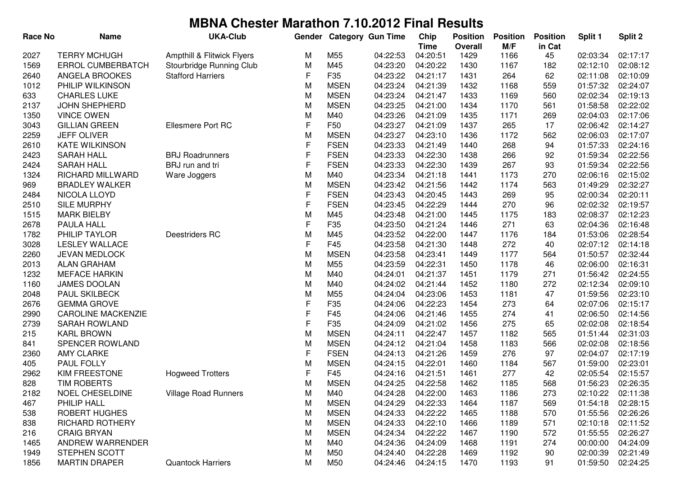| <b>TERRY MCHUGH</b><br>2027<br>Ampthill & Flitwick Flyers<br>M55<br>04:22:53<br>04:20:51<br>1429<br>1166<br>45<br>02:03:34<br>M<br><b>ERROL CUMBERBATCH</b><br>Stourbridge Running Club<br>M<br>M45<br>04:23:20<br>04:20:22<br>02:12:10<br>1569<br>1430<br>1167<br>182<br>F<br>F35<br>04:23:22<br>04:21:17<br>264<br>62<br>02:11:08<br>2640<br>ANGELA BROOKES<br><b>Stafford Harriers</b><br>1431<br>1012<br>PHILIP WILKINSON<br>M<br><b>MSEN</b><br>04:23:24<br>04:21:39<br>1432<br>01:57:32<br>1168<br>559<br><b>CHARLES LUKE</b><br><b>MSEN</b><br>04:23:24<br>04:21:47<br>1433<br>02:02:34<br>633<br>M<br>1169<br>560<br>2137<br><b>MSEN</b><br>04:23:25<br>04:21:00<br>01:58:58<br><b>JOHN SHEPHERD</b><br>M<br>1434<br>1170<br>561<br><b>VINCE OWEN</b><br>M<br>M40<br>04:23:26<br>04:21:09<br>1435<br>1171<br>02:04:03<br>1350<br>269<br>$\mathsf F$<br>F <sub>50</sub><br>3043<br><b>GILLIAN GREEN</b><br>Ellesmere Port RC<br>04:23:27<br>04:21:09<br>1437<br>265<br>17<br>02:06:42<br>M<br>2259<br><b>JEFF OLIVER</b><br><b>MSEN</b><br>04:23:27<br>04:23:10<br>1436<br>1172<br>562<br>02:06:03<br>F<br><b>FSEN</b><br><b>KATE WILKINSON</b><br>04:23:33<br>04:21:49<br>268<br>01:57:33<br>2610<br>1440<br>94<br>$\mathsf F$<br><b>SARAH HALL</b><br><b>BRJ Roadrunners</b><br><b>FSEN</b><br>04:23:33<br>04:22:30<br>1438<br>266<br>92<br>01:59:34<br>2423<br>$\mathsf F$<br>2424<br><b>SARAH HALL</b><br>BRJ run and tri<br><b>FSEN</b><br>04:23:33<br>04:22:30<br>1439<br>267<br>93<br>01:59:34<br>M<br>RICHARD MILLWARD<br>M40<br>04:23:34<br>04:21:18<br>1441<br>1173<br>270<br>02:06:16<br>1324<br>Ware Joggers<br><b>BRADLEY WALKER</b><br>M<br><b>MSEN</b><br>04:21:56<br>1442<br>1174<br>01:49:29<br>969<br>04:23:42<br>563<br>F<br>NICOLA LLOYD<br><b>FSEN</b><br>04:23:43<br>04:20:45<br>1443<br>269<br>95<br>02:00:34<br>2484<br>$\mathsf{F}$<br>2510<br>SILE MURPHY<br><b>FSEN</b><br>04:23:45<br>04:22:29<br>1444<br>270<br>96<br>02:02:32<br>M<br>1515<br><b>MARK BIELBY</b><br>M45<br>04:23:48<br>04:21:00<br>1175<br>183<br>02:08:37<br>1445<br>F<br>2678<br>F35<br>04:23:50<br>04:21:24<br>271<br>02:04:36<br>PAULA HALL<br>1446<br>63<br>M<br>1782<br>PHILIP TAYLOR<br>Deestriders RC<br>M45<br>04:23:52<br>04:22:00<br>1176<br>01:53:06<br>1447<br>184<br>F<br>3028<br><b>LESLEY WALLACE</b><br>F45<br>04:23:58<br>04:21:30<br>272<br>02:07:12<br>1448<br>40<br>2260<br><b>JEVAN MEDLOCK</b><br>M<br><b>MSEN</b><br>04:23:58<br>04:23:41<br>1177<br>01:50:57<br>1449<br>564<br>2013<br><b>ALAN GRAHAM</b><br>M<br>M55<br>04:23:59<br>04:22:31<br>1178<br>02:06:00<br>02:16:31<br>1450<br>46<br>1232<br><b>MEFACE HARKIN</b><br>M<br>M40<br>04:24:01<br>04:21:37<br>1179<br>271<br>01:56:42<br>1451 | <b>Race No</b> | Name         | <b>UKA-Club</b> | Gender |     | <b>Category Gun Time</b> | Chip<br><b>Time</b> | <b>Position</b><br><b>Overall</b> | <b>Position</b><br>M/F | <b>Position</b><br>in Cat | Split 1  | Split 2  |
|----------------------------------------------------------------------------------------------------------------------------------------------------------------------------------------------------------------------------------------------------------------------------------------------------------------------------------------------------------------------------------------------------------------------------------------------------------------------------------------------------------------------------------------------------------------------------------------------------------------------------------------------------------------------------------------------------------------------------------------------------------------------------------------------------------------------------------------------------------------------------------------------------------------------------------------------------------------------------------------------------------------------------------------------------------------------------------------------------------------------------------------------------------------------------------------------------------------------------------------------------------------------------------------------------------------------------------------------------------------------------------------------------------------------------------------------------------------------------------------------------------------------------------------------------------------------------------------------------------------------------------------------------------------------------------------------------------------------------------------------------------------------------------------------------------------------------------------------------------------------------------------------------------------------------------------------------------------------------------------------------------------------------------------------------------------------------------------------------------------------------------------------------------------------------------------------------------------------------------------------------------------------------------------------------------------------------------------------------------------------------------------------------------------------------------------------------------------------------------------------------------------------------------------------------------------------------------------------------------------------------------------------------------------------------------------------------------------------------------|----------------|--------------|-----------------|--------|-----|--------------------------|---------------------|-----------------------------------|------------------------|---------------------------|----------|----------|
|                                                                                                                                                                                                                                                                                                                                                                                                                                                                                                                                                                                                                                                                                                                                                                                                                                                                                                                                                                                                                                                                                                                                                                                                                                                                                                                                                                                                                                                                                                                                                                                                                                                                                                                                                                                                                                                                                                                                                                                                                                                                                                                                                                                                                                                                                                                                                                                                                                                                                                                                                                                                                                                                                                                                  |                |              |                 |        |     |                          |                     |                                   |                        |                           |          | 02:17:17 |
|                                                                                                                                                                                                                                                                                                                                                                                                                                                                                                                                                                                                                                                                                                                                                                                                                                                                                                                                                                                                                                                                                                                                                                                                                                                                                                                                                                                                                                                                                                                                                                                                                                                                                                                                                                                                                                                                                                                                                                                                                                                                                                                                                                                                                                                                                                                                                                                                                                                                                                                                                                                                                                                                                                                                  |                |              |                 |        |     |                          |                     |                                   |                        |                           |          | 02:08:12 |
|                                                                                                                                                                                                                                                                                                                                                                                                                                                                                                                                                                                                                                                                                                                                                                                                                                                                                                                                                                                                                                                                                                                                                                                                                                                                                                                                                                                                                                                                                                                                                                                                                                                                                                                                                                                                                                                                                                                                                                                                                                                                                                                                                                                                                                                                                                                                                                                                                                                                                                                                                                                                                                                                                                                                  |                |              |                 |        |     |                          |                     |                                   |                        |                           |          | 02:10:09 |
|                                                                                                                                                                                                                                                                                                                                                                                                                                                                                                                                                                                                                                                                                                                                                                                                                                                                                                                                                                                                                                                                                                                                                                                                                                                                                                                                                                                                                                                                                                                                                                                                                                                                                                                                                                                                                                                                                                                                                                                                                                                                                                                                                                                                                                                                                                                                                                                                                                                                                                                                                                                                                                                                                                                                  |                |              |                 |        |     |                          |                     |                                   |                        |                           |          | 02:24:07 |
|                                                                                                                                                                                                                                                                                                                                                                                                                                                                                                                                                                                                                                                                                                                                                                                                                                                                                                                                                                                                                                                                                                                                                                                                                                                                                                                                                                                                                                                                                                                                                                                                                                                                                                                                                                                                                                                                                                                                                                                                                                                                                                                                                                                                                                                                                                                                                                                                                                                                                                                                                                                                                                                                                                                                  |                |              |                 |        |     |                          |                     |                                   |                        |                           |          | 02:19:13 |
|                                                                                                                                                                                                                                                                                                                                                                                                                                                                                                                                                                                                                                                                                                                                                                                                                                                                                                                                                                                                                                                                                                                                                                                                                                                                                                                                                                                                                                                                                                                                                                                                                                                                                                                                                                                                                                                                                                                                                                                                                                                                                                                                                                                                                                                                                                                                                                                                                                                                                                                                                                                                                                                                                                                                  |                |              |                 |        |     |                          |                     |                                   |                        |                           |          | 02:22:02 |
|                                                                                                                                                                                                                                                                                                                                                                                                                                                                                                                                                                                                                                                                                                                                                                                                                                                                                                                                                                                                                                                                                                                                                                                                                                                                                                                                                                                                                                                                                                                                                                                                                                                                                                                                                                                                                                                                                                                                                                                                                                                                                                                                                                                                                                                                                                                                                                                                                                                                                                                                                                                                                                                                                                                                  |                |              |                 |        |     |                          |                     |                                   |                        |                           |          | 02:17:06 |
|                                                                                                                                                                                                                                                                                                                                                                                                                                                                                                                                                                                                                                                                                                                                                                                                                                                                                                                                                                                                                                                                                                                                                                                                                                                                                                                                                                                                                                                                                                                                                                                                                                                                                                                                                                                                                                                                                                                                                                                                                                                                                                                                                                                                                                                                                                                                                                                                                                                                                                                                                                                                                                                                                                                                  |                |              |                 |        |     |                          |                     |                                   |                        |                           |          | 02:14:27 |
|                                                                                                                                                                                                                                                                                                                                                                                                                                                                                                                                                                                                                                                                                                                                                                                                                                                                                                                                                                                                                                                                                                                                                                                                                                                                                                                                                                                                                                                                                                                                                                                                                                                                                                                                                                                                                                                                                                                                                                                                                                                                                                                                                                                                                                                                                                                                                                                                                                                                                                                                                                                                                                                                                                                                  |                |              |                 |        |     |                          |                     |                                   |                        |                           |          | 02:17:07 |
|                                                                                                                                                                                                                                                                                                                                                                                                                                                                                                                                                                                                                                                                                                                                                                                                                                                                                                                                                                                                                                                                                                                                                                                                                                                                                                                                                                                                                                                                                                                                                                                                                                                                                                                                                                                                                                                                                                                                                                                                                                                                                                                                                                                                                                                                                                                                                                                                                                                                                                                                                                                                                                                                                                                                  |                |              |                 |        |     |                          |                     |                                   |                        |                           |          | 02:24:16 |
|                                                                                                                                                                                                                                                                                                                                                                                                                                                                                                                                                                                                                                                                                                                                                                                                                                                                                                                                                                                                                                                                                                                                                                                                                                                                                                                                                                                                                                                                                                                                                                                                                                                                                                                                                                                                                                                                                                                                                                                                                                                                                                                                                                                                                                                                                                                                                                                                                                                                                                                                                                                                                                                                                                                                  |                |              |                 |        |     |                          |                     |                                   |                        |                           |          | 02:22:56 |
|                                                                                                                                                                                                                                                                                                                                                                                                                                                                                                                                                                                                                                                                                                                                                                                                                                                                                                                                                                                                                                                                                                                                                                                                                                                                                                                                                                                                                                                                                                                                                                                                                                                                                                                                                                                                                                                                                                                                                                                                                                                                                                                                                                                                                                                                                                                                                                                                                                                                                                                                                                                                                                                                                                                                  |                |              |                 |        |     |                          |                     |                                   |                        |                           |          | 02:22:56 |
|                                                                                                                                                                                                                                                                                                                                                                                                                                                                                                                                                                                                                                                                                                                                                                                                                                                                                                                                                                                                                                                                                                                                                                                                                                                                                                                                                                                                                                                                                                                                                                                                                                                                                                                                                                                                                                                                                                                                                                                                                                                                                                                                                                                                                                                                                                                                                                                                                                                                                                                                                                                                                                                                                                                                  |                |              |                 |        |     |                          |                     |                                   |                        |                           |          | 02:15:02 |
|                                                                                                                                                                                                                                                                                                                                                                                                                                                                                                                                                                                                                                                                                                                                                                                                                                                                                                                                                                                                                                                                                                                                                                                                                                                                                                                                                                                                                                                                                                                                                                                                                                                                                                                                                                                                                                                                                                                                                                                                                                                                                                                                                                                                                                                                                                                                                                                                                                                                                                                                                                                                                                                                                                                                  |                |              |                 |        |     |                          |                     |                                   |                        |                           |          | 02:32:27 |
|                                                                                                                                                                                                                                                                                                                                                                                                                                                                                                                                                                                                                                                                                                                                                                                                                                                                                                                                                                                                                                                                                                                                                                                                                                                                                                                                                                                                                                                                                                                                                                                                                                                                                                                                                                                                                                                                                                                                                                                                                                                                                                                                                                                                                                                                                                                                                                                                                                                                                                                                                                                                                                                                                                                                  |                |              |                 |        |     |                          |                     |                                   |                        |                           |          | 02:20:11 |
|                                                                                                                                                                                                                                                                                                                                                                                                                                                                                                                                                                                                                                                                                                                                                                                                                                                                                                                                                                                                                                                                                                                                                                                                                                                                                                                                                                                                                                                                                                                                                                                                                                                                                                                                                                                                                                                                                                                                                                                                                                                                                                                                                                                                                                                                                                                                                                                                                                                                                                                                                                                                                                                                                                                                  |                |              |                 |        |     |                          |                     |                                   |                        |                           |          | 02:19:57 |
|                                                                                                                                                                                                                                                                                                                                                                                                                                                                                                                                                                                                                                                                                                                                                                                                                                                                                                                                                                                                                                                                                                                                                                                                                                                                                                                                                                                                                                                                                                                                                                                                                                                                                                                                                                                                                                                                                                                                                                                                                                                                                                                                                                                                                                                                                                                                                                                                                                                                                                                                                                                                                                                                                                                                  |                |              |                 |        |     |                          |                     |                                   |                        |                           |          | 02:12:23 |
|                                                                                                                                                                                                                                                                                                                                                                                                                                                                                                                                                                                                                                                                                                                                                                                                                                                                                                                                                                                                                                                                                                                                                                                                                                                                                                                                                                                                                                                                                                                                                                                                                                                                                                                                                                                                                                                                                                                                                                                                                                                                                                                                                                                                                                                                                                                                                                                                                                                                                                                                                                                                                                                                                                                                  |                |              |                 |        |     |                          |                     |                                   |                        |                           |          | 02:16:48 |
|                                                                                                                                                                                                                                                                                                                                                                                                                                                                                                                                                                                                                                                                                                                                                                                                                                                                                                                                                                                                                                                                                                                                                                                                                                                                                                                                                                                                                                                                                                                                                                                                                                                                                                                                                                                                                                                                                                                                                                                                                                                                                                                                                                                                                                                                                                                                                                                                                                                                                                                                                                                                                                                                                                                                  |                |              |                 |        |     |                          |                     |                                   |                        |                           |          | 02:28:54 |
|                                                                                                                                                                                                                                                                                                                                                                                                                                                                                                                                                                                                                                                                                                                                                                                                                                                                                                                                                                                                                                                                                                                                                                                                                                                                                                                                                                                                                                                                                                                                                                                                                                                                                                                                                                                                                                                                                                                                                                                                                                                                                                                                                                                                                                                                                                                                                                                                                                                                                                                                                                                                                                                                                                                                  |                |              |                 |        |     |                          |                     |                                   |                        |                           |          | 02:14:18 |
|                                                                                                                                                                                                                                                                                                                                                                                                                                                                                                                                                                                                                                                                                                                                                                                                                                                                                                                                                                                                                                                                                                                                                                                                                                                                                                                                                                                                                                                                                                                                                                                                                                                                                                                                                                                                                                                                                                                                                                                                                                                                                                                                                                                                                                                                                                                                                                                                                                                                                                                                                                                                                                                                                                                                  |                |              |                 |        |     |                          |                     |                                   |                        |                           |          | 02:32:44 |
|                                                                                                                                                                                                                                                                                                                                                                                                                                                                                                                                                                                                                                                                                                                                                                                                                                                                                                                                                                                                                                                                                                                                                                                                                                                                                                                                                                                                                                                                                                                                                                                                                                                                                                                                                                                                                                                                                                                                                                                                                                                                                                                                                                                                                                                                                                                                                                                                                                                                                                                                                                                                                                                                                                                                  |                |              |                 |        |     |                          |                     |                                   |                        |                           |          |          |
|                                                                                                                                                                                                                                                                                                                                                                                                                                                                                                                                                                                                                                                                                                                                                                                                                                                                                                                                                                                                                                                                                                                                                                                                                                                                                                                                                                                                                                                                                                                                                                                                                                                                                                                                                                                                                                                                                                                                                                                                                                                                                                                                                                                                                                                                                                                                                                                                                                                                                                                                                                                                                                                                                                                                  |                |              |                 |        |     |                          |                     |                                   |                        |                           |          | 02:24:55 |
|                                                                                                                                                                                                                                                                                                                                                                                                                                                                                                                                                                                                                                                                                                                                                                                                                                                                                                                                                                                                                                                                                                                                                                                                                                                                                                                                                                                                                                                                                                                                                                                                                                                                                                                                                                                                                                                                                                                                                                                                                                                                                                                                                                                                                                                                                                                                                                                                                                                                                                                                                                                                                                                                                                                                  | 1160           | JAMES DOOLAN |                 | M      | M40 | 04:24:02                 | 04:21:44            | 1452                              | 1180                   | 272                       | 02:12:34 | 02:09:10 |
| M<br>47<br>01:59:56<br>2048<br><b>PAUL SKILBECK</b><br>M55<br>04:24:04<br>04:23:06<br>1453<br>1181                                                                                                                                                                                                                                                                                                                                                                                                                                                                                                                                                                                                                                                                                                                                                                                                                                                                                                                                                                                                                                                                                                                                                                                                                                                                                                                                                                                                                                                                                                                                                                                                                                                                                                                                                                                                                                                                                                                                                                                                                                                                                                                                                                                                                                                                                                                                                                                                                                                                                                                                                                                                                               |                |              |                 |        |     |                          |                     |                                   |                        |                           |          | 02:23:10 |
| F<br>02:07:06<br><b>GEMMA GROVE</b><br>F35<br>04:24:06<br>04:22:23<br>1454<br>273<br>2676<br>64                                                                                                                                                                                                                                                                                                                                                                                                                                                                                                                                                                                                                                                                                                                                                                                                                                                                                                                                                                                                                                                                                                                                                                                                                                                                                                                                                                                                                                                                                                                                                                                                                                                                                                                                                                                                                                                                                                                                                                                                                                                                                                                                                                                                                                                                                                                                                                                                                                                                                                                                                                                                                                  |                |              |                 |        |     |                          |                     |                                   |                        |                           |          | 02:15:17 |
| F<br><b>CAROLINE MACKENZIE</b><br>F45<br>04:24:06<br>04:21:46<br>1455<br>274<br>41<br>02:06:50<br>2990                                                                                                                                                                                                                                                                                                                                                                                                                                                                                                                                                                                                                                                                                                                                                                                                                                                                                                                                                                                                                                                                                                                                                                                                                                                                                                                                                                                                                                                                                                                                                                                                                                                                                                                                                                                                                                                                                                                                                                                                                                                                                                                                                                                                                                                                                                                                                                                                                                                                                                                                                                                                                           |                |              |                 |        |     |                          |                     |                                   |                        |                           |          | 02:14:56 |
| $\mathsf F$<br>F35<br>2739<br><b>SARAH ROWLAND</b><br>04:24:09<br>04:21:02<br>1456<br>275<br>65<br>02:02:08                                                                                                                                                                                                                                                                                                                                                                                                                                                                                                                                                                                                                                                                                                                                                                                                                                                                                                                                                                                                                                                                                                                                                                                                                                                                                                                                                                                                                                                                                                                                                                                                                                                                                                                                                                                                                                                                                                                                                                                                                                                                                                                                                                                                                                                                                                                                                                                                                                                                                                                                                                                                                      |                |              |                 |        |     |                          |                     |                                   |                        |                           |          | 02:18:54 |
| M<br><b>KARL BROWN</b><br><b>MSEN</b><br>04:24:11<br>04:22:47<br>1457<br>1182<br>01:51:44<br>215<br>565                                                                                                                                                                                                                                                                                                                                                                                                                                                                                                                                                                                                                                                                                                                                                                                                                                                                                                                                                                                                                                                                                                                                                                                                                                                                                                                                                                                                                                                                                                                                                                                                                                                                                                                                                                                                                                                                                                                                                                                                                                                                                                                                                                                                                                                                                                                                                                                                                                                                                                                                                                                                                          |                |              |                 |        |     |                          |                     |                                   |                        |                           |          | 02:31:03 |
| SPENCER ROWLAND<br>M<br><b>MSEN</b><br>04:21:04<br>566<br>02:02:08<br>841<br>04:24:12<br>1458<br>1183                                                                                                                                                                                                                                                                                                                                                                                                                                                                                                                                                                                                                                                                                                                                                                                                                                                                                                                                                                                                                                                                                                                                                                                                                                                                                                                                                                                                                                                                                                                                                                                                                                                                                                                                                                                                                                                                                                                                                                                                                                                                                                                                                                                                                                                                                                                                                                                                                                                                                                                                                                                                                            |                |              |                 |        |     |                          |                     |                                   |                        |                           |          | 02:18:56 |
| F<br><b>AMY CLARKE</b><br><b>FSEN</b><br>04:24:13<br>04:21:26<br>1459<br>276<br>97<br>02:04:07<br>2360                                                                                                                                                                                                                                                                                                                                                                                                                                                                                                                                                                                                                                                                                                                                                                                                                                                                                                                                                                                                                                                                                                                                                                                                                                                                                                                                                                                                                                                                                                                                                                                                                                                                                                                                                                                                                                                                                                                                                                                                                                                                                                                                                                                                                                                                                                                                                                                                                                                                                                                                                                                                                           |                |              |                 |        |     |                          |                     |                                   |                        |                           |          | 02:17:19 |
| M<br>PAUL FOLLY<br><b>MSEN</b><br>04:22:01<br>567<br>04:24:15<br>1460<br>1184<br>01:59:00<br>405                                                                                                                                                                                                                                                                                                                                                                                                                                                                                                                                                                                                                                                                                                                                                                                                                                                                                                                                                                                                                                                                                                                                                                                                                                                                                                                                                                                                                                                                                                                                                                                                                                                                                                                                                                                                                                                                                                                                                                                                                                                                                                                                                                                                                                                                                                                                                                                                                                                                                                                                                                                                                                 |                |              |                 |        |     |                          |                     |                                   |                        |                           |          | 02:23:01 |
| F<br><b>KIM FREESTONE</b><br>F45<br>277<br>2962<br><b>Hogweed Trotters</b><br>04:24:16<br>04:21:51<br>1461<br>42<br>02:05:54                                                                                                                                                                                                                                                                                                                                                                                                                                                                                                                                                                                                                                                                                                                                                                                                                                                                                                                                                                                                                                                                                                                                                                                                                                                                                                                                                                                                                                                                                                                                                                                                                                                                                                                                                                                                                                                                                                                                                                                                                                                                                                                                                                                                                                                                                                                                                                                                                                                                                                                                                                                                     |                |              |                 |        |     |                          |                     |                                   |                        |                           |          | 02:15:57 |
| M<br><b>MSEN</b><br>828<br><b>TIM ROBERTS</b><br>04:24:25<br>04:22:58<br>1462<br>1185<br>568<br>01:56:23                                                                                                                                                                                                                                                                                                                                                                                                                                                                                                                                                                                                                                                                                                                                                                                                                                                                                                                                                                                                                                                                                                                                                                                                                                                                                                                                                                                                                                                                                                                                                                                                                                                                                                                                                                                                                                                                                                                                                                                                                                                                                                                                                                                                                                                                                                                                                                                                                                                                                                                                                                                                                         |                |              |                 |        |     |                          |                     |                                   |                        |                           |          | 02:26:35 |
| <b>Village Road Runners</b><br>2182<br><b>NOEL CHESELDINE</b><br>M40<br>04:24:28<br>04:22:00<br>1463<br>1186<br>273<br>02:10:22<br>M                                                                                                                                                                                                                                                                                                                                                                                                                                                                                                                                                                                                                                                                                                                                                                                                                                                                                                                                                                                                                                                                                                                                                                                                                                                                                                                                                                                                                                                                                                                                                                                                                                                                                                                                                                                                                                                                                                                                                                                                                                                                                                                                                                                                                                                                                                                                                                                                                                                                                                                                                                                             |                |              |                 |        |     |                          |                     |                                   |                        |                           |          | 02:11:38 |
| PHILIP HALL<br><b>MSEN</b><br>467<br>M<br>04:24:29<br>04:22:33<br>1464<br>1187<br>569<br>01:54:18                                                                                                                                                                                                                                                                                                                                                                                                                                                                                                                                                                                                                                                                                                                                                                                                                                                                                                                                                                                                                                                                                                                                                                                                                                                                                                                                                                                                                                                                                                                                                                                                                                                                                                                                                                                                                                                                                                                                                                                                                                                                                                                                                                                                                                                                                                                                                                                                                                                                                                                                                                                                                                |                |              |                 |        |     |                          |                     |                                   |                        |                           |          | 02:28:15 |
| ROBERT HUGHES<br><b>MSEN</b><br>01:55:56<br>538<br>M<br>04:24:33<br>04:22:22<br>1465<br>1188<br>570                                                                                                                                                                                                                                                                                                                                                                                                                                                                                                                                                                                                                                                                                                                                                                                                                                                                                                                                                                                                                                                                                                                                                                                                                                                                                                                                                                                                                                                                                                                                                                                                                                                                                                                                                                                                                                                                                                                                                                                                                                                                                                                                                                                                                                                                                                                                                                                                                                                                                                                                                                                                                              |                |              |                 |        |     |                          |                     |                                   |                        |                           |          | 02:26:26 |
| <b>MSEN</b><br>04:24:33<br>838<br>RICHARD ROTHERY<br>M<br>04:22:10<br>1466<br>1189<br>571<br>02:10:18                                                                                                                                                                                                                                                                                                                                                                                                                                                                                                                                                                                                                                                                                                                                                                                                                                                                                                                                                                                                                                                                                                                                                                                                                                                                                                                                                                                                                                                                                                                                                                                                                                                                                                                                                                                                                                                                                                                                                                                                                                                                                                                                                                                                                                                                                                                                                                                                                                                                                                                                                                                                                            |                |              |                 |        |     |                          |                     |                                   |                        |                           |          | 02:11:52 |
| <b>MSEN</b><br>04:24:34<br>04:22:22<br>216<br><b>CRAIG BRYAN</b><br>M<br>1467<br>1190<br>572<br>01:55:55                                                                                                                                                                                                                                                                                                                                                                                                                                                                                                                                                                                                                                                                                                                                                                                                                                                                                                                                                                                                                                                                                                                                                                                                                                                                                                                                                                                                                                                                                                                                                                                                                                                                                                                                                                                                                                                                                                                                                                                                                                                                                                                                                                                                                                                                                                                                                                                                                                                                                                                                                                                                                         |                |              |                 |        |     |                          |                     |                                   |                        |                           |          | 02:26:27 |
| ANDREW WARRENDER<br>04:24:36<br>04:24:09<br>1465<br>M<br>M40<br>1468<br>1191<br>274<br>00:00:00                                                                                                                                                                                                                                                                                                                                                                                                                                                                                                                                                                                                                                                                                                                                                                                                                                                                                                                                                                                                                                                                                                                                                                                                                                                                                                                                                                                                                                                                                                                                                                                                                                                                                                                                                                                                                                                                                                                                                                                                                                                                                                                                                                                                                                                                                                                                                                                                                                                                                                                                                                                                                                  |                |              |                 |        |     |                          |                     |                                   |                        |                           |          | 04:24:09 |
| STEPHEN SCOTT<br>04:22:28<br>02:00:39<br>1949<br>M<br>M50<br>04:24:40<br>1192<br>90<br>1469                                                                                                                                                                                                                                                                                                                                                                                                                                                                                                                                                                                                                                                                                                                                                                                                                                                                                                                                                                                                                                                                                                                                                                                                                                                                                                                                                                                                                                                                                                                                                                                                                                                                                                                                                                                                                                                                                                                                                                                                                                                                                                                                                                                                                                                                                                                                                                                                                                                                                                                                                                                                                                      |                |              |                 |        |     |                          |                     |                                   |                        |                           |          | 02:21:49 |
| <b>MARTIN DRAPER</b><br><b>Quantock Harriers</b><br>M<br>M50<br>04:24:46<br>01:59:50<br>1856<br>04:24:15<br>1470<br>1193<br>91                                                                                                                                                                                                                                                                                                                                                                                                                                                                                                                                                                                                                                                                                                                                                                                                                                                                                                                                                                                                                                                                                                                                                                                                                                                                                                                                                                                                                                                                                                                                                                                                                                                                                                                                                                                                                                                                                                                                                                                                                                                                                                                                                                                                                                                                                                                                                                                                                                                                                                                                                                                                   |                |              |                 |        |     |                          |                     |                                   |                        |                           |          | 02:24:25 |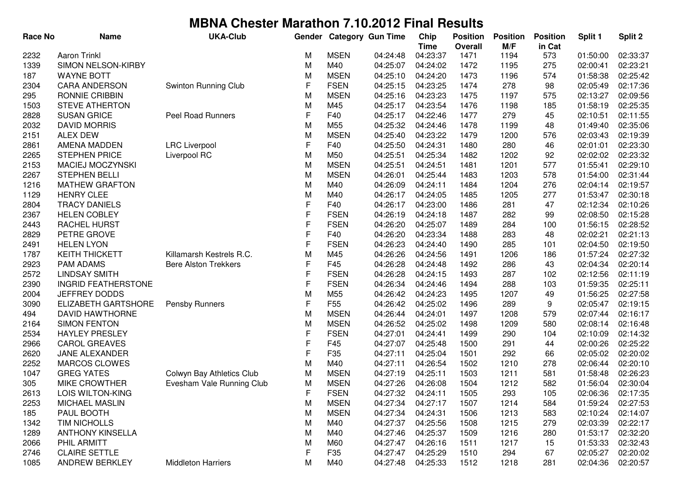| M/F<br>in Cat<br><b>Time</b><br>Overall<br><b>Aaron Trinkl</b><br><b>MSEN</b><br>2232<br>04:24:48<br>04:23:37<br>1471<br>573<br>M<br>1194<br>SIMON NELSON-KIRBY<br>M<br>M40<br>04:24:02<br>1339<br>04:25:07<br>1472<br>1195<br>275 | 02:33:37<br>01:50:00<br>02:00:41<br>02:23:21<br>01:58:38<br>02:25:42<br>02:05:49<br>02:17:36 |
|------------------------------------------------------------------------------------------------------------------------------------------------------------------------------------------------------------------------------------|----------------------------------------------------------------------------------------------|
|                                                                                                                                                                                                                                    |                                                                                              |
|                                                                                                                                                                                                                                    |                                                                                              |
| <b>MSEN</b><br>04:24:20<br>187<br><b>WAYNE BOTT</b><br>M<br>04:25:10<br>1473<br>1196<br>574                                                                                                                                        |                                                                                              |
| <b>CARA ANDERSON</b><br>Swinton Running Club<br>F<br><b>FSEN</b><br>04:25:15<br>04:23:25<br>1474<br>278<br>2304<br>98                                                                                                              |                                                                                              |
| RONNIE CRIBBIN<br><b>MSEN</b><br>04:25:16<br>04:23:23<br>1475<br>295<br>M<br>1197<br>575                                                                                                                                           | 02:13:27<br>02:09:56                                                                         |
| <b>STEVE ATHERTON</b><br>04:23:54<br>1503<br>M<br>M45<br>04:25:17<br>1476<br>1198<br>185                                                                                                                                           | 02:25:35<br>01:58:19                                                                         |
| F<br>2828<br><b>SUSAN GRICE</b><br><b>Peel Road Runners</b><br>F40<br>04:25:17<br>04:22:46<br>1477<br>279<br>45                                                                                                                    | 02:10:51<br>02:11:55                                                                         |
| 2032<br><b>DAVID MORRIS</b><br>M<br>M55<br>04:25:32<br>04:24:46<br>1478<br>48<br>1199                                                                                                                                              | 01:49:40<br>02:35:06                                                                         |
| <b>ALEX DEW</b><br>M<br><b>MSEN</b><br>04:25:40<br>04:23:22<br>576<br>2151<br>1479<br>1200                                                                                                                                         | 02:03:43<br>02:19:39                                                                         |
| F<br><b>LRC</b> Liverpool<br>F40<br>04:25:50<br>04:24:31<br>2861<br>AMENA MADDEN<br>1480<br>280<br>46                                                                                                                              | 02:23:30<br>02:01:01                                                                         |
| <b>STEPHEN PRICE</b><br>Liverpool RC<br>M<br>M50<br>04:25:51<br>04:25:34<br>1482<br>92<br>2265<br>1202                                                                                                                             | 02:02:02<br>02:23:32                                                                         |
| 2153<br>MACIEJ MOCZYNSKI<br><b>MSEN</b><br>04:24:51<br>1481<br>577<br>M<br>04:25:51<br>1201                                                                                                                                        | 01:55:41<br>02:29:10                                                                         |
| 2267<br><b>STEPHEN BELLI</b><br><b>MSEN</b><br>04:25:44<br>1483<br>578<br>M<br>04:26:01<br>1203                                                                                                                                    | 01:54:00<br>02:31:44                                                                         |
| <b>MATHEW GRAFTON</b><br>04:24:11<br>276<br>1216<br>M<br>M40<br>04:26:09<br>1484<br>1204                                                                                                                                           | 02:19:57<br>02:04:14                                                                         |
| <b>HENRY CLEE</b><br>M<br>M40<br>04:24:05<br>1485<br>1205<br>1129<br>04:26:17<br>277                                                                                                                                               | 01:53:47<br>02:30:18                                                                         |
| F<br><b>TRACY DANIELS</b><br>F40<br>04:26:17<br>04:23:00<br>1486<br>281<br>2804<br>47                                                                                                                                              | 02:12:34<br>02:10:26                                                                         |
| F<br><b>FSEN</b><br>2367<br><b>HELEN COBLEY</b><br>04:24:18<br>282<br>04:26:19<br>1487<br>99                                                                                                                                       | 02:08:50<br>02:15:28                                                                         |
| F<br>RACHEL HURST<br><b>FSEN</b><br>2443<br>04:26:20<br>04:25:07<br>1489<br>284<br>100                                                                                                                                             | 01:56:15<br>02:28:52                                                                         |
| F<br>PETRE GROVE<br>F40<br>04:26:20<br>04:23:34<br>283<br>2829<br>1488<br>48                                                                                                                                                       | 02:02:21<br>02:21:13                                                                         |
| F<br><b>FSEN</b><br>04:26:23<br>04:24:40<br>285<br>2491<br><b>HELEN LYON</b><br>1490<br>101                                                                                                                                        | 02:19:50<br>02:04:50                                                                         |
| 1787<br>Killamarsh Kestrels R.C.<br>M<br>M45<br>04:26:26<br>04:24:56<br><b>KEITH THICKETT</b><br>1491<br>1206<br>186                                                                                                               | 01:57:24<br>02:27:32                                                                         |
| F<br>2923<br><b>PAM ADAMS</b><br>F45<br>04:26:28<br>04:24:48<br>286<br><b>Bere Alston Trekkers</b><br>1492<br>43                                                                                                                   | 02:04:34<br>02:20:14                                                                         |
| F<br>2572<br><b>LINDSAY SMITH</b><br><b>FSEN</b><br>04:26:28<br>04:24:15<br>287<br>1493<br>102                                                                                                                                     | 02:12:56<br>02:11:19                                                                         |
| F<br><b>INGRID FEATHERSTONE</b><br><b>FSEN</b><br>04:26:34<br>04:24:46<br>288<br>2390<br>1494<br>103                                                                                                                               | 01:59:35<br>02:25:11                                                                         |
| <b>JEFFREY DODDS</b><br>M<br>M55<br>04:26:42<br>04:24:23<br>2004<br>1495<br>1207<br>49                                                                                                                                             | 02:27:58<br>01:56:25                                                                         |
| F<br>9<br>ELIZABETH GARTSHORE<br>F <sub>55</sub><br>04:26:42<br>04:25:02<br>3090<br><b>Pensby Runners</b><br>1496<br>289                                                                                                           | 02:05:47<br>02:19:15                                                                         |
| <b>DAVID HAWTHORNE</b><br>M<br><b>MSEN</b><br>04:26:44<br>04:24:01<br>1497<br>579<br>494<br>1208                                                                                                                                   | 02:07:44<br>02:16:17                                                                         |
| <b>SIMON FENTON</b><br><b>MSEN</b><br>04:26:52<br>04:25:02<br>2164<br>M<br>1498<br>1209<br>580                                                                                                                                     | 02:08:14<br>02:16:48                                                                         |
| F<br><b>HAYLEY PRESLEY</b><br><b>FSEN</b><br>04:27:01<br>04:24:41<br>1499<br>2534<br>290<br>104                                                                                                                                    | 02:10:09<br>02:14:32                                                                         |
| F<br><b>CAROL GREAVES</b><br>F45<br>04:27:07<br>04:25:48<br>2966<br>1500<br>291<br>44                                                                                                                                              | 02:25:22<br>02:00:26                                                                         |
| F<br>JANE ALEXANDER<br>F35<br>04:25:04<br>292<br>66<br>2620<br>04:27:11<br>1501                                                                                                                                                    | 02:05:02<br>02:20:02                                                                         |
| <b>MARCOS CLOWES</b><br>M<br>M40<br>04:26:54<br>1502<br>2252<br>04:27:11<br>1210<br>278                                                                                                                                            | 02:06:44<br>02:20:10                                                                         |
| M<br><b>MSEN</b><br>1047<br><b>GREG YATES</b><br>Colwyn Bay Athletics Club<br>04:27:19<br>04:25:11<br>1503<br>1211<br>581                                                                                                          | 02:26:23<br>01:58:48                                                                         |
| M<br><b>MSEN</b><br>305<br><b>MIKE CROWTHER</b><br>Evesham Vale Running Club<br>04:27:26<br>04:26:08<br>1504<br>1212<br>582                                                                                                        | 01:56:04<br>02:30:04                                                                         |
| 2613<br>LOIS WILTON-KING<br><b>FSEN</b><br>04:27:32<br>04:24:11<br>1505<br>293<br>105<br>F.                                                                                                                                        | 02:06:36<br>02:17:35                                                                         |
| <b>MSEN</b><br>2253<br>MICHAEL MASLIN<br>M<br>04:27:34<br>04:27:17<br>1214<br>584<br>1507                                                                                                                                          | 01:59:24<br>02:27:53                                                                         |
| <b>MSEN</b><br>04:27:34<br>185<br>PAUL BOOTH<br>M<br>04:24:31<br>1506<br>1213<br>583                                                                                                                                               | 02:10:24<br>02:14:07                                                                         |
| 04:27:37<br>1342<br><b>TIM NICHOLLS</b><br>M40<br>04:25:56<br>1508<br>1215<br>279<br>M                                                                                                                                             | 02:03:39<br>02:22:17                                                                         |
| 04:27:46<br>1289<br><b>ANTHONY KINSELLA</b><br>M<br>M40<br>04:25:37<br>1509<br>1216<br>280                                                                                                                                         | 01:53:17<br>02:32:20                                                                         |
| 04:26:16<br>2066<br>PHIL ARMITT<br>M<br>M60<br>04:27:47<br>1511<br>1217<br>15                                                                                                                                                      | 01:53:33<br>02:32:43                                                                         |
| F<br><b>CLAIRE SETTLE</b><br>F35<br>04:25:29<br>2746<br>04:27:47<br>1510<br>294<br>67                                                                                                                                              | 02:05:27<br>02:20:02                                                                         |
| ANDREW BERKLEY<br><b>Middleton Harriers</b><br>M<br>M40<br>04:27:48<br>04:25:33<br>1512<br>1085<br>1218<br>281                                                                                                                     | 02:04:36<br>02:20:57                                                                         |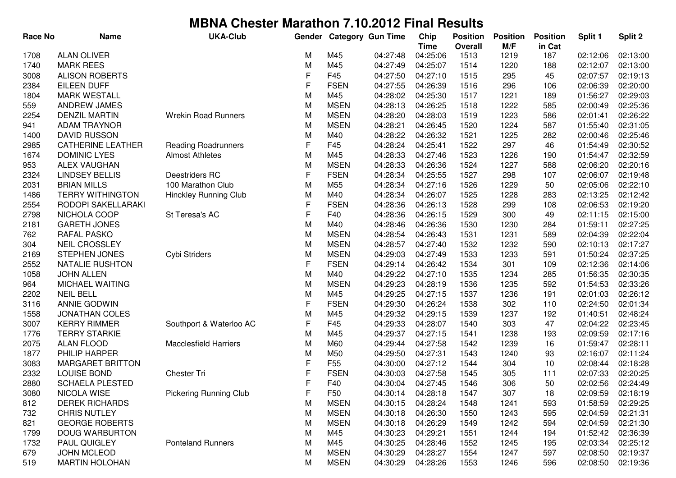| Race No | <b>Name</b>              | <b>UKA-Club</b>              | Gender      |                 | <b>Category Gun Time</b> | Chip                    | <b>Position</b>        | <b>Position</b> | <b>Position</b> | Split 1  | Split 2  |
|---------|--------------------------|------------------------------|-------------|-----------------|--------------------------|-------------------------|------------------------|-----------------|-----------------|----------|----------|
| 1708    | <b>ALAN OLIVER</b>       |                              | M           | M45             | 04:27:48                 | <b>Time</b><br>04:25:06 | <b>Overall</b><br>1513 | M/F<br>1219     | in Cat<br>187   | 02:12:06 | 02:13:00 |
| 1740    | <b>MARK REES</b>         |                              | M           | M45             | 04:27:49                 | 04:25:07                | 1514                   | 1220            | 188             | 02:12:07 | 02:13:00 |
| 3008    | <b>ALISON ROBERTS</b>    |                              | F           | F45             | 04:27:50                 | 04:27:10                | 1515                   | 295             | 45              | 02:07:57 | 02:19:13 |
| 2384    | <b>EILEEN DUFF</b>       |                              | F           | <b>FSEN</b>     | 04:27:55                 | 04:26:39                | 1516                   | 296             | 106             | 02:06:39 | 02:20:00 |
| 1804    | <b>MARK WESTALL</b>      |                              | M           | M45             | 04:28:02                 | 04:25:30                | 1517                   | 1221            | 189             | 01:56:27 | 02:29:03 |
| 559     | ANDREW JAMES             |                              | M           | <b>MSEN</b>     | 04:28:13                 | 04:26:25                | 1518                   | 1222            | 585             | 02:00:49 | 02:25:36 |
| 2254    | <b>DENZIL MARTIN</b>     | <b>Wrekin Road Runners</b>   | M           | <b>MSEN</b>     | 04:28:20                 | 04:28:03                | 1519                   | 1223            | 586             | 02:01:41 | 02:26:22 |
| 941     | <b>ADAM TRAYNOR</b>      |                              | M           | <b>MSEN</b>     | 04:28:21                 | 04:26:45                | 1520                   | 1224            | 587             | 01:55:40 | 02:31:05 |
| 1400    | <b>DAVID RUSSON</b>      |                              | M           | M40             | 04:28:22                 | 04:26:32                | 1521                   | 1225            | 282             | 02:00:46 | 02:25:46 |
| 2985    | <b>CATHERINE LEATHER</b> | <b>Reading Roadrunners</b>   | F           | F45             | 04:28:24                 | 04:25:41                | 1522                   | 297             | 46              | 01:54:49 | 02:30:52 |
| 1674    | <b>DOMINIC LYES</b>      | <b>Almost Athletes</b>       | M           | M45             | 04:28:33                 | 04:27:46                | 1523                   | 1226            | 190             | 01:54:47 | 02:32:59 |
| 953     | <b>ALEX VAUGHAN</b>      |                              | M           | <b>MSEN</b>     | 04:28:33                 | 04:26:36                | 1524                   | 1227            | 588             | 02:06:20 | 02:20:16 |
| 2324    | <b>LINDSEY BELLIS</b>    | Deestriders RC               | $\mathsf F$ | <b>FSEN</b>     | 04:28:34                 | 04:25:55                | 1527                   | 298             | 107             | 02:06:07 | 02:19:48 |
| 2031    | <b>BRIAN MILLS</b>       | 100 Marathon Club            | M           | M55             | 04:28:34                 | 04:27:16                | 1526                   | 1229            | 50              | 02:05:06 | 02:22:10 |
| 1486    | <b>TERRY WITHINGTON</b>  | <b>Hinckley Running Club</b> | M           | M40             | 04:28:34                 | 04:26:07                | 1525                   | 1228            | 283             | 02:13:25 | 02:12:42 |
| 2554    | RODOPI SAKELLARAKI       |                              | F           | <b>FSEN</b>     | 04:28:36                 | 04:26:13                | 1528                   | 299             | 108             | 02:06:53 | 02:19:20 |
| 2798    | NICHOLA COOP             | St Teresa's AC               | F           | F40             | 04:28:36                 | 04:26:15                | 1529                   | 300             | 49              | 02:11:15 | 02:15:00 |
| 2181    | <b>GARETH JONES</b>      |                              | M           | M40             | 04:28:46                 | 04:26:36                | 1530                   | 1230            | 284             | 01:59:11 | 02:27:25 |
| 762     | RAFAL PASKO              |                              | M           | <b>MSEN</b>     | 04:28:54                 | 04:26:43                | 1531                   | 1231            | 589             | 02:04:39 | 02:22:04 |
| 304     | <b>NEIL CROSSLEY</b>     |                              | M           | <b>MSEN</b>     | 04:28:57                 | 04:27:40                | 1532                   | 1232            | 590             | 02:10:13 | 02:17:27 |
| 2169    | <b>STEPHEN JONES</b>     | Cybi Striders                | M           | <b>MSEN</b>     | 04:29:03                 | 04:27:49                | 1533                   | 1233            | 591             | 01:50:24 | 02:37:25 |
| 2552    | NATALIE RUSHTON          |                              | F           | <b>FSEN</b>     | 04:29:14                 | 04:26:42                | 1534                   | 301             | 109             | 02:12:36 | 02:14:06 |
| 1058    | <b>JOHN ALLEN</b>        |                              | M           | M40             | 04:29:22                 | 04:27:10                | 1535                   | 1234            | 285             | 01:56:35 | 02:30:35 |
| 964     | MICHAEL WAITING          |                              | M           | <b>MSEN</b>     | 04:29:23                 | 04:28:19                | 1536                   | 1235            | 592             | 01:54:53 | 02:33:26 |
| 2202    | <b>NEIL BELL</b>         |                              | M           | M45             | 04:29:25                 | 04:27:15                | 1537                   | 1236            | 191             | 02:01:03 | 02:26:12 |
| 3116    | <b>ANNIE GODWIN</b>      |                              | $\mathsf F$ | <b>FSEN</b>     | 04:29:30                 | 04:26:24                | 1538                   | 302             | 110             | 02:24:50 | 02:01:34 |
| 1558    | <b>JONATHAN COLES</b>    |                              | M           | M45             | 04:29:32                 | 04:29:15                | 1539                   | 1237            | 192             | 01:40:51 | 02:48:24 |
| 3007    | <b>KERRY RIMMER</b>      | Southport & Waterloo AC      | F           | F45             | 04:29:33                 | 04:28:07                | 1540                   | 303             | 47              | 02:04:22 | 02:23:45 |
| 1776    | <b>TERRY STARKIE</b>     |                              | M           | M45             | 04:29:37                 | 04:27:15                | 1541                   | 1238            | 193             | 02:09:59 | 02:17:16 |
| 2075    | <b>ALAN FLOOD</b>        | <b>Macclesfield Harriers</b> | M           | M60             | 04:29:44                 | 04:27:58                | 1542                   | 1239            | 16              | 01:59:47 | 02:28:11 |
| 1877    | PHILIP HARPER            |                              | M           | M50             | 04:29:50                 | 04:27:31                | 1543                   | 1240            | 93              | 02:16:07 | 02:11:24 |
| 3083    | <b>MARGARET BRITTON</b>  |                              | F           | F <sub>55</sub> | 04:30:00                 | 04:27:12                | 1544                   | 304             | 10              | 02:08:44 | 02:18:28 |
| 2332    | LOUISE BOND              | Chester Tri                  | F           | <b>FSEN</b>     | 04:30:03                 | 04:27:58                | 1545                   | 305             | 111             | 02:07:33 | 02:20:25 |
| 2880    | <b>SCHAELA PLESTED</b>   |                              | F           | F40             | 04:30:04                 | 04:27:45                | 1546                   | 306             | 50              | 02:02:56 | 02:24:49 |
| 3080    | NICOLA WISE              | Pickering Running Club       | F           | F50             | 04:30:14                 | 04:28:18                | 1547                   | 307             | 18              | 02:09:59 | 02:18:19 |
| 812     | <b>DEREK RICHARDS</b>    |                              | M           | <b>MSEN</b>     | 04:30:15                 | 04:28:24                | 1548                   | 1241            | 593             | 01:58:59 | 02:29:25 |
| 732     | <b>CHRIS NUTLEY</b>      |                              | M           | <b>MSEN</b>     | 04:30:18                 | 04:26:30                | 1550                   | 1243            | 595             | 02:04:59 | 02:21:31 |
| 821     | <b>GEORGE ROBERTS</b>    |                              | M           | <b>MSEN</b>     | 04:30:18                 | 04:26:29                | 1549                   | 1242            | 594             | 02:04:59 | 02:21:30 |
| 1799    | DOUG WARBURTON           |                              | M           | M45             | 04:30:23                 | 04:29:21                | 1551                   | 1244            | 194             | 01:52:42 | 02:36:39 |
| 1732    | <b>PAUL QUIGLEY</b>      | <b>Ponteland Runners</b>     | M           | M45             | 04:30:25                 | 04:28:46                | 1552                   | 1245            | 195             | 02:03:34 | 02:25:12 |
| 679     | <b>JOHN MCLEOD</b>       |                              | M           | <b>MSEN</b>     | 04:30:29                 | 04:28:27                | 1554                   | 1247            | 597             | 02:08:50 | 02:19:37 |
| 519     | <b>MARTIN HOLOHAN</b>    |                              | М           | <b>MSEN</b>     | 04:30:29                 | 04:28:26                | 1553                   | 1246            | 596             | 02:08:50 | 02:19:36 |
|         |                          |                              |             |                 |                          |                         |                        |                 |                 |          |          |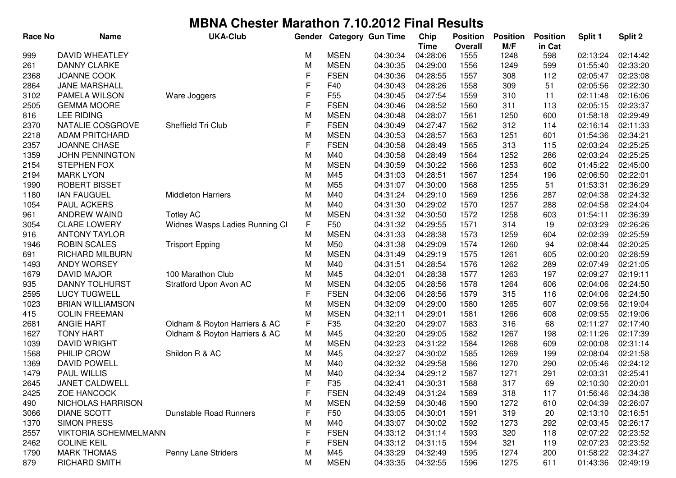| <b>Race No</b> | <b>Name</b>                                     | <b>UKA-Club</b>                | Gender       |                            | <b>Category Gun Time</b> | Chip                 | <b>Position</b> | <b>Position</b> | <b>Position</b> | Split 1              | Split 2              |
|----------------|-------------------------------------------------|--------------------------------|--------------|----------------------------|--------------------------|----------------------|-----------------|-----------------|-----------------|----------------------|----------------------|
|                |                                                 |                                |              |                            |                          | <b>Time</b>          | <b>Overall</b>  | M/F             | in Cat          |                      |                      |
| 999            | <b>DAVID WHEATLEY</b>                           |                                | M            | <b>MSEN</b>                | 04:30:34                 | 04:28:06             | 1555            | 1248            | 598             | 02:13:24             | 02:14:42             |
| 261            | <b>DANNY CLARKE</b>                             |                                | M            | <b>MSEN</b>                | 04:30:35                 | 04:29:00             | 1556            | 1249            | 599             | 01:55:40             | 02:33:20             |
| 2368           | JOANNE COOK                                     |                                | F            | <b>FSEN</b>                | 04:30:36                 | 04:28:55             | 1557            | 308             | 112             | 02:05:47             | 02:23:08             |
| 2864           | JANE MARSHALL                                   |                                | F<br>F       | F40                        | 04:30:43                 | 04:28:26             | 1558            | 309             | 51              | 02:05:56             | 02:22:30             |
| 3102           | PAMELA WILSON                                   | Ware Joggers                   | $\mathsf{F}$ | F <sub>55</sub>            | 04:30:45                 | 04:27:54             | 1559            | 310             | 11              | 02:11:48             | 02:16:06             |
| 2505           | <b>GEMMA MOORE</b>                              |                                |              | <b>FSEN</b>                | 04:30:46                 | 04:28:52             | 1560            | 311             | 113             | 02:05:15             | 02:23:37             |
| 816            | <b>LEE RIDING</b>                               |                                | M<br>F       | <b>MSEN</b>                | 04:30:48                 | 04:28:07             | 1561            | 1250            | 600             | 01:58:18             | 02:29:49             |
| 2370           | NATALIE COSGROVE                                | Sheffield Tri Club             |              | <b>FSEN</b>                | 04:30:49                 | 04:27:47             | 1562            | 312             | 114             | 02:16:14             | 02:11:33             |
| 2218           | <b>ADAM PRITCHARD</b>                           |                                | M            | <b>MSEN</b>                | 04:30:53                 | 04:28:57             | 1563            | 1251            | 601             | 01:54:36             | 02:34:21             |
| 2357           | JOANNE CHASE                                    |                                | F            | <b>FSEN</b>                | 04:30:58                 | 04:28:49             | 1565            | 313             | 115             | 02:03:24             | 02:25:25             |
| 1359           | <b>JOHN PENNINGTON</b>                          |                                | M            | M40                        | 04:30:58                 | 04:28:49             | 1564            | 1252            | 286             | 02:03:24             | 02:25:25             |
| 2154           | <b>STEPHEN FOX</b>                              |                                | M            | <b>MSEN</b>                | 04:30:59                 | 04:30:22             | 1566            | 1253            | 602             | 01:45:22             | 02:45:00             |
| 2194           | <b>MARK LYON</b>                                |                                | M            | M45                        | 04:31:03                 | 04:28:51             | 1567            | 1254            | 196             | 02:06:50             | 02:22:01             |
| 1990           | <b>ROBERT BISSET</b>                            |                                | M            | M55                        | 04:31:07                 | 04:30:00             | 1568            | 1255            | 51              | 01:53:31             | 02:36:29             |
| 1180           | <b>IAN FAUGUEL</b>                              | <b>Middleton Harriers</b>      | M            | M40                        | 04:31:24                 | 04:29:10             | 1569            | 1256            | 287             | 02:04:38             | 02:24:32             |
| 1054           | <b>PAUL ACKERS</b>                              |                                | M            | M40                        | 04:31:30                 | 04:29:02             | 1570            | 1257            | 288             | 02:04:58             | 02:24:04             |
| 961            | <b>ANDREW WAIND</b>                             | <b>Totley AC</b>               | M            | <b>MSEN</b>                | 04:31:32                 | 04:30:50             | 1572            | 1258            | 603             | 01:54:11             | 02:36:39             |
| 3054           | <b>CLARE LOWERY</b>                             | Widnes Wasps Ladies Running CI | F            | F50                        | 04:31:32                 | 04:29:55             | 1571            | 314             | 19              | 02:03:29             | 02:26:26             |
| 916            | <b>ANTONY TAYLOR</b>                            |                                | M            | <b>MSEN</b>                | 04:31:33                 | 04:28:38             | 1573            | 1259            | 604             | 02:02:39             | 02:25:59             |
| 1946           | <b>ROBIN SCALES</b>                             | <b>Trisport Epping</b>         | M            | M50                        | 04:31:38                 | 04:29:09             | 1574            | 1260            | 94              | 02:08:44             | 02:20:25             |
| 691            | <b>RICHARD MILBURN</b>                          |                                | M            | <b>MSEN</b>                | 04:31:49                 | 04:29:19             | 1575            | 1261            | 605             | 02:00:20             | 02:28:59             |
| 1493           | ANDY WORSEY                                     |                                | M            | M40                        | 04:31:51                 | 04:28:54             | 1576            | 1262            | 289             | 02:07:49             | 02:21:05             |
| 1679           | <b>DAVID MAJOR</b>                              | 100 Marathon Club              | M            | M45                        | 04:32:01                 | 04:28:38             | 1577            | 1263            | 197             | 02:09:27             | 02:19:11             |
| 935            | DANNY TOLHURST                                  | Stratford Upon Avon AC         | M<br>F       | <b>MSEN</b><br><b>FSEN</b> | 04:32:05                 | 04:28:56             | 1578            | 1264            | 606             | 02:04:06             | 02:24:50             |
| 2595           | <b>LUCY TUGWELL</b>                             |                                |              |                            | 04:32:06                 | 04:28:56             | 1579            | 315             | 116             | 02:04:06             | 02:24:50             |
| 1023           | <b>BRIAN WILLIAMSON</b><br><b>COLIN FREEMAN</b> |                                | M<br>M       | <b>MSEN</b><br><b>MSEN</b> | 04:32:09<br>04:32:11     | 04:29:00<br>04:29:01 | 1580<br>1581    | 1265            | 607             | 02:09:56<br>02:09:55 | 02:19:04<br>02:19:06 |
| 415            | <b>ANGIE HART</b>                               |                                | F            | F35                        | 04:32:20                 | 04:29:07             | 1583            | 1266<br>316     | 608<br>68       | 02:11:27             | 02:17:40             |
| 2681           | <b>TONY HART</b>                                | Oldham & Royton Harriers & AC  |              | M45                        | 04:32:20                 | 04:29:05             | 1582            | 1267            |                 | 02:11:26             | 02:17:39             |
| 1627<br>1039   | <b>DAVID WRIGHT</b>                             | Oldham & Royton Harriers & AC  | M            | <b>MSEN</b>                | 04:32:23                 | 04:31:22             | 1584            | 1268            | 198<br>609      | 02:00:08             | 02:31:14             |
| 1568           | PHILIP CROW                                     | Shildon R & AC                 | M<br>M       | M45                        | 04:32:27                 | 04:30:02             | 1585            | 1269            | 199             | 02:08:04             | 02:21:58             |
| 1369           | <b>DAVID POWELL</b>                             |                                | M            | M40                        | 04:32:32                 | 04:29:58             | 1586            | 1270            | 290             | 02:05:46             | 02:24:12             |
| 1479           | <b>PAUL WILLIS</b>                              |                                | M            | M40                        | 04:32:34                 | 04:29:12             | 1587            | 1271            | 291             | 02:03:31             | 02:25:41             |
| 2645           | JANET CALDWELL                                  |                                | F            | F35                        | 04:32:41                 | 04:30:31             | 1588            | 317             | 69              | 02:10:30             | 02:20:01             |
| 2425           | <b>ZOE HANCOCK</b>                              |                                | F            | <b>FSEN</b>                | 04:32:49                 | 04:31:24             | 1589            | 318             | 117             | 01:56:46             | 02:34:38             |
| 490            | NICHOLAS HARRISON                               |                                | M            | <b>MSEN</b>                | 04:32:59                 | 04:30:46             | 1590            | 1272            | 610             | 02:04:39             | 02:26:07             |
| 3066           | <b>DIANE SCOTT</b>                              | <b>Dunstable Road Runners</b>  | F            | F <sub>50</sub>            | 04:33:05                 | 04:30:01             | 1591            | 319             | 20              | 02:13:10             | 02:16:51             |
| 1370           | <b>SIMON PRESS</b>                              |                                | M            | M40                        | 04:33:07                 | 04:30:02             | 1592            | 1273            | 292             | 02:03:45             | 02:26:17             |
| 2557           | <b>VIKTORIA SCHEMMELMANN</b>                    |                                | F            | <b>FSEN</b>                | 04:33:12                 | 04:31:14             | 1593            | 320             | 118             | 02:07:22             | 02:23:52             |
| 2462           | <b>COLINE KEIL</b>                              |                                | F            | <b>FSEN</b>                | 04:33:12                 | 04:31:15             | 1594            | 321             | 119             | 02:07:23             | 02:23:52             |
| 1790           | <b>MARK THOMAS</b>                              | Penny Lane Striders            | M            | M45                        | 04:33:29                 | 04:32:49             | 1595            | 1274            | 200             | 01:58:22             | 02:34:27             |
| 879            | RICHARD SMITH                                   |                                | М            | <b>MSEN</b>                | 04:33:35                 | 04:32:55             | 1596            | 1275            | 611             | 01:43:36             | 02:49:19             |
|                |                                                 |                                |              |                            |                          |                      |                 |                 |                 |                      |                      |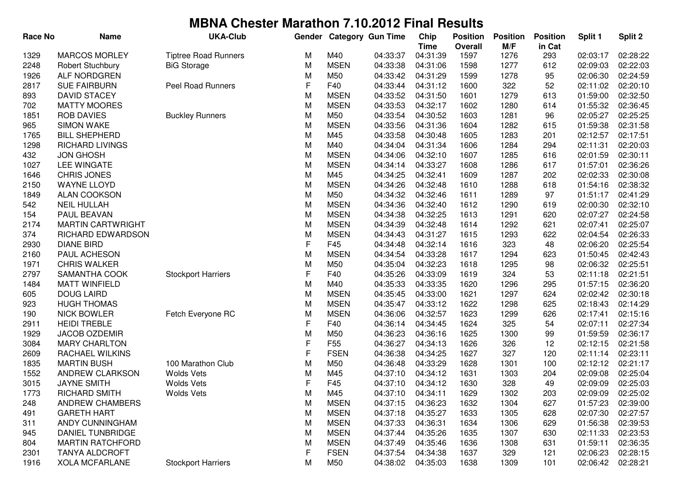| Race No | <b>Name</b>              | <b>UKA-Club</b>             | Gender |                 | <b>Category Gun Time</b> | Chip<br><b>Time</b> | <b>Position</b><br><b>Overall</b> | <b>Position</b><br>M/F | <b>Position</b><br>in Cat | Split 1  | Split 2  |
|---------|--------------------------|-----------------------------|--------|-----------------|--------------------------|---------------------|-----------------------------------|------------------------|---------------------------|----------|----------|
| 1329    | <b>MARCOS MORLEY</b>     | <b>Tiptree Road Runners</b> | M      | M40             | 04:33:37                 | 04:31:39            | 1597                              | 1276                   | 293                       | 02:03:17 | 02:28:22 |
| 2248    | Robert Stuchbury         | <b>BiG Storage</b>          | M      | <b>MSEN</b>     | 04:33:38                 | 04:31:06            | 1598                              | 1277                   | 612                       | 02:09:03 | 02:22:03 |
| 1926    | ALF NORDGREN             |                             | M      | M50             | 04:33:42                 | 04:31:29            | 1599                              | 1278                   | 95                        | 02:06:30 | 02:24:59 |
| 2817    | <b>SUE FAIRBURN</b>      | Peel Road Runners           | F      | F40             | 04:33:44                 | 04:31:12            | 1600                              | 322                    | 52                        | 02:11:02 | 02:20:10 |
| 893     | <b>DAVID STACEY</b>      |                             | M      | <b>MSEN</b>     | 04:33:52                 | 04:31:50            | 1601                              | 1279                   | 613                       | 01:59:00 | 02:32:50 |
| 702     | <b>MATTY MOORES</b>      |                             | M      | <b>MSEN</b>     | 04:33:53                 | 04:32:17            | 1602                              | 1280                   | 614                       | 01:55:32 | 02:36:45 |
| 1851    | <b>ROB DAVIES</b>        | <b>Buckley Runners</b>      | M      | M50             | 04:33:54                 | 04:30:52            | 1603                              | 1281                   | 96                        | 02:05:27 | 02:25:25 |
| 965     | <b>SIMON WAKE</b>        |                             | M      | <b>MSEN</b>     | 04:33:56                 | 04:31:36            | 1604                              | 1282                   | 615                       | 01:59:38 | 02:31:58 |
| 1765    | <b>BILL SHEPHERD</b>     |                             | M      | M45             | 04:33:58                 | 04:30:48            | 1605                              | 1283                   | 201                       | 02:12:57 | 02:17:51 |
| 1298    | <b>RICHARD LIVINGS</b>   |                             | M      | M40             | 04:34:04                 | 04:31:34            | 1606                              | 1284                   | 294                       | 02:11:31 | 02:20:03 |
| 432     | <b>JON GHOSH</b>         |                             | M      | <b>MSEN</b>     | 04:34:06                 | 04:32:10            | 1607                              | 1285                   | 616                       | 02:01:59 | 02:30:11 |
| 1027    | <b>LEE WINGATE</b>       |                             | M      | <b>MSEN</b>     | 04:34:14                 | 04:33:27            | 1608                              | 1286                   | 617                       | 01:57:01 | 02:36:26 |
| 1646    | <b>CHRIS JONES</b>       |                             | M      | M45             | 04:34:25                 | 04:32:41            | 1609                              | 1287                   | 202                       | 02:02:33 | 02:30:08 |
| 2150    | <b>WAYNE LLOYD</b>       |                             | M      | <b>MSEN</b>     | 04:34:26                 | 04:32:48            | 1610                              | 1288                   | 618                       | 01:54:16 | 02:38:32 |
| 1849    | <b>ALAN COOKSON</b>      |                             | M      | M50             | 04:34:32                 | 04:32:46            | 1611                              | 1289                   | 97                        | 01:51:17 | 02:41:29 |
| 542     | <b>NEIL HULLAH</b>       |                             | M      | <b>MSEN</b>     | 04:34:36                 | 04:32:40            | 1612                              | 1290                   | 619                       | 02:00:30 | 02:32:10 |
| 154     | PAUL BEAVAN              |                             | M      | <b>MSEN</b>     | 04:34:38                 | 04:32:25            | 1613                              | 1291                   | 620                       | 02:07:27 | 02:24:58 |
| 2174    | <b>MARTIN CARTWRIGHT</b> |                             | M      | <b>MSEN</b>     | 04:34:39                 | 04:32:48            | 1614                              | 1292                   | 621                       | 02:07:41 | 02:25:07 |
| 374     | RICHARD EDWARDSON        |                             | M      | <b>MSEN</b>     | 04:34:43                 | 04:31:27            | 1615                              | 1293                   | 622                       | 02:04:54 | 02:26:33 |
| 2930    | <b>DIANE BIRD</b>        |                             | F      | F45             | 04:34:48                 | 04:32:14            | 1616                              | 323                    | 48                        | 02:06:20 | 02:25:54 |
| 2160    | PAUL ACHESON             |                             | M      | <b>MSEN</b>     | 04:34:54                 | 04:33:28            | 1617                              | 1294                   | 623                       | 01:50:45 | 02:42:43 |
| 1971    | <b>CHRIS WALKER</b>      |                             | M      | M50             | 04:35:04                 | 04:32:23            | 1618                              | 1295                   | 98                        | 02:06:32 | 02:25:51 |
| 2797    | SAMANTHA COOK            | <b>Stockport Harriers</b>   | F      | F40             | 04:35:26                 | 04:33:09            | 1619                              | 324                    | 53                        | 02:11:18 | 02:21:51 |
| 1484    | <b>MATT WINFIELD</b>     |                             | M      | M40             | 04:35:33                 | 04:33:35            | 1620                              | 1296                   | 295                       | 01:57:15 | 02:36:20 |
| 605     | <b>DOUG LAIRD</b>        |                             | M      | <b>MSEN</b>     | 04:35:45                 | 04:33:00            | 1621                              | 1297                   | 624                       | 02:02:42 | 02:30:18 |
| 923     | <b>HUGH THOMAS</b>       |                             | M      | <b>MSEN</b>     | 04:35:47                 | 04:33:12            | 1622                              | 1298                   | 625                       | 02:18:43 | 02:14:29 |
| 190     | <b>NICK BOWLER</b>       | Fetch Everyone RC           | M      | <b>MSEN</b>     | 04:36:06                 | 04:32:57            | 1623                              | 1299                   | 626                       | 02:17:41 | 02:15:16 |
| 2911    | <b>HEIDI TREBLE</b>      |                             | F      | F40             | 04:36:14                 | 04:34:45            | 1624                              | 325                    | 54                        | 02:07:11 | 02:27:34 |
| 1929    | JACOB OZDEMIR            |                             | M      | M50             | 04:36:23                 | 04:36:16            | 1625                              | 1300                   | 99                        | 01:59:59 | 02:36:17 |
| 3084    | <b>MARY CHARLTON</b>     |                             | F      | F <sub>55</sub> | 04:36:27                 | 04:34:13            | 1626                              | 326                    | 12                        | 02:12:15 | 02:21:58 |
| 2609    | RACHAEL WILKINS          |                             | F      | <b>FSEN</b>     | 04:36:38                 | 04:34:25            | 1627                              | 327                    | 120                       | 02:11:14 | 02:23:11 |
| 1835    | <b>MARTIN BUSH</b>       | 100 Marathon Club           | M      | M50             | 04:36:48                 | 04:33:29            | 1628                              | 1301                   | 100                       | 02:12:12 | 02:21:17 |
| 1552    | ANDREW CLARKSON          | <b>Wolds Vets</b>           | M      | M45             | 04:37:10                 | 04:34:12            | 1631                              | 1303                   | 204                       | 02:09:08 | 02:25:04 |
| 3015    | <b>JAYNE SMITH</b>       | <b>Wolds Vets</b>           | F      | F45             | 04:37:10                 | 04:34:12            | 1630                              | 328                    | 49                        | 02:09:09 | 02:25:03 |
| 1773    | RICHARD SMITH            | <b>Wolds Vets</b>           | M      | M45             | 04:37:10                 | 04:34:11            | 1629                              | 1302                   | 203                       | 02:09:09 | 02:25:02 |
| 248     | <b>ANDREW CHAMBERS</b>   |                             | M      | <b>MSEN</b>     | 04:37:15                 | 04:36:23            | 1632                              | 1304                   | 627                       | 01:57:23 | 02:39:00 |
| 491     | <b>GARETH HART</b>       |                             | M      | <b>MSEN</b>     | 04:37:18                 | 04:35:27            | 1633                              | 1305                   | 628                       | 02:07:30 | 02:27:57 |
| 311     | ANDY CUNNINGHAM          |                             | M      | <b>MSEN</b>     | 04:37:33                 | 04:36:31            | 1634                              | 1306                   | 629                       | 01:56:38 | 02:39:53 |
| 945     | DANIEL TUNBRIDGE         |                             | M      | <b>MSEN</b>     | 04:37:44                 | 04:35:26            | 1635                              | 1307                   | 630                       | 02:11:33 | 02:23:53 |
| 804     | <b>MARTIN RATCHFORD</b>  |                             | M      | <b>MSEN</b>     | 04:37:49                 | 04:35:46            | 1636                              | 1308                   | 631                       | 01:59:11 | 02:36:35 |
| 2301    | <b>TANYA ALDCROFT</b>    |                             | F      | <b>FSEN</b>     | 04:37:54                 | 04:34:38            | 1637                              | 329                    | 121                       | 02:06:23 | 02:28:15 |
| 1916    | <b>XOLA MCFARLANE</b>    | <b>Stockport Harriers</b>   | M      | M50             | 04:38:02                 | 04:35:03            | 1638                              | 1309                   | 101                       | 02:06:42 | 02:28:21 |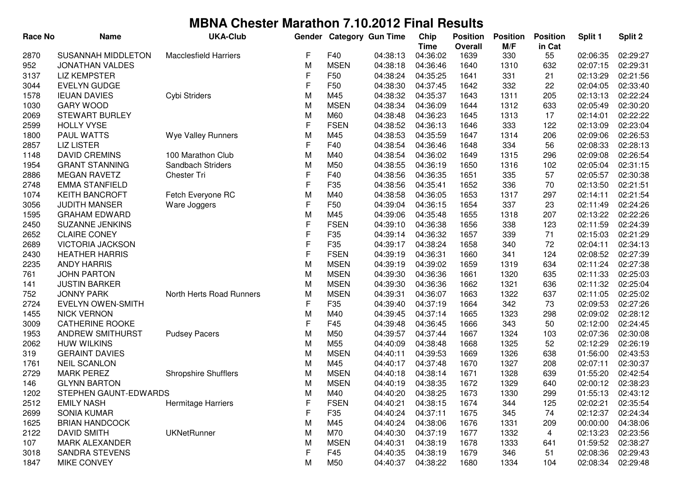| <b>Race No</b> | <b>Name</b>               | <b>UKA-Club</b>              | Gender       |             | <b>Category Gun Time</b> | Chip<br><b>Time</b> | <b>Position</b><br>Overall | <b>Position</b><br>M/F | <b>Position</b><br>in Cat | Split 1  | Split 2  |
|----------------|---------------------------|------------------------------|--------------|-------------|--------------------------|---------------------|----------------------------|------------------------|---------------------------|----------|----------|
| 2870           | <b>SUSANNAH MIDDLETON</b> | <b>Macclesfield Harriers</b> | F            | F40         | 04:38:13                 | 04:36:02            | 1639                       | 330                    | 55                        | 02:06:35 | 02:29:27 |
| 952            | <b>JONATHAN VALDES</b>    |                              | M            | <b>MSEN</b> | 04:38:18                 | 04:36:46            | 1640                       | 1310                   | 632                       | 02:07:15 | 02:29:31 |
| 3137           | <b>LIZ KEMPSTER</b>       |                              | F            | F50         | 04:38:24                 | 04:35:25            | 1641                       | 331                    | 21                        | 02:13:29 | 02:21:56 |
| 3044           | <b>EVELYN GUDGE</b>       |                              | F            | F50         | 04:38:30                 | 04:37:45            | 1642                       | 332                    | 22                        | 02:04:05 | 02:33:40 |
| 1578           | <b>IEUAN DAVIES</b>       | Cybi Striders                | M            | M45         | 04:38:32                 | 04:35:37            | 1643                       | 1311                   | 205                       | 02:13:13 | 02:22:24 |
| 1030           | <b>GARY WOOD</b>          |                              | M            | <b>MSEN</b> | 04:38:34                 | 04:36:09            | 1644                       | 1312                   | 633                       | 02:05:49 | 02:30:20 |
| 2069           | <b>STEWART BURLEY</b>     |                              | M            | M60         | 04:38:48                 | 04:36:23            | 1645                       | 1313                   | 17                        | 02:14:01 | 02:22:22 |
| 2599           | <b>HOLLY VYSE</b>         |                              | F            | <b>FSEN</b> | 04:38:52                 | 04:36:13            | 1646                       | 333                    | 122                       | 02:13:09 | 02:23:04 |
| 1800           | PAUL WATTS                | Wye Valley Runners           | M            | M45         | 04:38:53                 | 04:35:59            | 1647                       | 1314                   | 206                       | 02:09:06 | 02:26:53 |
| 2857           | <b>LIZ LISTER</b>         |                              | F            | F40         | 04:38:54                 | 04:36:46            | 1648                       | 334                    | 56                        | 02:08:33 | 02:28:13 |
| 1148           | <b>DAVID CREMINS</b>      | 100 Marathon Club            | M            | M40         | 04:38:54                 | 04:36:02            | 1649                       | 1315                   | 296                       | 02:09:08 | 02:26:54 |
| 1954           | <b>GRANT STANNING</b>     | Sandbach Striders            | M            | M50         | 04:38:55                 | 04:36:19            | 1650                       | 1316                   | 102                       | 02:05:04 | 02:31:15 |
| 2886           | <b>MEGAN RAVETZ</b>       | Chester Tri                  | $\mathsf F$  | F40         | 04:38:56                 | 04:36:35            | 1651                       | 335                    | 57                        | 02:05:57 | 02:30:38 |
| 2748           | <b>EMMA STANFIELD</b>     |                              | $\mathsf F$  | F35         | 04:38:56                 | 04:35:41            | 1652                       | 336                    | 70                        | 02:13:50 | 02:21:51 |
| 1074           | <b>KEITH BANCROFT</b>     | Fetch Everyone RC            | M            | M40         | 04:38:58                 | 04:36:05            | 1653                       | 1317                   | 297                       | 02:14:11 | 02:21:54 |
| 3056           | <b>JUDITH MANSER</b>      | Ware Joggers                 | F            | F50         | 04:39:04                 | 04:36:15            | 1654                       | 337                    | 23                        | 02:11:49 | 02:24:26 |
| 1595           | <b>GRAHAM EDWARD</b>      |                              | M            | M45         | 04:39:06                 | 04:35:48            | 1655                       | 1318                   | 207                       | 02:13:22 | 02:22:26 |
| 2450           | <b>SUZANNE JENKINS</b>    |                              | F            | <b>FSEN</b> | 04:39:10                 | 04:36:38            | 1656                       | 338                    | 123                       | 02:11:59 | 02:24:39 |
| 2652           | <b>CLAIRE CONEY</b>       |                              | $\mathsf{F}$ | F35         | 04:39:14                 | 04:36:32            | 1657                       | 339                    | 71                        | 02:15:03 | 02:21:29 |
| 2689           | <b>VICTORIA JACKSON</b>   |                              | $\mathsf{F}$ | F35         | 04:39:17                 | 04:38:24            | 1658                       | 340                    | 72                        | 02:04:11 | 02:34:13 |
| 2430           | <b>HEATHER HARRIS</b>     |                              | $\mathsf F$  | <b>FSEN</b> | 04:39:19                 | 04:36:31            | 1660                       | 341                    | 124                       | 02:08:52 | 02:27:39 |
| 2235           | <b>ANDY HARRIS</b>        |                              | M            | <b>MSEN</b> | 04:39:19                 | 04:39:02            | 1659                       | 1319                   | 634                       | 02:11:24 | 02:27:38 |
| 761            | <b>JOHN PARTON</b>        |                              | M            | <b>MSEN</b> | 04:39:30                 | 04:36:36            | 1661                       | 1320                   | 635                       | 02:11:33 | 02:25:03 |
| 141            | <b>JUSTIN BARKER</b>      |                              | M            | <b>MSEN</b> | 04:39:30                 | 04:36:36            | 1662                       | 1321                   | 636                       | 02:11:32 | 02:25:04 |
| 752            | <b>JONNY PARK</b>         | North Herts Road Runners     | M            | <b>MSEN</b> | 04:39:31                 | 04:36:07            | 1663                       | 1322                   | 637                       | 02:11:05 | 02:25:02 |
| 2724           | <b>EVELYN OWEN-SMITH</b>  |                              | F            | F35         | 04:39:40                 | 04:37:19            | 1664                       | 342                    | 73                        | 02:09:53 | 02:27:26 |
| 1455           | <b>NICK VERNON</b>        |                              | M            | M40         | 04:39:45                 | 04:37:14            | 1665                       | 1323                   | 298                       | 02:09:02 | 02:28:12 |
| 3009           | <b>CATHERINE ROOKE</b>    |                              | F            | F45         | 04:39:48                 | 04:36:45            | 1666                       | 343                    | 50                        | 02:12:00 | 02:24:45 |
| 1953           | ANDREW SMITHURST          | <b>Pudsey Pacers</b>         | M            | M50         | 04:39:57                 | 04:37:44            | 1667                       | 1324                   | 103                       | 02:07:36 | 02:30:08 |
| 2062           | <b>HUW WILKINS</b>        |                              | M            | M55         | 04:40:09                 | 04:38:48            | 1668                       | 1325                   | 52                        | 02:12:29 | 02:26:19 |
| 319            | <b>GERAINT DAVIES</b>     |                              | M            | <b>MSEN</b> | 04:40:11                 | 04:39:53            | 1669                       | 1326                   | 638                       | 01:56:00 | 02:43:53 |
| 1761           | <b>NEIL SCANLON</b>       |                              | M            | M45         | 04:40:17                 | 04:37:48            | 1670                       | 1327                   | 208                       | 02:07:11 | 02:30:37 |
| 2729           | <b>MARK PEREZ</b>         | <b>Shropshire Shufflers</b>  | M            | <b>MSEN</b> | 04:40:18                 | 04:38:14            | 1671                       | 1328                   | 639                       | 01:55:20 | 02:42:54 |
| 146            | <b>GLYNN BARTON</b>       |                              | M            | <b>MSEN</b> | 04:40:19                 | 04:38:35            | 1672                       | 1329                   | 640                       | 02:00:12 | 02:38:23 |
| 1202           | STEPHEN GAUNT-EDWARDS     |                              | M            | M40         | 04:40:20                 | 04:38:25            | 1673                       | 1330                   | 299                       | 01:55:13 | 02:43:12 |
| 2512           | <b>EMILY NASH</b>         | <b>Hermitage Harriers</b>    | F            | <b>FSEN</b> | 04:40:21                 | 04:38:15            | 1674                       | 344                    | 125                       | 02:02:21 | 02:35:54 |
| 2699           | <b>SONIA KUMAR</b>        |                              | F            | F35         | 04:40:24                 | 04:37:11            | 1675                       | 345                    | 74                        | 02:12:37 | 02:24:34 |
| 1625           | <b>BRIAN HANDCOCK</b>     |                              | M            | M45         | 04:40:24                 | 04:38:06            | 1676                       | 1331                   | 209                       | 00:00:00 | 04:38:06 |
| 2122           | <b>DAVID SMITH</b>        | <b>UKNetRunner</b>           | M            | M70         | 04:40:30                 | 04:37:19            | 1677                       | 1332                   | 4                         | 02:13:23 | 02:23:56 |
| 107            | <b>MARK ALEXANDER</b>     |                              | M            | <b>MSEN</b> | 04:40:31                 | 04:38:19            | 1678                       | 1333                   | 641                       | 01:59:52 | 02:38:27 |
| 3018           | <b>SANDRA STEVENS</b>     |                              | F            | F45         | 04:40:35                 | 04:38:19            | 1679                       | 346                    | 51                        | 02:08:36 | 02:29:43 |
| 1847           | MIKE CONVEY               |                              | M            | M50         | 04:40:37                 | 04:38:22            | 1680                       | 1334                   | 104                       | 02:08:34 | 02:29:48 |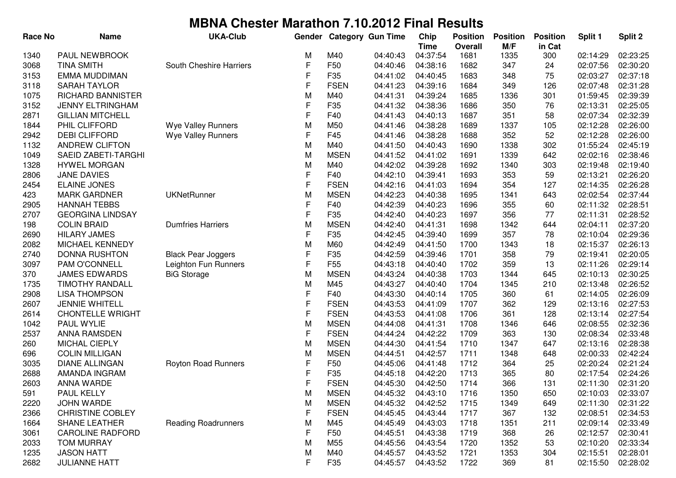| M/F<br>in Cat<br><b>Time</b><br><b>Overall</b><br>PAUL NEWBROOK<br>M40<br>04:37:54<br>1681<br>02:23:25<br>1340<br>М<br>04:40:43<br>1335<br>300<br>02:14:29<br>F<br><b>TINA SMITH</b><br>South Cheshire Harriers<br>F50<br>04:38:16<br>02:07:56<br>02:30:20<br>3068<br>04:40:46<br>1682<br>347<br>24<br>F<br>F35<br>02:37:18<br>3153<br>EMMA MUDDIMAN<br>04:41:02<br>04:40:45<br>1683<br>348<br>75<br>02:03:27<br>F<br><b>SARAH TAYLOR</b><br><b>FSEN</b><br>04:39:16<br>1684<br>02:07:48<br>02:31:28<br>3118<br>04:41:23<br>349<br>126<br>1075<br>M<br>04:41:31<br>04:39:24<br>1685<br>01:59:45<br>02:39:39<br>RICHARD BANNISTER<br>M40<br>1336<br>301<br>F<br>3152<br><b>JENNY ELTRINGHAM</b><br>F35<br>350<br>02:13:31<br>02:25:05<br>04:41:32<br>04:38:36<br>1686<br>76<br>$\mathsf{F}$<br>2871<br><b>GILLIAN MITCHELL</b><br>F40<br>02:07:34<br>02:32:39<br>04:41:43<br>04:40:13<br>1687<br>351<br>58<br>PHIL CLIFFORD<br>M<br>02:12:28<br>02:26:00<br>1844<br>Wye Valley Runners<br>M50<br>04:41:46<br>04:38:28<br>1689<br>1337<br>105<br>F<br>F45<br>2942<br><b>DEBI CLIFFORD</b><br>Wye Valley Runners<br>04:38:28<br>1688<br>352<br>52<br>02:12:28<br>02:26:00<br>04:41:46<br>M<br>1132<br>ANDREW CLIFTON<br>M40<br>04:41:50<br>01:55:24<br>02:45:19<br>04:40:43<br>1690<br>1338<br>302<br>M<br>SAEID ZABETI-TARGHI<br><b>MSEN</b><br>04:41:52<br>04:41:02<br>02:02:16<br>02:38:46<br>1049<br>1691<br>1339<br>642<br><b>HYWEL MORGAN</b><br>M<br>04:42:02<br>04:39:28<br>02:19:48<br>02:19:40<br>1328<br>M40<br>1692<br>1340<br>303<br>F<br><b>JANE DAVIES</b><br>F40<br>04:42:10<br>04:39:41<br>1693<br>353<br>59<br>02:13:21<br>02:26:20<br>2806<br>F<br>2454<br><b>ELAINE JONES</b><br><b>FSEN</b><br>04:41:03<br>1694<br>354<br>02:14:35<br>02:26:28<br>04:42:16<br>127<br><b>MARK GARDNER</b><br><b>UKNetRunner</b><br>M<br><b>MSEN</b><br>1341<br>02:02:54<br>02:37:44<br>423<br>04:42:23<br>04:40:38<br>1695<br>643<br>F<br><b>HANNAH TEBBS</b><br>F40<br>355<br>02:28:51<br>2905<br>04:42:39<br>04:40:23<br>1696<br>60<br>02:11:32<br>F<br>2707<br><b>GEORGINA LINDSAY</b><br>F35<br>1697<br>356<br>77<br>02:28:52<br>04:42:40<br>04:40:23<br>02:11:31<br>M<br><b>COLIN BRAID</b><br><b>Dumfries Harriers</b><br><b>MSEN</b><br>04:42:40<br>04:41:31<br>1698<br>644<br>02:04:11<br>02:37:20<br>198<br>1342<br>F<br><b>HILARY JAMES</b><br>F35<br>04:42:45<br>04:39:40<br>357<br>02:10:04<br>02:29:36<br>2690<br>1699<br>78<br>M<br>02:15:37<br>02:26:13<br>2082<br>MICHAEL KENNEDY<br>M60<br>04:42:49<br>04:41:50<br>1700<br>1343<br>18<br>F<br><b>DONNA RUSHTON</b><br><b>Black Pear Joggers</b><br>F35<br>04:42:59<br>1701<br>358<br>02:19:41<br>02:20:05<br>2740<br>04:39:46<br>79<br>F<br>3097<br>PAM O'CONNELL<br>Leighton Fun Runners<br>F <sub>55</sub><br>04:43:18<br>1702<br>02:11:26<br>02:29:14<br>04:40:40<br>359<br>13<br><b>JAMES EDWARDS</b><br>M<br><b>MSEN</b><br>04:43:24<br>1703<br>02:10:13<br>02:30:25<br>370<br><b>BiG Storage</b><br>04:40:38<br>1344<br>645 |
|-----------------------------------------------------------------------------------------------------------------------------------------------------------------------------------------------------------------------------------------------------------------------------------------------------------------------------------------------------------------------------------------------------------------------------------------------------------------------------------------------------------------------------------------------------------------------------------------------------------------------------------------------------------------------------------------------------------------------------------------------------------------------------------------------------------------------------------------------------------------------------------------------------------------------------------------------------------------------------------------------------------------------------------------------------------------------------------------------------------------------------------------------------------------------------------------------------------------------------------------------------------------------------------------------------------------------------------------------------------------------------------------------------------------------------------------------------------------------------------------------------------------------------------------------------------------------------------------------------------------------------------------------------------------------------------------------------------------------------------------------------------------------------------------------------------------------------------------------------------------------------------------------------------------------------------------------------------------------------------------------------------------------------------------------------------------------------------------------------------------------------------------------------------------------------------------------------------------------------------------------------------------------------------------------------------------------------------------------------------------------------------------------------------------------------------------------------------------------------------------------------------------------------------------------------------------------------------------------------------------------------------------------------------------------------------------------------------------------------------------------------------------------------------------------------------------------------------------------------------------------------------------------------------------------------------------------------------------------------------------------------|
|                                                                                                                                                                                                                                                                                                                                                                                                                                                                                                                                                                                                                                                                                                                                                                                                                                                                                                                                                                                                                                                                                                                                                                                                                                                                                                                                                                                                                                                                                                                                                                                                                                                                                                                                                                                                                                                                                                                                                                                                                                                                                                                                                                                                                                                                                                                                                                                                                                                                                                                                                                                                                                                                                                                                                                                                                                                                                                                                                                                                     |
|                                                                                                                                                                                                                                                                                                                                                                                                                                                                                                                                                                                                                                                                                                                                                                                                                                                                                                                                                                                                                                                                                                                                                                                                                                                                                                                                                                                                                                                                                                                                                                                                                                                                                                                                                                                                                                                                                                                                                                                                                                                                                                                                                                                                                                                                                                                                                                                                                                                                                                                                                                                                                                                                                                                                                                                                                                                                                                                                                                                                     |
|                                                                                                                                                                                                                                                                                                                                                                                                                                                                                                                                                                                                                                                                                                                                                                                                                                                                                                                                                                                                                                                                                                                                                                                                                                                                                                                                                                                                                                                                                                                                                                                                                                                                                                                                                                                                                                                                                                                                                                                                                                                                                                                                                                                                                                                                                                                                                                                                                                                                                                                                                                                                                                                                                                                                                                                                                                                                                                                                                                                                     |
|                                                                                                                                                                                                                                                                                                                                                                                                                                                                                                                                                                                                                                                                                                                                                                                                                                                                                                                                                                                                                                                                                                                                                                                                                                                                                                                                                                                                                                                                                                                                                                                                                                                                                                                                                                                                                                                                                                                                                                                                                                                                                                                                                                                                                                                                                                                                                                                                                                                                                                                                                                                                                                                                                                                                                                                                                                                                                                                                                                                                     |
|                                                                                                                                                                                                                                                                                                                                                                                                                                                                                                                                                                                                                                                                                                                                                                                                                                                                                                                                                                                                                                                                                                                                                                                                                                                                                                                                                                                                                                                                                                                                                                                                                                                                                                                                                                                                                                                                                                                                                                                                                                                                                                                                                                                                                                                                                                                                                                                                                                                                                                                                                                                                                                                                                                                                                                                                                                                                                                                                                                                                     |
|                                                                                                                                                                                                                                                                                                                                                                                                                                                                                                                                                                                                                                                                                                                                                                                                                                                                                                                                                                                                                                                                                                                                                                                                                                                                                                                                                                                                                                                                                                                                                                                                                                                                                                                                                                                                                                                                                                                                                                                                                                                                                                                                                                                                                                                                                                                                                                                                                                                                                                                                                                                                                                                                                                                                                                                                                                                                                                                                                                                                     |
|                                                                                                                                                                                                                                                                                                                                                                                                                                                                                                                                                                                                                                                                                                                                                                                                                                                                                                                                                                                                                                                                                                                                                                                                                                                                                                                                                                                                                                                                                                                                                                                                                                                                                                                                                                                                                                                                                                                                                                                                                                                                                                                                                                                                                                                                                                                                                                                                                                                                                                                                                                                                                                                                                                                                                                                                                                                                                                                                                                                                     |
|                                                                                                                                                                                                                                                                                                                                                                                                                                                                                                                                                                                                                                                                                                                                                                                                                                                                                                                                                                                                                                                                                                                                                                                                                                                                                                                                                                                                                                                                                                                                                                                                                                                                                                                                                                                                                                                                                                                                                                                                                                                                                                                                                                                                                                                                                                                                                                                                                                                                                                                                                                                                                                                                                                                                                                                                                                                                                                                                                                                                     |
|                                                                                                                                                                                                                                                                                                                                                                                                                                                                                                                                                                                                                                                                                                                                                                                                                                                                                                                                                                                                                                                                                                                                                                                                                                                                                                                                                                                                                                                                                                                                                                                                                                                                                                                                                                                                                                                                                                                                                                                                                                                                                                                                                                                                                                                                                                                                                                                                                                                                                                                                                                                                                                                                                                                                                                                                                                                                                                                                                                                                     |
|                                                                                                                                                                                                                                                                                                                                                                                                                                                                                                                                                                                                                                                                                                                                                                                                                                                                                                                                                                                                                                                                                                                                                                                                                                                                                                                                                                                                                                                                                                                                                                                                                                                                                                                                                                                                                                                                                                                                                                                                                                                                                                                                                                                                                                                                                                                                                                                                                                                                                                                                                                                                                                                                                                                                                                                                                                                                                                                                                                                                     |
|                                                                                                                                                                                                                                                                                                                                                                                                                                                                                                                                                                                                                                                                                                                                                                                                                                                                                                                                                                                                                                                                                                                                                                                                                                                                                                                                                                                                                                                                                                                                                                                                                                                                                                                                                                                                                                                                                                                                                                                                                                                                                                                                                                                                                                                                                                                                                                                                                                                                                                                                                                                                                                                                                                                                                                                                                                                                                                                                                                                                     |
|                                                                                                                                                                                                                                                                                                                                                                                                                                                                                                                                                                                                                                                                                                                                                                                                                                                                                                                                                                                                                                                                                                                                                                                                                                                                                                                                                                                                                                                                                                                                                                                                                                                                                                                                                                                                                                                                                                                                                                                                                                                                                                                                                                                                                                                                                                                                                                                                                                                                                                                                                                                                                                                                                                                                                                                                                                                                                                                                                                                                     |
|                                                                                                                                                                                                                                                                                                                                                                                                                                                                                                                                                                                                                                                                                                                                                                                                                                                                                                                                                                                                                                                                                                                                                                                                                                                                                                                                                                                                                                                                                                                                                                                                                                                                                                                                                                                                                                                                                                                                                                                                                                                                                                                                                                                                                                                                                                                                                                                                                                                                                                                                                                                                                                                                                                                                                                                                                                                                                                                                                                                                     |
|                                                                                                                                                                                                                                                                                                                                                                                                                                                                                                                                                                                                                                                                                                                                                                                                                                                                                                                                                                                                                                                                                                                                                                                                                                                                                                                                                                                                                                                                                                                                                                                                                                                                                                                                                                                                                                                                                                                                                                                                                                                                                                                                                                                                                                                                                                                                                                                                                                                                                                                                                                                                                                                                                                                                                                                                                                                                                                                                                                                                     |
|                                                                                                                                                                                                                                                                                                                                                                                                                                                                                                                                                                                                                                                                                                                                                                                                                                                                                                                                                                                                                                                                                                                                                                                                                                                                                                                                                                                                                                                                                                                                                                                                                                                                                                                                                                                                                                                                                                                                                                                                                                                                                                                                                                                                                                                                                                                                                                                                                                                                                                                                                                                                                                                                                                                                                                                                                                                                                                                                                                                                     |
|                                                                                                                                                                                                                                                                                                                                                                                                                                                                                                                                                                                                                                                                                                                                                                                                                                                                                                                                                                                                                                                                                                                                                                                                                                                                                                                                                                                                                                                                                                                                                                                                                                                                                                                                                                                                                                                                                                                                                                                                                                                                                                                                                                                                                                                                                                                                                                                                                                                                                                                                                                                                                                                                                                                                                                                                                                                                                                                                                                                                     |
|                                                                                                                                                                                                                                                                                                                                                                                                                                                                                                                                                                                                                                                                                                                                                                                                                                                                                                                                                                                                                                                                                                                                                                                                                                                                                                                                                                                                                                                                                                                                                                                                                                                                                                                                                                                                                                                                                                                                                                                                                                                                                                                                                                                                                                                                                                                                                                                                                                                                                                                                                                                                                                                                                                                                                                                                                                                                                                                                                                                                     |
|                                                                                                                                                                                                                                                                                                                                                                                                                                                                                                                                                                                                                                                                                                                                                                                                                                                                                                                                                                                                                                                                                                                                                                                                                                                                                                                                                                                                                                                                                                                                                                                                                                                                                                                                                                                                                                                                                                                                                                                                                                                                                                                                                                                                                                                                                                                                                                                                                                                                                                                                                                                                                                                                                                                                                                                                                                                                                                                                                                                                     |
|                                                                                                                                                                                                                                                                                                                                                                                                                                                                                                                                                                                                                                                                                                                                                                                                                                                                                                                                                                                                                                                                                                                                                                                                                                                                                                                                                                                                                                                                                                                                                                                                                                                                                                                                                                                                                                                                                                                                                                                                                                                                                                                                                                                                                                                                                                                                                                                                                                                                                                                                                                                                                                                                                                                                                                                                                                                                                                                                                                                                     |
|                                                                                                                                                                                                                                                                                                                                                                                                                                                                                                                                                                                                                                                                                                                                                                                                                                                                                                                                                                                                                                                                                                                                                                                                                                                                                                                                                                                                                                                                                                                                                                                                                                                                                                                                                                                                                                                                                                                                                                                                                                                                                                                                                                                                                                                                                                                                                                                                                                                                                                                                                                                                                                                                                                                                                                                                                                                                                                                                                                                                     |
|                                                                                                                                                                                                                                                                                                                                                                                                                                                                                                                                                                                                                                                                                                                                                                                                                                                                                                                                                                                                                                                                                                                                                                                                                                                                                                                                                                                                                                                                                                                                                                                                                                                                                                                                                                                                                                                                                                                                                                                                                                                                                                                                                                                                                                                                                                                                                                                                                                                                                                                                                                                                                                                                                                                                                                                                                                                                                                                                                                                                     |
|                                                                                                                                                                                                                                                                                                                                                                                                                                                                                                                                                                                                                                                                                                                                                                                                                                                                                                                                                                                                                                                                                                                                                                                                                                                                                                                                                                                                                                                                                                                                                                                                                                                                                                                                                                                                                                                                                                                                                                                                                                                                                                                                                                                                                                                                                                                                                                                                                                                                                                                                                                                                                                                                                                                                                                                                                                                                                                                                                                                                     |
|                                                                                                                                                                                                                                                                                                                                                                                                                                                                                                                                                                                                                                                                                                                                                                                                                                                                                                                                                                                                                                                                                                                                                                                                                                                                                                                                                                                                                                                                                                                                                                                                                                                                                                                                                                                                                                                                                                                                                                                                                                                                                                                                                                                                                                                                                                                                                                                                                                                                                                                                                                                                                                                                                                                                                                                                                                                                                                                                                                                                     |
|                                                                                                                                                                                                                                                                                                                                                                                                                                                                                                                                                                                                                                                                                                                                                                                                                                                                                                                                                                                                                                                                                                                                                                                                                                                                                                                                                                                                                                                                                                                                                                                                                                                                                                                                                                                                                                                                                                                                                                                                                                                                                                                                                                                                                                                                                                                                                                                                                                                                                                                                                                                                                                                                                                                                                                                                                                                                                                                                                                                                     |
| <b>TIMOTHY RANDALL</b><br>M<br>M45<br>02:13:48<br>02:26:52<br>1735<br>04:43:27<br>04:40:40<br>1704<br>1345<br>210                                                                                                                                                                                                                                                                                                                                                                                                                                                                                                                                                                                                                                                                                                                                                                                                                                                                                                                                                                                                                                                                                                                                                                                                                                                                                                                                                                                                                                                                                                                                                                                                                                                                                                                                                                                                                                                                                                                                                                                                                                                                                                                                                                                                                                                                                                                                                                                                                                                                                                                                                                                                                                                                                                                                                                                                                                                                                   |
| F<br>F40<br>2908<br><b>LISA THOMPSON</b><br>04:43:30<br>1705<br>360<br>02:14:05<br>02:26:09<br>04:40:14<br>61                                                                                                                                                                                                                                                                                                                                                                                                                                                                                                                                                                                                                                                                                                                                                                                                                                                                                                                                                                                                                                                                                                                                                                                                                                                                                                                                                                                                                                                                                                                                                                                                                                                                                                                                                                                                                                                                                                                                                                                                                                                                                                                                                                                                                                                                                                                                                                                                                                                                                                                                                                                                                                                                                                                                                                                                                                                                                       |
| F<br>02:27:53<br>2607<br><b>JENNIE WHITELL</b><br><b>FSEN</b><br>04:43:53<br>04:41:09<br>1707<br>362<br>02:13:16<br>129                                                                                                                                                                                                                                                                                                                                                                                                                                                                                                                                                                                                                                                                                                                                                                                                                                                                                                                                                                                                                                                                                                                                                                                                                                                                                                                                                                                                                                                                                                                                                                                                                                                                                                                                                                                                                                                                                                                                                                                                                                                                                                                                                                                                                                                                                                                                                                                                                                                                                                                                                                                                                                                                                                                                                                                                                                                                             |
| F<br>02:27:54<br>2614<br><b>FSEN</b><br>04:43:53<br>04:41:08<br>1706<br>361<br>02:13:14<br><b>CHONTELLE WRIGHT</b><br>128                                                                                                                                                                                                                                                                                                                                                                                                                                                                                                                                                                                                                                                                                                                                                                                                                                                                                                                                                                                                                                                                                                                                                                                                                                                                                                                                                                                                                                                                                                                                                                                                                                                                                                                                                                                                                                                                                                                                                                                                                                                                                                                                                                                                                                                                                                                                                                                                                                                                                                                                                                                                                                                                                                                                                                                                                                                                           |
| M<br>02:32:36<br>1042<br>PAUL WYLIE<br><b>MSEN</b><br>04:44:08<br>04:41:31<br>1708<br>02:08:55<br>1346<br>646                                                                                                                                                                                                                                                                                                                                                                                                                                                                                                                                                                                                                                                                                                                                                                                                                                                                                                                                                                                                                                                                                                                                                                                                                                                                                                                                                                                                                                                                                                                                                                                                                                                                                                                                                                                                                                                                                                                                                                                                                                                                                                                                                                                                                                                                                                                                                                                                                                                                                                                                                                                                                                                                                                                                                                                                                                                                                       |
| F<br>02:33:48<br>2537<br><b>ANNA RAMSDEN</b><br><b>FSEN</b><br>04:44:24<br>04:42:22<br>1709<br>363<br>02:08:34<br>130                                                                                                                                                                                                                                                                                                                                                                                                                                                                                                                                                                                                                                                                                                                                                                                                                                                                                                                                                                                                                                                                                                                                                                                                                                                                                                                                                                                                                                                                                                                                                                                                                                                                                                                                                                                                                                                                                                                                                                                                                                                                                                                                                                                                                                                                                                                                                                                                                                                                                                                                                                                                                                                                                                                                                                                                                                                                               |
| MICHAL CIEPLY<br>M<br><b>MSEN</b><br>04:41:54<br>1710<br>02:13:16<br>02:28:38<br>260<br>04:44:30<br>1347<br>647                                                                                                                                                                                                                                                                                                                                                                                                                                                                                                                                                                                                                                                                                                                                                                                                                                                                                                                                                                                                                                                                                                                                                                                                                                                                                                                                                                                                                                                                                                                                                                                                                                                                                                                                                                                                                                                                                                                                                                                                                                                                                                                                                                                                                                                                                                                                                                                                                                                                                                                                                                                                                                                                                                                                                                                                                                                                                     |
| <b>COLIN MILLIGAN</b><br>M<br><b>MSEN</b><br>04:42:57<br>1711<br>02:00:33<br>02:42:24<br>696<br>04:44:51<br>1348<br>648                                                                                                                                                                                                                                                                                                                                                                                                                                                                                                                                                                                                                                                                                                                                                                                                                                                                                                                                                                                                                                                                                                                                                                                                                                                                                                                                                                                                                                                                                                                                                                                                                                                                                                                                                                                                                                                                                                                                                                                                                                                                                                                                                                                                                                                                                                                                                                                                                                                                                                                                                                                                                                                                                                                                                                                                                                                                             |
| F<br><b>DIANE ALLINGAN</b><br><b>Royton Road Runners</b><br>1712<br>02:21:24<br>3035<br>F <sub>50</sub><br>04:45:06<br>04:41:48<br>364<br>25<br>02:20:24                                                                                                                                                                                                                                                                                                                                                                                                                                                                                                                                                                                                                                                                                                                                                                                                                                                                                                                                                                                                                                                                                                                                                                                                                                                                                                                                                                                                                                                                                                                                                                                                                                                                                                                                                                                                                                                                                                                                                                                                                                                                                                                                                                                                                                                                                                                                                                                                                                                                                                                                                                                                                                                                                                                                                                                                                                            |
| F<br>F35<br>1713<br>02:17:54<br>02:24:26<br>2688<br>AMANDA INGRAM<br>04:45:18<br>04:42:20<br>365<br>80                                                                                                                                                                                                                                                                                                                                                                                                                                                                                                                                                                                                                                                                                                                                                                                                                                                                                                                                                                                                                                                                                                                                                                                                                                                                                                                                                                                                                                                                                                                                                                                                                                                                                                                                                                                                                                                                                                                                                                                                                                                                                                                                                                                                                                                                                                                                                                                                                                                                                                                                                                                                                                                                                                                                                                                                                                                                                              |
| F<br><b>FSEN</b><br>1714<br>366<br>02:31:20<br>2603<br>ANNA WARDE<br>04:45:30<br>04:42:50<br>131<br>02:11:30                                                                                                                                                                                                                                                                                                                                                                                                                                                                                                                                                                                                                                                                                                                                                                                                                                                                                                                                                                                                                                                                                                                                                                                                                                                                                                                                                                                                                                                                                                                                                                                                                                                                                                                                                                                                                                                                                                                                                                                                                                                                                                                                                                                                                                                                                                                                                                                                                                                                                                                                                                                                                                                                                                                                                                                                                                                                                        |
| M<br><b>MSEN</b><br>591<br>PAUL KELLY<br>04:45:32<br>04:43:10<br>1716<br>1350<br>650<br>02:10:03<br>02:33:07                                                                                                                                                                                                                                                                                                                                                                                                                                                                                                                                                                                                                                                                                                                                                                                                                                                                                                                                                                                                                                                                                                                                                                                                                                                                                                                                                                                                                                                                                                                                                                                                                                                                                                                                                                                                                                                                                                                                                                                                                                                                                                                                                                                                                                                                                                                                                                                                                                                                                                                                                                                                                                                                                                                                                                                                                                                                                        |
| <b>JOHN WARDE</b><br>M<br><b>MSEN</b><br>2220<br>04:45:32<br>04:42:52<br>1715<br>1349<br>649<br>02:11:30<br>02:31:22                                                                                                                                                                                                                                                                                                                                                                                                                                                                                                                                                                                                                                                                                                                                                                                                                                                                                                                                                                                                                                                                                                                                                                                                                                                                                                                                                                                                                                                                                                                                                                                                                                                                                                                                                                                                                                                                                                                                                                                                                                                                                                                                                                                                                                                                                                                                                                                                                                                                                                                                                                                                                                                                                                                                                                                                                                                                                |
| F<br><b>FSEN</b><br>2366<br><b>CHRISTINE COBLEY</b><br>04:45:45<br>04:43:44<br>1717<br>367<br>132<br>02:08:51<br>02:34:53                                                                                                                                                                                                                                                                                                                                                                                                                                                                                                                                                                                                                                                                                                                                                                                                                                                                                                                                                                                                                                                                                                                                                                                                                                                                                                                                                                                                                                                                                                                                                                                                                                                                                                                                                                                                                                                                                                                                                                                                                                                                                                                                                                                                                                                                                                                                                                                                                                                                                                                                                                                                                                                                                                                                                                                                                                                                           |
| M<br>1664<br><b>SHANE LEATHER</b><br><b>Reading Roadrunners</b><br>M45<br>04:45:49<br>04:43:03<br>1718<br>1351<br>211<br>02:09:14<br>02:33:49                                                                                                                                                                                                                                                                                                                                                                                                                                                                                                                                                                                                                                                                                                                                                                                                                                                                                                                                                                                                                                                                                                                                                                                                                                                                                                                                                                                                                                                                                                                                                                                                                                                                                                                                                                                                                                                                                                                                                                                                                                                                                                                                                                                                                                                                                                                                                                                                                                                                                                                                                                                                                                                                                                                                                                                                                                                       |
| F<br><b>CAROLINE RADFORD</b><br>F50<br>04:45:51<br>02:12:57<br>02:30:41<br>3061<br>04:43:38<br>1719<br>368<br>26                                                                                                                                                                                                                                                                                                                                                                                                                                                                                                                                                                                                                                                                                                                                                                                                                                                                                                                                                                                                                                                                                                                                                                                                                                                                                                                                                                                                                                                                                                                                                                                                                                                                                                                                                                                                                                                                                                                                                                                                                                                                                                                                                                                                                                                                                                                                                                                                                                                                                                                                                                                                                                                                                                                                                                                                                                                                                    |
| M<br>02:10:20<br>2033<br><b>TOM MURRAY</b><br>M <sub>55</sub><br>04:45:56<br>04:43:54<br>1720<br>1352<br>53<br>02:33:34                                                                                                                                                                                                                                                                                                                                                                                                                                                                                                                                                                                                                                                                                                                                                                                                                                                                                                                                                                                                                                                                                                                                                                                                                                                                                                                                                                                                                                                                                                                                                                                                                                                                                                                                                                                                                                                                                                                                                                                                                                                                                                                                                                                                                                                                                                                                                                                                                                                                                                                                                                                                                                                                                                                                                                                                                                                                             |
| <b>JASON HATT</b><br>M<br>02:15:51<br>1235<br>M40<br>04:45:57<br>04:43:52<br>1721<br>1353<br>304<br>02:28:01                                                                                                                                                                                                                                                                                                                                                                                                                                                                                                                                                                                                                                                                                                                                                                                                                                                                                                                                                                                                                                                                                                                                                                                                                                                                                                                                                                                                                                                                                                                                                                                                                                                                                                                                                                                                                                                                                                                                                                                                                                                                                                                                                                                                                                                                                                                                                                                                                                                                                                                                                                                                                                                                                                                                                                                                                                                                                        |
| F<br>2682<br><b>JULIANNE HATT</b><br>F35<br>02:28:02<br>04:45:57<br>04:43:52<br>1722<br>369<br>81<br>02:15:50                                                                                                                                                                                                                                                                                                                                                                                                                                                                                                                                                                                                                                                                                                                                                                                                                                                                                                                                                                                                                                                                                                                                                                                                                                                                                                                                                                                                                                                                                                                                                                                                                                                                                                                                                                                                                                                                                                                                                                                                                                                                                                                                                                                                                                                                                                                                                                                                                                                                                                                                                                                                                                                                                                                                                                                                                                                                                       |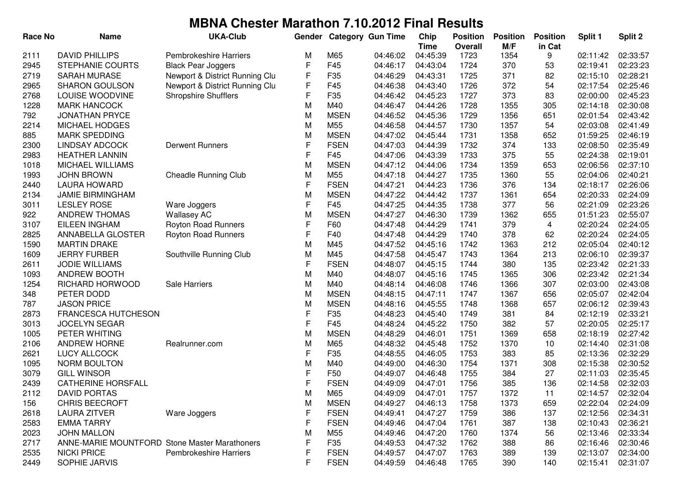| <b>Race No</b> | <b>Name</b>                                          | <b>UKA-Club</b>                | Gender       |                 | <b>Category Gun Time</b> | Chip        | <b>Position</b> | <b>Position</b> | <b>Position</b> | Split 1  | Split 2  |
|----------------|------------------------------------------------------|--------------------------------|--------------|-----------------|--------------------------|-------------|-----------------|-----------------|-----------------|----------|----------|
|                |                                                      |                                |              |                 |                          | <b>Time</b> | <b>Overall</b>  | M/F             | in Cat          |          |          |
| 2111           | <b>DAVID PHILLIPS</b>                                | <b>Pembrokeshire Harriers</b>  | M            | M65             | 04:46:02                 | 04:45:39    | 1723            | 1354            | 9               | 02:11:42 | 02:33:57 |
| 2945           | STEPHANIE COURTS                                     | <b>Black Pear Joggers</b>      | F            | F45             | 04:46:17                 | 04:43:04    | 1724            | 370             | 53              | 02:19:41 | 02:23:23 |
| 2719           | <b>SARAH MURASE</b>                                  | Newport & District Running Clu | F            | F35             | 04:46:29                 | 04:43:31    | 1725            | 371             | 82              | 02:15:10 | 02:28:21 |
| 2965           | <b>SHARON GOULSON</b>                                | Newport & District Running Clu | F            | F45             | 04:46:38                 | 04:43:40    | 1726            | 372             | 54              | 02:17:54 | 02:25:46 |
| 2768           | LOUISE WOODVINE                                      | <b>Shropshire Shufflers</b>    | F            | F35             | 04:46:42                 | 04:45:23    | 1727            | 373             | 83              | 02:00:00 | 02:45:23 |
| 1228           | <b>MARK HANCOCK</b>                                  |                                | M            | M40             | 04:46:47                 | 04:44:26    | 1728            | 1355            | 305             | 02:14:18 | 02:30:08 |
| 792            | <b>JONATHAN PRYCE</b>                                |                                | M            | <b>MSEN</b>     | 04:46:52                 | 04:45:36    | 1729            | 1356            | 651             | 02:01:54 | 02:43:42 |
| 2214           | <b>MICHAEL HODGES</b>                                |                                | M            | M55             | 04:46:58                 | 04:44:57    | 1730            | 1357            | 54              | 02:03:08 | 02:41:49 |
| 885            | <b>MARK SPEDDING</b>                                 |                                | M            | <b>MSEN</b>     | 04:47:02                 | 04:45:44    | 1731            | 1358            | 652             | 01:59:25 | 02:46:19 |
| 2300           | <b>LINDSAY ADCOCK</b>                                | <b>Derwent Runners</b>         | F            | <b>FSEN</b>     | 04:47:03                 | 04:44:39    | 1732            | 374             | 133             | 02:08:50 | 02:35:49 |
| 2983           | <b>HEATHER LANNIN</b>                                |                                | F            | F45             | 04:47:06                 | 04:43:39    | 1733            | 375             | 55              | 02:24:38 | 02:19:01 |
| 1018           | MICHAEL WILLIAMS                                     |                                | M            | <b>MSEN</b>     | 04:47:12                 | 04:44:06    | 1734            | 1359            | 653             | 02:06:56 | 02:37:10 |
| 1993           | <b>JOHN BROWN</b>                                    | <b>Cheadle Running Club</b>    | M            | M55             | 04:47:18                 | 04:44:27    | 1735            | 1360            | 55              | 02:04:06 | 02:40:21 |
| 2440           | <b>LAURA HOWARD</b>                                  |                                | F            | <b>FSEN</b>     | 04:47:21                 | 04:44:23    | 1736            | 376             | 134             | 02:18:17 | 02:26:06 |
| 2134           | <b>JAMIE BIRMINGHAM</b>                              |                                | M            | <b>MSEN</b>     | 04:47:22                 | 04:44:42    | 1737            | 1361            | 654             | 02:20:33 | 02:24:09 |
| 3011           | <b>LESLEY ROSE</b>                                   | Ware Joggers                   | F            | F45             | 04:47:25                 | 04:44:35    | 1738            | 377             | 56              | 02:21:09 | 02:23:26 |
| 922            | ANDREW THOMAS                                        | <b>Wallasey AC</b>             | M            | <b>MSEN</b>     | 04:47:27                 | 04:46:30    | 1739            | 1362            | 655             | 01:51:23 | 02:55:07 |
| 3107           | <b>EILEEN INGHAM</b>                                 | Royton Road Runners            | $\mathsf{F}$ | F60             | 04:47:48                 | 04:44:29    | 1741            | 379             | 4               | 02:20:24 | 02:24:05 |
| 2825           | ANNABELLA GLOSTER                                    | Royton Road Runners            | $\mathsf{F}$ | F40             | 04:47:48                 | 04:44:29    | 1740            | 378             | 62              | 02:20:24 | 02:24:05 |
| 1590           | <b>MARTIN DRAKE</b>                                  |                                | M            | M45             | 04:47:52                 | 04:45:16    | 1742            | 1363            | 212             | 02:05:04 | 02:40:12 |
| 1609           | <b>JERRY FURBER</b>                                  | Southville Running Club        | M            | M45             | 04:47:58                 | 04:45:47    | 1743            | 1364            | 213             | 02:06:10 | 02:39:37 |
| 2611           | <b>JODIE WILLIAMS</b>                                |                                | F            | <b>FSEN</b>     | 04:48:07                 | 04:45:15    | 1744            | 380             | 135             | 02:23:42 | 02:21:33 |
| 1093           | <b>ANDREW BOOTH</b>                                  |                                | M            | M40             | 04:48:07                 | 04:45:16    | 1745            | 1365            | 306             | 02:23:42 | 02:21:34 |
| 1254           | RICHARD HORWOOD                                      | Sale Harriers                  | M            | M40             | 04:48:14                 | 04:46:08    | 1746            | 1366            | 307             | 02:03:00 | 02:43:08 |
| 348            | PETER DODD                                           |                                | M            | <b>MSEN</b>     | 04:48:15                 | 04:47:11    | 1747            | 1367            | 656             | 02:05:07 | 02:42:04 |
| 787            | <b>JASON PRICE</b>                                   |                                | M            | <b>MSEN</b>     | 04:48:16                 | 04:45:55    | 1748            | 1368            | 657             | 02:06:12 | 02:39:43 |
| 2873           | <b>FRANCESCA HUTCHESON</b>                           |                                | F            | F35             | 04:48:23                 | 04:45:40    | 1749            | 381             | 84              | 02:12:19 | 02:33:21 |
| 3013           | <b>JOCELYN SEGAR</b>                                 |                                | $\mathsf{F}$ | F45             | 04:48:24                 | 04:45:22    | 1750            | 382             | 57              | 02:20:05 | 02:25:17 |
| 1005           | PETER WHITING                                        |                                | M            | <b>MSEN</b>     | 04:48:29                 | 04:46:01    | 1751            | 1369            | 658             | 02:18:19 | 02:27:42 |
| 2106           | <b>ANDREW HORNE</b>                                  | Realrunner.com                 | M            | M65             | 04:48:32                 | 04:45:48    | 1752            | 1370            | 10              | 02:14:40 | 02:31:08 |
| 2621           | <b>LUCY ALLCOCK</b>                                  |                                | F            | F35             | 04:48:55                 | 04:46:05    | 1753            | 383             | 85              | 02:13:36 | 02:32:29 |
| 1095           | NORM BOULTON                                         |                                | M            | M40             | 04:49:00                 | 04:46:30    | 1754            | 1371            | 308             | 02:15:38 | 02:30:52 |
| 3079           | <b>GILL WINSOR</b>                                   |                                | F            | F50             | 04:49:07                 | 04:46:48    | 1755            | 384             | 27              | 02:11:03 | 02:35:45 |
| 2439           | <b>CATHERINE HORSFALL</b>                            |                                | F            | <b>FSEN</b>     | 04:49:09                 | 04:47:01    | 1756            | 385             | 136             | 02:14:58 | 02:32:03 |
| 2112           | DAVID PORTAS                                         |                                | M            | M65             | 04:49:09                 | 04:47:01    | 1757            | 1372            | 11              | 02:14:57 | 02:32:04 |
| 156            | <b>CHRIS BEECROFT</b>                                |                                | M            | <b>MSEN</b>     | 04:49:27                 | 04:46:13    | 1758            | 1373            | 659             | 02:22:04 | 02:24:09 |
| 2618           | <b>LAURA ZITVER</b>                                  | Ware Joggers                   | F            | <b>FSEN</b>     | 04:49:41                 | 04:47:27    | 1759            | 386             | 137             | 02:12:56 | 02:34:31 |
| 2583           | <b>EMMA TARRY</b>                                    |                                | F            | <b>FSEN</b>     | 04:49:46                 | 04:47:04    | 1761            | 387             | 138             | 02:10:43 | 02:36:21 |
| 2023           | <b>JOHN MALLON</b>                                   |                                | M            | M <sub>55</sub> | 04:49:46                 | 04:47:20    | 1760            | 1374            | 56              | 02:13:46 | 02:33:34 |
| 2717           | <b>ANNE-MARIE MOUNTFORD Stone Master Marathoners</b> |                                | F            | F35             | 04:49:53                 | 04:47:32    | 1762            | 388             | 86              | 02:16:46 | 02:30:46 |
| 2535           | <b>NICKI PRICE</b>                                   | <b>Pembrokeshire Harriers</b>  | F            | <b>FSEN</b>     | 04:49:57                 | 04:47:07    | 1763            | 389             | 139             | 02:13:07 | 02:34:00 |
| 2449           | SOPHIE JARVIS                                        |                                | F            | <b>FSEN</b>     | 04:49:59                 | 04:46:48    | 1765            | 390             | 140             | 02:15:41 | 02:31:07 |
|                |                                                      |                                |              |                 |                          |             |                 |                 |                 |          |          |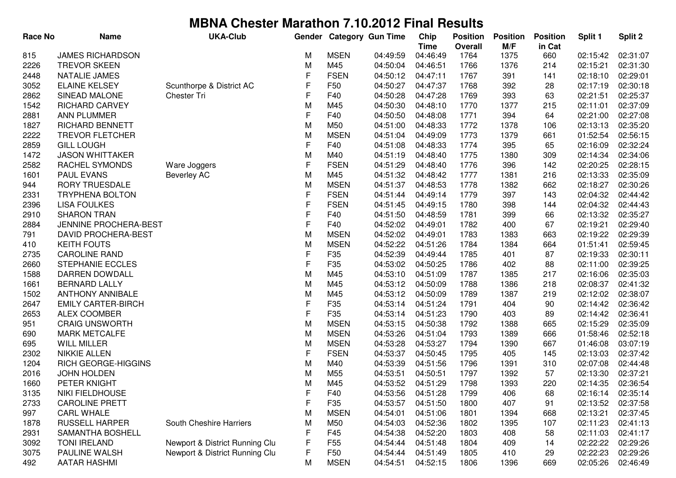| <b>Race No</b> | <b>Name</b>                | <b>UKA-Club</b>                |             |                 | Gender Category Gun Time | Chip        | <b>Position</b> | <b>Position</b> | <b>Position</b> | Split 1  | Split 2  |
|----------------|----------------------------|--------------------------------|-------------|-----------------|--------------------------|-------------|-----------------|-----------------|-----------------|----------|----------|
|                |                            |                                |             |                 |                          | <b>Time</b> | <b>Overall</b>  | M/F             | in Cat          |          |          |
| 815            | <b>JAMES RICHARDSON</b>    |                                | М           | <b>MSEN</b>     | 04:49:59                 | 04:46:49    | 1764            | 1375            | 660             | 02:15:42 | 02:31:07 |
| 2226           | <b>TREVOR SKEEN</b>        |                                | M           | M45             | 04:50:04                 | 04:46:51    | 1766            | 1376            | 214             | 02:15:21 | 02:31:30 |
| 2448           | NATALIE JAMES              |                                | F           | <b>FSEN</b>     | 04:50:12                 | 04:47:11    | 1767            | 391             | 141             | 02:18:10 | 02:29:01 |
| 3052           | <b>ELAINE KELSEY</b>       | Scunthorpe & District AC       | F           | F50             | 04:50:27                 | 04:47:37    | 1768            | 392             | 28              | 02:17:19 | 02:30:18 |
| 2862           | SINEAD MALONE              | Chester Tri                    | F           | F40             | 04:50:28                 | 04:47:28    | 1769            | 393             | 63              | 02:21:51 | 02:25:37 |
| 1542           | <b>RICHARD CARVEY</b>      |                                | M           | M45             | 04:50:30                 | 04:48:10    | 1770            | 1377            | 215             | 02:11:01 | 02:37:09 |
| 2881           | <b>ANN PLUMMER</b>         |                                | F           | F40             | 04:50:50                 | 04:48:08    | 1771            | 394             | 64              | 02:21:00 | 02:27:08 |
| 1827           | <b>RICHARD BENNETT</b>     |                                | M           | M50             | 04:51:00                 | 04:48:33    | 1772            | 1378            | 106             | 02:13:13 | 02:35:20 |
| 2222           | <b>TREVOR FLETCHER</b>     |                                | M           | <b>MSEN</b>     | 04:51:04                 | 04:49:09    | 1773            | 1379            | 661             | 01:52:54 | 02:56:15 |
| 2859           | <b>GILL LOUGH</b>          |                                | F           | F40             | 04:51:08                 | 04:48:33    | 1774            | 395             | 65              | 02:16:09 | 02:32:24 |
| 1472           | <b>JASON WHITTAKER</b>     |                                | M           | M40             | 04:51:19                 | 04:48:40    | 1775            | 1380            | 309             | 02:14:34 | 02:34:06 |
| 2582           | RACHEL SYMONDS             | Ware Joggers                   | $\mathsf F$ | <b>FSEN</b>     | 04:51:29                 | 04:48:40    | 1776            | 396             | 142             | 02:20:25 | 02:28:15 |
| 1601           | <b>PAUL EVANS</b>          | <b>Beverley AC</b>             | M           | M45             | 04:51:32                 | 04:48:42    | 1777            | 1381            | 216             | 02:13:33 | 02:35:09 |
| 944            | RORY TRUESDALE             |                                | M           | <b>MSEN</b>     | 04:51:37                 | 04:48:53    | 1778            | 1382            | 662             | 02:18:27 | 02:30:26 |
| 2331           | <b>TRYPHENA BOLTON</b>     |                                | F           | <b>FSEN</b>     | 04:51:44                 | 04:49:14    | 1779            | 397             | 143             | 02:04:32 | 02:44:42 |
| 2396           | <b>LISA FOULKES</b>        |                                | F           | <b>FSEN</b>     | 04:51:45                 | 04:49:15    | 1780            | 398             | 144             | 02:04:32 | 02:44:43 |
| 2910           | <b>SHARON TRAN</b>         |                                | F           | F40             | 04:51:50                 | 04:48:59    | 1781            | 399             | 66              | 02:13:32 | 02:35:27 |
| 2884           | JENNINE PROCHERA-BEST      |                                | F           | F40             | 04:52:02                 | 04:49:01    | 1782            | 400             | 67              | 02:19:21 | 02:29:40 |
| 791            | <b>DAVID PROCHERA-BEST</b> |                                | M           | <b>MSEN</b>     | 04:52:02                 | 04:49:01    | 1783            | 1383            | 663             | 02:19:22 | 02:29:39 |
| 410            | <b>KEITH FOUTS</b>         |                                | M           | <b>MSEN</b>     | 04:52:22                 | 04:51:26    | 1784            | 1384            | 664             | 01:51:41 | 02:59:45 |
| 2735           | <b>CAROLINE RAND</b>       |                                | F           | F <sub>35</sub> | 04:52:39                 | 04:49:44    | 1785            | 401             | 87              | 02:19:33 | 02:30:11 |
| 2660           | <b>STEPHANIE ECCLES</b>    |                                | $\mathsf F$ | F35             | 04:53:02                 | 04:50:25    | 1786            | 402             | 88              | 02:11:00 | 02:39:25 |
| 1588           | DARREN DOWDALL             |                                | M           | M45             | 04:53:10                 | 04:51:09    | 1787            | 1385            | 217             | 02:16:06 | 02:35:03 |
| 1661           | <b>BERNARD LALLY</b>       |                                | M           | M45             | 04:53:12                 | 04:50:09    | 1788            | 1386            | 218             | 02:08:37 | 02:41:32 |
| 1502           | <b>ANTHONY ANNIBALE</b>    |                                | M           | M45             | 04:53:12                 | 04:50:09    | 1789            | 1387            | 219             | 02:12:02 | 02:38:07 |
| 2647           | <b>EMILY CARTER-BIRCH</b>  |                                | F           | F35             | 04:53:14                 | 04:51:24    | 1791            | 404             | 90              | 02:14:42 | 02:36:42 |
| 2653           | <b>ALEX COOMBER</b>        |                                | F           | F35             | 04:53:14                 | 04:51:23    | 1790            | 403             | 89              | 02:14:42 | 02:36:41 |
| 951            | <b>CRAIG UNSWORTH</b>      |                                | M           | <b>MSEN</b>     | 04:53:15                 | 04:50:38    | 1792            | 1388            | 665             | 02:15:29 | 02:35:09 |
| 690            | <b>MARK METCALFE</b>       |                                | M           | <b>MSEN</b>     | 04:53:26                 | 04:51:04    | 1793            | 1389            | 666             | 01:58:46 | 02:52:18 |
| 695            | <b>WILL MILLER</b>         |                                | M           | <b>MSEN</b>     | 04:53:28                 | 04:53:27    | 1794            | 1390            | 667             | 01:46:08 | 03:07:19 |
| 2302           | <b>NIKKIE ALLEN</b>        |                                | F           | <b>FSEN</b>     | 04:53:37                 | 04:50:45    | 1795            | 405             | 145             | 02:13:03 | 02:37:42 |
| 1204           | RICH GEORGE-HIGGINS        |                                | M           | M40             | 04:53:39                 | 04:51:56    | 1796            | 1391            | 310             | 02:07:08 | 02:44:48 |
| 2016           | JOHN HOLDEN                |                                | M           | M55             | 04:53:51                 | 04:50:51    | 1797            | 1392            | 57              | 02:13:30 | 02:37:21 |
| 1660           | PETER KNIGHT               |                                | M           | M45             | 04:53:52                 | 04:51:29    | 1798            | 1393            | 220             | 02:14:35 | 02:36:54 |
| 3135           | NIKI FIELDHOUSE            |                                | ۲           | F40             | 04:53:56                 | 04:51:28    | 1799            | 406             | 68              | 02:16:14 | 02:35:14 |
| 2733           | <b>CAROLINE PRETT</b>      |                                | F           | F35             | 04:53:57                 | 04:51:50    | 1800            | 407             | 91              | 02:13:52 | 02:37:58 |
| 997            | <b>CARL WHALE</b>          |                                | M           | <b>MSEN</b>     | 04:54:01                 | 04:51:06    | 1801            | 1394            | 668             | 02:13:21 | 02:37:45 |
| 1878           | <b>RUSSELL HARPER</b>      | South Cheshire Harriers        | M           | M50             | 04:54:03                 | 04:52:36    | 1802            | 1395            | 107             | 02:11:23 | 02:41:13 |
| 2931           | <b>SAMANTHA BOSHELL</b>    |                                | F           | F45             | 04:54:38                 | 04:52:20    | 1803            | 408             | 58              | 02:11:03 | 02:41:17 |
| 3092           | <b>TONI IRELAND</b>        | Newport & District Running Clu | F           | F <sub>55</sub> | 04:54:44                 | 04:51:48    | 1804            | 409             | 14              | 02:22:22 | 02:29:26 |
| 3075           | PAULINE WALSH              | Newport & District Running Clu | F           | F <sub>50</sub> | 04:54:44                 | 04:51:49    | 1805            | 410             | 29              | 02:22:23 | 02:29:26 |
| 492            | <b>AATAR HASHMI</b>        |                                | M           | <b>MSEN</b>     | 04:54:51                 | 04:52:15    | 1806            | 1396            | 669             | 02:05:26 | 02:46:49 |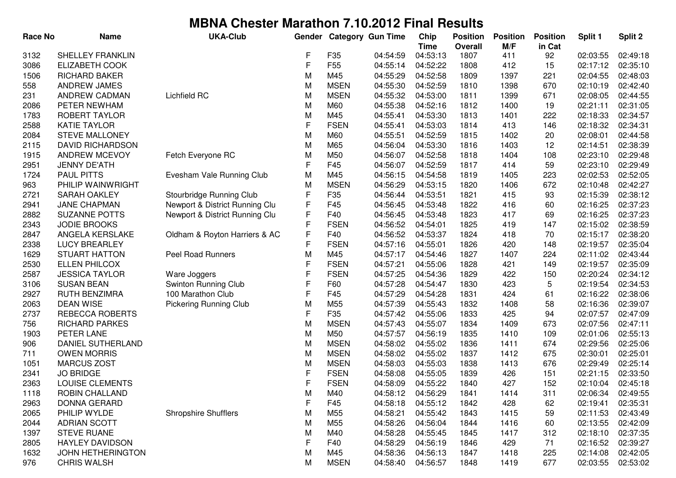| <b>Race No</b> | <b>Name</b>             | <b>UKA-Club</b>                | Gender |                 | <b>Category Gun Time</b> | Chip        | <b>Position</b> | <b>Position</b> | <b>Position</b> | Split 1  | Split 2  |
|----------------|-------------------------|--------------------------------|--------|-----------------|--------------------------|-------------|-----------------|-----------------|-----------------|----------|----------|
|                |                         |                                |        |                 |                          | <b>Time</b> | <b>Overall</b>  | M/F             | in Cat          |          |          |
| 3132           | <b>SHELLEY FRANKLIN</b> |                                | F      | F35             | 04:54:59                 | 04:53:13    | 1807            | 411             | 92              | 02:03:55 | 02:49:18 |
| 3086           | <b>ELIZABETH COOK</b>   |                                | F      | F <sub>55</sub> | 04:55:14                 | 04:52:22    | 1808            | 412             | 15              | 02:17:12 | 02:35:10 |
| 1506           | <b>RICHARD BAKER</b>    |                                | M      | M45             | 04:55:29                 | 04:52:58    | 1809            | 1397            | 221             | 02:04:55 | 02:48:03 |
| 558            | ANDREW JAMES            |                                | M      | <b>MSEN</b>     | 04:55:30                 | 04:52:59    | 1810            | 1398            | 670             | 02:10:19 | 02:42:40 |
| 231            | ANDREW CADMAN           | Lichfield RC                   | M      | <b>MSEN</b>     | 04:55:32                 | 04:53:00    | 1811            | 1399            | 671             | 02:08:05 | 02:44:55 |
| 2086           | PETER NEWHAM            |                                | M      | M60             | 04:55:38                 | 04:52:16    | 1812            | 1400            | 19              | 02:21:11 | 02:31:05 |
| 1783           | ROBERT TAYLOR           |                                | M      | M45             | 04:55:41                 | 04:53:30    | 1813            | 1401            | 222             | 02:18:33 | 02:34:57 |
| 2588           | <b>KATIE TAYLOR</b>     |                                | F      | <b>FSEN</b>     | 04:55:41                 | 04:53:03    | 1814            | 413             | 146             | 02:18:32 | 02:34:31 |
| 2084           | <b>STEVE MALLONEY</b>   |                                | M      | M60             | 04:55:51                 | 04:52:59    | 1815            | 1402            | 20              | 02:08:01 | 02:44:58 |
| 2115           | <b>DAVID RICHARDSON</b> |                                | M      | M65             | 04:56:04                 | 04:53:30    | 1816            | 1403            | 12              | 02:14:51 | 02:38:39 |
| 1915           | ANDREW MCEVOY           | Fetch Everyone RC              | M      | M50             | 04:56:07                 | 04:52:58    | 1818            | 1404            | 108             | 02:23:10 | 02:29:48 |
| 2951           | <b>JENNY DE'ATH</b>     |                                | F      | F45             | 04:56:07                 | 04:52:59    | 1817            | 414             | 59              | 02:23:10 | 02:29:49 |
| 1724           | <b>PAUL PITTS</b>       | Evesham Vale Running Club      | M      | M45             | 04:56:15                 | 04:54:58    | 1819            | 1405            | 223             | 02:02:53 | 02:52:05 |
| 963            | PHILIP WAINWRIGHT       |                                | M      | <b>MSEN</b>     | 04:56:29                 | 04:53:15    | 1820            | 1406            | 672             | 02:10:48 | 02:42:27 |
| 2721           | SARAH OAKLEY            | Stourbridge Running Club       | F      | F35             | 04:56:44                 | 04:53:51    | 1821            | 415             | 93              | 02:15:39 | 02:38:12 |
| 2941           | JANE CHAPMAN            | Newport & District Running Clu | F      | F45             | 04:56:45                 | 04:53:48    | 1822            | 416             | 60              | 02:16:25 | 02:37:23 |
| 2882           | <b>SUZANNE POTTS</b>    | Newport & District Running Clu | F      | F40             | 04:56:45                 | 04:53:48    | 1823            | 417             | 69              | 02:16:25 | 02:37:23 |
| 2343           | <b>JODIE BROOKS</b>     |                                | F      | <b>FSEN</b>     | 04:56:52                 | 04:54:01    | 1825            | 419             | 147             | 02:15:02 | 02:38:59 |
| 2847           | ANGELA KERSLAKE         | Oldham & Royton Harriers & AC  | F      | F40             | 04:56:52                 | 04:53:37    | 1824            | 418             | 70              | 02:15:17 | 02:38:20 |
| 2338           | <b>LUCY BREARLEY</b>    |                                | F      | <b>FSEN</b>     | 04:57:16                 | 04:55:01    | 1826            | 420             | 148             | 02:19:57 | 02:35:04 |
| 1629           | <b>STUART HATTON</b>    | Peel Road Runners              | M      | M45             | 04:57:17                 | 04:54:46    | 1827            | 1407            | 224             | 02:11:02 | 02:43:44 |
| 2530           | <b>ELLEN PHILCOX</b>    |                                | F      | <b>FSEN</b>     | 04:57:21                 | 04:55:06    | 1828            | 421             | 149             | 02:19:57 | 02:35:09 |
| 2587           | <b>JESSICA TAYLOR</b>   | Ware Joggers                   | F      | <b>FSEN</b>     | 04:57:25                 | 04:54:36    | 1829            | 422             | 150             | 02:20:24 | 02:34:12 |
| 3106           | <b>SUSAN BEAN</b>       | Swinton Running Club           | F      | F60             | 04:57:28                 | 04:54:47    | 1830            | 423             | 5               | 02:19:54 | 02:34:53 |
| 2927           | RUTH BENZIMRA           | 100 Marathon Club              | F      | F45             | 04:57:29                 | 04:54:28    | 1831            | 424             | 61              | 02:16:22 | 02:38:06 |
| 2063           | <b>DEAN WISE</b>        | <b>Pickering Running Club</b>  | M      | M55             | 04:57:39                 | 04:55:43    | 1832            | 1408            | 58              | 02:16:36 | 02:39:07 |
| 2737           | REBECCA ROBERTS         |                                | F      | F35             | 04:57:42                 | 04:55:06    | 1833            | 425             | 94              | 02:07:57 | 02:47:09 |
| 756            | <b>RICHARD PARKES</b>   |                                | M      | <b>MSEN</b>     | 04:57:43                 | 04:55:07    | 1834            | 1409            | 673             | 02:07:56 | 02:47:11 |
| 1903           | PETER LANE              |                                | M      | M50             | 04:57:57                 | 04:56:19    | 1835            | 1410            | 109             | 02:01:06 | 02:55:13 |
| 906            | DANIEL SUTHERLAND       |                                | M      | <b>MSEN</b>     | 04:58:02                 | 04:55:02    | 1836            | 1411            | 674             | 02:29:56 | 02:25:06 |
| 711            | <b>OWEN MORRIS</b>      |                                | M      | <b>MSEN</b>     | 04:58:02                 | 04:55:02    | 1837            | 1412            | 675             | 02:30:01 | 02:25:01 |
| 1051           | <b>MARCUS ZOST</b>      |                                | M      | <b>MSEN</b>     | 04:58:03                 | 04:55:03    | 1838            | 1413            | 676             | 02:29:49 | 02:25:14 |
| 2341           | <b>JO BRIDGE</b>        |                                | F      | <b>FSEN</b>     | 04:58:08                 | 04:55:05    | 1839            | 426             | 151             | 02:21:15 | 02:33:50 |
| 2363           | <b>LOUISE CLEMENTS</b>  |                                | F      | <b>FSEN</b>     | 04:58:09                 | 04:55:22    | 1840            | 427             | 152             | 02:10:04 | 02:45:18 |
| 1118           | ROBIN CHALLAND          |                                | M      | M40             | 04:58:12                 | 04:56:29    | 1841            | 1414            | 311             | 02:06:34 | 02:49:55 |
| 2963           | DONNA GERARD            |                                | F      | F45             | 04:58:18                 | 04:55:12    | 1842            | 428             | 62              | 02:19:41 | 02:35:31 |
| 2065           | PHILIP WYLDE            | <b>Shropshire Shufflers</b>    | M      | M55             | 04:58:21                 | 04:55:42    | 1843            | 1415            | 59              | 02:11:53 | 02:43:49 |
| 2044           | <b>ADRIAN SCOTT</b>     |                                | M      | M55             | 04:58:26                 | 04:56:04    | 1844            | 1416            | 60              | 02:13:55 | 02:42:09 |
| 1397           | <b>STEVE RUANE</b>      |                                | M      | M40             | 04:58:28                 | 04:55:45    | 1845            | 1417            | 312             | 02:18:10 | 02:37:35 |
| 2805           | <b>HAYLEY DAVIDSON</b>  |                                | F      | F40             | 04:58:29                 | 04:56:19    | 1846            | 429             | 71              | 02:16:52 | 02:39:27 |
| 1632           | JOHN HETHERINGTON       |                                | M      | M45             | 04:58:36                 | 04:56:13    | 1847            | 1418            | 225             | 02:14:08 | 02:42:05 |
| 976            | <b>CHRIS WALSH</b>      |                                | M      | <b>MSEN</b>     | 04:58:40                 | 04:56:57    | 1848            | 1419            | 677             | 02:03:55 | 02:53:02 |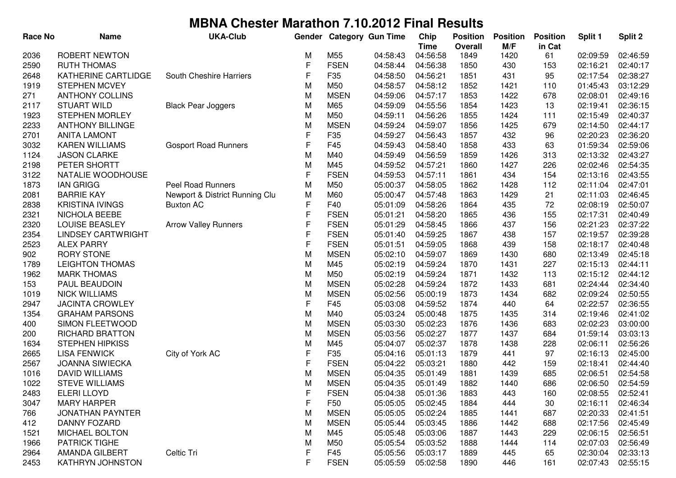| <b>Race No</b> | <b>Name</b>               | <b>UKA-Club</b>                | Gender      |             | <b>Category Gun Time</b> | Chip<br><b>Time</b> | <b>Position</b><br>Overall | <b>Position</b><br>M/F | <b>Position</b><br>in Cat | Split 1  | Split 2  |
|----------------|---------------------------|--------------------------------|-------------|-------------|--------------------------|---------------------|----------------------------|------------------------|---------------------------|----------|----------|
| 2036           | ROBERT NEWTON             |                                | M           | M55         | 04:58:43                 | 04:56:58            | 1849                       | 1420                   | 61                        | 02:09:59 | 02:46:59 |
| 2590           | <b>RUTH THOMAS</b>        |                                | F           | <b>FSEN</b> | 04:58:44                 | 04:56:38            | 1850                       | 430                    | 153                       | 02:16:21 | 02:40:17 |
| 2648           | KATHERINE CARTLIDGE       | South Cheshire Harriers        | F           | F35         | 04:58:50                 | 04:56:21            | 1851                       | 431                    | 95                        | 02:17:54 | 02:38:27 |
| 1919           | <b>STEPHEN MCVEY</b>      |                                | M           | M50         | 04:58:57                 | 04:58:12            | 1852                       | 1421                   | 110                       | 01:45:43 | 03:12:29 |
| 271            | <b>ANTHONY COLLINS</b>    |                                | M           | <b>MSEN</b> | 04:59:06                 | 04:57:17            | 1853                       | 1422                   | 678                       | 02:08:01 | 02:49:16 |
| 2117           | <b>STUART WILD</b>        | <b>Black Pear Joggers</b>      | M           | M65         | 04:59:09                 | 04:55:56            | 1854                       | 1423                   | 13                        | 02:19:41 | 02:36:15 |
| 1923           | <b>STEPHEN MORLEY</b>     |                                | M           | M50         | 04:59:11                 | 04:56:26            | 1855                       | 1424                   | 111                       | 02:15:49 | 02:40:37 |
| 2233           | <b>ANTHONY BILLINGE</b>   |                                | M           | <b>MSEN</b> | 04:59:24                 | 04:59:07            | 1856                       | 1425                   | 679                       | 02:14:50 | 02:44:17 |
| 2701           | <b>ANITA LAMONT</b>       |                                | $\mathsf F$ | F35         | 04:59:27                 | 04:56:43            | 1857                       | 432                    | 96                        | 02:20:23 | 02:36:20 |
| 3032           | <b>KAREN WILLIAMS</b>     | <b>Gosport Road Runners</b>    | F           | F45         | 04:59:43                 | 04:58:40            | 1858                       | 433                    | 63                        | 01:59:34 | 02:59:06 |
| 1124           | <b>JASON CLARKE</b>       |                                | M           | M40         | 04:59:49                 | 04:56:59            | 1859                       | 1426                   | 313                       | 02:13:32 | 02:43:27 |
| 2198           | PETER SHORTT              |                                | M           | M45         | 04:59:52                 | 04:57:21            | 1860                       | 1427                   | 226                       | 02:02:46 | 02:54:35 |
| 3122           | NATALIE WOODHOUSE         |                                | F           | <b>FSEN</b> | 04:59:53                 | 04:57:11            | 1861                       | 434                    | 154                       | 02:13:16 | 02:43:55 |
| 1873           | <b>IAN GRIGG</b>          | <b>Peel Road Runners</b>       | M           | M50         | 05:00:37                 | 04:58:05            | 1862                       | 1428                   | 112                       | 02:11:04 | 02:47:01 |
| 2081           | <b>BARRIE KAY</b>         | Newport & District Running Clu | M           | M60         | 05:00:47                 | 04:57:48            | 1863                       | 1429                   | 21                        | 02:11:03 | 02:46:45 |
| 2838           | <b>KRISTINA IVINGS</b>    | <b>Buxton AC</b>               | F           | F40         | 05:01:09                 | 04:58:26            | 1864                       | 435                    | 72                        | 02:08:19 | 02:50:07 |
| 2321           | NICHOLA BEEBE             |                                | F           | <b>FSEN</b> | 05:01:21                 | 04:58:20            | 1865                       | 436                    | 155                       | 02:17:31 | 02:40:49 |
| 2320           | LOUISE BEASLEY            | <b>Arrow Valley Runners</b>    | F           | <b>FSEN</b> | 05:01:29                 | 04:58:45            | 1866                       | 437                    | 156                       | 02:21:23 | 02:37:22 |
| 2354           | <b>LINDSEY CARTWRIGHT</b> |                                | F           | <b>FSEN</b> | 05:01:40                 | 04:59:25            | 1867                       | 438                    | 157                       | 02:19:57 | 02:39:28 |
| 2523           | <b>ALEX PARRY</b>         |                                | F           | <b>FSEN</b> | 05:01:51                 | 04:59:05            | 1868                       | 439                    | 158                       | 02:18:17 | 02:40:48 |
| 902            | <b>RORY STONE</b>         |                                | M           | <b>MSEN</b> | 05:02:10                 | 04:59:07            | 1869                       | 1430                   | 680                       | 02:13:49 | 02:45:18 |
| 1789           | <b>LEIGHTON THOMAS</b>    |                                | M           | M45         | 05:02:19                 | 04:59:24            | 1870                       | 1431                   | 227                       | 02:15:13 | 02:44:11 |
| 1962           | <b>MARK THOMAS</b>        |                                | M           | M50         | 05:02:19                 | 04:59:24            | 1871                       | 1432                   | 113                       | 02:15:12 | 02:44:12 |
| 153            | PAUL BEAUDOIN             |                                | M           | <b>MSEN</b> | 05:02:28                 | 04:59:24            | 1872                       | 1433                   | 681                       | 02:24:44 | 02:34:40 |
| 1019           | <b>NICK WILLIAMS</b>      |                                | M           | <b>MSEN</b> | 05:02:56                 | 05:00:19            | 1873                       | 1434                   | 682                       | 02:09:24 | 02:50:55 |
| 2947           | <b>JACINTA CROWLEY</b>    |                                | F           | F45         | 05:03:08                 | 04:59:52            | 1874                       | 440                    | 64                        | 02:22:57 | 02:36:55 |
| 1354           | <b>GRAHAM PARSONS</b>     |                                | M           | M40         | 05:03:24                 | 05:00:48            | 1875                       | 1435                   | 314                       | 02:19:46 | 02:41:02 |
| 400            | SIMON FLEETWOOD           |                                | M           | <b>MSEN</b> | 05:03:30                 | 05:02:23            | 1876                       | 1436                   | 683                       | 02:02:23 | 03:00:00 |
| 200            | <b>RICHARD BRATTON</b>    |                                | M           | <b>MSEN</b> | 05:03:56                 | 05:02:27            | 1877                       | 1437                   | 684                       | 01:59:14 | 03:03:13 |
| 1634           | <b>STEPHEN HIPKISS</b>    |                                | M           | M45         | 05:04:07                 | 05:02:37            | 1878                       | 1438                   | 228                       | 02:06:11 | 02:56:26 |
| 2665           | <b>LISA FENWICK</b>       | City of York AC                | F           | F35         | 05:04:16                 | 05:01:13            | 1879                       | 441                    | 97                        | 02:16:13 | 02:45:00 |
| 2567           | <b>JOANNA SIWIECKA</b>    |                                | F           | <b>FSEN</b> | 05:04:22                 | 05:03:21            | 1880                       | 442                    | 159                       | 02:18:41 | 02:44:40 |
| 1016           | <b>DAVID WILLIAMS</b>     |                                | M           | <b>MSEN</b> | 05:04:35                 | 05:01:49            | 1881                       | 1439                   | 685                       | 02:06:51 | 02:54:58 |
| 1022           | <b>STEVE WILLIAMS</b>     |                                | M           | <b>MSEN</b> | 05:04:35                 | 05:01:49            | 1882                       | 1440                   | 686                       | 02:06:50 | 02:54:59 |
| 2483           | ELERI LLOYD               |                                | F           | <b>FSEN</b> | 05:04:38                 | 05:01:36            | 1883                       | 443                    | 160                       | 02:08:55 | 02:52:41 |
| 3047           | <b>MARY HARPER</b>        |                                | F           | F50         | 05:05:05                 | 05:02:45            | 1884                       | 444                    | 30                        | 02:16:11 | 02:46:34 |
| 766            | <b>JONATHAN PAYNTER</b>   |                                | M           | <b>MSEN</b> | 05:05:05                 | 05:02:24            | 1885                       | 1441                   | 687                       | 02:20:33 | 02:41:51 |
| 412            | <b>DANNY FOZARD</b>       |                                | M           | <b>MSEN</b> | 05:05:44                 | 05:03:45            | 1886                       | 1442                   | 688                       | 02:17:56 | 02:45:49 |
| 1521           | <b>MICHAEL BOLTON</b>     |                                | M           | M45         | 05:05:48                 | 05:03:06            | 1887                       | 1443                   | 229                       | 02:06:15 | 02:56:51 |
| 1966           | <b>PATRICK TIGHE</b>      |                                | M           | M50         | 05:05:54                 | 05:03:52            | 1888                       | 1444                   | 114                       | 02:07:03 | 02:56:49 |
| 2964           | <b>AMANDA GILBERT</b>     | Celtic Tri                     | F           | F45         | 05:05:56                 | 05:03:17            | 1889                       | 445                    | 65                        | 02:30:04 | 02:33:13 |
| 2453           | KATHRYN JOHNSTON          |                                | F           | <b>FSEN</b> | 05:05:59                 | 05:02:58            | 1890                       | 446                    | 161                       | 02:07:43 | 02:55:15 |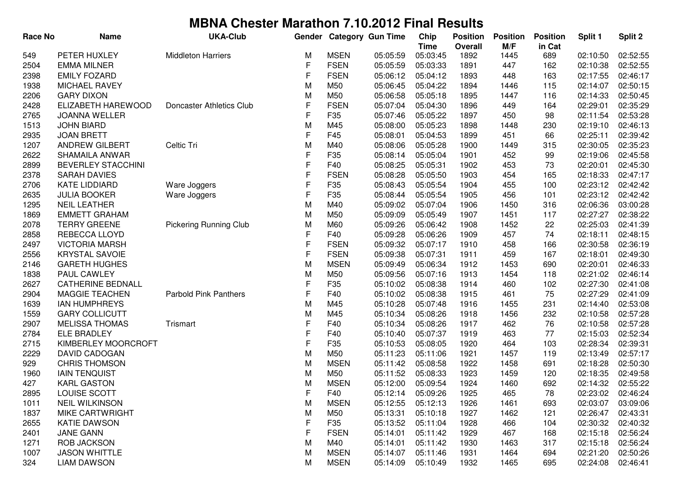| <b>Race No</b> | <b>Name</b>               | <b>UKA-Club</b>               | Gender |             | <b>Category Gun Time</b> | Chip                    | <b>Position</b>        | <b>Position</b> | <b>Position</b> | Split 1  | Split 2  |
|----------------|---------------------------|-------------------------------|--------|-------------|--------------------------|-------------------------|------------------------|-----------------|-----------------|----------|----------|
| 549            | PETER HUXLEY              | <b>Middleton Harriers</b>     | м      | <b>MSEN</b> | 05:05:59                 | <b>Time</b><br>05:03:45 | <b>Overall</b><br>1892 | M/F<br>1445     | in Cat<br>689   | 02:10:50 | 02:52:55 |
| 2504           | <b>EMMA MILNER</b>        |                               | F      | <b>FSEN</b> | 05:05:59                 | 05:03:33                | 1891                   | 447             | 162             | 02:10:38 | 02:52:55 |
| 2398           | <b>EMILY FOZARD</b>       |                               | F      | <b>FSEN</b> | 05:06:12                 | 05:04:12                | 1893                   | 448             | 163             | 02:17:55 | 02:46:17 |
| 1938           | <b>MICHAEL RAVEY</b>      |                               | M      | M50         | 05:06:45                 | 05:04:22                | 1894                   | 1446            | 115             | 02:14:07 | 02:50:15 |
| 2206           | <b>GARY DIXON</b>         |                               | M      | M50         | 05:06:58                 | 05:05:18                | 1895                   | 1447            | 116             | 02:14:33 | 02:50:45 |
| 2428           | ELIZABETH HAREWOOD        | Doncaster Athletics Club      | F      | <b>FSEN</b> | 05:07:04                 | 05:04:30                | 1896                   | 449             | 164             | 02:29:01 | 02:35:29 |
| 2765           | <b>JOANNA WELLER</b>      |                               | F      | F35         | 05:07:46                 | 05:05:22                | 1897                   | 450             | 98              | 02:11:54 | 02:53:28 |
| 1513           | <b>JOHN BIARD</b>         |                               | M      | M45         | 05:08:00                 | 05:05:23                | 1898                   | 1448            | 230             | 02:19:10 | 02:46:13 |
| 2935           | <b>JOAN BRETT</b>         |                               | F      | F45         | 05:08:01                 | 05:04:53                | 1899                   | 451             | 66              | 02:25:11 | 02:39:42 |
| 1207           | ANDREW GILBERT            | Celtic Tri                    | M      | M40         | 05:08:06                 | 05:05:28                | 1900                   | 1449            | 315             | 02:30:05 | 02:35:23 |
| 2622           | SHAMAILA ANWAR            |                               | F      | F35         | 05:08:14                 | 05:05:04                | 1901                   | 452             | 99              | 02:19:06 | 02:45:58 |
| 2899           | <b>BEVERLEY STACCHINI</b> |                               | F      | F40         | 05:08:25                 | 05:05:31                | 1902                   | 453             | 73              | 02:20:01 | 02:45:30 |
| 2378           | <b>SARAH DAVIES</b>       |                               | F      | <b>FSEN</b> | 05:08:28                 | 05:05:50                | 1903                   | 454             | 165             | 02:18:33 | 02:47:17 |
| 2706           | <b>KATE LIDDIARD</b>      | Ware Joggers                  | F      | F35         | 05:08:43                 | 05:05:54                | 1904                   | 455             | 100             | 02:23:12 | 02:42:42 |
| 2635           | <b>JULIA BOOKER</b>       | Ware Joggers                  | F      | F35         | 05:08:44                 | 05:05:54                | 1905                   | 456             | 101             | 02:23:12 | 02:42:42 |
| 1295           | <b>NEIL LEATHER</b>       |                               | M      | M40         | 05:09:02                 | 05:07:04                | 1906                   | 1450            | 316             | 02:06:36 | 03:00:28 |
| 1869           | <b>EMMETT GRAHAM</b>      |                               | M      | M50         | 05:09:09                 | 05:05:49                | 1907                   | 1451            | 117             | 02:27:27 | 02:38:22 |
| 2078           | <b>TERRY GREENE</b>       | <b>Pickering Running Club</b> | M      | M60         | 05:09:26                 | 05:06:42                | 1908                   | 1452            | 22              | 02:25:03 | 02:41:39 |
| 2858           | REBECCA LLOYD             |                               | F      | F40         | 05:09:28                 | 05:06:26                | 1909                   | 457             | 74              | 02:18:11 | 02:48:15 |
| 2497           | <b>VICTORIA MARSH</b>     |                               | F      | <b>FSEN</b> | 05:09:32                 | 05:07:17                | 1910                   | 458             | 166             | 02:30:58 | 02:36:19 |
| 2556           | <b>KRYSTAL SAVOIE</b>     |                               | F      | <b>FSEN</b> | 05:09:38                 | 05:07:31                | 1911                   | 459             | 167             | 02:18:01 | 02:49:30 |
| 2146           | <b>GARETH HUGHES</b>      |                               | M      | <b>MSEN</b> | 05:09:49                 | 05:06:34                | 1912                   | 1453            | 690             | 02:20:01 | 02:46:33 |
| 1838           | PAUL CAWLEY               |                               | M      | M50         | 05:09:56                 | 05:07:16                | 1913                   | 1454            | 118             | 02:21:02 | 02:46:14 |
| 2627           | <b>CATHERINE BEDNALL</b>  |                               | F      | F35         | 05:10:02                 | 05:08:38                | 1914                   | 460             | 102             | 02:27:30 | 02:41:08 |
| 2904           | <b>MAGGIE TEACHEN</b>     | <b>Parbold Pink Panthers</b>  | F      | F40         | 05:10:02                 | 05:08:38                | 1915                   | 461             | 75              | 02:27:29 | 02:41:09 |
| 1639           | <b>IAN HUMPHREYS</b>      |                               | M      | M45         | 05:10:28                 | 05:07:48                | 1916                   | 1455            | 231             | 02:14:40 | 02:53:08 |
| 1559           | <b>GARY COLLICUTT</b>     |                               | M      | M45         | 05:10:34                 | 05:08:26                | 1918                   | 1456            | 232             | 02:10:58 | 02:57:28 |
| 2907           | <b>MELISSA THOMAS</b>     | Trismart                      | F      | F40         | 05:10:34                 | 05:08:26                | 1917                   | 462             | 76              | 02:10:58 | 02:57:28 |
| 2784           | <b>ELE BRADLEY</b>        |                               | F      | F40         | 05:10:40                 | 05:07:37                | 1919                   | 463             | 77              | 02:15:03 | 02:52:34 |
| 2715           | KIMBERLEY MOORCROFT       |                               | F      | F35         | 05:10:53                 | 05:08:05                | 1920                   | 464             | 103             | 02:28:34 | 02:39:31 |
| 2229           | <b>DAVID CADOGAN</b>      |                               | M      | M50         | 05:11:23                 | 05:11:06                | 1921                   | 1457            | 119             | 02:13:49 | 02:57:17 |
| 929            | <b>CHRIS THOMSON</b>      |                               | M      | <b>MSEN</b> | 05:11:42                 | 05:08:58                | 1922                   | 1458            | 691             | 02:18:28 | 02:50:30 |
| 1960           | <b>IAIN TENQUIST</b>      |                               | M      | M50         | 05:11:52                 | 05:08:33                | 1923                   | 1459            | 120             | 02:18:35 | 02:49:58 |
| 427            | <b>KARL GASTON</b>        |                               | М      | <b>MSEN</b> | 05:12:00                 | 05:09:54                | 1924                   | 1460            | 692             | 02:14:32 | 02:55:22 |
| 2895           | LOUISE SCOTT              |                               | ۲      | F40         | 05:12:14                 | 05:09:26                | 1925                   | 465             | 78              | 02:23:02 | 02:46:24 |
| 1011           | <b>NEIL WILKINSON</b>     |                               | M      | <b>MSEN</b> | 05:12:55                 | 05:12:13                | 1926                   | 1461            | 693             | 02:03:07 | 03:09:06 |
| 1837           | <b>MIKE CARTWRIGHT</b>    |                               | M      | M50         | 05:13:31                 | 05:10:18                | 1927                   | 1462            | 121             | 02:26:47 | 02:43:31 |
| 2655           | <b>KATIE DAWSON</b>       |                               | F      | F35         | 05:13:52                 | 05:11:04                | 1928                   | 466             | 104             | 02:30:32 | 02:40:32 |
| 2401           | <b>JANE GANN</b>          |                               | F      | <b>FSEN</b> | 05:14:01                 | 05:11:42                | 1929                   | 467             | 168             | 02:15:18 | 02:56:24 |
| 1271           | <b>ROB JACKSON</b>        |                               | M      | M40         | 05:14:01                 | 05:11:42                | 1930                   | 1463            | 317             | 02:15:18 | 02:56:24 |
| 1007           | <b>JASON WHITTLE</b>      |                               | M      | <b>MSEN</b> | 05:14:07                 | 05:11:46                | 1931                   | 1464            | 694             | 02:21:20 | 02:50:26 |
| 324            | <b>LIAM DAWSON</b>        |                               | М      | <b>MSEN</b> | 05:14:09                 | 05:10:49                | 1932                   | 1465            | 695             | 02:24:08 | 02:46:41 |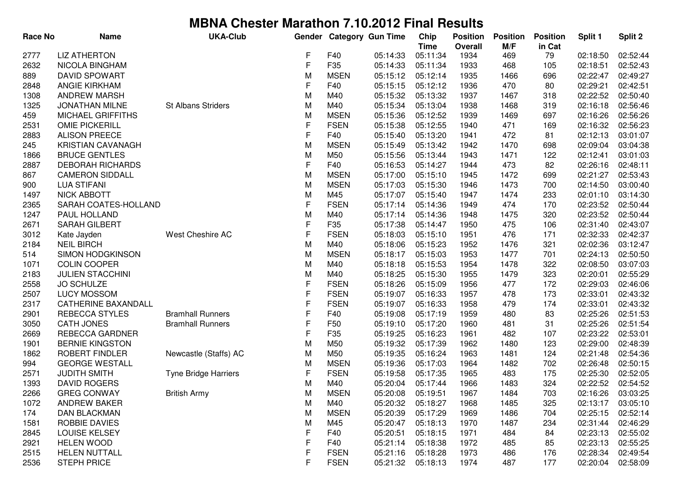| <b>Race No</b> | <b>Name</b>                | <b>UKA-Club</b>             |             |             | Gender Category Gun Time | Chip        | <b>Position</b> | <b>Position</b> | <b>Position</b> | Split 1  | Split 2  |
|----------------|----------------------------|-----------------------------|-------------|-------------|--------------------------|-------------|-----------------|-----------------|-----------------|----------|----------|
|                |                            |                             |             |             |                          | <b>Time</b> | <b>Overall</b>  | M/F             | in Cat          |          |          |
| 2777           | <b>LIZ ATHERTON</b>        |                             | F           | F40         | 05:14:33                 | 05:11:34    | 1934            | 469             | 79              | 02:18:50 | 02:52:44 |
| 2632           | <b>NICOLA BINGHAM</b>      |                             | F           | F35         | 05:14:33                 | 05:11:34    | 1933            | 468             | 105             | 02:18:51 | 02:52:43 |
| 889            | <b>DAVID SPOWART</b>       |                             | M           | <b>MSEN</b> | 05:15:12                 | 05:12:14    | 1935            | 1466            | 696             | 02:22:47 | 02:49:27 |
| 2848           | ANGIE KIRKHAM              |                             | F           | F40         | 05:15:15                 | 05:12:12    | 1936            | 470             | 80              | 02:29:21 | 02:42:51 |
| 1308           | <b>ANDREW MARSH</b>        |                             | M           | M40         | 05:15:32                 | 05:13:32    | 1937            | 1467            | 318             | 02:22:52 | 02:50:40 |
| 1325           | <b>JONATHAN MILNE</b>      | St Albans Striders          | M           | M40         | 05:15:34                 | 05:13:04    | 1938            | 1468            | 319             | 02:16:18 | 02:56:46 |
| 459            | <b>MICHAEL GRIFFITHS</b>   |                             | M           | <b>MSEN</b> | 05:15:36                 | 05:12:52    | 1939            | 1469            | 697             | 02:16:26 | 02:56:26 |
| 2531           | <b>OMIE PICKERILL</b>      |                             | $\mathsf F$ | <b>FSEN</b> | 05:15:38                 | 05:12:55    | 1940            | 471             | 169             | 02:16:32 | 02:56:23 |
| 2883           | <b>ALISON PREECE</b>       |                             | F           | F40         | 05:15:40                 | 05:13:20    | 1941            | 472             | 81              | 02:12:13 | 03:01:07 |
| 245            | <b>KRISTIAN CAVANAGH</b>   |                             | M           | <b>MSEN</b> | 05:15:49                 | 05:13:42    | 1942            | 1470            | 698             | 02:09:04 | 03:04:38 |
| 1866           | <b>BRUCE GENTLES</b>       |                             | M           | M50         | 05:15:56                 | 05:13:44    | 1943            | 1471            | 122             | 02:12:41 | 03:01:03 |
| 2887           | <b>DEBORAH RICHARDS</b>    |                             | $\mathsf F$ | F40         | 05:16:53                 | 05:14:27    | 1944            | 473             | 82              | 02:26:16 | 02:48:11 |
| 867            | <b>CAMERON SIDDALL</b>     |                             | M           | <b>MSEN</b> | 05:17:00                 | 05:15:10    | 1945            | 1472            | 699             | 02:21:27 | 02:53:43 |
| 900            | <b>LUA STIFANI</b>         |                             | M           | <b>MSEN</b> | 05:17:03                 | 05:15:30    | 1946            | 1473            | 700             | 02:14:50 | 03:00:40 |
| 1497           | <b>NICK ABBOTT</b>         |                             | M           | M45         | 05:17:07                 | 05:15:40    | 1947            | 1474            | 233             | 02:01:10 | 03:14:30 |
| 2365           | SARAH COATES-HOLLAND       |                             | F           | <b>FSEN</b> | 05:17:14                 | 05:14:36    | 1949            | 474             | 170             | 02:23:52 | 02:50:44 |
| 1247           | PAUL HOLLAND               |                             | M           | M40         | 05:17:14                 | 05:14:36    | 1948            | 1475            | 320             | 02:23:52 | 02:50:44 |
| 2671           | <b>SARAH GILBERT</b>       |                             | F           | F35         | 05:17:38                 | 05:14:47    | 1950            | 475             | 106             | 02:31:40 | 02:43:07 |
| 3012           | Kate Jayden                | West Cheshire AC            | F           | <b>FSEN</b> | 05:18:03                 | 05:15:10    | 1951            | 476             | 171             | 02:32:33 | 02:42:37 |
| 2184           | <b>NEIL BIRCH</b>          |                             | M           | M40         | 05:18:06                 | 05:15:23    | 1952            | 1476            | 321             | 02:02:36 | 03:12:47 |
| 514            | SIMON HODGKINSON           |                             | M           | <b>MSEN</b> | 05:18:17                 | 05:15:03    | 1953            | 1477            | 701             | 02:24:13 | 02:50:50 |
| 1071           | <b>COLIN COOPER</b>        |                             | M           | M40         | 05:18:18                 | 05:15:53    | 1954            | 1478            | 322             | 02:08:50 | 03:07:03 |
| 2183           | <b>JULIEN STACCHINI</b>    |                             | M           | M40         | 05:18:25                 | 05:15:30    | 1955            | 1479            | 323             | 02:20:01 | 02:55:29 |
| 2558           | <b>JO SCHULZE</b>          |                             | $\mathsf F$ | <b>FSEN</b> | 05:18:26                 | 05:15:09    | 1956            | 477             | 172             | 02:29:03 | 02:46:06 |
| 2507           | <b>LUCY MOSSOM</b>         |                             | $\mathsf F$ | <b>FSEN</b> | 05:19:07                 | 05:16:33    | 1957            | 478             | 173             | 02:33:01 | 02:43:32 |
| 2317           | <b>CATHERINE BAXANDALL</b> |                             | F           | <b>FSEN</b> | 05:19:07                 | 05:16:33    | 1958            | 479             | 174             | 02:33:01 | 02:43:32 |
| 2901           | <b>REBECCA STYLES</b>      | <b>Bramhall Runners</b>     | $\mathsf F$ | F40         | 05:19:08                 | 05:17:19    | 1959            | 480             | 83              | 02:25:26 | 02:51:53 |
| 3050           | <b>CATH JONES</b>          | <b>Bramhall Runners</b>     | $\mathsf F$ | F50         | 05:19:10                 | 05:17:20    | 1960            | 481             | 31              | 02:25:26 | 02:51:54 |
| 2669           | REBECCA GARDNER            |                             | F           | F35         | 05:19:25                 | 05:16:23    | 1961            | 482             | 107             | 02:23:22 | 02:53:01 |
| 1901           | <b>BERNIE KINGSTON</b>     |                             | M           | M50         | 05:19:32                 | 05:17:39    | 1962            | 1480            | 123             | 02:29:00 | 02:48:39 |
| 1862           | ROBERT FINDLER             | Newcastle (Staffs) AC       | M           | M50         | 05:19:35                 | 05:16:24    | 1963            | 1481            | 124             | 02:21:48 | 02:54:36 |
| 994            | <b>GEORGE WESTALL</b>      |                             | M           | <b>MSEN</b> | 05:19:36                 | 05:17:03    | 1964            | 1482            | 702             | 02:26:48 | 02:50:15 |
| 2571           | <b>JUDITH SMITH</b>        | <b>Tyne Bridge Harriers</b> | F           | <b>FSEN</b> | 05:19:58                 | 05:17:35    | 1965            | 483             | 175             | 02:25:30 | 02:52:05 |
| 1393           | <b>DAVID ROGERS</b>        |                             | M           | M40         | 05:20:04                 | 05:17:44    | 1966            | 1483            | 324             | 02:22:52 | 02:54:52 |
| 2266           | <b>GREG CONWAY</b>         | <b>British Army</b>         | M           | <b>MSEN</b> | 05:20:08                 | 05:19:51    | 1967            | 1484            | 703             | 02:16:26 | 03:03:25 |
| 1072           | <b>ANDREW BAKER</b>        |                             | M           | M40         | 05:20:32                 | 05:18:27    | 1968            | 1485            | 325             | 02:13:17 | 03:05:10 |
| 174            | DAN BLACKMAN               |                             | M           | <b>MSEN</b> | 05:20:39                 | 05:17:29    | 1969            | 1486            | 704             | 02:25:15 | 02:52:14 |
| 1581           | ROBBIE DAVIES              |                             | M           | M45         | 05:20:47                 | 05:18:13    | 1970            | 1487            | 234             | 02:31:44 | 02:46:29 |
| 2845           | <b>LOUISE KELSEY</b>       |                             | F           | F40         | 05:20:51                 | 05:18:15    | 1971            | 484             | 84              | 02:23:13 | 02:55:02 |
| 2921           | <b>HELEN WOOD</b>          |                             | F           | F40         | 05:21:14                 | 05:18:38    | 1972            | 485             | 85              | 02:23:13 | 02:55:25 |
| 2515           | <b>HELEN NUTTALL</b>       |                             | F           | <b>FSEN</b> | 05:21:16                 | 05:18:28    | 1973            | 486             | 176             | 02:28:34 | 02:49:54 |
| 2536           | <b>STEPH PRICE</b>         |                             | F           | <b>FSEN</b> | 05:21:32                 | 05:18:13    | 1974            | 487             | 177             | 02:20:04 | 02:58:09 |
|                |                            |                             |             |             |                          |             |                 |                 |                 |          |          |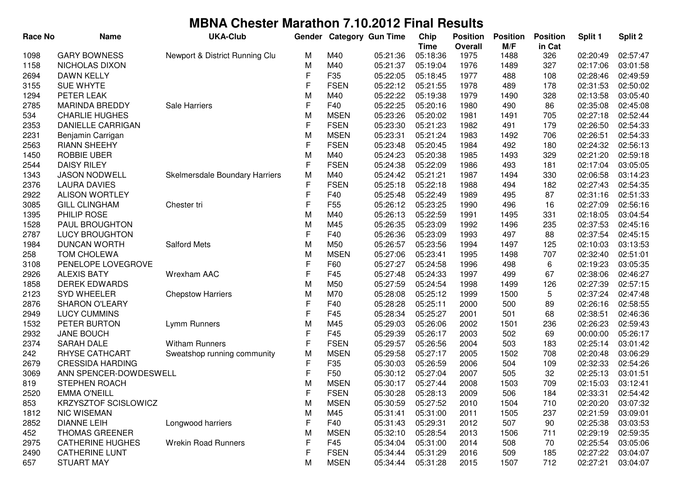| <b>Race No</b> | <b>Name</b>             | <b>UKA-Club</b>                | Gender      |                 | <b>Category Gun Time</b> | Chip                    | <b>Position</b>        | <b>Position</b> | <b>Position</b> | Split 1  | Split 2              |
|----------------|-------------------------|--------------------------------|-------------|-----------------|--------------------------|-------------------------|------------------------|-----------------|-----------------|----------|----------------------|
| 1098           | <b>GARY BOWNESS</b>     | Newport & District Running Clu | M           | M40             | 05:21:36                 | <b>Time</b><br>05:18:36 | <b>Overall</b><br>1975 | M/F<br>1488     | in Cat<br>326   | 02:20:49 | 02:57:47             |
| 1158           | NICHOLAS DIXON          |                                | M           | M40             | 05:21:37                 | 05:19:04                | 1976                   | 1489            | 327             | 02:17:06 | 03:01:58             |
| 2694           | <b>DAWN KELLY</b>       |                                | F           | F35             | 05:22:05                 | 05:18:45                | 1977                   | 488             | 108             | 02:28:46 | 02:49:59             |
| 3155           | <b>SUE WHYTE</b>        |                                | F           | <b>FSEN</b>     | 05:22:12                 | 05:21:55                | 1978                   | 489             | 178             | 02:31:53 | 02:50:02             |
| 1294           | PETER LEAK              |                                | M           | M40             | 05:22:22                 | 05:19:38                | 1979                   | 1490            | 328             | 02:13:58 | 03:05:40             |
| 2785           | <b>MARINDA BREDDY</b>   | Sale Harriers                  | F           | F40             | 05:22:25                 | 05:20:16                | 1980                   | 490             | 86              | 02:35:08 | 02:45:08             |
| 534            | <b>CHARLIE HUGHES</b>   |                                | M           | <b>MSEN</b>     | 05:23:26                 | 05:20:02                | 1981                   | 1491            | 705             | 02:27:18 | 02:52:44             |
| 2353           | DANIELLE CARRIGAN       |                                | $\mathsf F$ | <b>FSEN</b>     | 05:23:30                 | 05:21:23                | 1982                   | 491             | 179             | 02:26:50 | 02:54:33             |
| 2231           | Benjamin Carrigan       |                                | M           | <b>MSEN</b>     | 05:23:31                 | 05:21:24                | 1983                   | 1492            | 706             | 02:26:51 | 02:54:33             |
| 2563           | <b>RIANN SHEEHY</b>     |                                | F           | <b>FSEN</b>     | 05:23:48                 | 05:20:45                | 1984                   | 492             | 180             | 02:24:32 | 02:56:13             |
| 1450           | <b>ROBBIE UBER</b>      |                                | M           | M40             | 05:24:23                 | 05:20:38                | 1985                   | 1493            | 329             | 02:21:20 | 02:59:18             |
| 2544           | <b>DAISY RILEY</b>      |                                | F           | <b>FSEN</b>     | 05:24:38                 | 05:22:09                | 1986                   | 493             | 181             | 02:17:04 | 03:05:05             |
| 1343           | <b>JASON NODWELL</b>    | Skelmersdale Boundary Harriers | M           | M40             | 05:24:42                 | 05:21:21                | 1987                   | 1494            | 330             | 02:06:58 | 03:14:23             |
| 2376           | <b>LAURA DAVIES</b>     |                                | F           | <b>FSEN</b>     | 05:25:18                 | 05:22:18                | 1988                   | 494             | 182             | 02:27:43 | 02:54:35             |
| 2922           | <b>ALISON WORTLEY</b>   |                                | F           | F40             | 05:25:48                 | 05:22:49                | 1989                   | 495             | 87              | 02:31:16 | 02:51:33             |
| 3085           | <b>GILL CLINGHAM</b>    | Chester tri                    | F           | F <sub>55</sub> | 05:26:12                 | 05:23:25                | 1990                   | 496             | 16              | 02:27:09 | 02:56:16             |
| 1395           | PHILIP ROSE             |                                | M           | M40             | 05:26:13                 | 05:22:59                | 1991                   | 1495            | 331             | 02:18:05 | 03:04:54             |
| 1528           | PAUL BROUGHTON          |                                | M           | M45             | 05:26:35                 | 05:23:09                | 1992                   | 1496            | 235             | 02:37:53 | 02:45:16             |
| 2787           | <b>LUCY BROUGHTON</b>   |                                | F           | F40             | 05:26:36                 | 05:23:09                | 1993                   | 497             | 88              | 02:37:54 | 02:45:15             |
| 1984           | <b>DUNCAN WORTH</b>     | <b>Salford Mets</b>            | M           | M50             | 05:26:57                 | 05:23:56                | 1994                   | 1497            | 125             | 02:10:03 | 03:13:53             |
| 258            | <b>TOM CHOLEWA</b>      |                                | M           | <b>MSEN</b>     | 05:27:06                 | 05:23:41                | 1995                   | 1498            | 707             | 02:32:40 | 02:51:01             |
| 3108           | PENELOPE LOVEGROVE      |                                | F           | F60             | 05:27:27                 | 05:24:58                | 1996                   | 498             | 6               | 02:19:23 | 03:05:35             |
| 2926           | <b>ALEXIS BATY</b>      | Wrexham AAC                    | F           | F45             | 05:27:48                 | 05:24:33                | 1997                   | 499             | 67              | 02:38:06 | 02:46:27             |
| 1858           | <b>DEREK EDWARDS</b>    |                                | M           | M50             | 05:27:59                 | 05:24:54                | 1998                   | 1499            | 126             | 02:27:39 | 02:57:15             |
| 2123           | <b>SYD WHEELER</b>      | <b>Chepstow Harriers</b>       | M           | M70             | 05:28:08                 | 05:25:12                | 1999                   | 1500            | 5               | 02:37:24 | 02:47:48             |
| 2876           | <b>SHARON O'LEARY</b>   |                                | F           | F40             | 05:28:28                 | 05:25:11                | 2000                   | 500             | 89              | 02:26:16 | 02:58:55             |
| 2949           | <b>LUCY CUMMINS</b>     |                                | F           | F45             | 05:28:34                 | 05:25:27                | 2001                   | 501             | 68              | 02:38:51 | 02:46:36             |
| 1532           | PETER BURTON            | Lymm Runners                   | M           | M45             | 05:29:03                 | 05:26:06                | 2002                   | 1501            | 236             | 02:26:23 | 02:59:43             |
| 2932           | <b>JANE BOUCH</b>       |                                | F           | F45             | 05:29:39                 | 05:26:17                | 2003                   | 502             | 69              | 00:00:00 | 05:26:17             |
| 2374           | <b>SARAH DALE</b>       | <b>Witham Runners</b>          | F           | <b>FSEN</b>     | 05:29:57                 | 05:26:56                | 2004                   | 503             | 183             | 02:25:14 | 03:01:42             |
| 242            | RHYSE CATHCART          | Sweatshop running community    | M           | <b>MSEN</b>     | 05:29:58                 | 05:27:17                | 2005                   | 1502            | 708             | 02:20:48 | 03:06:29             |
| 2679           | <b>CRESSIDA HARDING</b> |                                | F           | F35             | 05:30:03                 | 05:26:59                | 2006                   | 504             | 109             | 02:32:33 | 02:54:26             |
| 3069           | ANN SPENCER-DOWDESWELL  |                                | F           | F50             | 05:30:12                 | 05:27:04                | 2007                   | 505             | 32              | 02:25:13 | 03:01:51             |
| 819            | <b>STEPHEN ROACH</b>    |                                | M           | <b>MSEN</b>     | 05:30:17                 | 05:27:44                | 2008                   | 1503            | 709             | 02:15:03 | 03:12:41             |
| 2520           | <b>EMMA O'NEILL</b>     |                                | F           | <b>FSEN</b>     | 05:30:28                 | 05:28:13                | 2009                   | 506             | 184             | 02:33:31 | 02:54:42             |
| 853            | KRZYSZTOF SCISLOWICZ    |                                | M           | <b>MSEN</b>     | 05:30:59                 | 05:27:52                | 2010                   | 1504            | 710             | 02:20:20 | 03:07:32             |
| 1812           | <b>NIC WISEMAN</b>      |                                | M           | M45             | 05:31:41                 | 05:31:00                | 2011                   | 1505            | 237             | 02:21:59 | 03:09:01             |
| 2852           | <b>DIANNE LEIH</b>      | Longwood harriers              | F           | F40             | 05:31:43                 | 05:29:31                | 2012                   | 507             | 90              | 02:25:38 | 03:03:53             |
| 452            | <b>THOMAS GREENER</b>   |                                | M           | <b>MSEN</b>     | 05:32:10                 | 05:28:54                | 2013                   | 1506            | 711             | 02:29:19 | 02:59:35             |
| 2975           | <b>CATHERINE HUGHES</b> | <b>Wrekin Road Runners</b>     | F           | F45             | 05:34:04                 | 05:31:00                | 2014                   | 508             | 70              | 02:25:54 | 03:05:06             |
|                | <b>CATHERINE LUNT</b>   |                                | F           | <b>FSEN</b>     | 05:34:44                 | 05:31:29                |                        | 509             |                 | 02:27:22 |                      |
| 2490           | <b>STUART MAY</b>       |                                | M           | <b>MSEN</b>     |                          |                         | 2016                   |                 | 185<br>712      | 02:27:21 | 03:04:07<br>03:04:07 |
| 657            |                         |                                |             |                 | 05:34:44                 | 05:31:28                | 2015                   | 1507            |                 |          |                      |